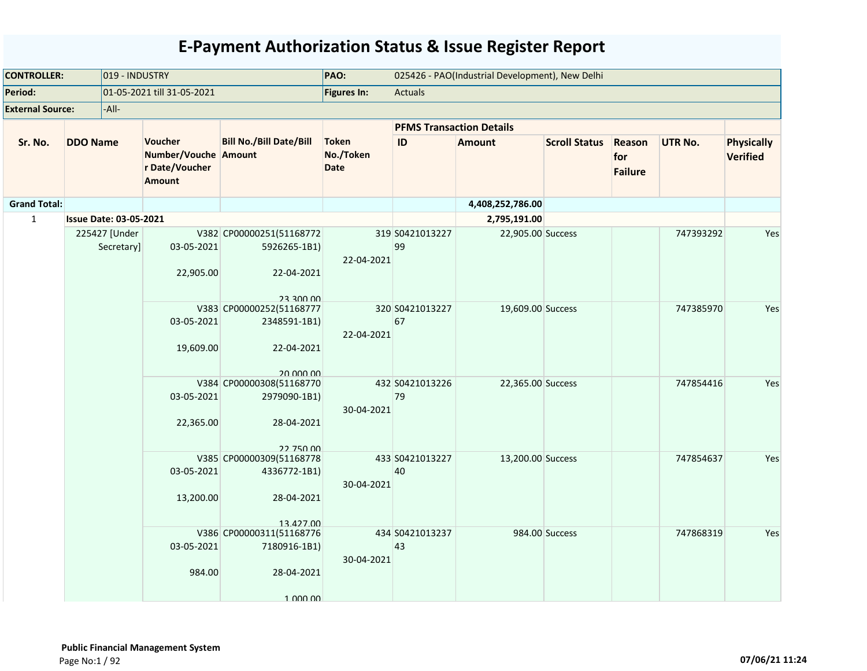| <b>CONTROLLER:</b>      |                               | 019 - INDUSTRY                                                     |                                                                                  | PAO:                                     |                                 | 025426 - PAO(Industrial Development), New Delhi |                      |                                 |                |                                      |
|-------------------------|-------------------------------|--------------------------------------------------------------------|----------------------------------------------------------------------------------|------------------------------------------|---------------------------------|-------------------------------------------------|----------------------|---------------------------------|----------------|--------------------------------------|
| Period:                 |                               | 01-05-2021 till 31-05-2021                                         |                                                                                  | Figures In:                              | <b>Actuals</b>                  |                                                 |                      |                                 |                |                                      |
| <b>External Source:</b> | -All-                         |                                                                    |                                                                                  |                                          |                                 |                                                 |                      |                                 |                |                                      |
|                         |                               |                                                                    |                                                                                  |                                          | <b>PFMS Transaction Details</b> |                                                 |                      |                                 |                |                                      |
| Sr. No.                 | <b>DDO Name</b>               | Voucher<br>Number/Vouche Amount<br>r Date/Voucher<br><b>Amount</b> | <b>Bill No./Bill Date/Bill</b>                                                   | <b>Token</b><br>No./Token<br><b>Date</b> | ID                              | <b>Amount</b>                                   | <b>Scroll Status</b> | Reason<br>for<br><b>Failure</b> | <b>UTR No.</b> | <b>Physically</b><br><b>Verified</b> |
| <b>Grand Total:</b>     |                               |                                                                    |                                                                                  |                                          |                                 | 4,408,252,786.00                                |                      |                                 |                |                                      |
| $\mathbf{1}$            | <b>Issue Date: 03-05-2021</b> |                                                                    |                                                                                  |                                          |                                 | 2,795,191.00                                    |                      |                                 |                |                                      |
|                         | 225427 [Under<br>Secretary]   | 03-05-2021<br>22,905.00                                            | V382 CP00000251(51168772<br>5926265-1B1)<br>22-04-2021<br>23 300 00              | 22-04-2021                               | 319 S0421013227<br>99           | 22,905.00 Success                               |                      |                                 | 747393292      | Yes                                  |
|                         |                               | 03-05-2021<br>19,609.00                                            | V383 CP00000252(51168777<br>2348591-1B1)<br>22-04-2021<br>20,000,00              | 22-04-2021                               | 320 S0421013227<br>67           | 19,609.00 Success                               |                      |                                 | 747385970      | Yes                                  |
|                         |                               | 03-05-2021<br>22,365.00                                            | V384 CP00000308(51168770<br>2979090-1B1)<br>28-04-2021                           | 30-04-2021                               | 432 S0421013226<br>79           | 22,365.00 Success                               |                      |                                 | 747854416      | Yes                                  |
|                         |                               | 03-05-2021<br>13,200.00                                            | 22 750 00<br>V385 CP00000309(51168778<br>4336772-1B1)<br>28-04-2021<br>13 427 00 | 30-04-2021                               | 433 S0421013227<br>40           | 13,200.00 Success                               |                      |                                 | 747854637      | Yes                                  |
|                         |                               | 03-05-2021<br>984.00                                               | V386 CP00000311(51168776<br>7180916-1B1)<br>28-04-2021<br>1 000 00               | 30-04-2021                               | 434 S0421013237<br>43           |                                                 | 984.00 Success       |                                 | 747868319      | Yes                                  |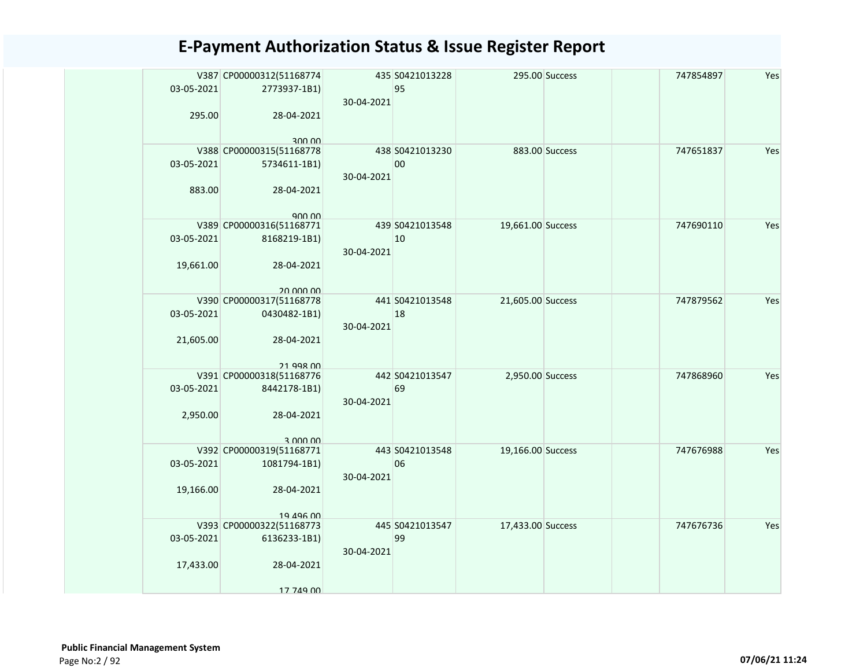| 03-05-2021<br>295.00    | V387 CP00000312(51168774<br>2773937-1B1)<br>28-04-2021                          | 30-04-2021 | 435 S0421013228<br>95 |                   | 295.00 Success | 747854897 | Yes |
|-------------------------|---------------------------------------------------------------------------------|------------|-----------------------|-------------------|----------------|-----------|-----|
| 03-05-2021<br>883.00    | 300.00<br>V388 CP00000315(51168778<br>5734611-1B1)<br>28-04-2021<br>900,00      | 30-04-2021 | 438 S0421013230<br>00 |                   | 883.00 Success | 747651837 | Yes |
| 03-05-2021<br>19,661.00 | V389 CP00000316(51168771<br>8168219-1B1)<br>28-04-2021<br>20,000,00             | 30-04-2021 | 439 S0421013548<br>10 | 19,661.00 Success |                | 747690110 | Yes |
| 03-05-2021<br>21,605.00 | V390 CP00000317(51168778<br>0430482-1B1)<br>28-04-2021                          | 30-04-2021 | 441 S0421013548<br>18 | 21,605.00 Success |                | 747879562 | Yes |
| 03-05-2021<br>2,950.00  | 21 998 00<br>V391 CP00000318(51168776<br>8442178-1B1)<br>28-04-2021<br>3 000 00 | 30-04-2021 | 442 S0421013547<br>69 | 2,950.00 Success  |                | 747868960 | Yes |
| 03-05-2021<br>19,166.00 | V392 CP00000319(51168771<br>1081794-1B1)<br>28-04-2021<br>19 496 00             | 30-04-2021 | 443 S0421013548<br>06 | 19,166.00 Success |                | 747676988 | Yes |
| 03-05-2021<br>17,433.00 | V393 CP00000322(51168773<br>6136233-1B1)<br>28-04-2021<br>17 749 00             | 30-04-2021 | 445 S0421013547<br>99 | 17,433.00 Success |                | 747676736 | Yes |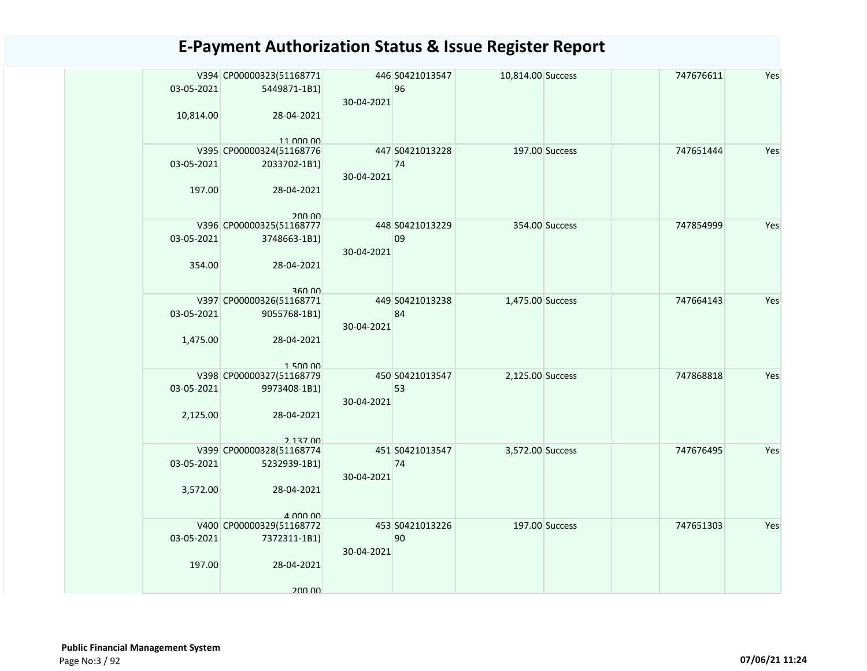|            | V394 CP00000323(51168771           |            | 446 S0421013547 | 10,814.00 Success |                | 747676611 | Yes |
|------------|------------------------------------|------------|-----------------|-------------------|----------------|-----------|-----|
| 03-05-2021 | 5449871-1B1)                       |            | 96              |                   |                |           |     |
|            |                                    | 30-04-2021 |                 |                   |                |           |     |
| 10,814.00  | 28-04-2021                         |            |                 |                   |                |           |     |
|            |                                    |            |                 |                   |                |           |     |
|            | 11 000 00                          |            |                 |                   |                |           |     |
|            | V395 CP00000324(51168776           |            | 447 S0421013228 |                   | 197.00 Success | 747651444 | Yes |
| 03-05-2021 | 2033702-1B1)                       |            | 74              |                   |                |           |     |
|            |                                    | 30-04-2021 |                 |                   |                |           |     |
| 197.00     | 28-04-2021                         |            |                 |                   |                |           |     |
|            |                                    |            |                 |                   |                |           |     |
|            | 200.00                             |            |                 |                   |                |           |     |
|            | V396 CP00000325(51168777           |            | 448 S0421013229 |                   | 354.00 Success | 747854999 | Yes |
| 03-05-2021 | 3748663-1B1)                       |            | 09              |                   |                |           |     |
|            |                                    | 30-04-2021 |                 |                   |                |           |     |
| 354.00     | 28-04-2021                         |            |                 |                   |                |           |     |
|            |                                    |            |                 |                   |                |           |     |
|            |                                    |            |                 |                   |                |           |     |
|            | 360.00<br>V397 CP00000326(51168771 |            | 449 S0421013238 | 1,475.00 Success  |                | 747664143 | Yes |
| 03-05-2021 | 9055768-1B1)                       |            | 84              |                   |                |           |     |
|            |                                    |            |                 |                   |                |           |     |
|            |                                    | 30-04-2021 |                 |                   |                |           |     |
| 1,475.00   | 28-04-2021                         |            |                 |                   |                |           |     |
|            |                                    |            |                 |                   |                |           |     |
|            | 150000                             |            |                 |                   |                |           |     |
|            | V398 CP00000327(51168779           |            | 450 S0421013547 | 2,125.00 Success  |                | 747868818 | Yes |
| 03-05-2021 | 9973408-1B1)                       |            | 53              |                   |                |           |     |
|            |                                    | 30-04-2021 |                 |                   |                |           |     |
| 2,125.00   | 28-04-2021                         |            |                 |                   |                |           |     |
|            |                                    |            |                 |                   |                |           |     |
|            | 2 137 00                           |            |                 |                   |                |           |     |
|            | V399 CP00000328(51168774           |            | 451 S0421013547 | 3,572.00 Success  |                | 747676495 | Yes |
| 03-05-2021 | 5232939-1B1)                       |            | 74              |                   |                |           |     |
|            |                                    | 30-04-2021 |                 |                   |                |           |     |
| 3,572.00   | 28-04-2021                         |            |                 |                   |                |           |     |
|            |                                    |            |                 |                   |                |           |     |
|            | $\Delta$ 000 00                    |            |                 |                   |                |           |     |
|            | V400 CP00000329(51168772           |            | 453 S0421013226 |                   | 197.00 Success | 747651303 | Yes |
| 03-05-2021 | 7372311-1B1)                       |            | 90              |                   |                |           |     |
|            |                                    | 30-04-2021 |                 |                   |                |           |     |
| 197.00     | 28-04-2021                         |            |                 |                   |                |           |     |
|            |                                    |            |                 |                   |                |           |     |
|            | 200.00                             |            |                 |                   |                |           |     |
|            |                                    |            |                 |                   |                |           |     |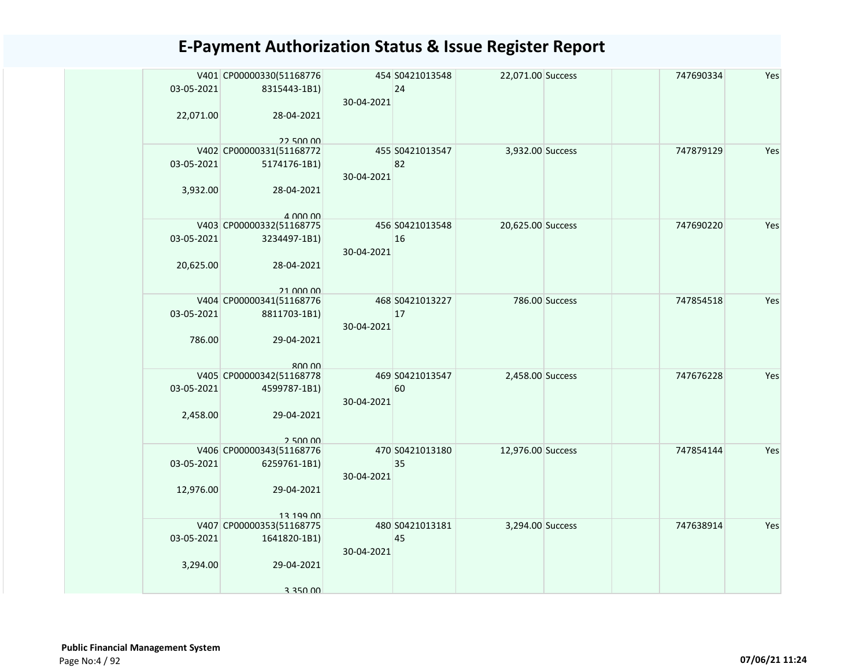| 03-05-2021<br>22,071.00 | V401 CP00000330(51168776<br>8315443-1B1)<br>28-04-2021                          | 30-04-2021 | 454 S0421013548<br>24 | 22,071.00 Success |                | 747690334 | Yes |
|-------------------------|---------------------------------------------------------------------------------|------------|-----------------------|-------------------|----------------|-----------|-----|
| 03-05-2021<br>3,932.00  | 22.500.00<br>V402 CP00000331(51168772<br>5174176-1B1)<br>28-04-2021<br>4.000.00 | 30-04-2021 | 455 S0421013547<br>82 | 3,932.00 Success  |                | 747879129 | Yes |
| 03-05-2021<br>20,625.00 | V403 CP00000332(51168775<br>3234497-1B1)<br>28-04-2021<br>21 000 00             | 30-04-2021 | 456 S0421013548<br>16 | 20,625.00 Success |                | 747690220 | Yes |
| 03-05-2021<br>786.00    | V404 CP00000341(51168776<br>8811703-1B1)<br>29-04-2021                          | 30-04-2021 | 468 S0421013227<br>17 |                   | 786.00 Success | 747854518 | Yes |
| 03-05-2021<br>2,458.00  | 800.00<br>V405 CP00000342(51168778<br>4599787-1B1)<br>29-04-2021<br>2,500,00    | 30-04-2021 | 469 S0421013547<br>60 | 2,458.00 Success  |                | 747676228 | Yes |
| 03-05-2021<br>12,976.00 | V406 CP00000343(51168776<br>6259761-1B1)<br>29-04-2021<br>13 199 NO             | 30-04-2021 | 470 S0421013180<br>35 | 12,976.00 Success |                | 747854144 | Yes |
| 03-05-2021<br>3,294.00  | V407 CP00000353(51168775<br>1641820-1B1)<br>29-04-2021<br>3 350 00              | 30-04-2021 | 480 S0421013181<br>45 | 3,294.00 Success  |                | 747638914 | Yes |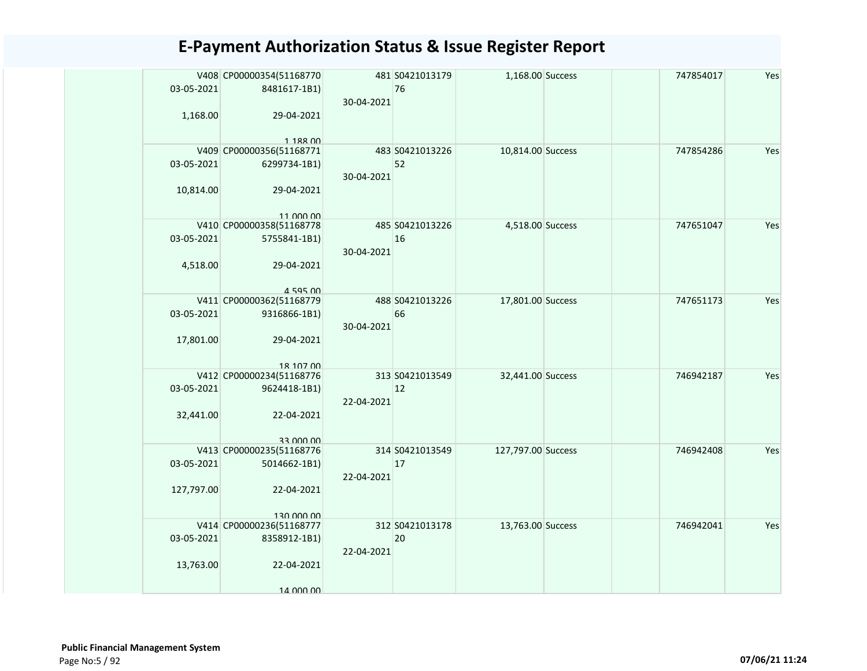|            | V408 CP00000354(51168770                 |            | 481 S0421013179 | 1,168.00 Success   |  | 747854017 | Yes |
|------------|------------------------------------------|------------|-----------------|--------------------|--|-----------|-----|
| 03-05-2021 | 8481617-1B1)                             |            | 76              |                    |  |           |     |
|            |                                          | 30-04-2021 |                 |                    |  |           |     |
| 1,168.00   | 29-04-2021                               |            |                 |                    |  |           |     |
|            |                                          |            |                 |                    |  |           |     |
|            | 1 1 8 2 0 0<br>V409 CP00000356(51168771  |            | 483 S0421013226 | 10,814.00 Success  |  | 747854286 | Yes |
| 03-05-2021 | 6299734-1B1)                             |            | 52              |                    |  |           |     |
|            |                                          | 30-04-2021 |                 |                    |  |           |     |
| 10,814.00  | 29-04-2021                               |            |                 |                    |  |           |     |
|            |                                          |            |                 |                    |  |           |     |
|            | 11 000 00                                |            |                 |                    |  |           |     |
|            | V410 CP00000358(51168778                 |            | 485 S0421013226 | 4,518.00 Success   |  | 747651047 | Yes |
| 03-05-2021 | 5755841-1B1)                             |            | 16              |                    |  |           |     |
|            |                                          | 30-04-2021 |                 |                    |  |           |     |
| 4,518.00   | 29-04-2021                               |            |                 |                    |  |           |     |
|            | 4 595 00                                 |            |                 |                    |  |           |     |
|            | V411 CP00000362(51168779                 |            | 488 S0421013226 | 17,801.00 Success  |  | 747651173 | Yes |
| 03-05-2021 | 9316866-1B1)                             |            | 66              |                    |  |           |     |
|            |                                          | 30-04-2021 |                 |                    |  |           |     |
| 17,801.00  | 29-04-2021                               |            |                 |                    |  |           |     |
|            |                                          |            |                 |                    |  |           |     |
|            | 18 107 00                                |            | 313 S0421013549 | 32,441.00 Success  |  | 746942187 | Yes |
| 03-05-2021 | V412 CP00000234(51168776<br>9624418-1B1) |            | 12              |                    |  |           |     |
|            |                                          | 22-04-2021 |                 |                    |  |           |     |
| 32,441.00  | 22-04-2021                               |            |                 |                    |  |           |     |
|            |                                          |            |                 |                    |  |           |     |
|            | 33,000,00                                |            |                 |                    |  |           |     |
|            | V413 CP00000235(51168776                 |            | 314 S0421013549 | 127,797.00 Success |  | 746942408 | Yes |
| 03-05-2021 | 5014662-1B1)                             |            | 17              |                    |  |           |     |
|            |                                          | 22-04-2021 |                 |                    |  |           |     |
| 127,797.00 | 22-04-2021                               |            |                 |                    |  |           |     |
|            | 130,000,00                               |            |                 |                    |  |           |     |
|            | V414 CP00000236(51168777                 |            | 312 S0421013178 | 13,763.00 Success  |  | 746942041 | Yes |
| 03-05-2021 | 8358912-1B1)                             |            | 20              |                    |  |           |     |
|            |                                          | 22-04-2021 |                 |                    |  |           |     |
| 13,763.00  | 22-04-2021                               |            |                 |                    |  |           |     |
|            |                                          |            |                 |                    |  |           |     |
|            | 14 000 00                                |            |                 |                    |  |           |     |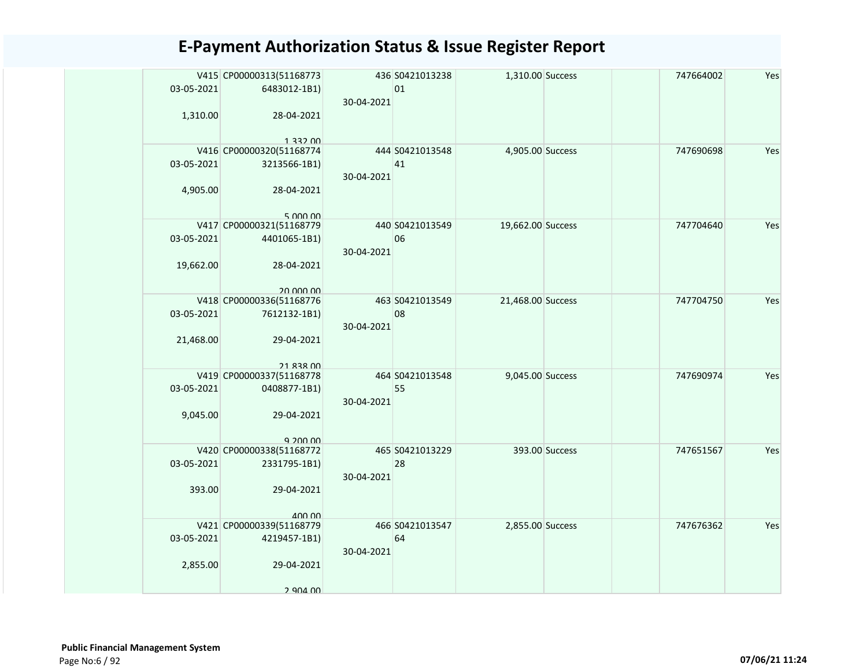| 03-05-2021<br>1,310.00  | V415 CP00000313(51168773<br>6483012-1B1)<br>28-04-2021 | 30-04-2021 | 436 S0421013238<br>01 | 1,310.00 Success  |                | 747664002 | Yes |
|-------------------------|--------------------------------------------------------|------------|-----------------------|-------------------|----------------|-----------|-----|
|                         | 1, 332, 00                                             |            |                       |                   |                |           |     |
| 03-05-2021<br>4,905.00  | V416 CP00000320(51168774<br>3213566-1B1)<br>28-04-2021 | 30-04-2021 | 444 S0421013548<br>41 | 4,905.00 Success  |                | 747690698 | Yes |
|                         | 5,000,00                                               |            |                       |                   |                |           |     |
| 03-05-2021<br>19,662.00 | V417 CP00000321(51168779<br>4401065-1B1)<br>28-04-2021 | 30-04-2021 | 440 S0421013549<br>06 | 19,662.00 Success |                | 747704640 | Yes |
|                         | 20,000,00                                              |            |                       |                   |                |           |     |
| 03-05-2021              | V418 CP00000336(51168776<br>7612132-1B1)               | 30-04-2021 | 463 S0421013549<br>08 | 21,468.00 Success |                | 747704750 | Yes |
| 21,468.00               | 29-04-2021<br>21 838 00                                |            |                       |                   |                |           |     |
|                         | V419 CP00000337(51168778                               |            | 464 S0421013548       | 9,045.00 Success  |                | 747690974 | Yes |
| 03-05-2021              | 0408877-1B1)                                           | 30-04-2021 | 55                    |                   |                |           |     |
| 9,045.00                | 29-04-2021<br>9.200.00                                 |            |                       |                   |                |           |     |
|                         | V420 CP00000338(51168772                               |            | 465 S0421013229       |                   | 393.00 Success | 747651567 | Yes |
| 03-05-2021              | 2331795-1B1)                                           | 30-04-2021 | 28                    |                   |                |           |     |
| 393.00                  | 29-04-2021                                             |            |                       |                   |                |           |     |
|                         | $A \cap \cap \cap$<br>V421 CP00000339(51168779         |            | 466 S0421013547       | 2,855.00 Success  |                | 747676362 | Yes |
| 03-05-2021              | 4219457-1B1)                                           | 30-04-2021 | 64                    |                   |                |           |     |
| 2,855.00                | 29-04-2021                                             |            |                       |                   |                |           |     |
|                         | 2 904 00                                               |            |                       |                   |                |           |     |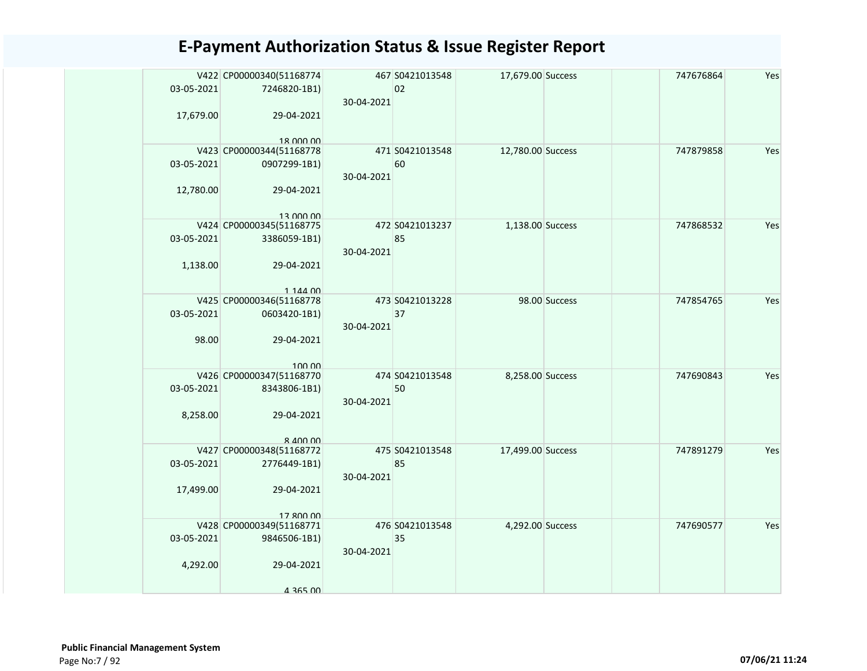| 03-05-2021 | V422 CP00000340(51168774<br>7246820-1B1) |            | 467 S0421013548<br>02 | 17,679.00 Success |               | 747676864 | Yes |
|------------|------------------------------------------|------------|-----------------------|-------------------|---------------|-----------|-----|
|            |                                          | 30-04-2021 |                       |                   |               |           |     |
| 17,679.00  | 29-04-2021                               |            |                       |                   |               |           |     |
|            | 18 000 00<br>V423 CP00000344(51168778    |            | 471 S0421013548       | 12,780.00 Success |               | 747879858 | Yes |
| 03-05-2021 | 0907299-1B1)                             |            | 60                    |                   |               |           |     |
|            |                                          | 30-04-2021 |                       |                   |               |           |     |
| 12,780.00  | 29-04-2021                               |            |                       |                   |               |           |     |
|            |                                          |            |                       |                   |               |           |     |
|            | 13,000,00                                |            |                       |                   |               |           |     |
|            | V424 CP00000345(51168775                 |            | 472 S0421013237       | 1,138.00 Success  |               | 747868532 | Yes |
| 03-05-2021 | 3386059-1B1)                             |            | 85                    |                   |               |           |     |
|            |                                          | 30-04-2021 |                       |                   |               |           |     |
| 1,138.00   | 29-04-2021                               |            |                       |                   |               |           |     |
|            |                                          |            |                       |                   |               |           |     |
|            | 1 144 00<br>V425 CP00000346(51168778     |            | 473 S0421013228       |                   | 98.00 Success | 747854765 | Yes |
|            |                                          |            | 37                    |                   |               |           |     |
| 03-05-2021 | 0603420-1B1)                             | 30-04-2021 |                       |                   |               |           |     |
| 98.00      | 29-04-2021                               |            |                       |                   |               |           |     |
|            |                                          |            |                       |                   |               |           |     |
|            | 100.00                                   |            |                       |                   |               |           |     |
|            | V426 CP00000347(51168770                 |            | 474 S0421013548       | 8,258.00 Success  |               | 747690843 | Yes |
| 03-05-2021 | 8343806-1B1)                             |            | 50                    |                   |               |           |     |
|            |                                          | 30-04-2021 |                       |                   |               |           |     |
| 8,258.00   | 29-04-2021                               |            |                       |                   |               |           |     |
|            |                                          |            |                       |                   |               |           |     |
|            | 8 400 00                                 |            |                       |                   |               |           |     |
|            | V427 CP00000348(51168772                 |            | 475 S0421013548       | 17,499.00 Success |               | 747891279 | Yes |
| 03-05-2021 | 2776449-1B1)                             | 30-04-2021 | 85                    |                   |               |           |     |
| 17,499.00  |                                          |            |                       |                   |               |           |     |
|            | 29-04-2021                               |            |                       |                   |               |           |     |
|            | 17 800 00                                |            |                       |                   |               |           |     |
|            | V428 CP00000349(51168771                 |            | 476 S0421013548       | 4,292.00 Success  |               | 747690577 | Yes |
| 03-05-2021 | 9846506-1B1)                             |            | 35                    |                   |               |           |     |
|            |                                          | 30-04-2021 |                       |                   |               |           |     |
| 4,292.00   | 29-04-2021                               |            |                       |                   |               |           |     |
|            |                                          |            |                       |                   |               |           |     |
|            | 4 365 00                                 |            |                       |                   |               |           |     |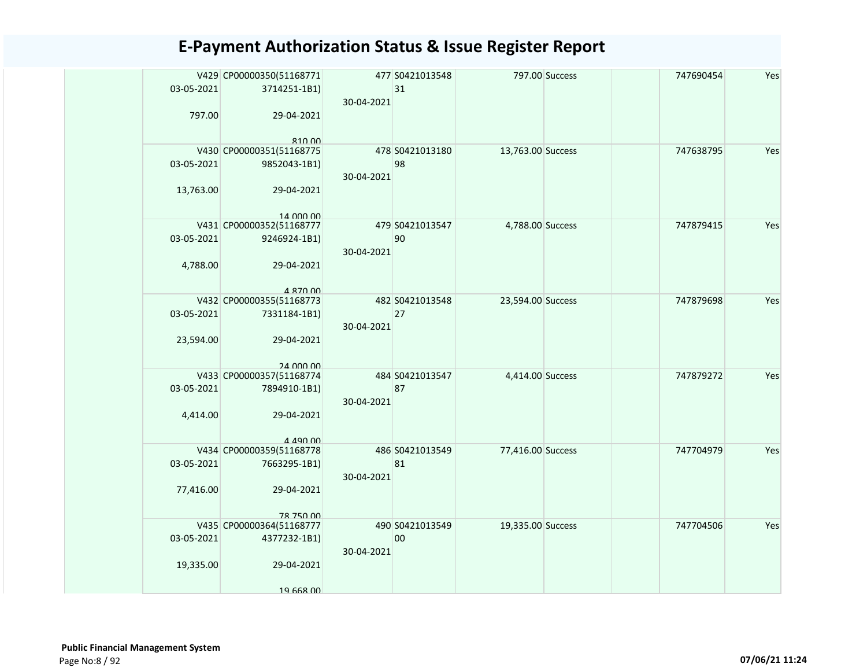| 03-05-2021              | 797.00   | V429 CP00000350(51168771<br>3714251-1B1)<br>29-04-2021<br>81000       | 30-04-2021 | 477 S0421013548<br>31 |                   | 797.00 Success | 747690454 | Yes |
|-------------------------|----------|-----------------------------------------------------------------------|------------|-----------------------|-------------------|----------------|-----------|-----|
| 03-05-2021<br>13,763.00 |          | V430 CP00000351(51168775<br>9852043-1B1)<br>29-04-2021<br>14 000 00   | 30-04-2021 | 478 S0421013180<br>98 | 13,763.00 Success |                | 747638795 | Yes |
| 03-05-2021              | 4,788.00 | V431 CP00000352(51168777<br>9246924-1B1)<br>29-04-2021<br>4 870 00    | 30-04-2021 | 479 S0421013547<br>90 | 4,788.00 Success  |                | 747879415 | Yes |
| 03-05-2021<br>23,594.00 |          | V432 CP00000355(51168773<br>7331184-1B1)<br>29-04-2021<br>24 000 00   | 30-04-2021 | 482 S0421013548<br>27 | 23,594.00 Success |                | 747879698 | Yes |
| 03-05-2021              | 4,414.00 | V433 CP00000357(51168774<br>7894910-1B1)<br>29-04-2021<br>4 4 9 0 0 1 | 30-04-2021 | 484 S0421013547<br>87 | 4,414.00 Success  |                | 747879272 | Yes |
| 03-05-2021<br>77,416.00 |          | V434 CP00000359(51168778<br>7663295-1B1)<br>29-04-2021<br>78 750 00   | 30-04-2021 | 486 S0421013549<br>81 | 77,416.00 Success |                | 747704979 | Yes |
| 03-05-2021<br>19,335.00 |          | V435 CP00000364(51168777<br>4377232-1B1)<br>29-04-2021<br>19 668 00   | 30-04-2021 | 490 S0421013549<br>00 | 19,335.00 Success |                | 747704506 | Yes |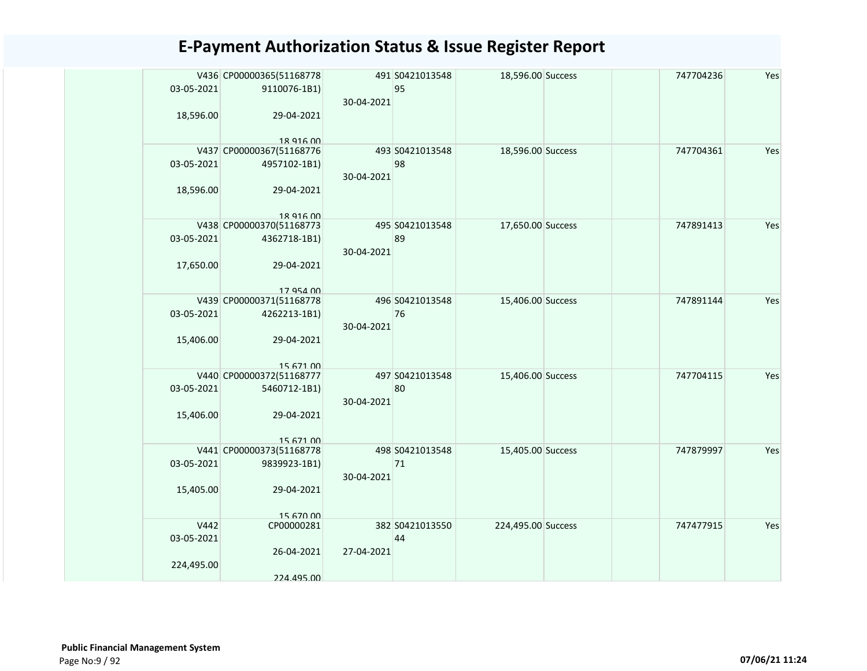|            | V436 CP00000365(51168778              |            | 491 S0421013548 | 18,596.00 Success  | 747704236 | Yes |
|------------|---------------------------------------|------------|-----------------|--------------------|-----------|-----|
| 03-05-2021 | 9110076-1B1)                          |            | 95              |                    |           |     |
|            |                                       | 30-04-2021 |                 |                    |           |     |
| 18,596.00  | 29-04-2021                            |            |                 |                    |           |     |
|            | 18 916 00                             |            |                 |                    |           |     |
|            | V437 CP00000367(51168776              |            | 493 S0421013548 | 18,596.00 Success  | 747704361 | Yes |
| 03-05-2021 | 4957102-1B1)                          |            | 98              |                    |           |     |
|            |                                       | 30-04-2021 |                 |                    |           |     |
| 18,596.00  | 29-04-2021                            |            |                 |                    |           |     |
|            |                                       |            |                 |                    |           |     |
|            | 18 916 00<br>V438 CP00000370(51168773 |            | 495 S0421013548 | 17,650.00 Success  | 747891413 | Yes |
| 03-05-2021 | 4362718-1B1)                          |            | 89              |                    |           |     |
|            |                                       | 30-04-2021 |                 |                    |           |     |
| 17,650.00  | 29-04-2021                            |            |                 |                    |           |     |
|            |                                       |            |                 |                    |           |     |
|            | 17 954 00                             |            |                 |                    |           |     |
|            | V439 CP00000371(51168778              |            | 496 S0421013548 | 15,406.00 Success  | 747891144 | Yes |
| 03-05-2021 | 4262213-1B1)                          |            | 76              |                    |           |     |
|            |                                       | 30-04-2021 |                 |                    |           |     |
| 15,406.00  | 29-04-2021                            |            |                 |                    |           |     |
|            | 15 671 00                             |            |                 |                    |           |     |
|            | V440 CP00000372(51168777              |            | 497 S0421013548 | 15,406.00 Success  | 747704115 | Yes |
| 03-05-2021 | 5460712-1B1)                          |            | 80              |                    |           |     |
|            |                                       | 30-04-2021 |                 |                    |           |     |
| 15,406.00  | 29-04-2021                            |            |                 |                    |           |     |
|            |                                       |            |                 |                    |           |     |
|            | 15 671 00<br>V441 CP00000373(51168778 |            | 498 S0421013548 | 15,405.00 Success  | 747879997 | Yes |
| 03-05-2021 | 9839923-1B1)                          |            | 71              |                    |           |     |
|            |                                       | 30-04-2021 |                 |                    |           |     |
| 15,405.00  | 29-04-2021                            |            |                 |                    |           |     |
|            |                                       |            |                 |                    |           |     |
|            | 15 670 00                             |            |                 |                    |           |     |
| V442       | CP00000281                            |            | 382 S0421013550 | 224,495.00 Success | 747477915 | Yes |
| 03-05-2021 | 26-04-2021                            | 27-04-2021 | 44              |                    |           |     |
| 224,495.00 |                                       |            |                 |                    |           |     |
|            | 224.495.00                            |            |                 |                    |           |     |
|            |                                       |            |                 |                    |           |     |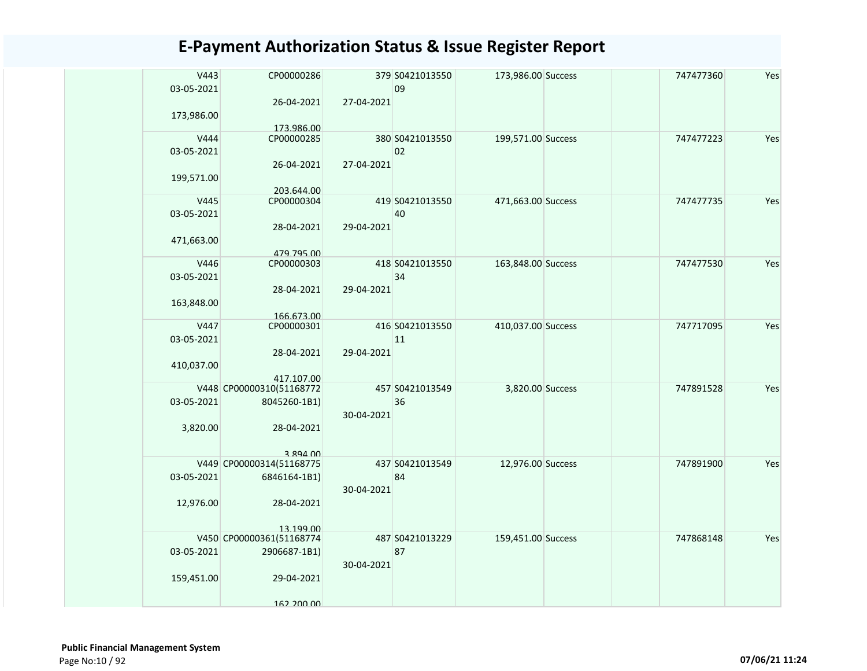| V443<br>03-05-2021 | CP00000286                            |            | 379 S0421013550<br>09 | 173,986.00 Success | 747477360 | Yes |
|--------------------|---------------------------------------|------------|-----------------------|--------------------|-----------|-----|
| 173,986.00         | 26-04-2021<br>173.986.00              | 27-04-2021 |                       |                    |           |     |
| V444               | CP00000285                            |            | 380 S0421013550       | 199,571.00 Success | 747477223 | Yes |
| 03-05-2021         |                                       |            | 02                    |                    |           |     |
|                    | 26-04-2021                            | 27-04-2021 |                       |                    |           |     |
| 199,571.00         | 203.644.00                            |            |                       |                    |           |     |
| V445               | CP00000304                            |            | 419 S0421013550       | 471,663.00 Success | 747477735 | Yes |
| 03-05-2021         |                                       |            | 40                    |                    |           |     |
|                    | 28-04-2021                            | 29-04-2021 |                       |                    |           |     |
| 471,663.00         |                                       |            |                       |                    |           |     |
|                    | 479.795.00                            |            |                       |                    |           |     |
| V446               | CP00000303                            |            | 418 S0421013550       | 163,848.00 Success | 747477530 | Yes |
| 03-05-2021         |                                       |            | 34                    |                    |           |     |
|                    | 28-04-2021                            | 29-04-2021 |                       |                    |           |     |
| 163,848.00         |                                       |            |                       |                    |           |     |
|                    | 166.673.00                            |            |                       |                    |           |     |
| V447               | CP00000301                            |            | 416 S0421013550       | 410,037.00 Success | 747717095 | Yes |
| 03-05-2021         |                                       |            | 11                    |                    |           |     |
|                    | 28-04-2021                            | 29-04-2021 |                       |                    |           |     |
| 410,037.00         |                                       |            |                       |                    |           |     |
|                    | 417.107.00                            |            |                       |                    |           |     |
|                    | V448 CP00000310(51168772              |            | 457 S0421013549       | 3,820.00 Success   | 747891528 | Yes |
| 03-05-2021         | 8045260-1B1)                          |            | 36                    |                    |           |     |
|                    |                                       | 30-04-2021 |                       |                    |           |     |
| 3,820.00           | 28-04-2021                            |            |                       |                    |           |     |
|                    |                                       |            |                       |                    |           |     |
|                    | 3 894 00                              |            |                       |                    |           |     |
|                    | V449 CP00000314(51168775              |            | 437 S0421013549       | 12,976.00 Success  | 747891900 | Yes |
| 03-05-2021         | 6846164-1B1)                          |            | 84                    |                    |           |     |
|                    |                                       | 30-04-2021 |                       |                    |           |     |
| 12,976.00          | 28-04-2021                            |            |                       |                    |           |     |
|                    |                                       |            |                       |                    |           |     |
|                    | 13 199 00<br>V450 CP00000361(51168774 |            | 487 S0421013229       | 159,451.00 Success | 747868148 | Yes |
| 03-05-2021         | 2906687-1B1)                          |            | 87                    |                    |           |     |
|                    |                                       | 30-04-2021 |                       |                    |           |     |
|                    |                                       |            |                       |                    |           |     |
| 159,451.00         | 29-04-2021                            |            |                       |                    |           |     |
|                    |                                       |            |                       |                    |           |     |
|                    | 162 200 00                            |            |                       |                    |           |     |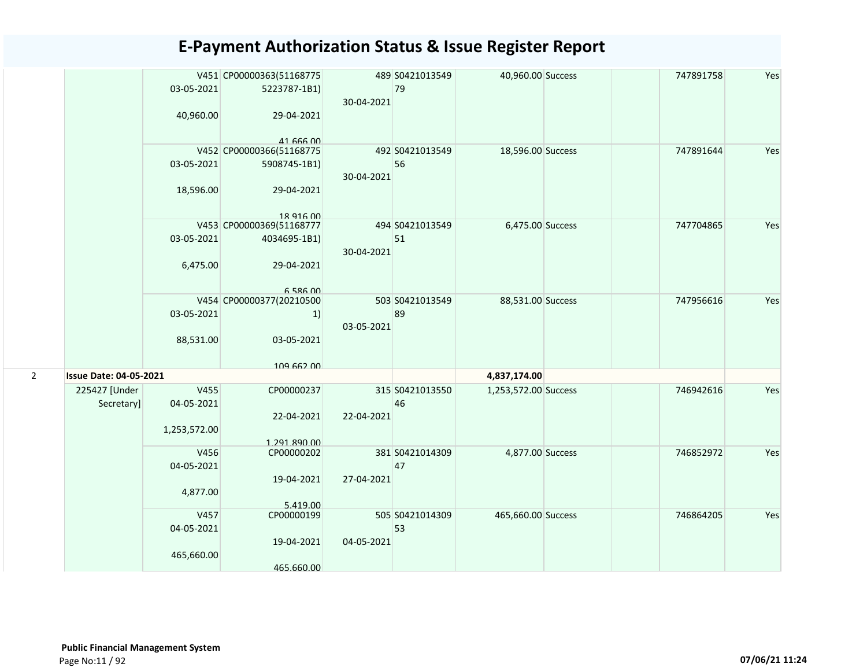|                |                               |              | V451 CP00000363(51168775 |            | 489 S0421013549 | 40,960.00 Success    | 747891758 | Yes |
|----------------|-------------------------------|--------------|--------------------------|------------|-----------------|----------------------|-----------|-----|
|                |                               | 03-05-2021   | 5223787-1B1)             |            | 79              |                      |           |     |
|                |                               |              |                          | 30-04-2021 |                 |                      |           |     |
|                |                               | 40,960.00    | 29-04-2021               |            |                 |                      |           |     |
|                |                               |              | 41 666 00                |            |                 |                      |           |     |
|                |                               |              | V452 CP00000366(51168775 |            | 492 S0421013549 | 18,596.00 Success    | 747891644 | Yes |
|                |                               | 03-05-2021   | 5908745-1B1)             | 30-04-2021 | 56              |                      |           |     |
|                |                               | 18,596.00    | 29-04-2021               |            |                 |                      |           |     |
|                |                               |              | 18 916 00                |            |                 |                      |           |     |
|                |                               |              | V453 CP00000369(51168777 |            | 494 S0421013549 | 6,475.00 Success     | 747704865 | Yes |
|                |                               | 03-05-2021   | 4034695-1B1)             | 30-04-2021 | 51              |                      |           |     |
|                |                               | 6,475.00     | 29-04-2021               |            |                 |                      |           |     |
|                |                               |              | 6 586 00                 |            |                 |                      |           |     |
|                |                               |              | V454 CP00000377(20210500 |            | 503 S0421013549 | 88,531.00 Success    | 747956616 | Yes |
|                |                               | 03-05-2021   | 1)                       |            | 89              |                      |           |     |
|                |                               | 88,531.00    | 03-05-2021               | 03-05-2021 |                 |                      |           |     |
|                |                               |              |                          |            |                 |                      |           |     |
|                |                               |              | 109 662 00               |            |                 |                      |           |     |
| $\overline{2}$ | <b>Issue Date: 04-05-2021</b> |              |                          |            |                 | 4,837,174.00         |           |     |
|                | 225427 [Under                 | V455         | CP00000237               |            | 315 S0421013550 | 1,253,572.00 Success | 746942616 | Yes |
|                | Secretary]                    | 04-05-2021   |                          |            | 46              |                      |           |     |
|                |                               |              | 22-04-2021               | 22-04-2021 |                 |                      |           |     |
|                |                               | 1,253,572.00 |                          |            |                 |                      |           |     |
|                |                               |              | 1.291.890.00             |            |                 |                      |           |     |
|                |                               | V456         | CP00000202               |            | 381 S0421014309 | 4,877.00 Success     | 746852972 | Yes |
|                |                               | 04-05-2021   |                          |            | 47              |                      |           |     |
|                |                               |              | 19-04-2021               | 27-04-2021 |                 |                      |           |     |
|                |                               | 4,877.00     |                          |            |                 |                      |           |     |
|                |                               |              | 5.419.00                 |            |                 |                      |           |     |
|                |                               | V457         | CP00000199               |            | 505 S0421014309 | 465,660.00 Success   | 746864205 | Yes |
|                |                               | 04-05-2021   |                          |            | 53              |                      |           |     |
|                |                               |              | 19-04-2021               | 04-05-2021 |                 |                      |           |     |
|                |                               | 465,660.00   |                          |            |                 |                      |           |     |
|                |                               |              | 465.660.00               |            |                 |                      |           |     |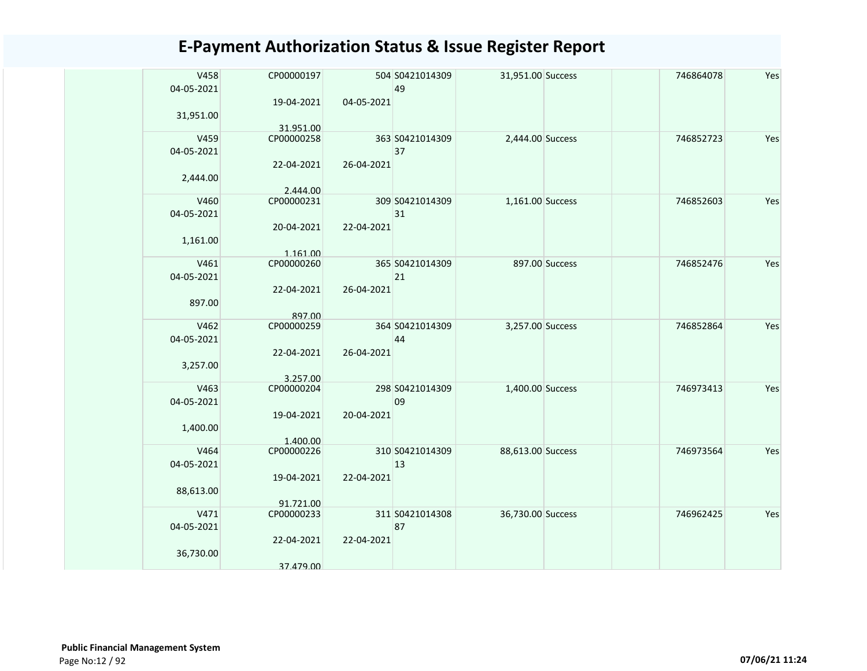| V458<br>04-05-2021 | CP00000197              |            | 504 S0421014309<br>49 | 31,951.00 Success |                | 746864078 | Yes |
|--------------------|-------------------------|------------|-----------------------|-------------------|----------------|-----------|-----|
|                    | 19-04-2021              | 04-05-2021 |                       |                   |                |           |     |
| 31,951.00          |                         |            |                       |                   |                |           |     |
| V459               | 31.951.00<br>CP00000258 |            | 363 S0421014309       | 2,444.00 Success  |                | 746852723 | Yes |
| 04-05-2021         |                         |            | 37                    |                   |                |           |     |
|                    | 22-04-2021              | 26-04-2021 |                       |                   |                |           |     |
| 2,444.00           |                         |            |                       |                   |                |           |     |
| V460               | 2.444.00<br>CP00000231  |            | 309 S0421014309       | 1,161.00 Success  |                | 746852603 | Yes |
| 04-05-2021         |                         |            | 31                    |                   |                |           |     |
|                    | 20-04-2021              | 22-04-2021 |                       |                   |                |           |     |
| 1,161.00           |                         |            |                       |                   |                |           |     |
|                    | 1.161.00                |            |                       |                   |                |           |     |
| V461<br>04-05-2021 | CP00000260              |            | 365 S0421014309<br>21 |                   | 897.00 Success | 746852476 | Yes |
|                    | 22-04-2021              | 26-04-2021 |                       |                   |                |           |     |
| 897.00             |                         |            |                       |                   |                |           |     |
|                    | 897.00                  |            |                       |                   |                |           |     |
| V462               | CP00000259              |            | 364 S0421014309       | 3,257.00 Success  |                | 746852864 | Yes |
| 04-05-2021         | 22-04-2021              | 26-04-2021 | 44                    |                   |                |           |     |
| 3,257.00           |                         |            |                       |                   |                |           |     |
|                    | 3.257.00                |            |                       |                   |                |           |     |
| V463               | CP00000204              |            | 298 S0421014309       | 1,400.00 Success  |                | 746973413 | Yes |
| 04-05-2021         | 19-04-2021              | 20-04-2021 | 09                    |                   |                |           |     |
| 1,400.00           |                         |            |                       |                   |                |           |     |
|                    | 1.400.00                |            |                       |                   |                |           |     |
| V464               | CP00000226              |            | 310 S0421014309       | 88,613.00 Success |                | 746973564 | Yes |
| 04-05-2021         |                         |            | 13                    |                   |                |           |     |
| 88,613.00          | 19-04-2021              | 22-04-2021 |                       |                   |                |           |     |
|                    | 91.721.00               |            |                       |                   |                |           |     |
| V471               | CP00000233              |            | 311 S0421014308       | 36,730.00 Success |                | 746962425 | Yes |
| 04-05-2021         |                         |            | 87                    |                   |                |           |     |
| 36,730.00          | 22-04-2021              | 22-04-2021 |                       |                   |                |           |     |
|                    | 37.479.00               |            |                       |                   |                |           |     |
|                    |                         |            |                       |                   |                |           |     |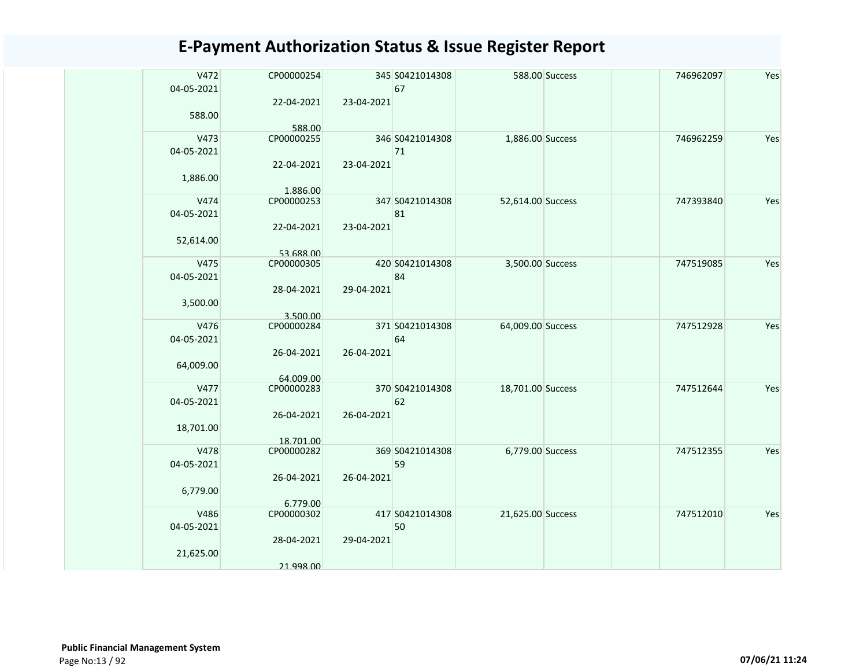| V472       | CP00000254              |            | 345 S0421014308 |                   | 588.00 Success | 746962097 | Yes |
|------------|-------------------------|------------|-----------------|-------------------|----------------|-----------|-----|
| 04-05-2021 |                         |            | 67              |                   |                |           |     |
|            | 22-04-2021              | 23-04-2021 |                 |                   |                |           |     |
| 588.00     |                         |            |                 |                   |                |           |     |
|            | 588.00                  |            |                 |                   |                |           |     |
| V473       | CP00000255              |            | 346 S0421014308 | 1,886.00 Success  |                | 746962259 | Yes |
| 04-05-2021 |                         |            | 71              |                   |                |           |     |
|            | 22-04-2021              | 23-04-2021 |                 |                   |                |           |     |
| 1,886.00   |                         |            |                 |                   |                |           |     |
| V474       | 1.886.00                |            | 347 S0421014308 | 52,614.00 Success |                | 747393840 | Yes |
| 04-05-2021 | CP00000253              |            | 81              |                   |                |           |     |
|            |                         | 23-04-2021 |                 |                   |                |           |     |
|            | 22-04-2021              |            |                 |                   |                |           |     |
| 52,614.00  | 53.688.00               |            |                 |                   |                |           |     |
| V475       | CP00000305              |            | 420 S0421014308 | 3,500.00 Success  |                | 747519085 | Yes |
| 04-05-2021 |                         |            | 84              |                   |                |           |     |
|            | 28-04-2021              | 29-04-2021 |                 |                   |                |           |     |
| 3,500.00   |                         |            |                 |                   |                |           |     |
|            | 3.500.00                |            |                 |                   |                |           |     |
| V476       | CP00000284              |            | 371 S0421014308 | 64,009.00 Success |                | 747512928 | Yes |
| 04-05-2021 |                         |            | 64              |                   |                |           |     |
|            | 26-04-2021              | 26-04-2021 |                 |                   |                |           |     |
| 64,009.00  |                         |            |                 |                   |                |           |     |
|            | 64.009.00               |            |                 |                   |                |           |     |
| V477       | CP00000283              |            | 370 S0421014308 | 18,701.00 Success |                | 747512644 | Yes |
| 04-05-2021 |                         |            | 62              |                   |                |           |     |
|            | 26-04-2021              | 26-04-2021 |                 |                   |                |           |     |
| 18,701.00  |                         |            |                 |                   |                |           |     |
| V478       | 18.701.00<br>CP00000282 |            | 369 S0421014308 | 6,779.00 Success  |                | 747512355 | Yes |
| 04-05-2021 |                         |            | 59              |                   |                |           |     |
|            | 26-04-2021              | 26-04-2021 |                 |                   |                |           |     |
| 6,779.00   |                         |            |                 |                   |                |           |     |
|            | 6.779.00                |            |                 |                   |                |           |     |
| V486       | CP00000302              |            | 417 S0421014308 | 21,625.00 Success |                | 747512010 | Yes |
| 04-05-2021 |                         |            | 50              |                   |                |           |     |
|            | 28-04-2021              | 29-04-2021 |                 |                   |                |           |     |
| 21,625.00  |                         |            |                 |                   |                |           |     |
|            | 21.998.00               |            |                 |                   |                |           |     |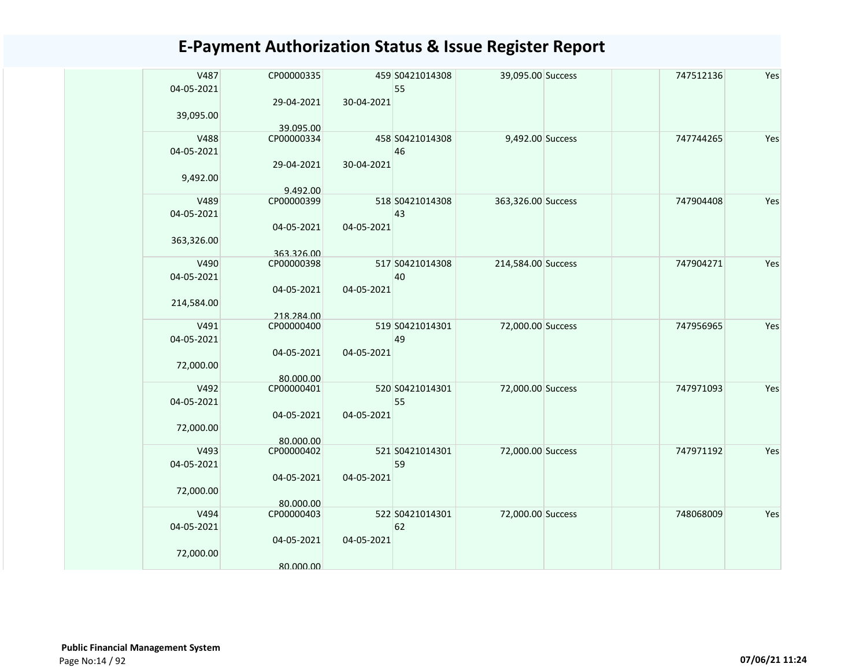| V487       | CP00000335              |            | 459 S0421014308       | 39,095.00 Success  | 747512136 | Yes |
|------------|-------------------------|------------|-----------------------|--------------------|-----------|-----|
| 04-05-2021 |                         |            | 55                    |                    |           |     |
|            | 29-04-2021              | 30-04-2021 |                       |                    |           |     |
| 39,095.00  |                         |            |                       |                    |           |     |
| V488       | 39.095.00               |            |                       |                    |           | Yes |
| 04-05-2021 | CP00000334              |            | 458 S0421014308<br>46 | 9,492.00 Success   | 747744265 |     |
|            | 29-04-2021              | 30-04-2021 |                       |                    |           |     |
| 9,492.00   |                         |            |                       |                    |           |     |
|            | 9.492.00                |            |                       |                    |           |     |
| V489       | CP00000399              |            | 518 S0421014308       | 363,326.00 Success | 747904408 | Yes |
| 04-05-2021 |                         |            | 43                    |                    |           |     |
|            | 04-05-2021              | 04-05-2021 |                       |                    |           |     |
| 363,326.00 |                         |            |                       |                    |           |     |
|            | 363.326.00              |            |                       |                    |           |     |
| V490       | CP00000398              |            | 517 S0421014308       | 214,584.00 Success | 747904271 | Yes |
| 04-05-2021 |                         |            | 40                    |                    |           |     |
|            | 04-05-2021              | 04-05-2021 |                       |                    |           |     |
| 214,584.00 |                         |            |                       |                    |           |     |
|            | 218.284.00              |            |                       |                    |           |     |
| V491       | CP00000400              |            | 519 S0421014301       | 72,000.00 Success  | 747956965 | Yes |
| 04-05-2021 | 04-05-2021              | 04-05-2021 | 49                    |                    |           |     |
| 72,000.00  |                         |            |                       |                    |           |     |
|            | 80.000.00               |            |                       |                    |           |     |
| V492       | CP00000401              |            | 520 S0421014301       | 72,000.00 Success  | 747971093 | Yes |
| 04-05-2021 |                         |            | 55                    |                    |           |     |
|            | 04-05-2021              | 04-05-2021 |                       |                    |           |     |
| 72,000.00  |                         |            |                       |                    |           |     |
|            | 80.000.00               |            |                       |                    |           |     |
| V493       | CP00000402              |            | 521 S0421014301       | 72,000.00 Success  | 747971192 | Yes |
| 04-05-2021 |                         |            | 59                    |                    |           |     |
|            | 04-05-2021              | 04-05-2021 |                       |                    |           |     |
| 72,000.00  |                         |            |                       |                    |           |     |
| V494       | 80.000.00<br>CP00000403 |            | 522 S0421014301       | 72,000.00 Success  | 748068009 | Yes |
| 04-05-2021 |                         |            | 62                    |                    |           |     |
|            | 04-05-2021              | 04-05-2021 |                       |                    |           |     |
| 72,000.00  |                         |            |                       |                    |           |     |
|            | 80.000.00               |            |                       |                    |           |     |
|            |                         |            |                       |                    |           |     |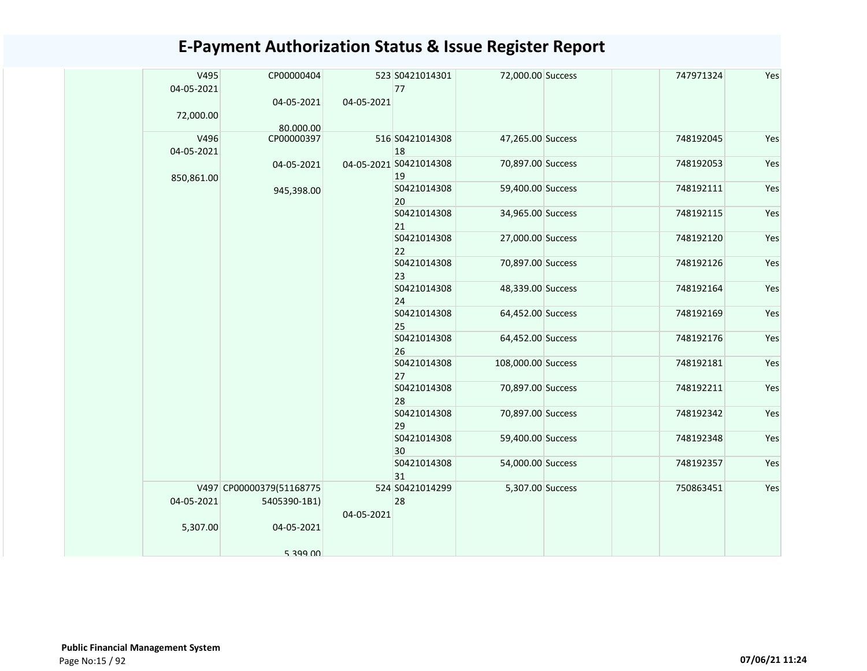|  | V495<br>04-05-2021 | CP00000404               |            | 523 S0421014301<br>77        | 72,000.00 Success  | 747971324 | Yes |
|--|--------------------|--------------------------|------------|------------------------------|--------------------|-----------|-----|
|  |                    | 04-05-2021               | 04-05-2021 |                              |                    |           |     |
|  | 72,000.00          | 80.000.00                |            |                              |                    |           |     |
|  | V496               | CP00000397               |            | 516 S0421014308              | 47,265.00 Success  | 748192045 | Yes |
|  | 04-05-2021         |                          |            | 18<br>04-05-2021 S0421014308 | 70,897.00 Success  | 748192053 | Yes |
|  | 850,861.00         | 04-05-2021               |            | 19                           |                    |           |     |
|  |                    | 945,398.00               |            | S0421014308<br>20            | 59,400.00 Success  | 748192111 | Yes |
|  |                    |                          |            | S0421014308<br>21            | 34,965.00 Success  | 748192115 | Yes |
|  |                    |                          |            | S0421014308<br>22            | 27,000.00 Success  | 748192120 | Yes |
|  |                    |                          |            | S0421014308                  | 70,897.00 Success  | 748192126 | Yes |
|  |                    |                          |            | 23                           |                    |           |     |
|  |                    |                          |            | S0421014308<br>24            | 48,339.00 Success  | 748192164 | Yes |
|  |                    |                          |            | S0421014308                  | 64,452.00 Success  | 748192169 | Yes |
|  |                    |                          |            | 25                           |                    |           |     |
|  |                    |                          |            | S0421014308<br>26            | 64,452.00 Success  | 748192176 | Yes |
|  |                    |                          |            | S0421014308<br>27            | 108,000.00 Success | 748192181 | Yes |
|  |                    |                          |            | S0421014308<br>28            | 70,897.00 Success  | 748192211 | Yes |
|  |                    |                          |            | S0421014308<br>29            | 70,897.00 Success  | 748192342 | Yes |
|  |                    |                          |            | S0421014308<br>30            | 59,400.00 Success  | 748192348 | Yes |
|  |                    |                          |            | S0421014308<br>31            | 54,000.00 Success  | 748192357 | Yes |
|  |                    | V497 CP00000379(51168775 |            | 524 S0421014299              | 5,307.00 Success   | 750863451 | Yes |
|  | 04-05-2021         | 5405390-1B1)             |            | 28                           |                    |           |     |
|  |                    |                          | 04-05-2021 |                              |                    |           |     |
|  | 5,307.00           | 04-05-2021               |            |                              |                    |           |     |
|  |                    | 5 399 00                 |            |                              |                    |           |     |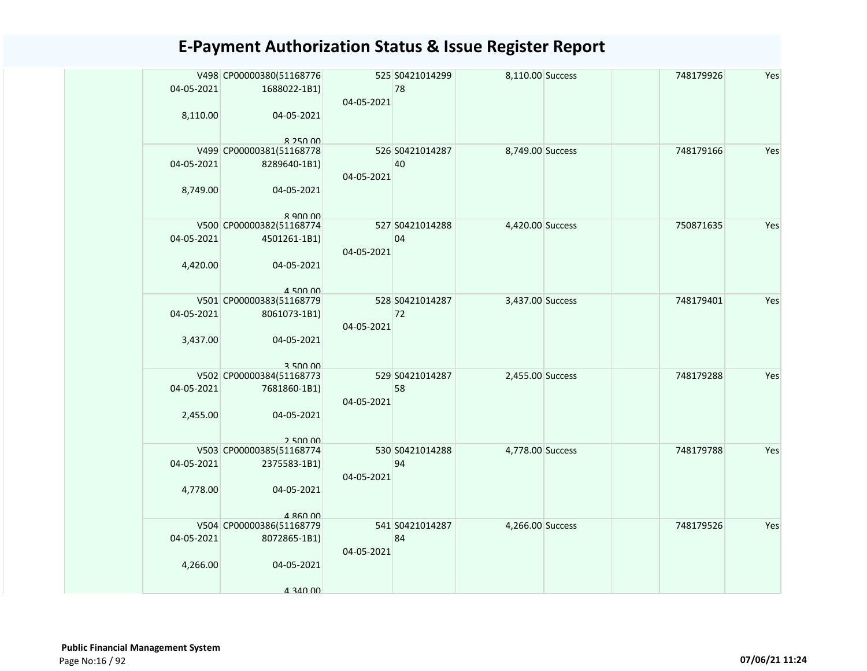| 04-05-2021<br>8,110.00 | V498 CP00000380(51168776<br>1688022-1B1)<br>04-05-2021                           | 04-05-2021 | 525 S0421014299<br>78 | 8,110.00 Success | 748179926 | Yes |
|------------------------|----------------------------------------------------------------------------------|------------|-----------------------|------------------|-----------|-----|
| 04-05-2021<br>8,749.00 | $R$ 250 00<br>V499 CP00000381(51168778<br>8289640-1B1)<br>04-05-2021<br>8.900.00 | 04-05-2021 | 526 S0421014287<br>40 | 8,749.00 Success | 748179166 | Yes |
| 04-05-2021<br>4,420.00 | V500 CP00000382(51168774<br>4501261-1B1)<br>04-05-2021<br>4 500 00               | 04-05-2021 | 527 S0421014288<br>04 | 4,420.00 Success | 750871635 | Yes |
| 04-05-2021<br>3,437.00 | V501 CP00000383(51168779<br>8061073-1B1)<br>04-05-2021<br>3.500.00               | 04-05-2021 | 528 S0421014287<br>72 | 3,437.00 Success | 748179401 | Yes |
| 04-05-2021<br>2,455.00 | V502 CP00000384(51168773<br>7681860-1B1)<br>04-05-2021<br>250000                 | 04-05-2021 | 529 S0421014287<br>58 | 2,455.00 Success | 748179288 | Yes |
| 04-05-2021<br>4,778.00 | V503 CP00000385(51168774<br>2375583-1B1)<br>04-05-2021<br>4 860 00               | 04-05-2021 | 530 S0421014288<br>94 | 4,778.00 Success | 748179788 | Yes |
| 04-05-2021<br>4,266.00 | V504 CP00000386(51168779<br>8072865-1B1)<br>04-05-2021<br>4 340 00               | 04-05-2021 | 541 S0421014287<br>84 | 4,266.00 Success | 748179526 | Yes |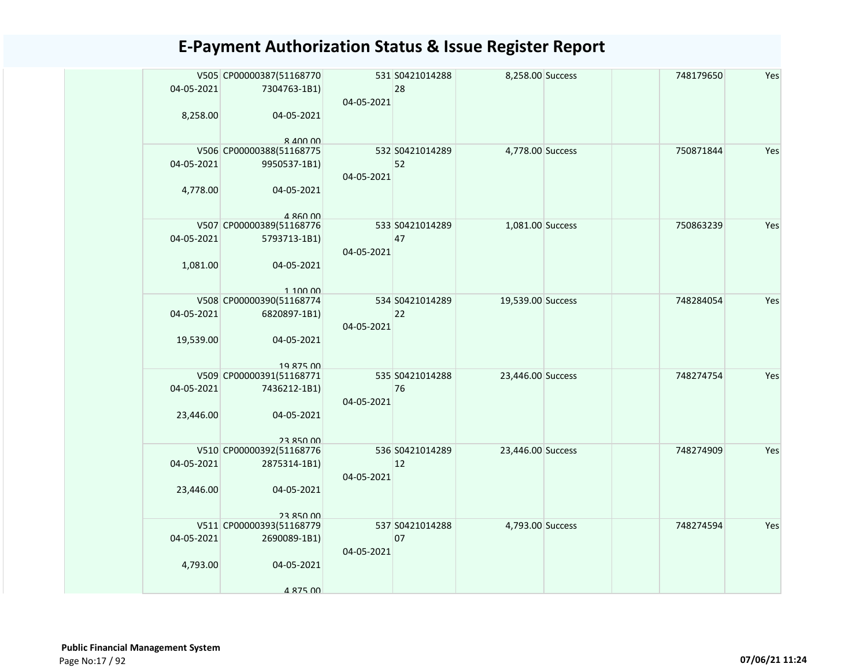| 04-05-2021<br>8,258.00  | V505 CP00000387(51168770<br>7304763-1B1)<br>04-05-2021<br>$R$ $\Delta$ $\Omega$ $\Omega$ $\Omega$ | 04-05-2021 | 531 S0421014288<br>28 | 8,258.00 Success  | 748179650 | Yes |
|-------------------------|---------------------------------------------------------------------------------------------------|------------|-----------------------|-------------------|-----------|-----|
| 04-05-2021<br>4,778.00  | V506 CP00000388(51168775<br>9950537-1B1)<br>04-05-2021<br>4 860 00                                | 04-05-2021 | 532 S0421014289<br>52 | 4,778.00 Success  | 750871844 | Yes |
| 04-05-2021<br>1,081.00  | V507 CP00000389(51168776<br>5793713-1B1)<br>04-05-2021<br>1 100 00                                | 04-05-2021 | 533 S0421014289<br>47 | 1,081.00 Success  | 750863239 | Yes |
| 04-05-2021<br>19,539.00 | V508 CP00000390(51168774<br>6820897-1B1)<br>04-05-2021<br>19 875 00                               | 04-05-2021 | 534 S0421014289<br>22 | 19,539.00 Success | 748284054 | Yes |
| 04-05-2021<br>23,446.00 | V509 CP00000391(51168771<br>7436212-1B1)<br>04-05-2021<br>23 850 00                               | 04-05-2021 | 535 S0421014288<br>76 | 23,446.00 Success | 748274754 | Yes |
| 04-05-2021<br>23,446.00 | V510 CP00000392(51168776<br>2875314-1B1)<br>04-05-2021<br>23 850 00                               | 04-05-2021 | 536 S0421014289<br>12 | 23,446.00 Success | 748274909 | Yes |
| 04-05-2021<br>4,793.00  | V511 CP00000393(51168779<br>2690089-1B1)<br>04-05-2021<br>4 875 00                                | 04-05-2021 | 537 S0421014288<br>07 | 4,793.00 Success  | 748274594 | Yes |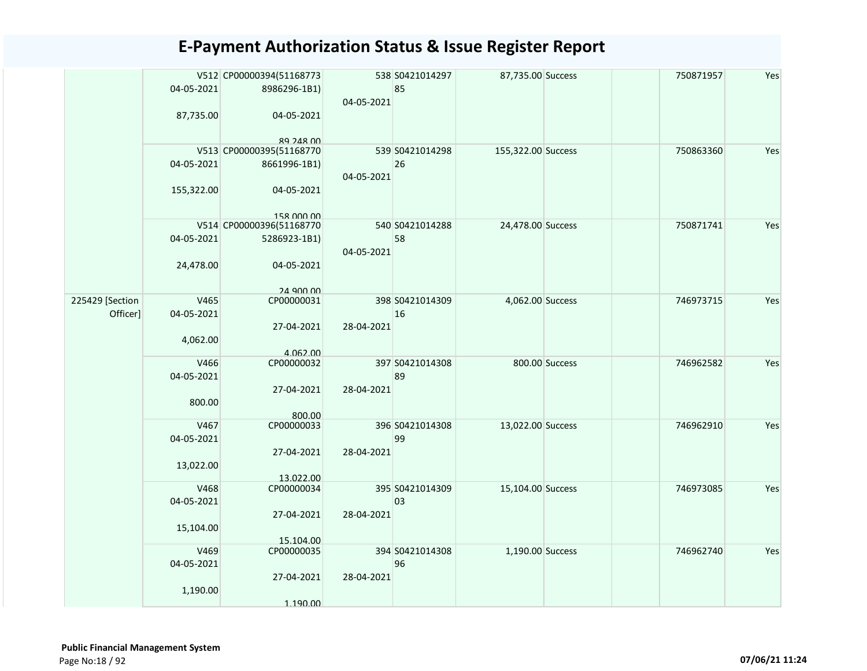|                 |            | V512 CP00000394(51168773               |            | 538 S0421014297 | 87,735.00 Success  |                | 750871957 | Yes |
|-----------------|------------|----------------------------------------|------------|-----------------|--------------------|----------------|-----------|-----|
|                 | 04-05-2021 | 8986296-1B1)                           |            | 85              |                    |                |           |     |
|                 |            |                                        | 04-05-2021 |                 |                    |                |           |     |
|                 | 87,735.00  | 04-05-2021                             |            |                 |                    |                |           |     |
|                 |            |                                        |            |                 |                    |                |           |     |
|                 |            | <b>RQ 248 00</b>                       |            |                 |                    |                |           |     |
|                 |            | V513 CP00000395(51168770               |            | 539 S0421014298 | 155,322.00 Success |                | 750863360 | Yes |
|                 | 04-05-2021 | 8661996-1B1)                           |            | 26              |                    |                |           |     |
|                 |            |                                        | 04-05-2021 |                 |                    |                |           |     |
|                 | 155,322.00 | 04-05-2021                             |            |                 |                    |                |           |     |
|                 |            |                                        |            |                 |                    |                |           |     |
|                 |            | 158 000 00<br>V514 CP00000396(51168770 |            | 540 S0421014288 | 24,478.00 Success  |                | 750871741 | Yes |
|                 | 04-05-2021 | 5286923-1B1)                           |            | 58              |                    |                |           |     |
|                 |            |                                        | 04-05-2021 |                 |                    |                |           |     |
|                 | 24,478.00  | 04-05-2021                             |            |                 |                    |                |           |     |
|                 |            |                                        |            |                 |                    |                |           |     |
|                 |            | 24 900 00                              |            |                 |                    |                |           |     |
| 225429 [Section | V465       | CP00000031                             |            | 398 S0421014309 | 4,062.00 Success   |                | 746973715 | Yes |
| Officer]        | 04-05-2021 |                                        |            | 16              |                    |                |           |     |
|                 |            | 27-04-2021                             | 28-04-2021 |                 |                    |                |           |     |
|                 | 4,062.00   |                                        |            |                 |                    |                |           |     |
|                 |            | 4.062.00                               |            |                 |                    |                |           |     |
|                 | V466       | CP00000032                             |            | 397 S0421014308 |                    | 800.00 Success | 746962582 | Yes |
|                 | 04-05-2021 |                                        |            | 89              |                    |                |           |     |
|                 |            | 27-04-2021                             | 28-04-2021 |                 |                    |                |           |     |
|                 | 800.00     |                                        |            |                 |                    |                |           |     |
|                 |            | 800.00                                 |            |                 |                    |                |           |     |
|                 | V467       | CP00000033                             |            | 396 S0421014308 | 13,022.00 Success  |                | 746962910 | Yes |
|                 | 04-05-2021 |                                        |            | 99              |                    |                |           |     |
|                 |            | 27-04-2021                             | 28-04-2021 |                 |                    |                |           |     |
|                 | 13,022.00  |                                        |            |                 |                    |                |           |     |
|                 | V468       | 13.022.00<br>CP00000034                |            | 395 S0421014309 | 15,104.00 Success  |                | 746973085 | Yes |
|                 | 04-05-2021 |                                        |            | 03              |                    |                |           |     |
|                 |            | 27-04-2021                             | 28-04-2021 |                 |                    |                |           |     |
|                 | 15,104.00  |                                        |            |                 |                    |                |           |     |
|                 |            | 15.104.00                              |            |                 |                    |                |           |     |
|                 | V469       | CP00000035                             |            | 394 S0421014308 | 1,190.00 Success   |                | 746962740 | Yes |
|                 | 04-05-2021 |                                        |            | 96              |                    |                |           |     |
|                 |            | 27-04-2021                             | 28-04-2021 |                 |                    |                |           |     |
|                 | 1,190.00   |                                        |            |                 |                    |                |           |     |
|                 |            | 1.190.00                               |            |                 |                    |                |           |     |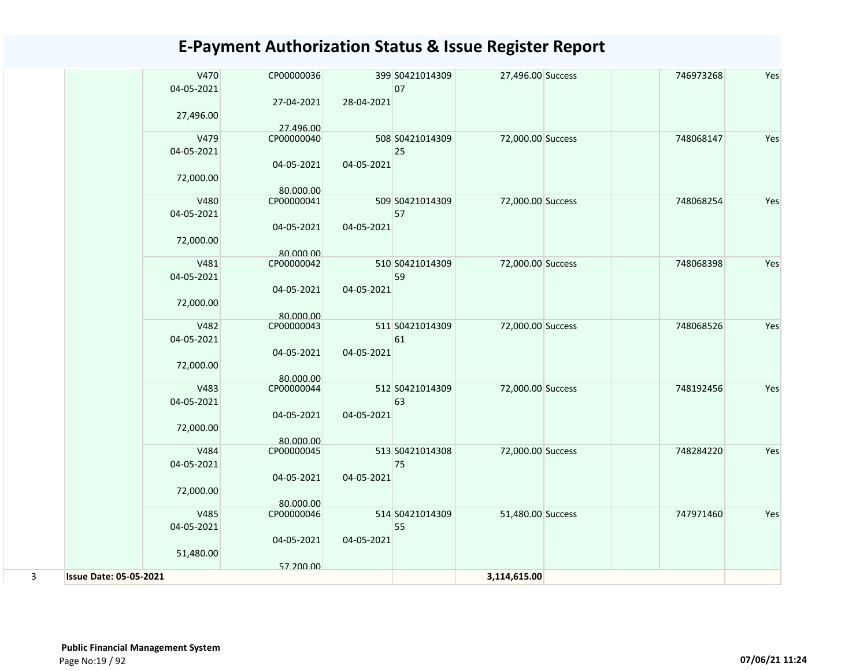|   | V470<br>04-05-2021            | CP00000036              |            | 399 S0421014309<br>07 | 27,496.00 Success | 746973268 | Yes |
|---|-------------------------------|-------------------------|------------|-----------------------|-------------------|-----------|-----|
|   | 27,496.00                     | 27-04-2021              | 28-04-2021 |                       |                   |           |     |
|   |                               | 27.496.00               |            |                       |                   |           |     |
|   | V479                          | CP00000040              |            | 508 S0421014309       | 72,000.00 Success | 748068147 | Yes |
|   | 04-05-2021                    |                         |            | 25                    |                   |           |     |
|   |                               | 04-05-2021              | 04-05-2021 |                       |                   |           |     |
|   | 72,000.00                     |                         |            |                       |                   |           |     |
|   | V480                          | 80.000.00<br>CP00000041 |            | 509 S0421014309       | 72,000.00 Success | 748068254 | Yes |
|   | 04-05-2021                    |                         |            | 57                    |                   |           |     |
|   |                               | 04-05-2021              | 04-05-2021 |                       |                   |           |     |
|   | 72,000.00                     |                         |            |                       |                   |           |     |
|   |                               | 80.000.00               |            |                       |                   |           |     |
|   | V481                          | CP00000042              |            | 510 S0421014309       | 72,000.00 Success | 748068398 | Yes |
|   | 04-05-2021                    | 04-05-2021              | 04-05-2021 | 59                    |                   |           |     |
|   | 72,000.00                     |                         |            |                       |                   |           |     |
|   |                               | 80.000.00               |            |                       |                   |           |     |
|   | V482                          | CP00000043              |            | 511 S0421014309       | 72,000.00 Success | 748068526 | Yes |
|   | 04-05-2021                    |                         |            | 61                    |                   |           |     |
|   |                               | 04-05-2021              | 04-05-2021 |                       |                   |           |     |
|   | 72,000.00                     |                         |            |                       |                   |           |     |
|   | V483                          | 80.000.00<br>CP00000044 |            | 512 S0421014309       | 72,000.00 Success | 748192456 | Yes |
|   | 04-05-2021                    |                         |            | 63                    |                   |           |     |
|   |                               | 04-05-2021              | 04-05-2021 |                       |                   |           |     |
|   | 72,000.00                     |                         |            |                       |                   |           |     |
|   | V484                          | 80.000.00               |            | 513 S0421014308       | 72,000.00 Success | 748284220 | Yes |
|   | 04-05-2021                    | CP00000045              |            | 75                    |                   |           |     |
|   |                               | 04-05-2021              | 04-05-2021 |                       |                   |           |     |
|   | 72,000.00                     |                         |            |                       |                   |           |     |
|   |                               | 80.000.00               |            |                       |                   |           |     |
|   | V485                          | CP00000046              |            | 514 S0421014309       | 51,480.00 Success | 747971460 | Yes |
|   | 04-05-2021                    |                         |            | 55                    |                   |           |     |
|   | 51,480.00                     | 04-05-2021              | 04-05-2021 |                       |                   |           |     |
|   |                               | 57.200.00               |            |                       |                   |           |     |
| 3 | <b>Issue Date: 05-05-2021</b> |                         |            |                       | 3,114,615.00      |           |     |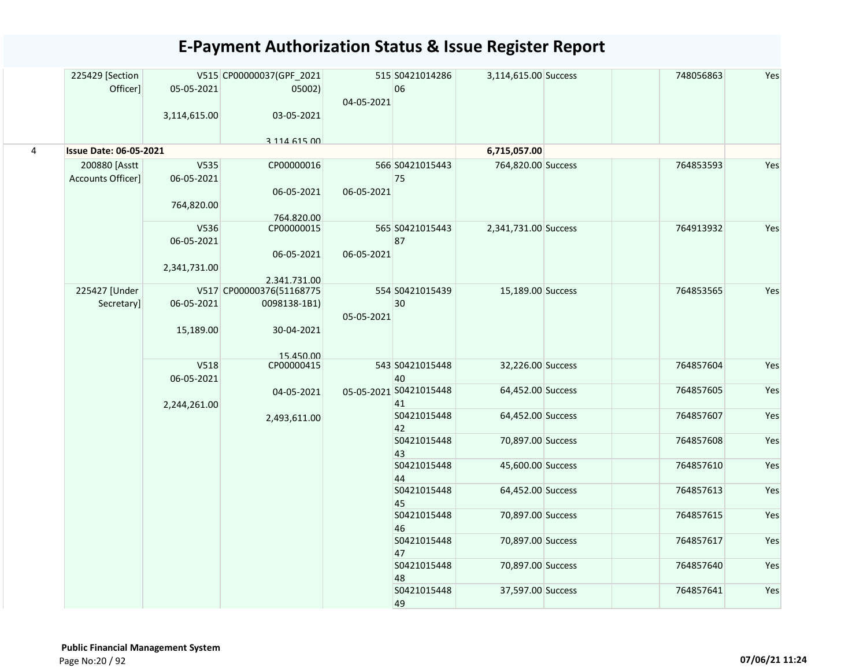|                | 225429 [Section<br>Officer]        | 05-05-2021<br>3,114,615.00         | V515 CP00000037(GPF_2021<br>05002)<br>03-05-2021                    | 04-05-2021 | 515 S0421014286<br>06        | 3,114,615.00 Success | 748056863 | Yes |
|----------------|------------------------------------|------------------------------------|---------------------------------------------------------------------|------------|------------------------------|----------------------|-----------|-----|
|                |                                    |                                    | 3 114 615 00                                                        |            |                              |                      |           |     |
| $\overline{4}$ | <b>Issue Date: 06-05-2021</b>      |                                    |                                                                     |            |                              | 6,715,057.00         |           |     |
|                | 200880 [Asstt<br>Accounts Officer] | V535<br>06-05-2021<br>764,820.00   | CP00000016<br>06-05-2021<br>764.820.00                              | 06-05-2021 | 566 S0421015443<br>75        | 764,820.00 Success   | 764853593 | Yes |
|                |                                    | V536<br>06-05-2021<br>2,341,731.00 | CP00000015<br>06-05-2021<br>2.341.731.00                            | 06-05-2021 | 565 S0421015443<br>87        | 2,341,731.00 Success | 764913932 | Yes |
|                | 225427 [Under<br>Secretary]        | 06-05-2021<br>15,189.00            | V517 CP00000376(51168775<br>0098138-1B1)<br>30-04-2021<br>15 450 00 | 05-05-2021 | 554 S0421015439<br>30        | 15,189.00 Success    | 764853565 | Yes |
|                |                                    | V518<br>06-05-2021                 | CP00000415                                                          |            | 543 S0421015448<br>40        | 32,226.00 Success    | 764857604 | Yes |
|                |                                    | 2,244,261.00                       | 04-05-2021                                                          |            | 05-05-2021 S0421015448<br>41 | 64,452.00 Success    | 764857605 | Yes |
|                |                                    |                                    | 2,493,611.00                                                        |            | S0421015448<br>42            | 64,452.00 Success    | 764857607 | Yes |
|                |                                    |                                    |                                                                     |            | S0421015448<br>43            | 70,897.00 Success    | 764857608 | Yes |
|                |                                    |                                    |                                                                     |            | S0421015448<br>44            | 45,600.00 Success    | 764857610 | Yes |
|                |                                    |                                    |                                                                     |            | S0421015448<br>45            | 64,452.00 Success    | 764857613 | Yes |
|                |                                    |                                    |                                                                     |            | S0421015448<br>46            | 70,897.00 Success    | 764857615 | Yes |
|                |                                    |                                    |                                                                     |            | S0421015448<br>47            | 70,897.00 Success    | 764857617 | Yes |
|                |                                    |                                    |                                                                     |            | S0421015448<br>48            | 70,897.00 Success    | 764857640 | Yes |
|                |                                    |                                    |                                                                     |            | S0421015448<br>49            | 37,597.00 Success    | 764857641 | Yes |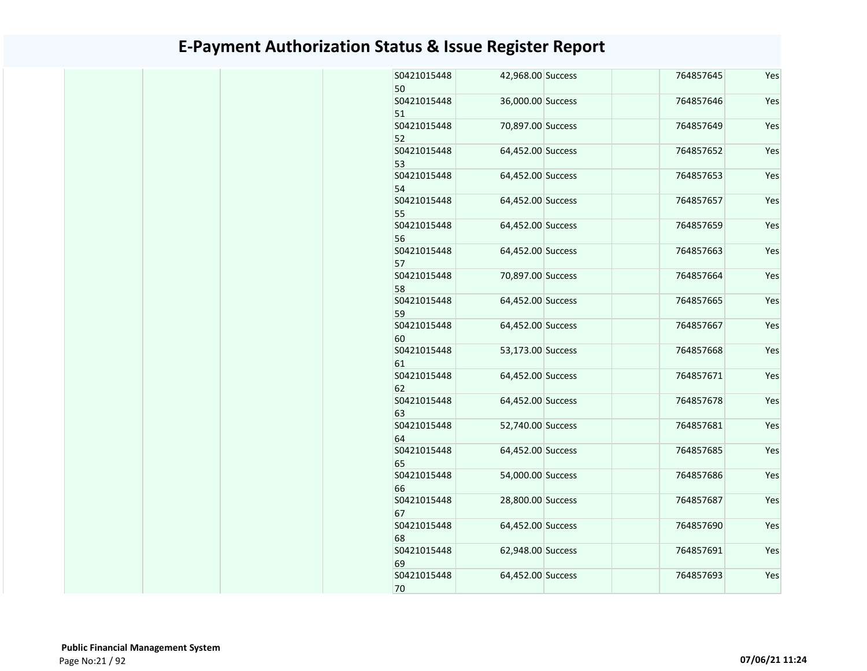| S0421015448<br>50 | 42,968.00 Success | 764857645 | Yes |
|-------------------|-------------------|-----------|-----|
| S0421015448<br>51 | 36,000.00 Success | 764857646 | Yes |
| S0421015448<br>52 | 70,897.00 Success | 764857649 | Yes |
| S0421015448<br>53 | 64,452.00 Success | 764857652 | Yes |
| S0421015448<br>54 | 64,452.00 Success | 764857653 | Yes |
| S0421015448<br>55 | 64,452.00 Success | 764857657 | Yes |
| S0421015448<br>56 | 64,452.00 Success | 764857659 | Yes |
| S0421015448<br>57 | 64,452.00 Success | 764857663 | Yes |
| S0421015448<br>58 | 70,897.00 Success | 764857664 | Yes |
| S0421015448<br>59 | 64,452.00 Success | 764857665 | Yes |
| S0421015448<br>60 | 64,452.00 Success | 764857667 | Yes |
| S0421015448<br>61 | 53,173.00 Success | 764857668 | Yes |
| S0421015448<br>62 | 64,452.00 Success | 764857671 | Yes |
| S0421015448<br>63 | 64,452.00 Success | 764857678 | Yes |
| S0421015448<br>64 | 52,740.00 Success | 764857681 | Yes |
| S0421015448<br>65 | 64,452.00 Success | 764857685 | Yes |
| S0421015448<br>66 | 54,000.00 Success | 764857686 | Yes |
| S0421015448<br>67 | 28,800.00 Success | 764857687 | Yes |
| S0421015448<br>68 | 64,452.00 Success | 764857690 | Yes |
| S0421015448<br>69 | 62,948.00 Success | 764857691 | Yes |
| S0421015448<br>70 | 64,452.00 Success | 764857693 | Yes |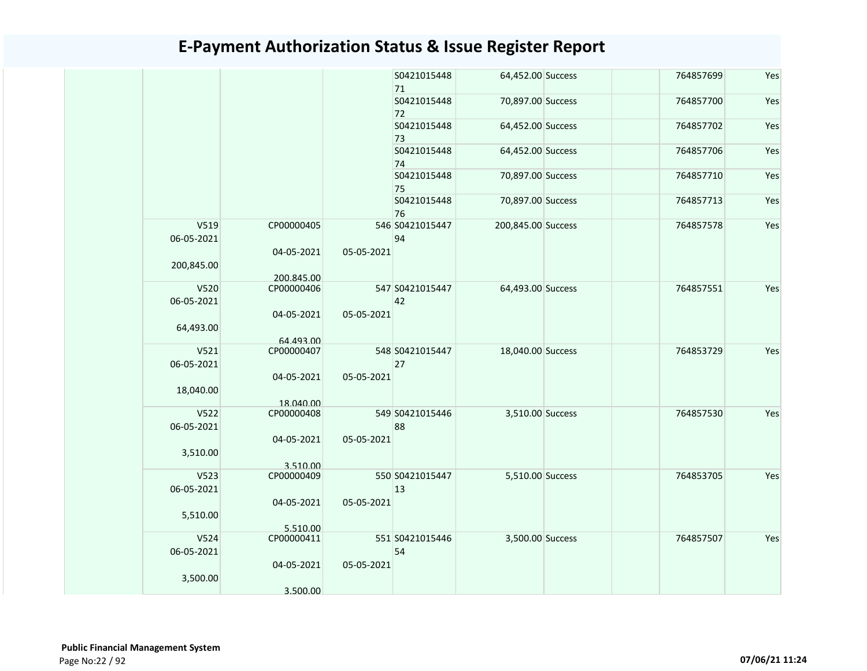|                    |                         |            | S0421015448<br>71     | 64,452.00 Success  | 764857699 | Yes |
|--------------------|-------------------------|------------|-----------------------|--------------------|-----------|-----|
|                    |                         |            | S0421015448<br>72     | 70,897.00 Success  | 764857700 | Yes |
|                    |                         |            | S0421015448<br>73     | 64,452.00 Success  | 764857702 | Yes |
|                    |                         |            | S0421015448<br>74     | 64,452.00 Success  | 764857706 | Yes |
|                    |                         |            | S0421015448<br>75     | 70,897.00 Success  | 764857710 | Yes |
|                    |                         |            | S0421015448<br>76     | 70,897.00 Success  | 764857713 | Yes |
| V519<br>06-05-2021 | CP00000405              |            | 546 S0421015447<br>94 | 200,845.00 Success | 764857578 | Yes |
| 200,845.00         | 04-05-2021              | 05-05-2021 |                       |                    |           |     |
|                    | 200.845.00              |            |                       |                    |           |     |
| V520<br>06-05-2021 | CP00000406              |            | 547 S0421015447<br>42 | 64,493.00 Success  | 764857551 | Yes |
| 64,493.00          | 04-05-2021<br>64.493.00 | 05-05-2021 |                       |                    |           |     |
| V521<br>06-05-2021 | CP00000407              |            | 548 S0421015447<br>27 | 18,040.00 Success  | 764853729 | Yes |
| 18,040.00          | 04-05-2021<br>18.040.00 | 05-05-2021 |                       |                    |           |     |
| V522               | CP00000408              |            | 549 S0421015446       | 3,510.00 Success   | 764857530 | Yes |
| 06-05-2021         | 04-05-2021              | 05-05-2021 | 88                    |                    |           |     |
| 3,510.00           | 3.510.00                |            |                       |                    |           |     |
| V523               | CP00000409              |            | 550 S0421015447       | 5,510.00 Success   | 764853705 | Yes |
| 06-05-2021         |                         |            | 13                    |                    |           |     |
| 5,510.00           | 04-05-2021<br>5.510.00  | 05-05-2021 |                       |                    |           |     |
| V524               | CP00000411              |            | 551 S0421015446       | 3,500.00 Success   | 764857507 | Yes |
| 06-05-2021         |                         |            | 54                    |                    |           |     |
| 3,500.00           | 04-05-2021<br>3.500.00  | 05-05-2021 |                       |                    |           |     |
|                    |                         |            |                       |                    |           |     |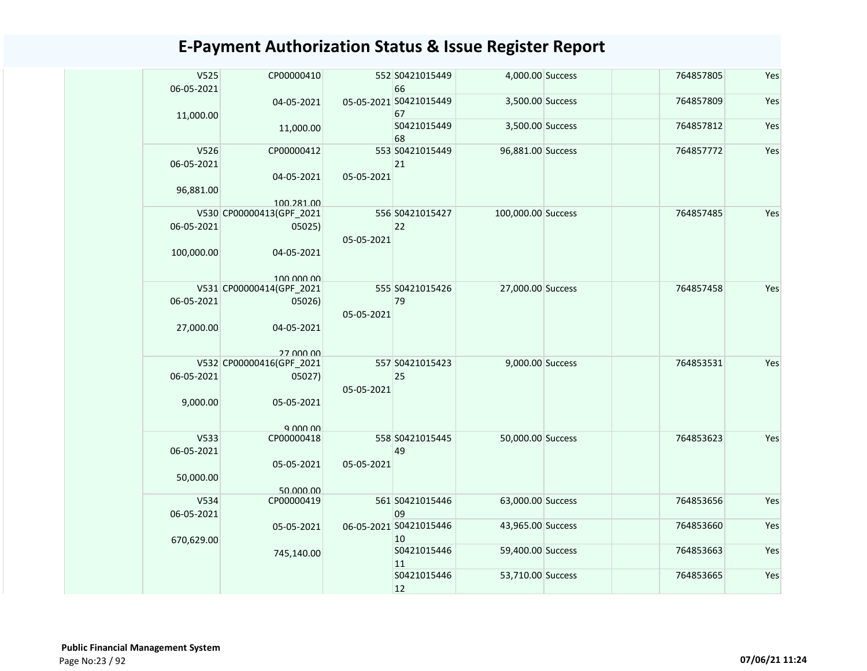| V525<br>06-05-2021 | CP00000410               |            | 552 S0421015449<br>66        | 4,000.00 Success   | 764857805 | Yes |
|--------------------|--------------------------|------------|------------------------------|--------------------|-----------|-----|
|                    | 04-05-2021               |            | 05-05-2021 S0421015449<br>67 | 3,500.00 Success   | 764857809 | Yes |
| 11,000.00          | 11,000.00                |            | S0421015449<br>68            | 3,500.00 Success   | 764857812 | Yes |
| V526               | CP00000412               |            | 553 S0421015449              | 96,881.00 Success  | 764857772 | Yes |
| 06-05-2021         |                          |            | 21                           |                    |           |     |
|                    | 04-05-2021               | 05-05-2021 |                              |                    |           |     |
| 96,881.00          |                          |            |                              |                    |           |     |
|                    | 100.281.00               |            |                              |                    |           |     |
|                    | V530 CP00000413(GPF_2021 |            | 556 S0421015427              | 100,000.00 Success | 764857485 | Yes |
| 06-05-2021         | 05025)                   |            | 22                           |                    |           |     |
|                    |                          | 05-05-2021 |                              |                    |           |     |
| 100,000.00         | 04-05-2021               |            |                              |                    |           |     |
|                    | 100,000,00               |            |                              |                    |           |     |
|                    | V531 CP00000414(GPF_2021 |            | 555 S0421015426              | 27,000.00 Success  | 764857458 | Yes |
| 06-05-2021         | 05026)                   |            | 79                           |                    |           |     |
|                    |                          | 05-05-2021 |                              |                    |           |     |
| 27,000.00          | 04-05-2021               |            |                              |                    |           |     |
|                    |                          |            |                              |                    |           |     |
|                    | 27,000,00                |            |                              |                    |           |     |
|                    | V532 CP00000416(GPF_2021 |            | 557 S0421015423<br>25        | 9,000.00 Success   | 764853531 | Yes |
| 06-05-2021         | 05027)                   | 05-05-2021 |                              |                    |           |     |
| 9,000.00           | 05-05-2021               |            |                              |                    |           |     |
|                    |                          |            |                              |                    |           |     |
|                    | 9.000.00                 |            |                              |                    |           |     |
| V533               | CP00000418               |            | 558 S0421015445              | 50,000.00 Success  | 764853623 | Yes |
| 06-05-2021         |                          |            | 49                           |                    |           |     |
|                    | 05-05-2021               | 05-05-2021 |                              |                    |           |     |
| 50,000.00          |                          |            |                              |                    |           |     |
| V534               | 50.000.00<br>CP00000419  |            | 561 S0421015446              | 63,000.00 Success  | 764853656 | Yes |
| 06-05-2021         |                          |            | 09                           |                    |           |     |
|                    | 05-05-2021               |            | 06-05-2021 S0421015446       | 43,965.00 Success  | 764853660 | Yes |
| 670,629.00         |                          |            | 10                           |                    |           |     |
|                    | 745,140.00               |            | S0421015446                  | 59,400.00 Success  | 764853663 | Yes |
|                    |                          |            | 11                           |                    |           |     |
|                    |                          |            | S0421015446                  | 53,710.00 Success  | 764853665 | Yes |
|                    |                          |            | 12                           |                    |           |     |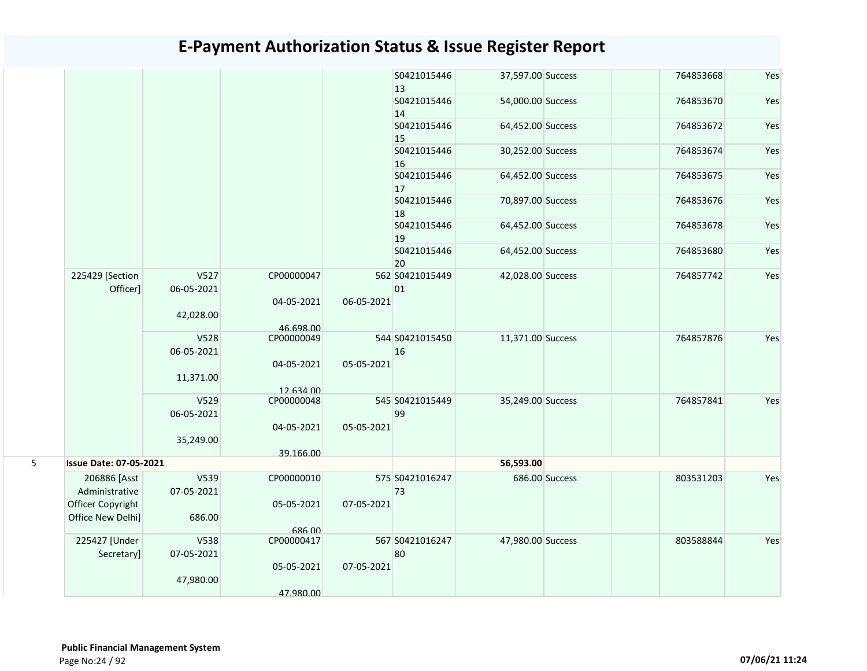|   |                               |                    |                         |            | S0421015446<br>$ 13\rangle$ | 37,597.00 Success |                | 764853668 | Yes |
|---|-------------------------------|--------------------|-------------------------|------------|-----------------------------|-------------------|----------------|-----------|-----|
|   |                               |                    |                         |            | S0421015446<br>14           | 54,000.00 Success |                | 764853670 | Yes |
|   |                               |                    |                         |            | S0421015446<br>15           | 64,452.00 Success |                | 764853672 | Yes |
|   |                               |                    |                         |            | S0421015446<br>16           | 30,252.00 Success |                | 764853674 | Yes |
|   |                               |                    |                         |            | S0421015446<br>17           | 64,452.00 Success |                | 764853675 | Yes |
|   |                               |                    |                         |            | S0421015446<br>18           | 70,897.00 Success |                | 764853676 | Yes |
|   |                               |                    |                         |            | S0421015446<br>19           | 64,452.00 Success |                | 764853678 | Yes |
|   |                               |                    |                         |            | S0421015446<br>20           | 64,452.00 Success |                | 764853680 | Yes |
|   | 225429 [Section<br>Officer]   | V527<br>06-05-2021 | CP00000047              |            | 562 S0421015449<br>01       | 42,028.00 Success |                | 764857742 | Yes |
|   |                               | 42,028.00          | 04-05-2021<br>46.698.00 | 06-05-2021 |                             |                   |                |           |     |
|   |                               | V528<br>06-05-2021 | CP00000049              |            | 544 S0421015450<br>16       | 11,371.00 Success |                | 764857876 | Yes |
|   |                               | 11,371.00          | 04-05-2021<br>12.634.00 | 05-05-2021 |                             |                   |                |           |     |
|   |                               | V529<br>06-05-2021 | CP00000048              |            | 545 S0421015449<br>99       | 35,249.00 Success |                | 764857841 | Yes |
|   |                               | 35,249.00          | 04-05-2021              | 05-05-2021 |                             |                   |                |           |     |
| 5 | <b>Issue Date: 07-05-2021</b> |                    | 39.166.00               |            |                             | 56,593.00         |                |           |     |
|   | 206886 [Asst                  | V539               | CP00000010              |            | 575 S0421016247             |                   | 686.00 Success | 803531203 | Yes |
|   | Administrative                | 07-05-2021         |                         |            | 73                          |                   |                |           |     |
|   | Officer Copyright             |                    | 05-05-2021              | 07-05-2021 |                             |                   |                |           |     |
|   | Office New Delhi]             | 686.00             | 686.00                  |            |                             |                   |                |           |     |
|   | 225427 [Under<br>Secretary]   | V538<br>07-05-2021 | CP00000417              |            | 567 S0421016247<br>80       | 47,980.00 Success |                | 803588844 | Yes |
|   |                               | 47,980.00          | 05-05-2021              | 07-05-2021 |                             |                   |                |           |     |
|   |                               |                    | 47.980.00               |            |                             |                   |                |           |     |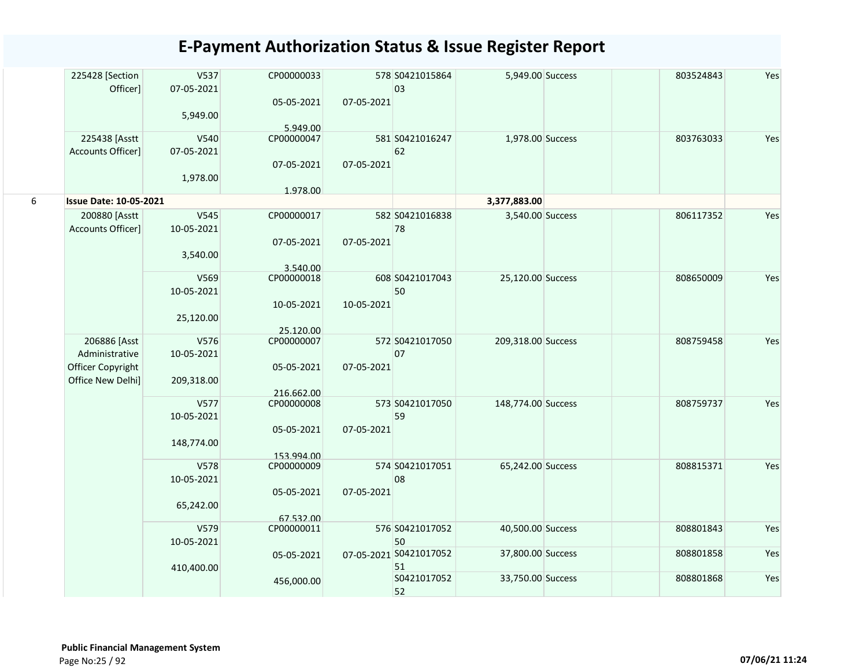|   | 225428 [Section               | V537       | CP00000033              |            | 578 S0421015864        | 5,949.00 Success   | 803524843 | Yes |
|---|-------------------------------|------------|-------------------------|------------|------------------------|--------------------|-----------|-----|
|   | Officer]                      | 07-05-2021 |                         |            | 03                     |                    |           |     |
|   |                               |            | 05-05-2021              | 07-05-2021 |                        |                    |           |     |
|   |                               | 5,949.00   |                         |            |                        |                    |           |     |
|   |                               |            | 5.949.00                |            |                        |                    |           |     |
|   | 225438 [Asstt                 | V540       | CP00000047              |            | 581 S0421016247        | 1,978.00 Success   | 803763033 | Yes |
|   | Accounts Officer]             | 07-05-2021 |                         |            | 62                     |                    |           |     |
|   |                               |            | 07-05-2021              | 07-05-2021 |                        |                    |           |     |
|   |                               |            |                         |            |                        |                    |           |     |
|   |                               | 1,978.00   |                         |            |                        |                    |           |     |
| 6 | <b>Issue Date: 10-05-2021</b> |            | 1.978.00                |            |                        | 3,377,883.00       |           |     |
|   |                               |            |                         |            |                        |                    |           |     |
|   | 200880 [Asstt                 | V545       | CP00000017              |            | 582 S0421016838        | 3,540.00 Success   | 806117352 | Yes |
|   | Accounts Officer]             | 10-05-2021 |                         |            | 78                     |                    |           |     |
|   |                               |            | 07-05-2021              | 07-05-2021 |                        |                    |           |     |
|   |                               | 3,540.00   |                         |            |                        |                    |           |     |
|   |                               |            | 3.540.00                |            |                        |                    |           |     |
|   |                               | V569       | CP00000018              |            | 608 S0421017043        | 25,120.00 Success  | 808650009 | Yes |
|   |                               | 10-05-2021 |                         |            | 50                     |                    |           |     |
|   |                               |            | 10-05-2021              | 10-05-2021 |                        |                    |           |     |
|   |                               | 25,120.00  |                         |            |                        |                    |           |     |
|   |                               |            |                         |            |                        |                    |           |     |
|   | 206886 [Asst                  | V576       | 25.120.00<br>CP00000007 |            | 572 S0421017050        | 209,318.00 Success | 808759458 | Yes |
|   | Administrative                | 10-05-2021 |                         |            | 07                     |                    |           |     |
|   |                               |            |                         |            |                        |                    |           |     |
|   | Officer Copyright             |            | 05-05-2021              | 07-05-2021 |                        |                    |           |     |
|   | Office New Delhi]             | 209,318.00 |                         |            |                        |                    |           |     |
|   |                               |            | 216.662.00              |            |                        |                    |           |     |
|   |                               | V577       | CP00000008              |            | 573 S0421017050        | 148,774.00 Success | 808759737 | Yes |
|   |                               | 10-05-2021 |                         |            | 59                     |                    |           |     |
|   |                               |            | 05-05-2021              | 07-05-2021 |                        |                    |           |     |
|   |                               | 148,774.00 |                         |            |                        |                    |           |     |
|   |                               |            | 153.994.00              |            |                        |                    |           |     |
|   |                               | V578       | CP00000009              |            | 574 S0421017051        | 65,242.00 Success  | 808815371 | Yes |
|   |                               | 10-05-2021 |                         |            | 08                     |                    |           |     |
|   |                               |            | 05-05-2021              | 07-05-2021 |                        |                    |           |     |
|   |                               | 65,242.00  |                         |            |                        |                    |           |     |
|   |                               |            | 67.532.00               |            |                        |                    |           |     |
|   |                               | V579       | CP00000011              |            | 576 S0421017052        | 40,500.00 Success  | 808801843 | Yes |
|   |                               | 10-05-2021 |                         |            | 50                     |                    |           |     |
|   |                               |            | 05-05-2021              |            | 07-05-2021 S0421017052 | 37,800.00 Success  | 808801858 | Yes |
|   |                               |            |                         |            | 51                     |                    |           |     |
|   |                               | 410,400.00 |                         |            | S0421017052            | 33,750.00 Success  | 808801868 | Yes |
|   |                               |            | 456,000.00              |            | 52                     |                    |           |     |
|   |                               |            |                         |            |                        |                    |           |     |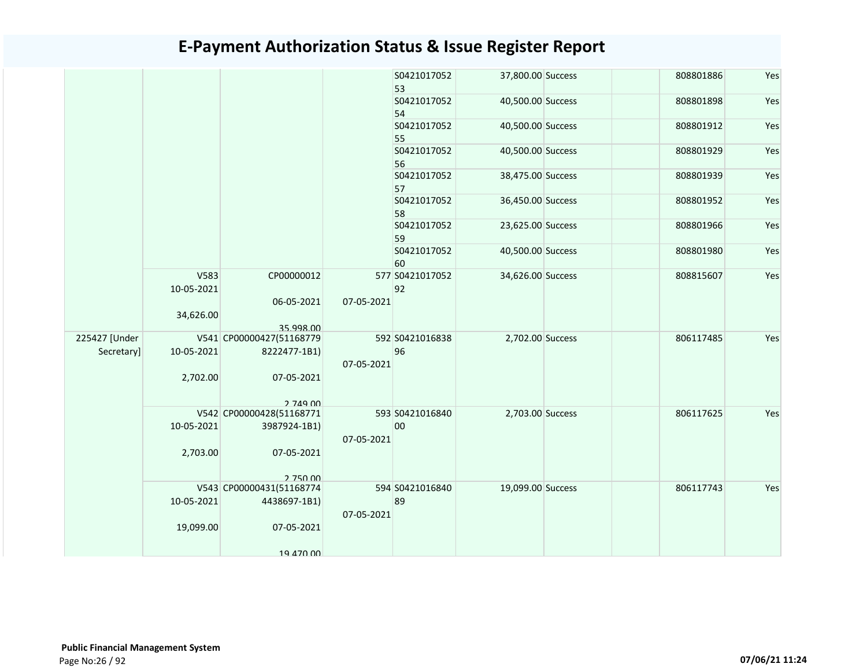|               |                    |                          |            | S0421017052<br>53     | 37,800.00 Success | 808801886 | Yes |
|---------------|--------------------|--------------------------|------------|-----------------------|-------------------|-----------|-----|
|               |                    |                          |            | S0421017052<br>54     | 40,500.00 Success | 808801898 | Yes |
|               |                    |                          |            | S0421017052<br>55     | 40,500.00 Success | 808801912 | Yes |
|               |                    |                          |            | S0421017052<br>56     | 40,500.00 Success | 808801929 | Yes |
|               |                    |                          |            | S0421017052<br>57     | 38,475.00 Success | 808801939 | Yes |
|               |                    |                          |            | S0421017052<br>58     | 36,450.00 Success | 808801952 | Yes |
|               |                    |                          |            | S0421017052<br>59     | 23,625.00 Success | 808801966 | Yes |
|               |                    |                          |            | S0421017052<br>60     | 40,500.00 Success | 808801980 | Yes |
|               | V583<br>10-05-2021 | CP00000012               |            | 577 S0421017052<br>92 | 34,626.00 Success | 808815607 | Yes |
|               | 34,626.00          | 06-05-2021               | 07-05-2021 |                       |                   |           |     |
|               |                    | 35.998.00                |            |                       |                   |           |     |
| 225427 [Under |                    | V541 CP00000427(51168779 |            | 592 S0421016838       | 2,702.00 Success  | 806117485 | Yes |
| Secretary]    | 10-05-2021         | 8222477-1B1)             | 07-05-2021 | 96                    |                   |           |     |
|               | 2,702.00           | 07-05-2021               |            |                       |                   |           |     |
|               |                    | 2 749 00                 |            |                       |                   |           |     |
|               |                    | V542 CP00000428(51168771 |            | 593 S0421016840       | 2,703.00 Success  | 806117625 | Yes |
|               | 10-05-2021         | 3987924-1B1)             | 07-05-2021 | 00                    |                   |           |     |
|               | 2,703.00           | 07-05-2021               |            |                       |                   |           |     |
|               |                    | 2 750 00                 |            |                       |                   |           |     |
|               |                    | V543 CP00000431(51168774 |            | 594 S0421016840       | 19,099.00 Success | 806117743 | Yes |
|               | 10-05-2021         | 4438697-1B1)             |            | 89                    |                   |           |     |
|               |                    |                          | 07-05-2021 |                       |                   |           |     |
|               | 19,099.00          | 07-05-2021               |            |                       |                   |           |     |
|               |                    | 19 470 00                |            |                       |                   |           |     |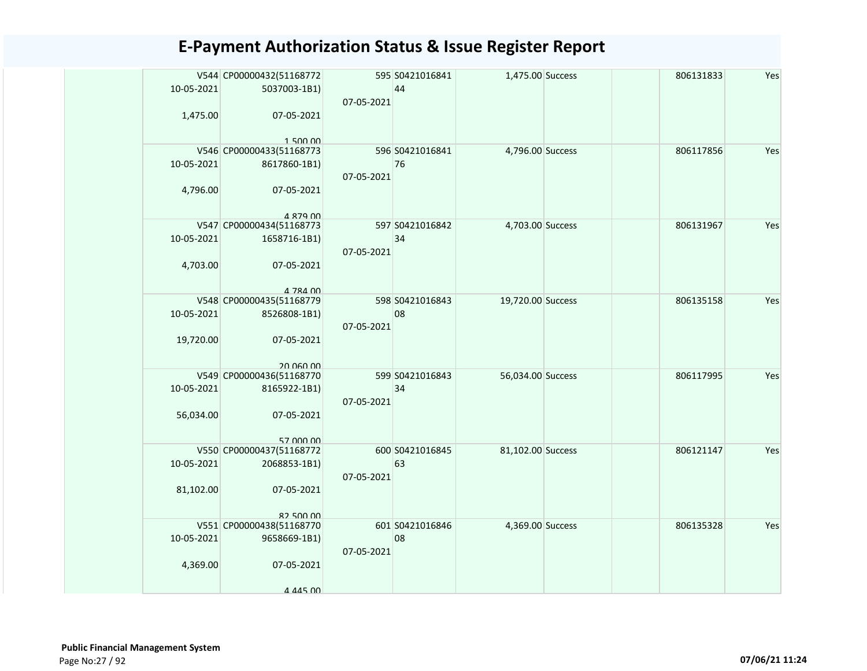| 10-05-2021 | V544 CP00000432(51168772<br>5037003-1B1) | 07-05-2021 | 595 S0421016841<br>44 | 1,475.00 Success  | 806131833 | Yes |
|------------|------------------------------------------|------------|-----------------------|-------------------|-----------|-----|
| 1,475.00   | 07-05-2021<br>150000                     |            |                       |                   |           |     |
|            | V546 CP00000433(51168773                 |            | 596 S0421016841       | 4,796.00 Success  | 806117856 | Yes |
| 10-05-2021 | 8617860-1B1)                             | 07-05-2021 | 76                    |                   |           |     |
| 4,796.00   | 07-05-2021                               |            |                       |                   |           |     |
|            | 4 879 00<br>V547 CP00000434(51168773     |            | 597 S0421016842       | 4,703.00 Success  | 806131967 | Yes |
|            |                                          |            |                       |                   |           |     |
| 10-05-2021 | 1658716-1B1)                             |            | 34                    |                   |           |     |
|            |                                          | 07-05-2021 |                       |                   |           |     |
| 4,703.00   | 07-05-2021                               |            |                       |                   |           |     |
|            | 4 784 00                                 |            |                       |                   |           |     |
|            | V548 CP00000435(51168779                 |            | 598 S0421016843       | 19,720.00 Success | 806135158 | Yes |
| 10-05-2021 | 8526808-1B1)                             |            | 08                    |                   |           |     |
|            |                                          | 07-05-2021 |                       |                   |           |     |
| 19,720.00  | 07-05-2021                               |            |                       |                   |           |     |
|            |                                          |            |                       |                   |           |     |
|            | 20 060 00                                |            |                       |                   |           |     |
|            | V549 CP00000436(51168770                 |            | 599 S0421016843       | 56,034.00 Success | 806117995 | Yes |
| 10-05-2021 | 8165922-1B1)                             |            | 34                    |                   |           |     |
|            |                                          | 07-05-2021 |                       |                   |           |     |
| 56,034.00  | 07-05-2021                               |            |                       |                   |           |     |
|            |                                          |            |                       |                   |           |     |
|            | 57 000 00                                |            |                       |                   |           |     |
|            | V550 CP00000437(51168772                 |            | 600 S0421016845       | 81,102.00 Success | 806121147 | Yes |
| 10-05-2021 | 2068853-1B1)                             |            | 63                    |                   |           |     |
|            |                                          | 07-05-2021 |                       |                   |           |     |
| 81,102.00  | 07-05-2021                               |            |                       |                   |           |     |
|            |                                          |            |                       |                   |           |     |
|            | 82,500,00                                |            |                       |                   |           |     |
|            | V551 CP00000438(51168770                 |            | 601 S0421016846       | 4,369.00 Success  | 806135328 | Yes |
| 10-05-2021 | 9658669-1B1)                             |            | 08                    |                   |           |     |
|            |                                          | 07-05-2021 |                       |                   |           |     |
| 4,369.00   | 07-05-2021                               |            |                       |                   |           |     |
|            |                                          |            |                       |                   |           |     |
|            | 4 445 00                                 |            |                       |                   |           |     |
|            |                                          |            |                       |                   |           |     |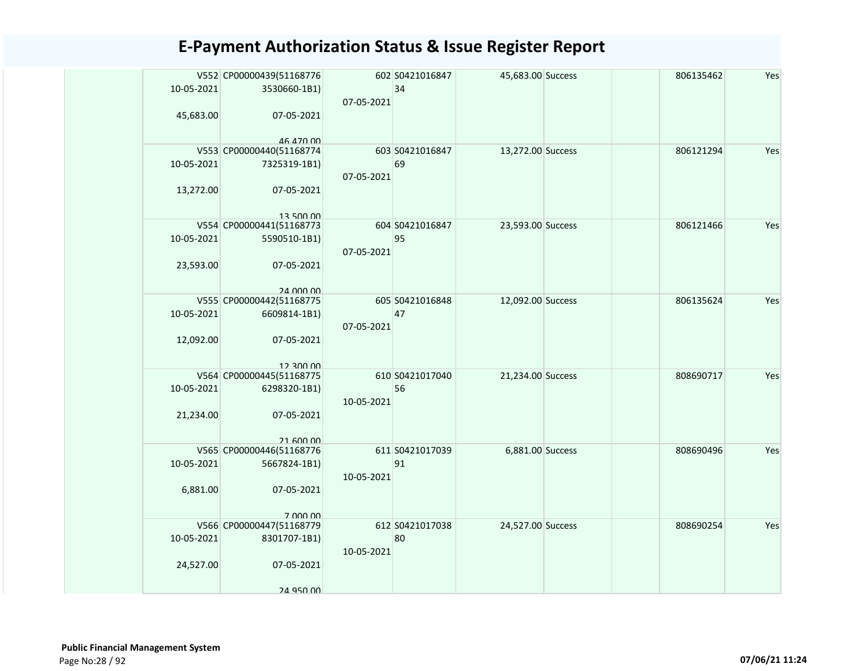| 10-05-2021 | V552 CP00000439(51168776<br>3530660-1B1) |            | 602 S0421016847<br>34 | 45,683.00 Success | 806135462 | Yes |
|------------|------------------------------------------|------------|-----------------------|-------------------|-----------|-----|
|            |                                          | 07-05-2021 |                       |                   |           |     |
| 45,683.00  | 07-05-2021                               |            |                       |                   |           |     |
|            | 46 470 00                                |            |                       |                   |           |     |
|            | V553 CP00000440(51168774                 |            | 603 S0421016847       | 13,272.00 Success | 806121294 | Yes |
| 10-05-2021 | 7325319-1B1)                             |            | 69                    |                   |           |     |
| 13,272.00  | 07-05-2021                               | 07-05-2021 |                       |                   |           |     |
|            |                                          |            |                       |                   |           |     |
|            | 13 500 00                                |            |                       |                   |           |     |
|            | V554 CP00000441(51168773                 |            | 604 S0421016847       | 23,593.00 Success | 806121466 | Yes |
| 10-05-2021 | 5590510-1B1)                             |            | 95                    |                   |           |     |
|            |                                          | 07-05-2021 |                       |                   |           |     |
| 23,593.00  | 07-05-2021                               |            |                       |                   |           |     |
|            |                                          |            |                       |                   |           |     |
|            | 24 000 00<br>V555 CP00000442(51168775    |            | 605 S0421016848       | 12,092.00 Success | 806135624 | Yes |
| 10-05-2021 | 6609814-1B1)                             |            | 47                    |                   |           |     |
|            |                                          | 07-05-2021 |                       |                   |           |     |
| 12,092.00  | 07-05-2021                               |            |                       |                   |           |     |
|            |                                          |            |                       |                   |           |     |
|            | 12.300.00                                |            |                       |                   |           |     |
|            | V564 CP00000445(51168775                 |            | 610 S0421017040       | 21,234.00 Success | 808690717 | Yes |
| 10-05-2021 | 6298320-1B1)                             |            | 56                    |                   |           |     |
| 21,234.00  | 07-05-2021                               | 10-05-2021 |                       |                   |           |     |
|            |                                          |            |                       |                   |           |     |
|            | 21 600 00                                |            |                       |                   |           |     |
|            | V565 CP00000446(51168776                 |            | 611 S0421017039       | 6,881.00 Success  | 808690496 | Yes |
| 10-05-2021 | 5667824-1B1)                             |            | 91                    |                   |           |     |
|            |                                          | 10-05-2021 |                       |                   |           |     |
| 6,881.00   | 07-05-2021                               |            |                       |                   |           |     |
|            |                                          |            |                       |                   |           |     |
|            | 7 000 00<br>V566 CP00000447(51168779     |            | 612 S0421017038       | 24,527.00 Success | 808690254 | Yes |
| 10-05-2021 | 8301707-1B1)                             |            | 80                    |                   |           |     |
|            |                                          | 10-05-2021 |                       |                   |           |     |
| 24,527.00  | 07-05-2021                               |            |                       |                   |           |     |
|            |                                          |            |                       |                   |           |     |
|            | 24 950 00                                |            |                       |                   |           |     |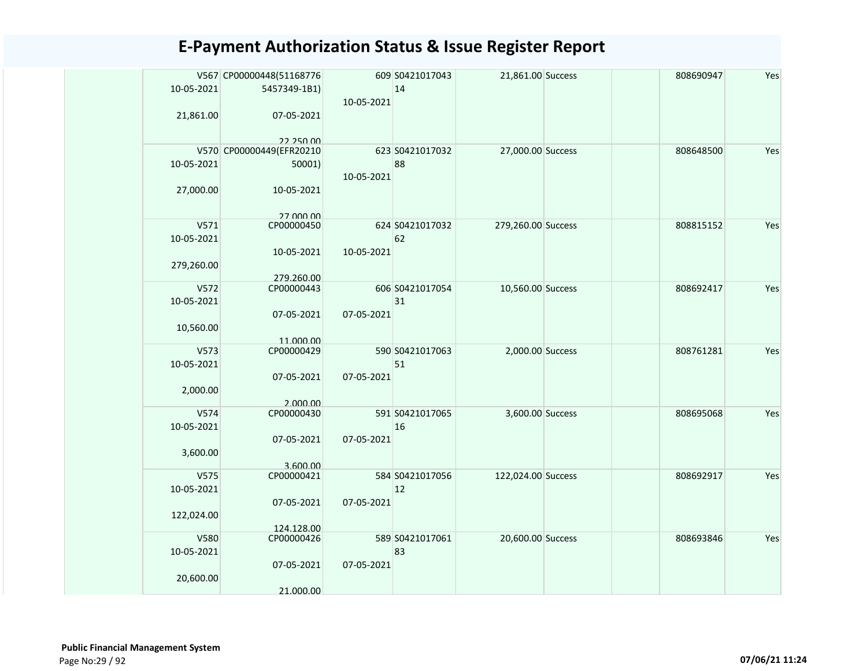| 10-05-2021 | V567 CP00000448(51168776<br>5457349-1B1) | 10-05-2021 | 609 S0421017043<br>14 | 21,861.00 Success  | 808690947 | Yes |
|------------|------------------------------------------|------------|-----------------------|--------------------|-----------|-----|
| 21,861.00  | 07-05-2021<br>22.250.00                  |            |                       |                    |           |     |
|            | V570 CP00000449(EFR20210                 |            | 623 S0421017032       | 27,000.00 Success  | 808648500 | Yes |
| 10-05-2021 | 50001)                                   | 10-05-2021 | 88                    |                    |           |     |
| 27,000.00  | 10-05-2021                               |            |                       |                    |           |     |
| V571       | 27 000 00<br>CP00000450                  |            | 624 S0421017032       | 279,260.00 Success | 808815152 | Yes |
| 10-05-2021 |                                          |            | 62                    |                    |           |     |
| 279,260.00 | 10-05-2021                               | 10-05-2021 |                       |                    |           |     |
| V572       | 279.260.00<br>CP00000443                 |            | 606 S0421017054       | 10,560.00 Success  | 808692417 | Yes |
| 10-05-2021 |                                          |            | 31                    |                    |           |     |
|            | 07-05-2021                               | 07-05-2021 |                       |                    |           |     |
| 10,560.00  | 11.000.00                                |            |                       |                    |           |     |
| V573       | CP00000429                               |            | 590 S0421017063       | 2,000.00 Success   | 808761281 | Yes |
| 10-05-2021 | 07-05-2021                               | 07-05-2021 | 51                    |                    |           |     |
| 2,000.00   | 2.000.00                                 |            |                       |                    |           |     |
| V574       | CP00000430                               |            | 591 S0421017065       | 3,600.00 Success   | 808695068 | Yes |
| 10-05-2021 |                                          |            | 16                    |                    |           |     |
|            | 07-05-2021                               | 07-05-2021 |                       |                    |           |     |
| 3,600.00   | 3.600.00                                 |            |                       |                    |           |     |
| V575       | CP00000421                               |            | 584 S0421017056       | 122,024.00 Success | 808692917 | Yes |
| 10-05-2021 |                                          |            | 12                    |                    |           |     |
|            | 07-05-2021                               | 07-05-2021 |                       |                    |           |     |
| 122,024.00 | 124.128.00                               |            |                       |                    |           |     |
| V580       | CP00000426                               |            | 589 S0421017061       | 20,600.00 Success  | 808693846 | Yes |
| 10-05-2021 |                                          |            | 83                    |                    |           |     |
| 20,600.00  | 07-05-2021                               | 07-05-2021 |                       |                    |           |     |
|            | 21.000.00                                |            |                       |                    |           |     |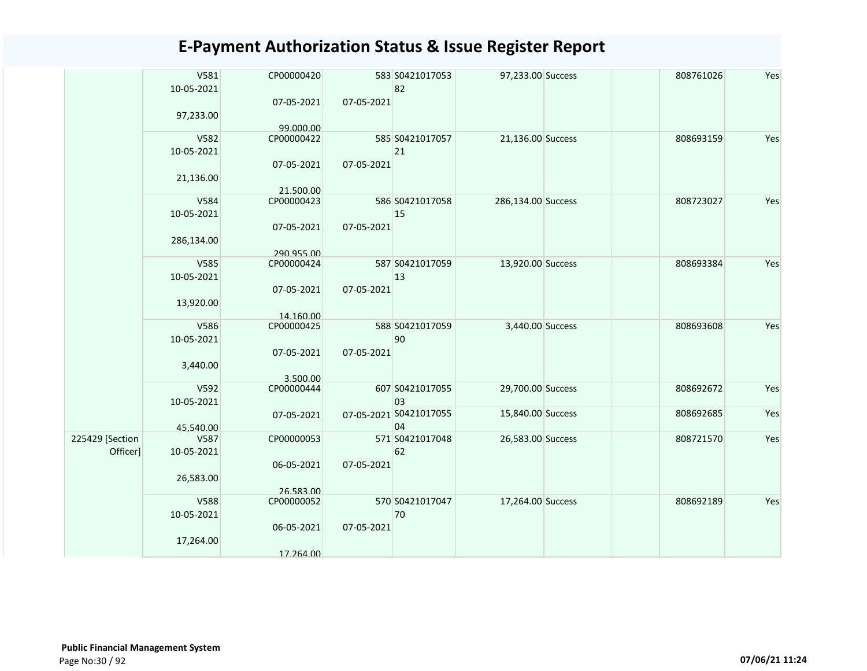|                 | V581<br>10-05-2021 | CP00000420              |            | 583 S0421017053<br>82  | 97,233.00 Success  | 808761026 | Yes |
|-----------------|--------------------|-------------------------|------------|------------------------|--------------------|-----------|-----|
|                 | 97,233.00          | 07-05-2021<br>99.000.00 | 07-05-2021 |                        |                    |           |     |
|                 | V582               | CP00000422              |            | 585 S0421017057        | 21,136.00 Success  | 808693159 | Yes |
|                 | 10-05-2021         |                         |            | 21                     |                    |           |     |
|                 |                    | 07-05-2021              | 07-05-2021 |                        |                    |           |     |
|                 | 21,136.00          |                         |            |                        |                    |           |     |
|                 | V584               | 21.500.00<br>CP00000423 |            | 586 S0421017058        | 286,134.00 Success | 808723027 | Yes |
|                 | 10-05-2021         |                         |            | 15                     |                    |           |     |
|                 |                    | 07-05-2021              | 07-05-2021 |                        |                    |           |     |
|                 | 286,134.00         |                         |            |                        |                    |           |     |
|                 |                    | 290.955.00              |            |                        |                    |           |     |
|                 | V585               | CP00000424              |            | 587 S0421017059        | 13,920.00 Success  | 808693384 | Yes |
|                 | 10-05-2021         |                         |            | 13                     |                    |           |     |
|                 |                    | 07-05-2021              | 07-05-2021 |                        |                    |           |     |
|                 | 13,920.00          |                         |            |                        |                    |           |     |
|                 |                    | 14.160.00               |            |                        |                    |           |     |
|                 | V586               | CP00000425              |            | 588 S0421017059        | 3,440.00 Success   | 808693608 | Yes |
|                 | 10-05-2021         |                         |            | 90                     |                    |           |     |
|                 |                    | 07-05-2021              | 07-05-2021 |                        |                    |           |     |
|                 | 3,440.00           |                         |            |                        |                    |           |     |
|                 |                    | 3.500.00                |            |                        |                    |           |     |
|                 | V592               | CP00000444              |            | 607 S0421017055        | 29,700.00 Success  | 808692672 | Yes |
|                 | 10-05-2021         |                         |            | 03                     |                    |           |     |
|                 |                    | 07-05-2021              |            | 07-05-2021 S0421017055 | 15,840.00 Success  | 808692685 | Yes |
| 225429 [Section | 45.540.00<br>V587  | CP00000053              |            | 04<br>571 S0421017048  | 26,583.00 Success  | 808721570 | Yes |
| Officer]        | 10-05-2021         |                         |            | 62                     |                    |           |     |
|                 |                    | 06-05-2021              | 07-05-2021 |                        |                    |           |     |
|                 | 26,583.00          |                         |            |                        |                    |           |     |
|                 |                    | 26.583.00               |            |                        |                    |           |     |
|                 | V588               | CP00000052              |            | 570 S0421017047        | 17,264.00 Success  | 808692189 | Yes |
|                 | 10-05-2021         |                         |            | 70                     |                    |           |     |
|                 |                    | 06-05-2021              | 07-05-2021 |                        |                    |           |     |
|                 | 17,264.00          |                         |            |                        |                    |           |     |
|                 |                    | 17.264.00               |            |                        |                    |           |     |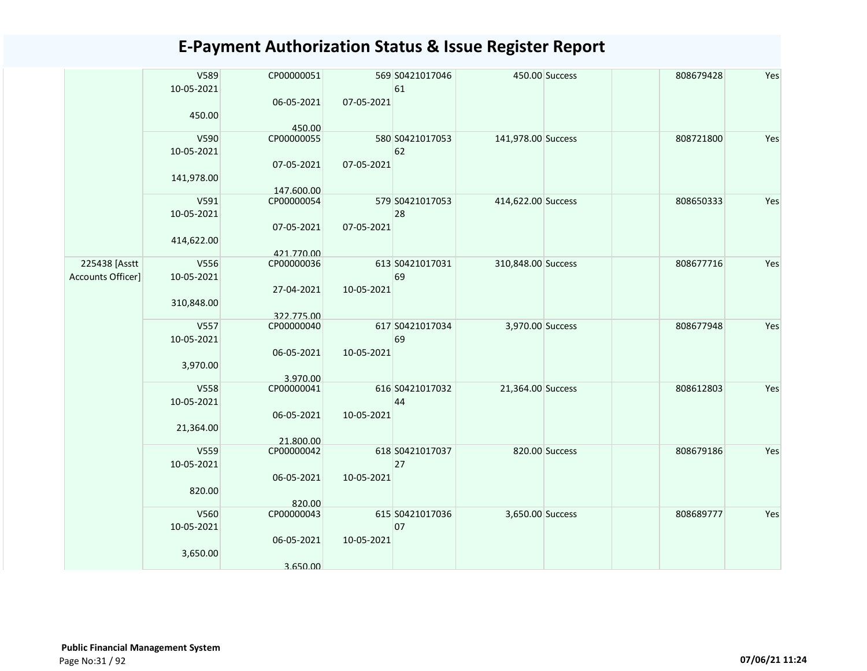|                   | V589       | CP00000051 |            | 569 S0421017046 |                    | 450.00 Success | 808679428 | Yes |
|-------------------|------------|------------|------------|-----------------|--------------------|----------------|-----------|-----|
|                   | 10-05-2021 |            |            | 61              |                    |                |           |     |
|                   |            | 06-05-2021 | 07-05-2021 |                 |                    |                |           |     |
|                   | 450.00     |            |            |                 |                    |                |           |     |
|                   |            | 450.00     |            |                 |                    |                |           |     |
|                   | V590       | CP00000055 |            | 580 S0421017053 | 141,978.00 Success |                | 808721800 | Yes |
|                   | 10-05-2021 |            |            | 62              |                    |                |           |     |
|                   |            | 07-05-2021 | 07-05-2021 |                 |                    |                |           |     |
|                   | 141,978.00 |            |            |                 |                    |                |           |     |
|                   |            | 147.600.00 |            |                 |                    |                |           |     |
|                   | V591       | CP00000054 |            | 579 S0421017053 | 414,622.00 Success |                | 808650333 | Yes |
|                   | 10-05-2021 |            |            | 28              |                    |                |           |     |
|                   |            | 07-05-2021 | 07-05-2021 |                 |                    |                |           |     |
|                   | 414,622.00 |            |            |                 |                    |                |           |     |
|                   |            | 421.770.00 |            |                 |                    |                |           |     |
| 225438 [Asstt     | V556       | CP00000036 |            | 613 S0421017031 | 310,848.00 Success |                | 808677716 | Yes |
| Accounts Officer] | 10-05-2021 |            |            | 69              |                    |                |           |     |
|                   |            | 27-04-2021 | 10-05-2021 |                 |                    |                |           |     |
|                   | 310,848.00 |            |            |                 |                    |                |           |     |
|                   |            | 322.775.00 |            |                 |                    |                |           |     |
|                   | V557       | CP00000040 |            | 617 S0421017034 | 3,970.00 Success   |                | 808677948 | Yes |
|                   | 10-05-2021 |            |            | 69              |                    |                |           |     |
|                   |            | 06-05-2021 | 10-05-2021 |                 |                    |                |           |     |
|                   | 3,970.00   |            |            |                 |                    |                |           |     |
|                   |            | 3.970.00   |            |                 |                    |                |           |     |
|                   | V558       | CP00000041 |            | 616 S0421017032 | 21,364.00 Success  |                | 808612803 | Yes |
|                   | 10-05-2021 |            |            | 44              |                    |                |           |     |
|                   |            | 06-05-2021 | 10-05-2021 |                 |                    |                |           |     |
|                   | 21,364.00  |            |            |                 |                    |                |           |     |
|                   |            | 21.800.00  |            |                 |                    |                |           |     |
|                   | V559       | CP00000042 |            | 618 S0421017037 |                    | 820.00 Success | 808679186 | Yes |
|                   | 10-05-2021 |            |            | 27              |                    |                |           |     |
|                   |            | 06-05-2021 | 10-05-2021 |                 |                    |                |           |     |
|                   | 820.00     |            |            |                 |                    |                |           |     |
|                   |            | 820.00     |            |                 |                    |                |           |     |
|                   | V560       | CP00000043 |            | 615 S0421017036 | 3,650.00 Success   |                | 808689777 | Yes |
|                   | 10-05-2021 |            |            | 07              |                    |                |           |     |
|                   |            | 06-05-2021 | 10-05-2021 |                 |                    |                |           |     |
|                   | 3,650.00   |            |            |                 |                    |                |           |     |
|                   |            | 3.650.00   |            |                 |                    |                |           |     |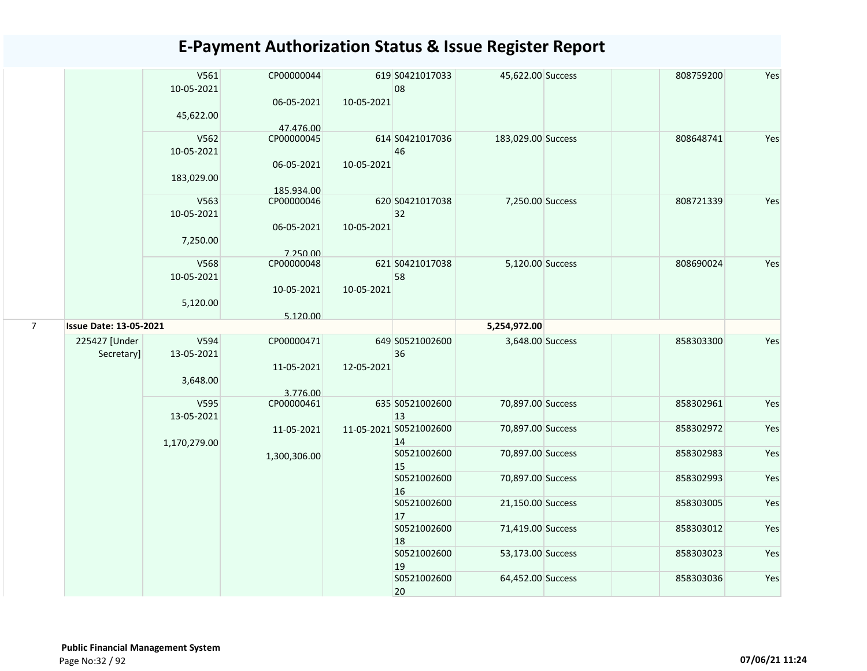|                |                               | V561<br>10-05-2021<br>45,622.00 | CP00000044<br>06-05-2021 | 10-05-2021 | 619 S0421017033<br>08        | 45,622.00 Success  | 808759200 | Yes |
|----------------|-------------------------------|---------------------------------|--------------------------|------------|------------------------------|--------------------|-----------|-----|
|                |                               |                                 | 47.476.00                |            |                              |                    |           |     |
|                |                               | V562<br>10-05-2021              | CP00000045               |            | 614 S0421017036<br>46        | 183,029.00 Success | 808648741 | Yes |
|                |                               | 183,029.00                      | 06-05-2021               | 10-05-2021 |                              |                    |           |     |
|                |                               | V563                            | 185.934.00<br>CP00000046 |            | 620 S0421017038              | 7,250.00 Success   | 808721339 | Yes |
|                |                               | 10-05-2021                      |                          |            | 32                           |                    |           |     |
|                |                               | 7,250.00                        | 06-05-2021<br>7.250.00   | 10-05-2021 |                              |                    |           |     |
|                |                               | V568<br>10-05-2021              | CP00000048               |            | 621 S0421017038<br>58        | 5,120.00 Success   | 808690024 | Yes |
|                |                               | 5,120.00                        | 10-05-2021               | 10-05-2021 |                              |                    |           |     |
|                |                               |                                 | 5.120.00                 |            |                              |                    |           |     |
| $\overline{7}$ | <b>Issue Date: 13-05-2021</b> |                                 |                          |            |                              | 5,254,972.00       |           |     |
|                | 225427 [Under<br>Secretary]   | V594<br>13-05-2021              | CP00000471<br>11-05-2021 | 12-05-2021 | 649 S0521002600<br>36        | 3,648.00 Success   | 858303300 | Yes |
|                |                               | 3,648.00                        | 3.776.00                 |            |                              |                    |           |     |
|                |                               | V595<br>13-05-2021              | CP00000461               |            | 635 S0521002600<br>13        | 70,897.00 Success  | 858302961 | Yes |
|                |                               | 1,170,279.00                    | 11-05-2021               |            | 11-05-2021 S0521002600<br>14 | 70,897.00 Success  | 858302972 | Yes |
|                |                               |                                 | 1,300,306.00             |            | S0521002600<br>15            | 70,897.00 Success  | 858302983 | Yes |
|                |                               |                                 |                          |            | S0521002600<br>16            | 70,897.00 Success  | 858302993 | Yes |
|                |                               |                                 |                          |            | S0521002600<br>17            | 21,150.00 Success  | 858303005 | Yes |
|                |                               |                                 |                          |            | S0521002600<br>18            | 71,419.00 Success  | 858303012 | Yes |
|                |                               |                                 |                          |            | S0521002600<br>19            | 53,173.00 Success  | 858303023 | Yes |
|                |                               |                                 |                          |            | S0521002600<br>20            | 64,452.00 Success  | 858303036 | Yes |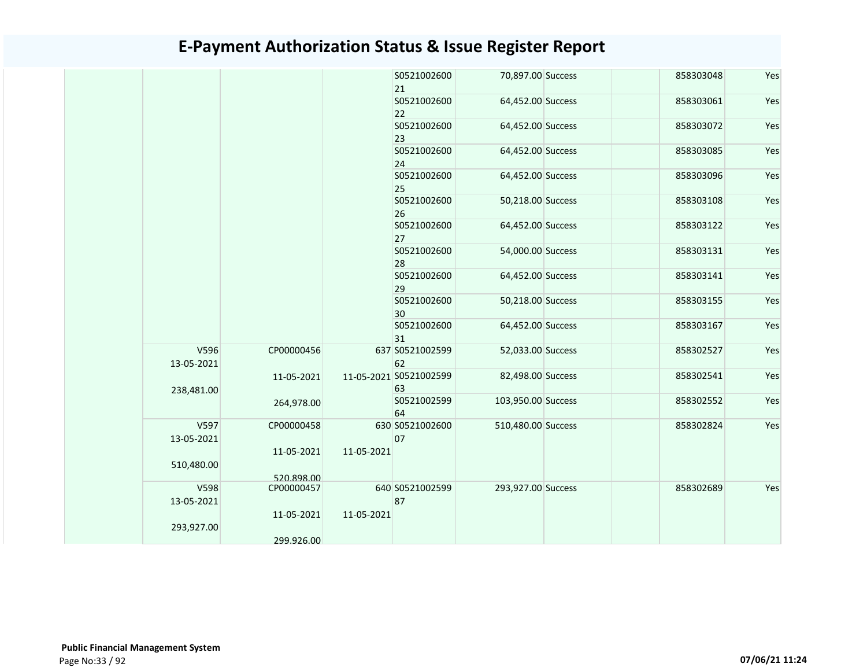|                    |                          |            | S0521002600<br>21            | 70,897.00 Success  | 858303048 | Yes |
|--------------------|--------------------------|------------|------------------------------|--------------------|-----------|-----|
|                    |                          |            | S0521002600<br>22            | 64,452.00 Success  | 858303061 | Yes |
|                    |                          |            | S0521002600<br>23            | 64,452.00 Success  | 858303072 | Yes |
|                    |                          |            | S0521002600<br>24            | 64,452.00 Success  | 858303085 | Yes |
|                    |                          |            | S0521002600<br>25            | 64,452.00 Success  | 858303096 | Yes |
|                    |                          |            | S0521002600<br>26            | 50,218.00 Success  | 858303108 | Yes |
|                    |                          |            | S0521002600<br>27            | 64,452.00 Success  | 858303122 | Yes |
|                    |                          |            | S0521002600<br>28            | 54,000.00 Success  | 858303131 | Yes |
|                    |                          |            | S0521002600<br>29            | 64,452.00 Success  | 858303141 | Yes |
|                    |                          |            | S0521002600<br>30            | 50,218.00 Success  | 858303155 | Yes |
|                    |                          |            | S0521002600<br>31            | 64,452.00 Success  | 858303167 | Yes |
| V596<br>13-05-2021 | CP00000456               |            | 637 S0521002599<br>62        | 52,033.00 Success  | 858302527 | Yes |
| 238,481.00         | 11-05-2021               |            | 11-05-2021 S0521002599<br>63 | 82,498.00 Success  | 858302541 | Yes |
|                    | 264,978.00               |            | S0521002599<br>64            | 103,950.00 Success | 858302552 | Yes |
| V597<br>13-05-2021 | CP00000458<br>11-05-2021 | 11-05-2021 | 630 S0521002600<br>07        | 510,480.00 Success | 858302824 | Yes |
| 510,480.00         | 520.898.00               |            |                              |                    |           |     |
| V598<br>13-05-2021 | CP00000457               |            | 640 S0521002599<br>87        | 293,927.00 Success | 858302689 | Yes |
| 293,927.00         | 11-05-2021               | 11-05-2021 |                              |                    |           |     |
|                    | 299.926.00               |            |                              |                    |           |     |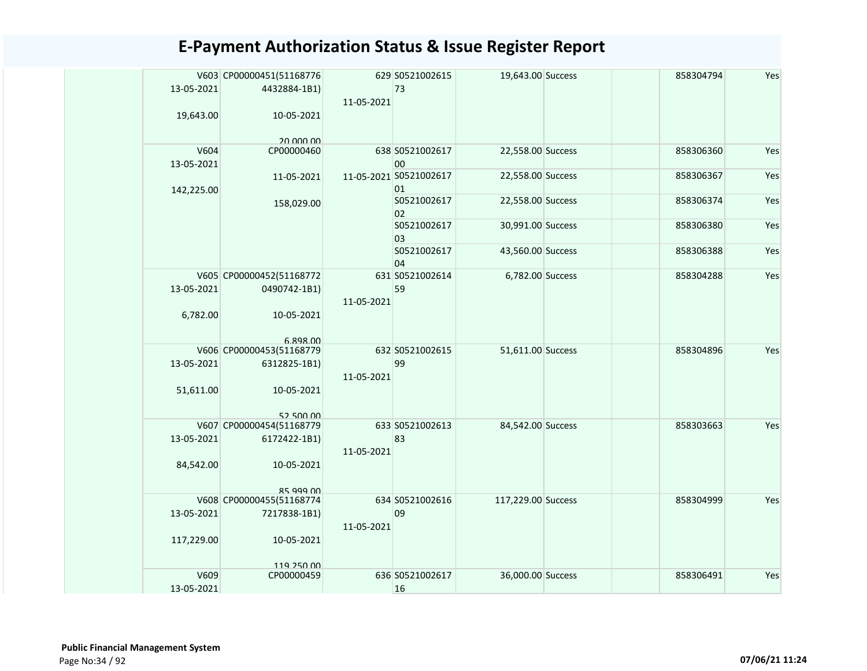|            | V603 CP00000451(51168776              |            | 629 S0521002615        | 19,643.00 Success  | 858304794 | Yes |
|------------|---------------------------------------|------------|------------------------|--------------------|-----------|-----|
| 13-05-2021 | 4432884-1B1)                          |            | 73                     |                    |           |     |
|            |                                       | 11-05-2021 |                        |                    |           |     |
| 19,643.00  | 10-05-2021                            |            |                        |                    |           |     |
|            |                                       |            |                        |                    |           |     |
|            | 20 000 00                             |            |                        |                    |           |     |
| V604       | CP00000460                            |            | 638 S0521002617        | 22,558.00 Success  | 858306360 | Yes |
| 13-05-2021 |                                       |            | 00                     |                    |           |     |
|            | 11-05-2021                            |            | 11-05-2021 S0521002617 | 22,558.00 Success  | 858306367 | Yes |
| 142,225.00 |                                       |            | 01<br>S0521002617      | 22,558.00 Success  | 858306374 | Yes |
|            | 158,029.00                            |            | 02                     |                    |           |     |
|            |                                       |            | S0521002617            | 30,991.00 Success  | 858306380 | Yes |
|            |                                       |            | 03                     |                    |           |     |
|            |                                       |            | S0521002617            | 43,560.00 Success  | 858306388 | Yes |
|            |                                       |            | 04                     |                    |           |     |
|            | V605 CP00000452(51168772              |            | 631 S0521002614        | 6,782.00 Success   | 858304288 | Yes |
| 13-05-2021 | 0490742-1B1)                          |            | 59                     |                    |           |     |
|            |                                       | 11-05-2021 |                        |                    |           |     |
| 6,782.00   | 10-05-2021                            |            |                        |                    |           |     |
|            |                                       |            |                        |                    |           |     |
|            | 6.898.00                              |            |                        |                    |           |     |
|            | V606 CP00000453(51168779              |            | 632 S0521002615        | 51,611.00 Success  | 858304896 | Yes |
| 13-05-2021 | 6312825-1B1)                          |            | 99                     |                    |           |     |
|            |                                       | 11-05-2021 |                        |                    |           |     |
| 51,611.00  | 10-05-2021                            |            |                        |                    |           |     |
|            |                                       |            |                        |                    |           |     |
|            | 52 500 00<br>V607 CP00000454(51168779 |            | 633 S0521002613        | 84,542.00 Success  | 858303663 | Yes |
| 13-05-2021 | 6172422-1B1)                          |            | 83                     |                    |           |     |
|            |                                       | 11-05-2021 |                        |                    |           |     |
| 84,542.00  | 10-05-2021                            |            |                        |                    |           |     |
|            |                                       |            |                        |                    |           |     |
|            | 85 999 00                             |            |                        |                    |           |     |
|            | V608 CP00000455(51168774              |            | 634 S0521002616        | 117,229.00 Success | 858304999 | Yes |
| 13-05-2021 | 7217838-1B1)                          |            | 09                     |                    |           |     |
|            |                                       | 11-05-2021 |                        |                    |           |     |
| 117,229.00 | 10-05-2021                            |            |                        |                    |           |     |
|            |                                       |            |                        |                    |           |     |
|            | 119 250 00                            |            |                        |                    |           |     |
| V609       | CP00000459                            |            | 636 S0521002617        | 36,000.00 Success  | 858306491 | Yes |
| 13-05-2021 |                                       |            | 16                     |                    |           |     |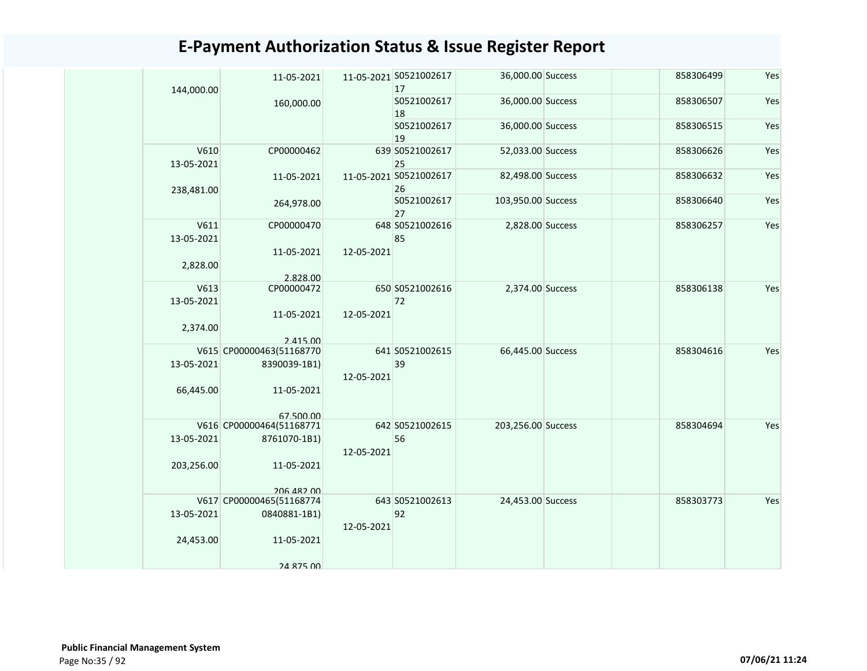| 144,000.00         | 11-05-2021               |            | 11-05-2021 S0521002617<br>17 | 36,000.00 Success  |  | 858306499 | Yes |
|--------------------|--------------------------|------------|------------------------------|--------------------|--|-----------|-----|
|                    | 160,000.00               |            | S0521002617<br>18            | 36,000.00 Success  |  | 858306507 | Yes |
|                    |                          |            | S0521002617<br>19            | 36,000.00 Success  |  | 858306515 | Yes |
| V610<br>13-05-2021 | CP00000462               |            | 639 S0521002617<br>25        | 52,033.00 Success  |  | 858306626 | Yes |
| 238,481.00         | 11-05-2021               |            | 11-05-2021 S0521002617<br>26 | 82,498.00 Success  |  | 858306632 | Yes |
|                    | 264,978.00               |            | S0521002617<br>27            | 103,950.00 Success |  | 858306640 | Yes |
| V611<br>13-05-2021 | CP00000470               |            | 648 S0521002616<br>85        | 2,828.00 Success   |  | 858306257 | Yes |
| 2,828.00           | 11-05-2021<br>2.828.00   | 12-05-2021 |                              |                    |  |           |     |
| V613               | CP00000472               |            | 650 S0521002616              | 2,374.00 Success   |  | 858306138 | Yes |
| 13-05-2021         | 11-05-2021               | 12-05-2021 | 72                           |                    |  |           |     |
| 2,374.00           | 2.415.00                 |            |                              |                    |  |           |     |
|                    | V615 CP00000463(51168770 |            | 641 S0521002615              | 66,445.00 Success  |  | 858304616 | Yes |
| 13-05-2021         | 8390039-1B1)             | 12-05-2021 | 39                           |                    |  |           |     |
| 66,445.00          | 11-05-2021<br>67 500 00  |            |                              |                    |  |           |     |
|                    | V616 CP00000464(51168771 |            | 642 S0521002615              | 203,256.00 Success |  | 858304694 | Yes |
| 13-05-2021         | 8761070-1B1)             | 12-05-2021 | 56                           |                    |  |           |     |
| 203,256.00         | 11-05-2021<br>206 482 00 |            |                              |                    |  |           |     |
|                    | V617 CP00000465(51168774 |            | 643 S0521002613              | 24,453.00 Success  |  | 858303773 | Yes |
| 13-05-2021         | 0840881-1B1)             | 12-05-2021 | 92                           |                    |  |           |     |
| 24,453.00          | 11-05-2021               |            |                              |                    |  |           |     |
|                    | 24 875 00                |            |                              |                    |  |           |     |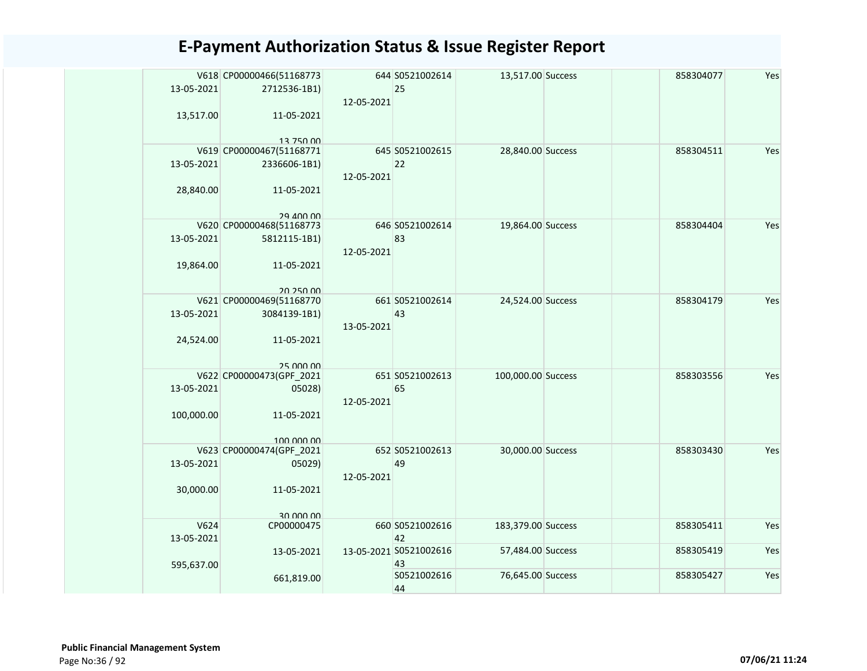| 13-05-2021         | V618 CP00000466(51168773<br>2712536-1B1) | 12-05-2021 | 644 S0521002614<br>25        | 13,517.00 Success  | 858304077 | Yes |
|--------------------|------------------------------------------|------------|------------------------------|--------------------|-----------|-----|
| 13,517.00          | 11-05-2021<br>13 750 00                  |            |                              |                    |           |     |
| 13-05-2021         | V619 CP00000467(51168771<br>2336606-1B1) | 12-05-2021 | 645 S0521002615<br>22        | 28,840.00 Success  | 858304511 | Yes |
| 28,840.00          | 11-05-2021<br>29 400 00                  |            |                              |                    |           |     |
| 13-05-2021         | V620 CP00000468(51168773<br>5812115-1B1) | 12-05-2021 | 646 S0521002614<br>83        | 19,864.00 Success  | 858304404 | Yes |
| 19,864.00          | 11-05-2021<br>20 250 00                  |            |                              |                    |           |     |
| 13-05-2021         | V621 CP00000469(51168770<br>3084139-1B1) | 13-05-2021 | 661 S0521002614<br>43        | 24,524.00 Success  | 858304179 | Yes |
| 24,524.00          | 11-05-2021<br>25,000,00                  |            |                              |                    |           |     |
| 13-05-2021         | V622 CP00000473(GPF_2021<br>05028)       | 12-05-2021 | 651 S0521002613<br>65        | 100,000.00 Success | 858303556 | Yes |
| 100,000.00         | 11-05-2021<br>100,000,00                 |            |                              |                    |           |     |
| 13-05-2021         | V623 CP00000474(GPF_2021<br>05029)       | 12-05-2021 | 652 S0521002613<br>49        | 30,000.00 Success  | 858303430 | Yes |
| 30,000.00          | 11-05-2021<br>an nnn nn                  |            |                              |                    |           |     |
| V624<br>13-05-2021 | CP00000475                               |            | 660 S0521002616<br>42        | 183,379.00 Success | 858305411 | Yes |
| 595,637.00         | 13-05-2021                               |            | 13-05-2021 S0521002616<br>43 | 57,484.00 Success  | 858305419 | Yes |
|                    | 661,819.00                               |            | S0521002616<br>44            | 76,645.00 Success  | 858305427 | Yes |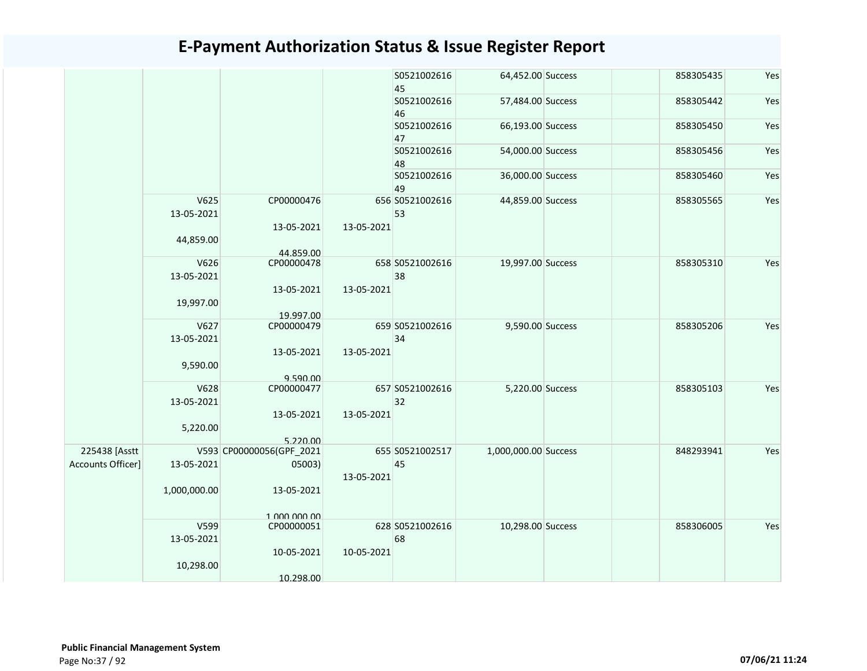|                   |                    |                          |            | S0521002616<br>45     | 64,452.00 Success    | 858305435 | Yes |
|-------------------|--------------------|--------------------------|------------|-----------------------|----------------------|-----------|-----|
|                   |                    |                          |            | S0521002616<br>46     | 57,484.00 Success    | 858305442 | Yes |
|                   |                    |                          |            | S0521002616<br>47     | 66,193.00 Success    | 858305450 | Yes |
|                   |                    |                          |            | S0521002616<br>48     | 54,000.00 Success    | 858305456 | Yes |
|                   |                    |                          |            | S0521002616<br>49     | 36,000.00 Success    | 858305460 | Yes |
|                   | V625<br>13-05-2021 | CP00000476               |            | 656 S0521002616<br>53 | 44,859.00 Success    | 858305565 | Yes |
|                   | 44,859.00          | 13-05-2021<br>44.859.00  | 13-05-2021 |                       |                      |           |     |
|                   | V626<br>13-05-2021 | CP00000478               |            | 658 S0521002616<br>38 | 19,997.00 Success    | 858305310 | Yes |
|                   | 19,997.00          | 13-05-2021<br>19.997.00  | 13-05-2021 |                       |                      |           |     |
|                   | V627<br>13-05-2021 | CP00000479               |            | 659 S0521002616<br>34 | 9,590.00 Success     | 858305206 | Yes |
|                   | 9,590.00           | 13-05-2021<br>9.590.00   | 13-05-2021 |                       |                      |           |     |
|                   | V628<br>13-05-2021 | CP00000477               |            | 657 S0521002616<br>32 | 5,220.00 Success     | 858305103 | Yes |
|                   | 5,220.00           | 13-05-2021<br>5.220.00   | 13-05-2021 |                       |                      |           |     |
| 225438 [Asstt     |                    | V593 CP00000056(GPF_2021 |            | 655 S0521002517       | 1,000,000.00 Success | 848293941 | Yes |
| Accounts Officer] | 13-05-2021         | 05003)                   | 13-05-2021 | 45                    |                      |           |     |
|                   | 1,000,000.00       | 13-05-2021               |            |                       |                      |           |     |
|                   |                    | 1 000 000 00             |            |                       |                      |           |     |
|                   | V599<br>13-05-2021 | CP00000051               |            | 628 S0521002616<br>68 | 10,298.00 Success    | 858306005 | Yes |
|                   | 10,298.00          | 10-05-2021               | 10-05-2021 |                       |                      |           |     |
|                   |                    | 10.298.00                |            |                       |                      |           |     |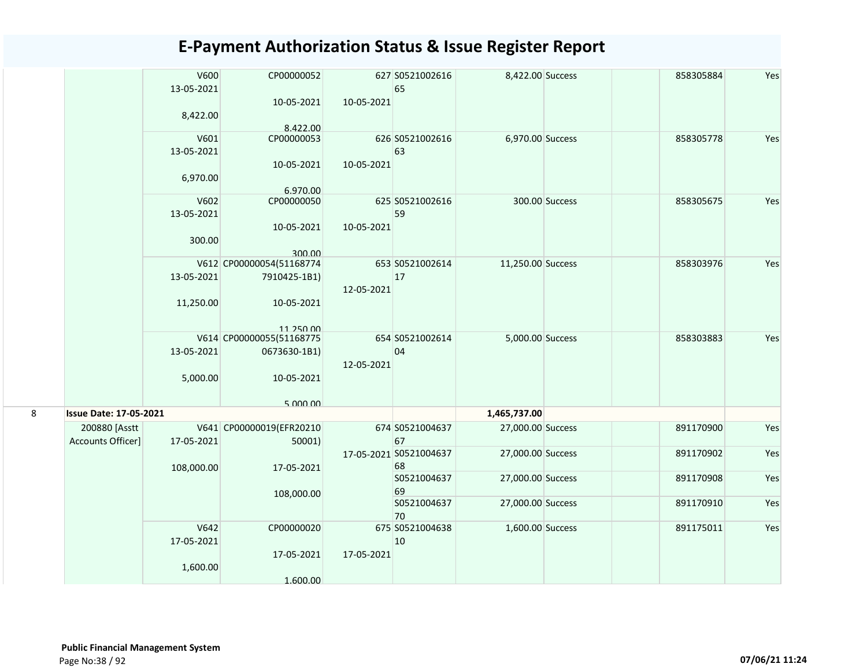|   |                               | V600<br>13-05-2021 | CP00000052<br>10-05-2021 | 10-05-2021 | 627 S0521002616<br>65        | 8,422.00 Success  |                | 858305884 | Yes |
|---|-------------------------------|--------------------|--------------------------|------------|------------------------------|-------------------|----------------|-----------|-----|
|   |                               | 8,422.00           | 8.422.00                 |            |                              |                   |                |           |     |
|   |                               | V601               | CP00000053               |            | 626 S0521002616              | 6,970.00 Success  |                | 858305778 | Yes |
|   |                               | 13-05-2021         |                          |            | 63                           |                   |                |           |     |
|   |                               |                    | 10-05-2021               | 10-05-2021 |                              |                   |                |           |     |
|   |                               | 6,970.00           |                          |            |                              |                   |                |           |     |
|   |                               |                    | 6.970.00                 |            |                              |                   |                |           |     |
|   |                               | V602               | CP00000050               |            | 625 S0521002616              |                   | 300.00 Success | 858305675 | Yes |
|   |                               | 13-05-2021         |                          |            | 59                           |                   |                |           |     |
|   |                               |                    | 10-05-2021               | 10-05-2021 |                              |                   |                |           |     |
|   |                               | 300.00             |                          |            |                              |                   |                |           |     |
|   |                               |                    | 300.00                   |            |                              |                   |                |           |     |
|   |                               |                    | V612 CP00000054(51168774 |            | 653 S0521002614              | 11,250.00 Success |                | 858303976 | Yes |
|   |                               | 13-05-2021         | 7910425-1B1)             | 12-05-2021 | 17                           |                   |                |           |     |
|   |                               | 11,250.00          | 10-05-2021               |            |                              |                   |                |           |     |
|   |                               |                    |                          |            |                              |                   |                |           |     |
|   |                               |                    | 11 250 00                |            |                              |                   |                |           |     |
|   |                               |                    | V614 CP00000055(51168775 |            | 654 S0521002614              | 5,000.00 Success  |                | 858303883 | Yes |
|   |                               | 13-05-2021         | 0673630-1B1)             |            | 04                           |                   |                |           |     |
|   |                               |                    |                          | 12-05-2021 |                              |                   |                |           |     |
|   |                               | 5,000.00           | 10-05-2021               |            |                              |                   |                |           |     |
|   |                               |                    |                          |            |                              |                   |                |           |     |
| 8 | <b>Issue Date: 17-05-2021</b> |                    | 5.000.00                 |            |                              | 1,465,737.00      |                |           |     |
|   |                               |                    |                          |            |                              |                   |                |           |     |
|   | 200880 [Asstt                 |                    | V641 CP00000019(EFR20210 |            | 674 S0521004637              | 27,000.00 Success |                | 891170900 | Yes |
|   | Accounts Officer]             | 17-05-2021         | 50001)                   |            | 67<br>17-05-2021 S0521004637 | 27,000.00 Success |                | 891170902 | Yes |
|   |                               |                    |                          |            | 68                           |                   |                |           |     |
|   |                               | 108,000.00         | 17-05-2021               |            | S0521004637                  | 27,000.00 Success |                | 891170908 | Yes |
|   |                               |                    | 108,000.00               |            | 69                           |                   |                |           |     |
|   |                               |                    |                          |            | S0521004637                  | 27,000.00 Success |                | 891170910 | Yes |
|   |                               |                    |                          |            | 70                           |                   |                |           |     |
|   |                               | V642               | CP00000020               |            | 675 S0521004638              | 1,600.00 Success  |                | 891175011 | Yes |
|   |                               | 17-05-2021         |                          |            | 10                           |                   |                |           |     |
|   |                               |                    | 17-05-2021               | 17-05-2021 |                              |                   |                |           |     |
|   |                               | 1,600.00           |                          |            |                              |                   |                |           |     |
|   |                               |                    | 1.600.00                 |            |                              |                   |                |           |     |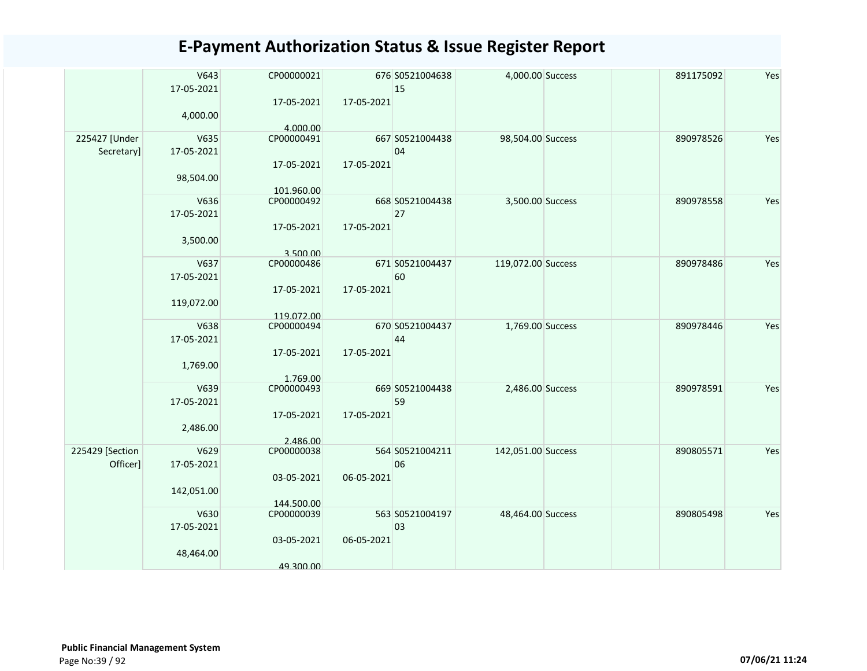|                 | V643       | CP00000021 |            | 676 S0521004638 | 4,000.00 Success   | 891175092 | Yes |
|-----------------|------------|------------|------------|-----------------|--------------------|-----------|-----|
|                 | 17-05-2021 |            |            | 15              |                    |           |     |
|                 |            | 17-05-2021 | 17-05-2021 |                 |                    |           |     |
|                 | 4,000.00   |            |            |                 |                    |           |     |
|                 |            | 4.000.00   |            |                 |                    |           |     |
| 225427 [Under   | V635       | CP00000491 |            | 667 S0521004438 | 98,504.00 Success  | 890978526 | Yes |
| Secretary]      | 17-05-2021 |            |            | 04              |                    |           |     |
|                 |            |            |            |                 |                    |           |     |
|                 |            | 17-05-2021 | 17-05-2021 |                 |                    |           |     |
|                 | 98,504.00  |            |            |                 |                    |           |     |
|                 |            | 101.960.00 |            |                 |                    |           |     |
|                 | V636       | CP00000492 |            | 668 S0521004438 | 3,500.00 Success   | 890978558 | Yes |
|                 | 17-05-2021 |            |            | 27              |                    |           |     |
|                 |            | 17-05-2021 | 17-05-2021 |                 |                    |           |     |
|                 | 3,500.00   |            |            |                 |                    |           |     |
|                 |            | 3.500.00   |            |                 |                    |           |     |
|                 | V637       | CP00000486 |            | 671 S0521004437 | 119,072.00 Success | 890978486 | Yes |
|                 | 17-05-2021 |            |            | 60              |                    |           |     |
|                 |            |            |            |                 |                    |           |     |
|                 |            | 17-05-2021 | 17-05-2021 |                 |                    |           |     |
|                 | 119,072.00 |            |            |                 |                    |           |     |
|                 |            | 119.072.00 |            |                 |                    |           |     |
|                 | V638       | CP00000494 |            | 670 S0521004437 | 1,769.00 Success   | 890978446 | Yes |
|                 | 17-05-2021 |            |            | 44              |                    |           |     |
|                 |            | 17-05-2021 | 17-05-2021 |                 |                    |           |     |
|                 | 1,769.00   |            |            |                 |                    |           |     |
|                 |            | 1.769.00   |            |                 |                    |           |     |
|                 | V639       | CP00000493 |            | 669 S0521004438 | 2,486.00 Success   | 890978591 | Yes |
|                 | 17-05-2021 |            |            | 59              |                    |           |     |
|                 |            | 17-05-2021 | 17-05-2021 |                 |                    |           |     |
|                 |            |            |            |                 |                    |           |     |
|                 | 2,486.00   |            |            |                 |                    |           |     |
|                 |            | 2.486.00   |            |                 |                    |           |     |
| 225429 [Section | V629       | CP00000038 |            | 564 S0521004211 | 142,051.00 Success | 890805571 | Yes |
| Officer]        | 17-05-2021 |            |            | 06              |                    |           |     |
|                 |            | 03-05-2021 | 06-05-2021 |                 |                    |           |     |
|                 | 142,051.00 |            |            |                 |                    |           |     |
|                 |            | 144.500.00 |            |                 |                    |           |     |
|                 | V630       | CP00000039 |            | 563 S0521004197 | 48,464.00 Success  | 890805498 | Yes |
|                 | 17-05-2021 |            |            | 03              |                    |           |     |
|                 |            | 03-05-2021 | 06-05-2021 |                 |                    |           |     |
|                 | 48,464.00  |            |            |                 |                    |           |     |
|                 |            |            |            |                 |                    |           |     |
|                 |            | 49.300.00  |            |                 |                    |           |     |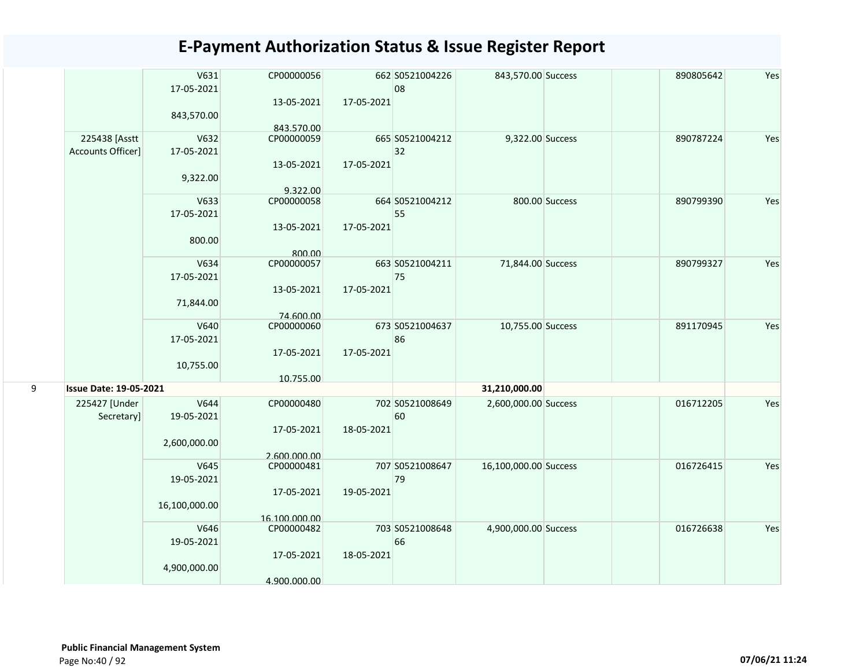|   |                               | V631<br>17-05-2021 | CP00000056<br>13-05-2021 | 17-05-2021 | 662 S0521004226<br>08 | 843,570.00 Success    |                | 890805642 | Yes |
|---|-------------------------------|--------------------|--------------------------|------------|-----------------------|-----------------------|----------------|-----------|-----|
|   |                               | 843,570.00         | 843.570.00               |            |                       |                       |                |           |     |
|   | 225438 [Asstt                 | V632               | CP00000059               |            | 665 S0521004212       | 9,322.00 Success      |                | 890787224 | Yes |
|   | Accounts Officer]             | 17-05-2021         |                          |            | 32                    |                       |                |           |     |
|   |                               | 9,322.00           | 13-05-2021               | 17-05-2021 |                       |                       |                |           |     |
|   |                               |                    | 9.322.00                 |            |                       |                       |                |           |     |
|   |                               | V633               | CP00000058               |            | 664 S0521004212       |                       | 800.00 Success | 890799390 | Yes |
|   |                               | 17-05-2021         |                          |            | 55                    |                       |                |           |     |
|   |                               | 800.00             | 13-05-2021               | 17-05-2021 |                       |                       |                |           |     |
|   |                               |                    | 800.00                   |            |                       |                       |                |           |     |
|   |                               | V634               | CP00000057               |            | 663 S0521004211       | 71,844.00 Success     |                | 890799327 | Yes |
|   |                               | 17-05-2021         |                          |            | 75                    |                       |                |           |     |
|   |                               | 71,844.00          | 13-05-2021               | 17-05-2021 |                       |                       |                |           |     |
|   |                               |                    | 74.600.00                |            |                       |                       |                |           |     |
|   |                               | V640               | CP00000060               |            | 673 S0521004637       | 10,755.00 Success     |                | 891170945 | Yes |
|   |                               | 17-05-2021         |                          |            | 86                    |                       |                |           |     |
|   |                               |                    | 17-05-2021               | 17-05-2021 |                       |                       |                |           |     |
|   |                               | 10,755.00          |                          |            |                       |                       |                |           |     |
| 9 | <b>Issue Date: 19-05-2021</b> |                    | 10.755.00                |            |                       | 31,210,000.00         |                |           |     |
|   | 225427 [Under                 | V644               | CP00000480               |            | 702 S0521008649       | 2,600,000.00 Success  |                | 016712205 | Yes |
|   | Secretary]                    | 19-05-2021         |                          |            | 60                    |                       |                |           |     |
|   |                               |                    | 17-05-2021               | 18-05-2021 |                       |                       |                |           |     |
|   |                               | 2,600,000.00       |                          |            |                       |                       |                |           |     |
|   |                               |                    | 2.600.000.00             |            |                       |                       |                |           |     |
|   |                               | V645               | CP00000481               |            | 707 S0521008647       | 16,100,000.00 Success |                | 016726415 | Yes |
|   |                               | 19-05-2021         | 17-05-2021               | 19-05-2021 | 79                    |                       |                |           |     |
|   |                               | 16,100,000.00      |                          |            |                       |                       |                |           |     |
|   |                               |                    | 16.100.000.00            |            |                       |                       |                |           |     |
|   |                               | V646               | CP00000482               |            | 703 S0521008648       | 4,900,000.00 Success  |                | 016726638 | Yes |
|   |                               | 19-05-2021         |                          |            | 66                    |                       |                |           |     |
|   |                               |                    | 17-05-2021               | 18-05-2021 |                       |                       |                |           |     |
|   |                               | 4,900,000.00       |                          |            |                       |                       |                |           |     |
|   |                               |                    | 4.900.000.00             |            |                       |                       |                |           |     |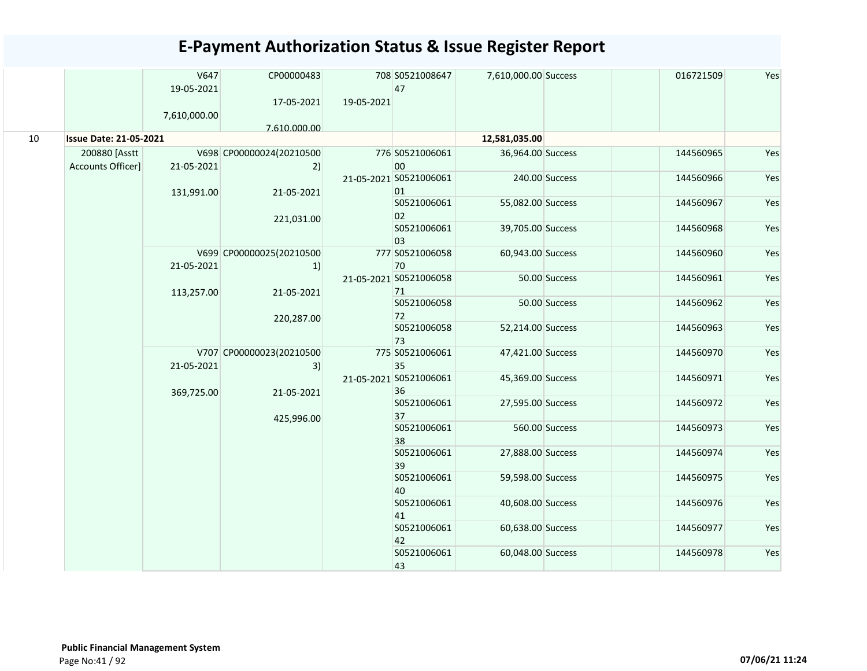|    |                               | V647<br>19-05-2021 | CP00000483                     | 708 S0521008647<br>47        | 7,610,000.00 Success |                   | 016721509 | Yes       |     |
|----|-------------------------------|--------------------|--------------------------------|------------------------------|----------------------|-------------------|-----------|-----------|-----|
|    |                               | 7,610,000.00       | 17-05-2021                     | 19-05-2021                   |                      |                   |           |           |     |
|    |                               |                    | 7.610.000.00                   |                              |                      |                   |           |           |     |
| 10 | <b>Issue Date: 21-05-2021</b> |                    |                                |                              | 12,581,035.00        |                   |           |           |     |
|    | 200880 [Asstt                 |                    | V698 CP00000024(20210500       | 776 S0521006061              | 36,964.00 Success    |                   | 144560965 | Yes       |     |
|    | Accounts Officer]             | 21-05-2021         | 2)                             | 00                           |                      |                   |           |           |     |
|    |                               | 131,991.00         | 21-05-2021                     | 21-05-2021 S0521006061<br>01 |                      | 240.00 Success    | 144560966 | Yes       |     |
|    |                               |                    |                                | S0521006061<br>02            | 55,082.00 Success    |                   | 144560967 | Yes       |     |
|    |                               |                    | 221,031.00                     | S0521006061                  | 39,705.00 Success    |                   | 144560968 | Yes       |     |
|    |                               |                    |                                | 03                           |                      |                   |           |           |     |
|    |                               | 21-05-2021         | V699 CP00000025(20210500<br>1) | 777 S0521006058<br>70        | 60,943.00 Success    |                   | 144560960 | Yes       |     |
|    |                               | 113,257.00         | 21-05-2021                     | 21-05-2021 S0521006058<br>71 |                      | 50.00 Success     | 144560961 | Yes       |     |
|    |                               |                    | 220,287.00                     | S0521006058<br>72            |                      | 50.00 Success     | 144560962 | Yes       |     |
|    |                               |                    |                                |                              | S0521006058<br>73    | 52,214.00 Success |           | 144560963 | Yes |
|    |                               | 21-05-2021         | V707 CP00000023(20210500<br>3) | 775 S0521006061<br>35        | 47,421.00 Success    |                   | 144560970 | Yes       |     |
|    |                               |                    |                                | 21-05-2021 S0521006061<br>36 | 45,369.00 Success    |                   | 144560971 | Yes       |     |
|    |                               | 369,725.00         | 21-05-2021                     | S0521006061<br>37            | 27,595.00 Success    |                   | 144560972 | Yes       |     |
|    |                               |                    | 425,996.00                     | S0521006061<br>38            |                      | 560.00 Success    | 144560973 | Yes       |     |
|    |                               |                    |                                | S0521006061<br>39            | 27,888.00 Success    |                   | 144560974 | Yes       |     |
|    |                               |                    |                                | S0521006061<br>40            | 59,598.00 Success    |                   | 144560975 | Yes       |     |
|    |                               |                    |                                | S0521006061<br>41            | 40,608.00 Success    |                   | 144560976 | Yes       |     |
|    |                               |                    |                                | S0521006061<br>42            | 60,638.00 Success    |                   | 144560977 | Yes       |     |
|    |                               |                    |                                | S0521006061<br>43            | 60,048.00 Success    |                   | 144560978 | Yes       |     |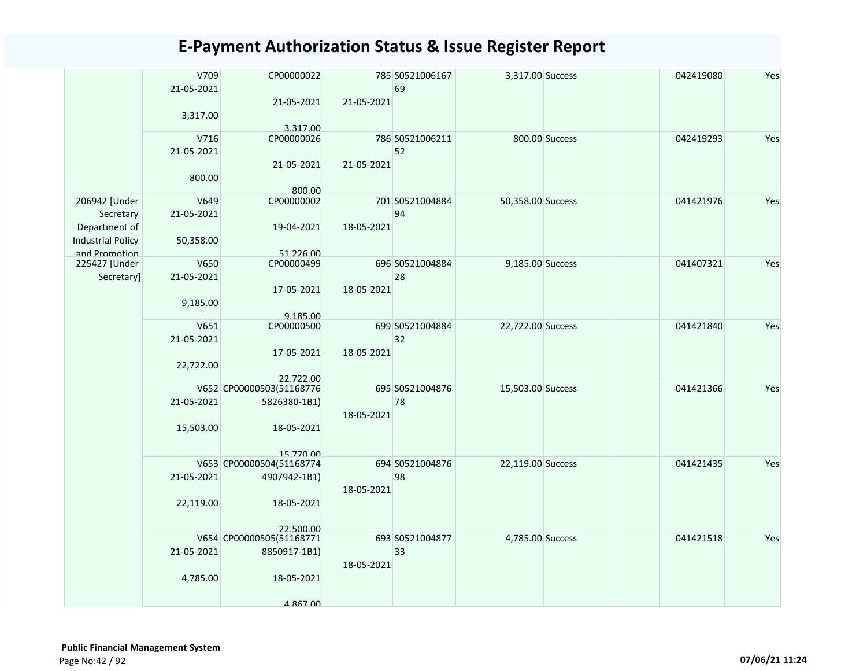|                          | V709       | CP00000022               |            | 785 S0521006167 | 3,317.00 Success  |                | 042419080 | Yes |
|--------------------------|------------|--------------------------|------------|-----------------|-------------------|----------------|-----------|-----|
|                          | 21-05-2021 |                          |            | 69              |                   |                |           |     |
|                          |            | 21-05-2021               | 21-05-2021 |                 |                   |                |           |     |
|                          | 3,317.00   |                          |            |                 |                   |                |           |     |
|                          |            | 3.317.00                 |            |                 |                   |                |           |     |
|                          | V716       | CP00000026               |            | 786 S0521006211 |                   | 800.00 Success | 042419293 | Yes |
|                          | 21-05-2021 |                          |            | 52              |                   |                |           |     |
|                          |            | 21-05-2021               | 21-05-2021 |                 |                   |                |           |     |
|                          | 800.00     |                          |            |                 |                   |                |           |     |
|                          |            | 800.00                   |            |                 |                   |                |           |     |
| 206942 [Under            | V649       | CP00000002               |            | 701 S0521004884 | 50,358.00 Success |                | 041421976 | Yes |
| Secretary                | 21-05-2021 |                          |            | 94              |                   |                |           |     |
| Department of            |            | 19-04-2021               | 18-05-2021 |                 |                   |                |           |     |
| <b>Industrial Policy</b> | 50,358.00  |                          |            |                 |                   |                |           |     |
| and Promotion            |            | 51.226.00                |            |                 |                   |                |           |     |
| 225427 [Under            | V650       | CP00000499               |            | 696 S0521004884 | 9,185.00 Success  |                | 041407321 | Yes |
| Secretary]               | 21-05-2021 |                          |            | 28              |                   |                |           |     |
|                          |            | 17-05-2021               | 18-05-2021 |                 |                   |                |           |     |
|                          | 9,185.00   |                          |            |                 |                   |                |           |     |
|                          |            | 9.185.00                 |            |                 |                   |                |           |     |
|                          | V651       | CP00000500               |            | 699 S0521004884 | 22,722.00 Success |                | 041421840 | Yes |
|                          | 21-05-2021 |                          |            | 32              |                   |                |           |     |
|                          |            | 17-05-2021               | 18-05-2021 |                 |                   |                |           |     |
|                          | 22,722.00  |                          |            |                 |                   |                |           |     |
|                          |            | 22.722.00                |            |                 |                   |                |           |     |
|                          |            | V652 CP00000503(51168776 |            | 695 S0521004876 | 15,503.00 Success |                | 041421366 | Yes |
|                          | 21-05-2021 | 5826380-1B1)             |            | 78              |                   |                |           |     |
|                          |            |                          | 18-05-2021 |                 |                   |                |           |     |
|                          | 15,503.00  | 18-05-2021               |            |                 |                   |                |           |     |
|                          |            |                          |            |                 |                   |                |           |     |
|                          |            | 15 770 00                |            |                 |                   |                |           |     |
|                          |            | V653 CP00000504(51168774 |            | 694 S0521004876 | 22,119.00 Success |                | 041421435 | Yes |
|                          | 21-05-2021 | 4907942-1B1)             |            | 98              |                   |                |           |     |
|                          |            |                          | 18-05-2021 |                 |                   |                |           |     |
|                          | 22,119.00  | 18-05-2021               |            |                 |                   |                |           |     |
|                          |            |                          |            |                 |                   |                |           |     |
|                          |            | 22.500.00                |            |                 |                   |                |           |     |
|                          |            | V654 CP00000505(51168771 |            | 693 S0521004877 | 4,785.00 Success  |                | 041421518 | Yes |
|                          | 21-05-2021 | 8850917-1B1)             |            | 33              |                   |                |           |     |
|                          |            |                          | 18-05-2021 |                 |                   |                |           |     |
|                          | 4,785.00   | 18-05-2021               |            |                 |                   |                |           |     |
|                          |            |                          |            |                 |                   |                |           |     |
|                          |            | 4 867 00                 |            |                 |                   |                |           |     |
|                          |            |                          |            |                 |                   |                |           |     |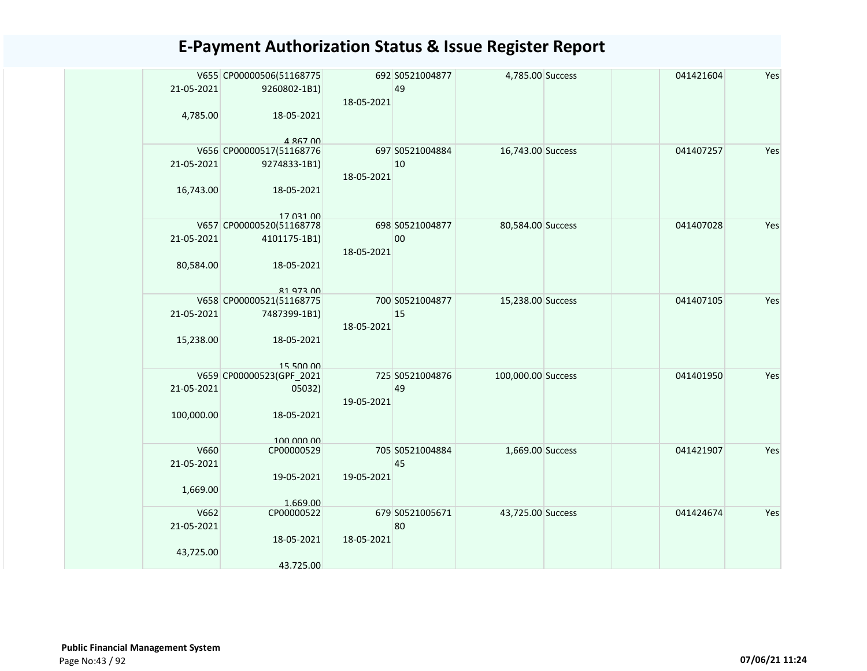|            | V655 CP00000506(51168775 |            | 692 S0521004877 | 4,785.00 Success   | 041421604 | Yes |
|------------|--------------------------|------------|-----------------|--------------------|-----------|-----|
| 21-05-2021 | 9260802-1B1)             |            | 49              |                    |           |     |
|            |                          | 18-05-2021 |                 |                    |           |     |
|            | 18-05-2021               |            |                 |                    |           |     |
| 4,785.00   |                          |            |                 |                    |           |     |
|            | 4 867 00                 |            |                 |                    |           |     |
|            | V656 CP00000517(51168776 |            | 697 S0521004884 | 16,743.00 Success  | 041407257 | Yes |
| 21-05-2021 | 9274833-1B1)             |            | 10              |                    |           |     |
|            |                          | 18-05-2021 |                 |                    |           |     |
| 16,743.00  | 18-05-2021               |            |                 |                    |           |     |
|            |                          |            |                 |                    |           |     |
|            | 17 031 00                |            |                 |                    |           |     |
|            | V657 CP00000520(51168778 |            | 698 S0521004877 | 80,584.00 Success  | 041407028 | Yes |
| 21-05-2021 | 4101175-1B1)             |            | 00              |                    |           |     |
|            |                          | 18-05-2021 |                 |                    |           |     |
| 80,584.00  | 18-05-2021               |            |                 |                    |           |     |
|            |                          |            |                 |                    |           |     |
|            | 81 973 00                |            |                 |                    |           |     |
|            | V658 CP00000521(51168775 |            | 700 S0521004877 | 15,238.00 Success  | 041407105 | Yes |
| 21-05-2021 | 7487399-1B1)             |            | 15              |                    |           |     |
|            |                          | 18-05-2021 |                 |                    |           |     |
| 15,238.00  | 18-05-2021               |            |                 |                    |           |     |
|            |                          |            |                 |                    |           |     |
|            | 15 500 00                |            |                 |                    |           |     |
|            | V659 CP00000523(GPF_2021 |            | 725 S0521004876 | 100,000.00 Success | 041401950 | Yes |
| 21-05-2021 | 05032)                   |            | 49              |                    |           |     |
|            |                          | 19-05-2021 |                 |                    |           |     |
| 100,000.00 | 18-05-2021               |            |                 |                    |           |     |
|            |                          |            |                 |                    |           |     |
|            | 100,000,00               |            |                 |                    |           |     |
| V660       | CP00000529               |            | 705 S0521004884 | 1,669.00 Success   | 041421907 | Yes |
| 21-05-2021 |                          |            | 45              |                    |           |     |
|            | 19-05-2021               | 19-05-2021 |                 |                    |           |     |
| 1,669.00   |                          |            |                 |                    |           |     |
|            | 1.669.00                 |            |                 |                    |           | Yes |
| V662       | CP00000522               |            | 679 S0521005671 | 43,725.00 Success  | 041424674 |     |
| 21-05-2021 |                          |            | 80              |                    |           |     |
|            | 18-05-2021               | 18-05-2021 |                 |                    |           |     |
| 43,725.00  |                          |            |                 |                    |           |     |
|            | 43.725.00                |            |                 |                    |           |     |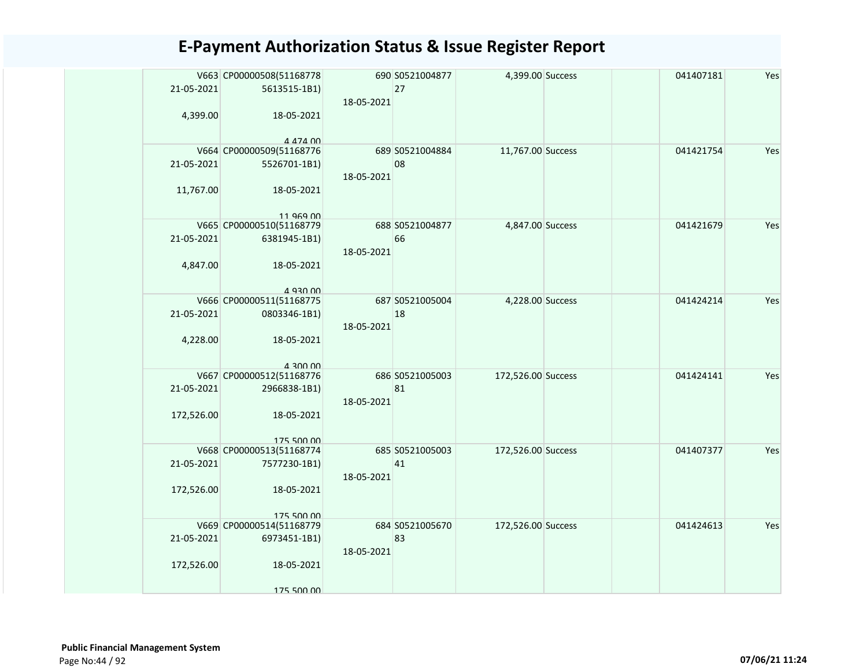| 21-05-2021<br>4,399.00 | V663 CP00000508(51168778<br>5613515-1B1)<br>18-05-2021 | 18-05-2021 | 690 S0521004877<br>27 | 4,399.00 Success   | 041407181 | Yes |
|------------------------|--------------------------------------------------------|------------|-----------------------|--------------------|-----------|-----|
|                        | 4 474 00                                               |            |                       |                    |           |     |
| 21-05-2021             | V664 CP00000509(51168776<br>5526701-1B1)               | 18-05-2021 | 689 S0521004884<br>08 | 11,767.00 Success  | 041421754 | Yes |
| 11,767.00              | 18-05-2021<br>11 969 00                                |            |                       |                    |           |     |
| 21-05-2021             | V665 CP00000510(51168779<br>6381945-1B1)               | 18-05-2021 | 688 S0521004877<br>66 | 4,847.00 Success   | 041421679 | Yes |
| 4,847.00               | 18-05-2021<br>4 930 00                                 |            |                       |                    |           |     |
| 21-05-2021             | V666 CP00000511(51168775<br>0803346-1B1)               | 18-05-2021 | 687 S0521005004<br>18 | 4,228.00 Success   | 041424214 | Yes |
| 4,228.00               | 18-05-2021<br>4 300 00                                 |            |                       |                    |           |     |
| 21-05-2021             | V667 CP00000512(51168776<br>2966838-1B1)               | 18-05-2021 | 686 S0521005003<br>81 | 172,526.00 Success | 041424141 | Yes |
| 172,526.00             | 18-05-2021<br>175 500 00                               |            |                       |                    |           |     |
| 21-05-2021             | V668 CP00000513(51168774<br>7577230-1B1)               | 18-05-2021 | 685 S0521005003<br>41 | 172,526.00 Success | 041407377 | Yes |
| 172,526.00             | 18-05-2021<br>175 500 00                               |            |                       |                    |           |     |
| 21-05-2021             | V669 CP00000514(51168779<br>6973451-1B1)               | 18-05-2021 | 684 S0521005670<br>83 | 172,526.00 Success | 041424613 | Yes |
| 172,526.00             | 18-05-2021<br>175 500 00                               |            |                       |                    |           |     |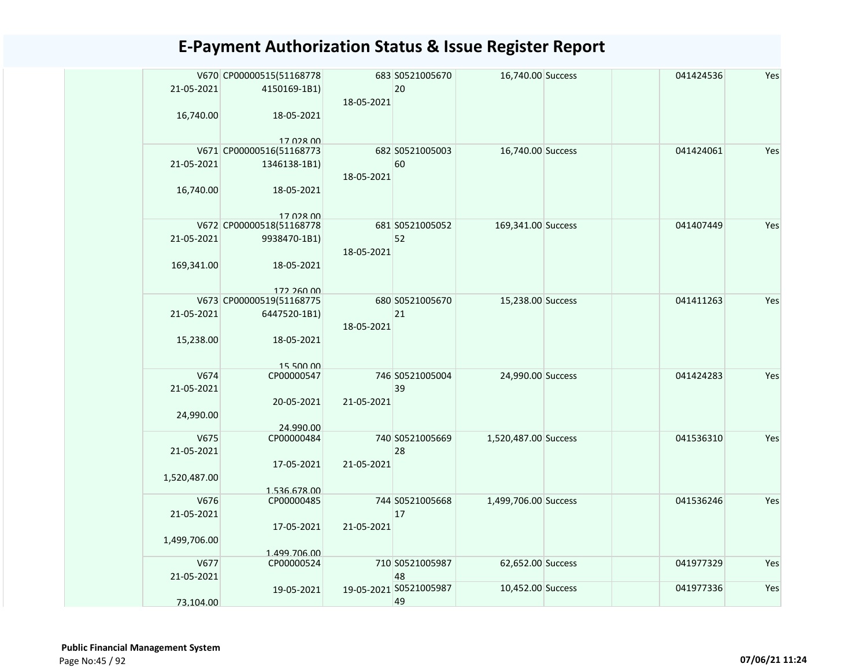| 21-05-2021<br>16,740.00            | V670 CP00000515(51168778<br>4150169-1B1)<br>18-05-2021   | 18-05-2021 | 683 S0521005670<br>20        | 16,740.00 Success    | 041424536 | Yes |
|------------------------------------|----------------------------------------------------------|------------|------------------------------|----------------------|-----------|-----|
| 21-05-2021                         | 17 028 00<br>V671 CP00000516(51168773<br>1346138-1B1)    | 18-05-2021 | 682 S0521005003<br>60        | 16,740.00 Success    | 041424061 | Yes |
| 16,740.00                          | 18-05-2021<br>17 028 00<br>V672 CP00000518(51168778      |            | 681 S0521005052              | 169,341.00 Success   | 041407449 | Yes |
| 21-05-2021<br>169,341.00           | 9938470-1B1)<br>18-05-2021                               | 18-05-2021 | 52                           |                      |           |     |
|                                    | 172 260 00<br>V673 CP00000519(51168775                   |            | 680 S0521005670              | 15,238.00 Success    | 041411263 | Yes |
| 21-05-2021<br>15,238.00            | 6447520-1B1)<br>18-05-2021                               | 18-05-2021 | 21                           |                      |           |     |
| V674<br>21-05-2021<br>24,990.00    | 15 500 00<br>CP00000547<br>20-05-2021                    | 21-05-2021 | 746 S0521005004<br>39        | 24,990.00 Success    | 041424283 | Yes |
| V675<br>21-05-2021<br>1,520,487.00 | 24.990.00<br>CP00000484<br>17-05-2021                    | 21-05-2021 | 740 S0521005669<br>28        | 1,520,487.00 Success | 041536310 | Yes |
| V676<br>21-05-2021<br>1,499,706.00 | 1.536.678.00<br>CP00000485<br>17-05-2021<br>1.499.706.00 | 21-05-2021 | 744 S0521005668<br>17        | 1,499,706.00 Success | 041536246 | Yes |
| V677<br>21-05-2021                 | CP00000524                                               |            | 710 S0521005987<br>48        | 62,652.00 Success    | 041977329 | Yes |
| 73.104.00                          | 19-05-2021                                               |            | 19-05-2021 S0521005987<br>49 | 10,452.00 Success    | 041977336 | Yes |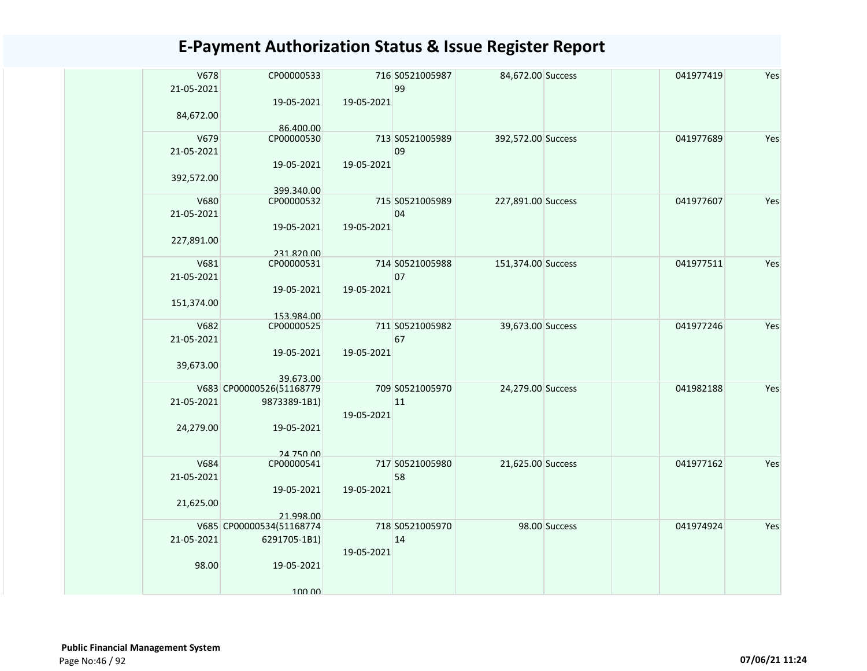| V678<br>21-05-2021 | CP00000533<br>19-05-2021 | 19-05-2021 | 716 S0521005987<br>99 | 84,672.00 Success  |               | 041977419 | Yes |
|--------------------|--------------------------|------------|-----------------------|--------------------|---------------|-----------|-----|
| 84,672.00          |                          |            |                       |                    |               |           |     |
|                    | 86.400.00                |            |                       |                    |               |           |     |
| V679               | CP00000530               |            | 713 S0521005989       | 392,572.00 Success |               | 041977689 | Yes |
| 21-05-2021         |                          |            | 09                    |                    |               |           |     |
|                    | 19-05-2021               | 19-05-2021 |                       |                    |               |           |     |
| 392,572.00         |                          |            |                       |                    |               |           |     |
|                    |                          |            |                       |                    |               |           |     |
| V680               | 399.340.00<br>CP00000532 |            | 715 S0521005989       | 227,891.00 Success |               | 041977607 | Yes |
|                    |                          |            |                       |                    |               |           |     |
| 21-05-2021         |                          |            | 04                    |                    |               |           |     |
|                    | 19-05-2021               | 19-05-2021 |                       |                    |               |           |     |
| 227,891.00         |                          |            |                       |                    |               |           |     |
|                    | 231.820.00               |            |                       |                    |               |           |     |
| V681               | CP00000531               |            | 714 S0521005988       | 151,374.00 Success |               | 041977511 | Yes |
| 21-05-2021         |                          |            | 07                    |                    |               |           |     |
|                    | 19-05-2021               | 19-05-2021 |                       |                    |               |           |     |
|                    |                          |            |                       |                    |               |           |     |
| 151,374.00         |                          |            |                       |                    |               |           |     |
|                    | 153.984.00               |            |                       |                    |               |           |     |
| V682               | CP00000525               |            | 711 S0521005982       | 39,673.00 Success  |               | 041977246 | Yes |
| 21-05-2021         |                          |            | 67                    |                    |               |           |     |
|                    | 19-05-2021               | 19-05-2021 |                       |                    |               |           |     |
| 39,673.00          |                          |            |                       |                    |               |           |     |
|                    | 39.673.00                |            |                       |                    |               |           |     |
|                    | V683 CP00000526(51168779 |            | 709 S0521005970       | 24,279.00 Success  |               | 041982188 | Yes |
| 21-05-2021         | 9873389-1B1)             |            | 11                    |                    |               |           |     |
|                    |                          | 19-05-2021 |                       |                    |               |           |     |
|                    |                          |            |                       |                    |               |           |     |
| 24,279.00          | 19-05-2021               |            |                       |                    |               |           |     |
|                    |                          |            |                       |                    |               |           |     |
|                    | 24 750 00                |            |                       |                    |               |           |     |
| V684               | CP00000541               |            | 717 S0521005980       | 21,625.00 Success  |               | 041977162 | Yes |
| 21-05-2021         |                          |            | 58                    |                    |               |           |     |
|                    | 19-05-2021               | 19-05-2021 |                       |                    |               |           |     |
| 21,625.00          |                          |            |                       |                    |               |           |     |
|                    | 21.998.00                |            |                       |                    |               |           |     |
|                    | V685 CP00000534(51168774 |            | 718 S0521005970       |                    | 98.00 Success | 041974924 | Yes |
| 21-05-2021         | 6291705-1B1)             |            | 14                    |                    |               |           |     |
|                    |                          | 19-05-2021 |                       |                    |               |           |     |
|                    |                          |            |                       |                    |               |           |     |
| 98.00              | 19-05-2021               |            |                       |                    |               |           |     |
|                    |                          |            |                       |                    |               |           |     |
|                    | 100.00                   |            |                       |                    |               |           |     |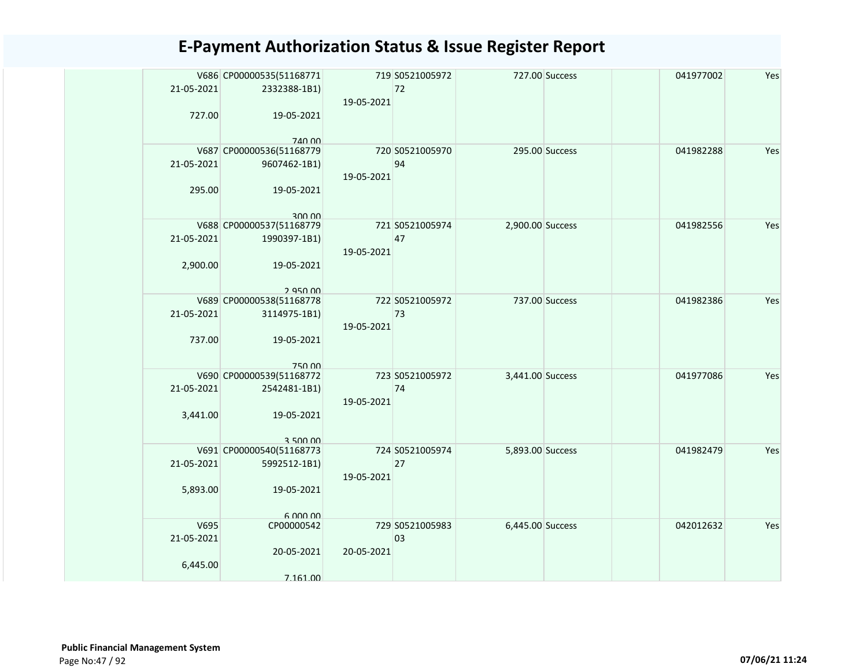|            | V686 CP00000535(51168771           |                 | 719 S0521005972 |                  | 727.00 Success | 041977002 | Yes |
|------------|------------------------------------|-----------------|-----------------|------------------|----------------|-----------|-----|
| 21-05-2021 | 2332388-1B1)                       |                 | 72              |                  |                |           |     |
|            |                                    | 19-05-2021      |                 |                  |                |           |     |
| 727.00     | 19-05-2021                         |                 |                 |                  |                |           |     |
|            | 740.00                             |                 |                 |                  |                |           |     |
|            | V687 CP00000536(51168779           |                 | 720 S0521005970 |                  | 295.00 Success | 041982288 | Yes |
| 21-05-2021 | 9607462-1B1)                       |                 | 94              |                  |                |           |     |
|            |                                    | 19-05-2021      |                 |                  |                |           |     |
| 295.00     | 19-05-2021                         |                 |                 |                  |                |           |     |
|            |                                    |                 |                 |                  |                |           |     |
|            | 300.00<br>V688 CP00000537(51168779 |                 | 721 S0521005974 | 2,900.00 Success |                | 041982556 | Yes |
| 21-05-2021 | 1990397-1B1)                       |                 | 47              |                  |                |           |     |
|            |                                    | 19-05-2021      |                 |                  |                |           |     |
| 2,900.00   | 19-05-2021                         |                 |                 |                  |                |           |     |
|            |                                    |                 |                 |                  |                |           |     |
|            | 295000                             |                 |                 |                  |                |           |     |
|            | V689 CP00000538(51168778           |                 | 722 S0521005972 |                  | 737.00 Success | 041982386 | Yes |
| 21-05-2021 | 3114975-1B1)                       |                 | 73              |                  |                |           |     |
|            |                                    | 19-05-2021      |                 |                  |                |           |     |
| 737.00     | 19-05-2021                         |                 |                 |                  |                |           |     |
|            |                                    |                 |                 |                  |                |           |     |
|            | 750.00<br>V690 CP00000539(51168772 | 723 S0521005972 |                 | 3,441.00 Success |                | 041977086 | Yes |
| 21-05-2021 | 2542481-1B1)                       |                 | 74              |                  |                |           |     |
|            |                                    | 19-05-2021      |                 |                  |                |           |     |
| 3,441.00   | 19-05-2021                         |                 |                 |                  |                |           |     |
|            |                                    |                 |                 |                  |                |           |     |
|            | 3.500.00                           |                 |                 |                  |                |           |     |
|            | V691 CP00000540(51168773           |                 | 724 S0521005974 | 5,893.00 Success |                | 041982479 | Yes |
| 21-05-2021 | 5992512-1B1)                       |                 | 27              |                  |                |           |     |
|            |                                    | 19-05-2021      |                 |                  |                |           |     |
| 5,893.00   | 19-05-2021                         |                 |                 |                  |                |           |     |
|            |                                    |                 |                 |                  |                |           |     |
| V695       | 6.000.00<br>CP00000542             |                 | 729 S0521005983 | 6,445.00 Success |                | 042012632 | Yes |
| 21-05-2021 |                                    |                 | 03              |                  |                |           |     |
|            | 20-05-2021                         | 20-05-2021      |                 |                  |                |           |     |
| 6,445.00   |                                    |                 |                 |                  |                |           |     |
|            | 7.161.00                           |                 |                 |                  |                |           |     |
|            |                                    |                 |                 |                  |                |           |     |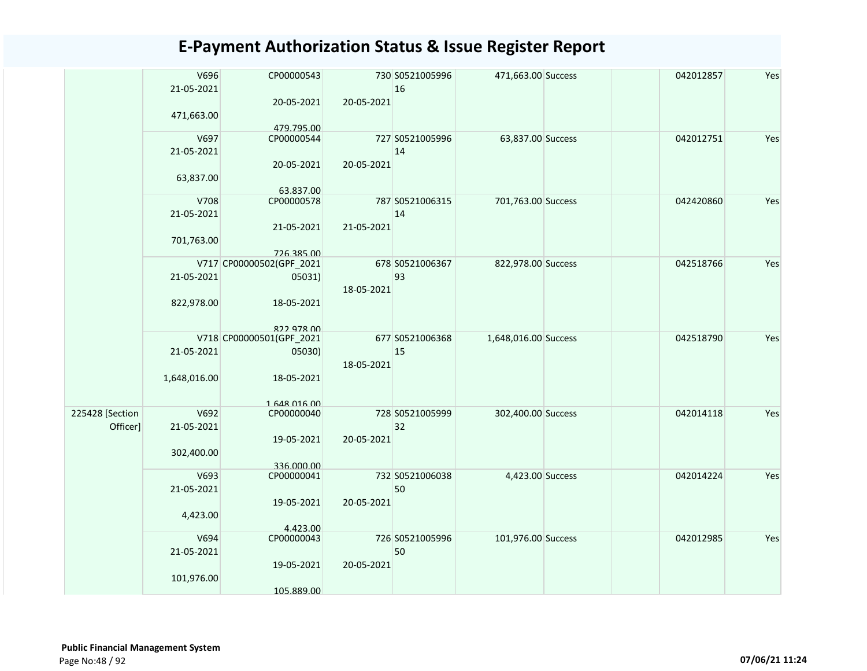|                 | V696         | CP00000543                             |            | 730 S0521005996 | 471,663.00 Success   | 042012857 | Yes |
|-----------------|--------------|----------------------------------------|------------|-----------------|----------------------|-----------|-----|
|                 | 21-05-2021   |                                        |            | 16              |                      |           |     |
|                 |              | 20-05-2021                             | 20-05-2021 |                 |                      |           |     |
|                 | 471,663.00   |                                        |            |                 |                      |           |     |
|                 |              | 479.795.00                             |            |                 |                      |           |     |
|                 | V697         | CP00000544                             |            | 727 S0521005996 | 63,837.00 Success    | 042012751 | Yes |
|                 | 21-05-2021   |                                        |            | 14              |                      |           |     |
|                 |              | 20-05-2021                             | 20-05-2021 |                 |                      |           |     |
|                 | 63,837.00    |                                        |            |                 |                      |           |     |
|                 | V708         | 63.837.00<br>CP00000578                |            | 787 S0521006315 | 701,763.00 Success   | 042420860 | Yes |
|                 | 21-05-2021   |                                        |            | 14              |                      |           |     |
|                 |              | 21-05-2021                             | 21-05-2021 |                 |                      |           |     |
|                 | 701,763.00   |                                        |            |                 |                      |           |     |
|                 |              | 726.385.00                             |            |                 |                      |           |     |
|                 |              | V717 CP00000502(GPF_2021               |            | 678 S0521006367 | 822,978.00 Success   | 042518766 | Yes |
|                 | 21-05-2021   | 05031)                                 |            | 93              |                      |           |     |
|                 |              |                                        | 18-05-2021 |                 |                      |           |     |
|                 | 822,978.00   | 18-05-2021                             |            |                 |                      |           |     |
|                 |              |                                        |            |                 |                      |           |     |
|                 |              | 822 978 00<br>V718 CP00000501(GPF_2021 |            | 677 S0521006368 | 1,648,016.00 Success | 042518790 | Yes |
|                 | 21-05-2021   | 05030)                                 |            | 15              |                      |           |     |
|                 |              |                                        | 18-05-2021 |                 |                      |           |     |
|                 | 1,648,016.00 | 18-05-2021                             |            |                 |                      |           |     |
|                 |              |                                        |            |                 |                      |           |     |
|                 |              | 1 648 016 00                           |            |                 |                      |           |     |
| 225428 [Section | V692         | CP00000040                             |            | 728 S0521005999 | 302,400.00 Success   | 042014118 | Yes |
| Officer]        | 21-05-2021   |                                        |            | 32              |                      |           |     |
|                 |              | 19-05-2021                             | 20-05-2021 |                 |                      |           |     |
|                 | 302,400.00   | 336.000.00                             |            |                 |                      |           |     |
|                 | V693         | CP00000041                             |            | 732 S0521006038 | 4,423.00 Success     | 042014224 | Yes |
|                 | 21-05-2021   |                                        |            | 50              |                      |           |     |
|                 |              | 19-05-2021                             | 20-05-2021 |                 |                      |           |     |
|                 | 4,423.00     |                                        |            |                 |                      |           |     |
|                 |              | 4.423.00                               |            |                 |                      |           |     |
|                 | V694         | CP00000043                             |            | 726 S0521005996 | 101,976.00 Success   | 042012985 | Yes |
|                 | 21-05-2021   |                                        |            | 50              |                      |           |     |
|                 |              | 19-05-2021                             | 20-05-2021 |                 |                      |           |     |
|                 | 101,976.00   |                                        |            |                 |                      |           |     |
|                 |              | 105.889.00                             |            |                 |                      |           |     |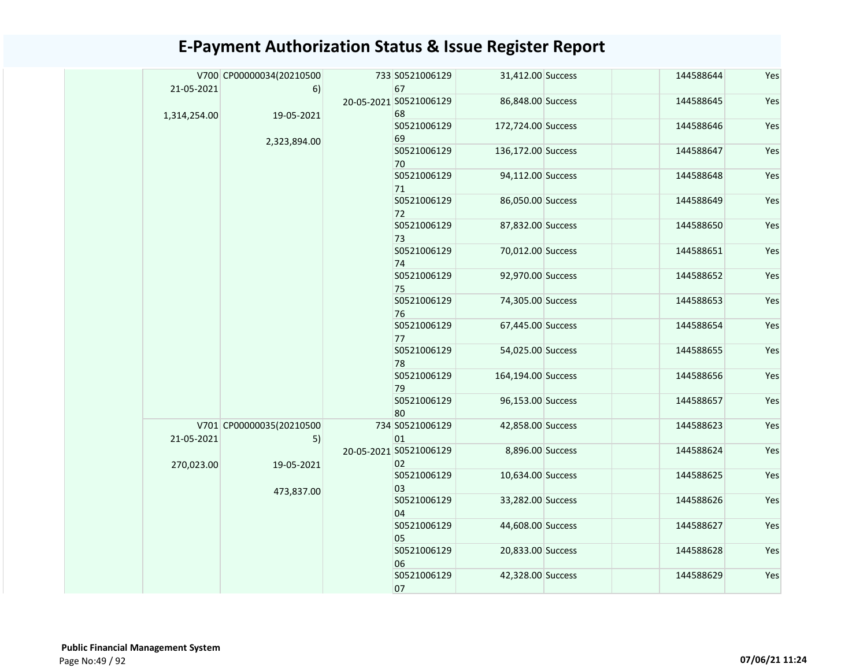|  |              | V700 CP00000034(20210500 | 733 S0521006129        | 31,412.00 Success  | 144588644 | Yes |
|--|--------------|--------------------------|------------------------|--------------------|-----------|-----|
|  | 21-05-2021   | 6)                       | 67                     |                    |           |     |
|  |              |                          | 20-05-2021 S0521006129 | 86,848.00 Success  | 144588645 | Yes |
|  | 1,314,254.00 | 19-05-2021               | 68                     |                    |           |     |
|  |              |                          | S0521006129            | 172,724.00 Success | 144588646 | Yes |
|  |              | 2,323,894.00             | 69                     |                    |           |     |
|  |              |                          | S0521006129<br>70      | 136,172.00 Success | 144588647 | Yes |
|  |              |                          | S0521006129            | 94,112.00 Success  | 144588648 | Yes |
|  |              |                          | 71                     |                    |           |     |
|  |              |                          |                        |                    |           |     |
|  |              |                          | S0521006129            | 86,050.00 Success  | 144588649 | Yes |
|  |              |                          | 72                     |                    |           |     |
|  |              |                          | S0521006129            | 87,832.00 Success  | 144588650 | Yes |
|  |              |                          | 73                     |                    |           |     |
|  |              |                          | S0521006129<br>74      | 70,012.00 Success  | 144588651 | Yes |
|  |              |                          | S0521006129            | 92,970.00 Success  | 144588652 | Yes |
|  |              |                          | 75                     |                    |           |     |
|  |              |                          | S0521006129            | 74,305.00 Success  | 144588653 | Yes |
|  |              |                          | 76                     |                    |           |     |
|  |              |                          | S0521006129            | 67,445.00 Success  | 144588654 | Yes |
|  |              |                          | 77                     |                    |           |     |
|  |              |                          | S0521006129            | 54,025.00 Success  | 144588655 | Yes |
|  |              |                          |                        |                    |           |     |
|  |              |                          | 78                     |                    |           |     |
|  |              |                          | S0521006129            | 164,194.00 Success | 144588656 | Yes |
|  |              |                          | 79                     |                    |           |     |
|  |              |                          | S0521006129            | 96,153.00 Success  | 144588657 | Yes |
|  |              |                          | 80                     |                    |           |     |
|  |              | V701 CP00000035(20210500 | 734 S0521006129        | 42,858.00 Success  | 144588623 | Yes |
|  | 21-05-2021   | 5)                       | 01                     |                    |           |     |
|  |              |                          | 20-05-2021 S0521006129 | 8,896.00 Success   | 144588624 | Yes |
|  | 270,023.00   | 19-05-2021               | 02                     |                    |           |     |
|  |              |                          | S0521006129            | 10,634.00 Success  | 144588625 | Yes |
|  |              | 473,837.00               | 03                     |                    |           |     |
|  |              |                          | S0521006129            | 33,282.00 Success  | 144588626 | Yes |
|  |              |                          | 04                     |                    |           |     |
|  |              |                          | S0521006129            | 44,608.00 Success  | 144588627 | Yes |
|  |              |                          | 05                     |                    |           |     |
|  |              |                          | S0521006129            | 20,833.00 Success  | 144588628 | Yes |
|  |              |                          |                        |                    |           |     |
|  |              |                          | 06                     |                    |           |     |
|  |              |                          | S0521006129            | 42,328.00 Success  | 144588629 | Yes |
|  |              |                          | 07                     |                    |           |     |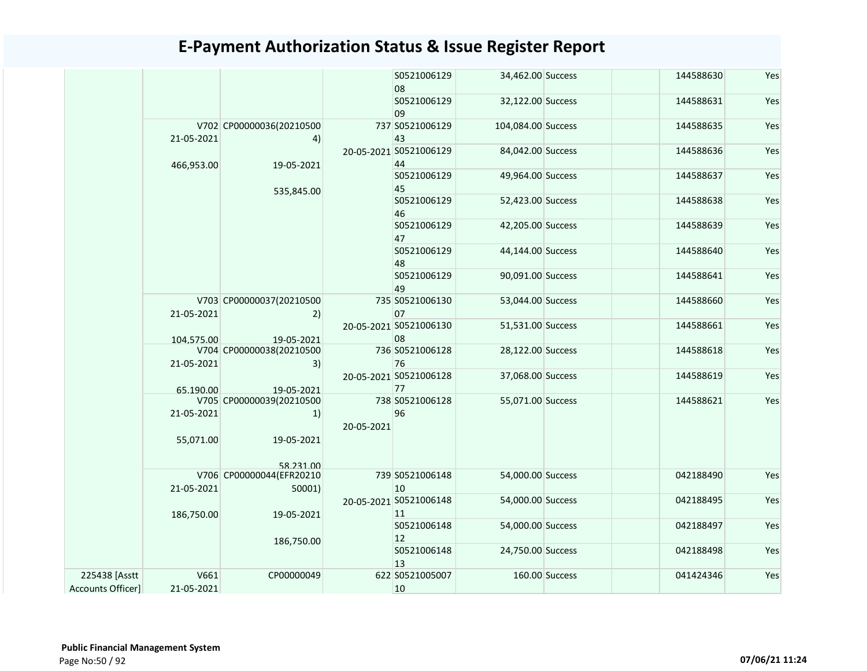|                                    |                          |                                    |                                          | S0521006129<br>08            | 34,462.00 Success  |                | 144588630 | Yes |
|------------------------------------|--------------------------|------------------------------------|------------------------------------------|------------------------------|--------------------|----------------|-----------|-----|
|                                    |                          |                                    |                                          | S0521006129<br>09            | 32,122.00 Success  |                | 144588631 | Yes |
|                                    | 21-05-2021               | V702 CP00000036(20210500<br>4)     |                                          | 737 S0521006129<br>43        | 104,084.00 Success |                | 144588635 | Yes |
|                                    | 466,953.00               | 19-05-2021                         |                                          | 20-05-2021 S0521006129<br>44 | 84,042.00 Success  |                | 144588636 | Yes |
|                                    |                          | 535,845.00                         |                                          | S0521006129<br>45            | 49,964.00 Success  |                | 144588637 | Yes |
|                                    |                          |                                    |                                          | S0521006129<br>46            | 52,423.00 Success  |                | 144588638 | Yes |
|                                    |                          |                                    |                                          | S0521006129<br>47            | 42,205.00 Success  |                | 144588639 | Yes |
|                                    |                          |                                    |                                          | S0521006129<br>48            | 44,144.00 Success  |                | 144588640 | Yes |
|                                    | V703 CP00000037(20210500 |                                    | S0521006129<br>49                        | 90,091.00 Success            |                    | 144588641      | Yes       |     |
|                                    | 21-05-2021               | 2)                                 |                                          | 735 S0521006130<br>07        | 53,044.00 Success  |                | 144588660 | Yes |
|                                    | 104.575.00               | 19-05-2021                         |                                          | 20-05-2021 S0521006130<br>08 | 51,531.00 Success  |                | 144588661 | Yes |
|                                    | 21-05-2021               | V704 CP00000038(20210500<br>3)     |                                          | 736 S0521006128<br>76        | 28,122.00 Success  |                | 144588618 | Yes |
|                                    | 65.190.00                | 19-05-2021                         |                                          | 20-05-2021 S0521006128<br>77 | 37,068.00 Success  |                | 144588619 | Yes |
|                                    | 21-05-2021               | V705 CP00000039(20210500<br>1)     | 20-05-2021                               | 738 S0521006128<br>96        | 55,071.00 Success  |                | 144588621 | Yes |
|                                    | 55,071.00                | 19-05-2021<br>58 231 00            |                                          |                              |                    |                |           |     |
|                                    | 21-05-2021               | V706 CP00000044(EFR20210<br>50001) |                                          | 739 S0521006148<br>10        | 54,000.00 Success  |                | 042188490 | Yes |
|                                    | 186,750.00               | 19-05-2021                         | 20-05-2021 S0521006148<br>11<br>12<br>13 |                              | 54,000.00 Success  |                | 042188495 | Yes |
|                                    |                          | 186,750.00                         |                                          | S0521006148                  | 54,000.00 Success  |                | 042188497 | Yes |
|                                    |                          |                                    |                                          | S0521006148                  | 24,750.00 Success  |                | 042188498 | Yes |
| 225438 [Asstt<br>Accounts Officer] | V661<br>21-05-2021       | CP00000049                         |                                          | 622 S0521005007<br>10        |                    | 160.00 Success | 041424346 | Yes |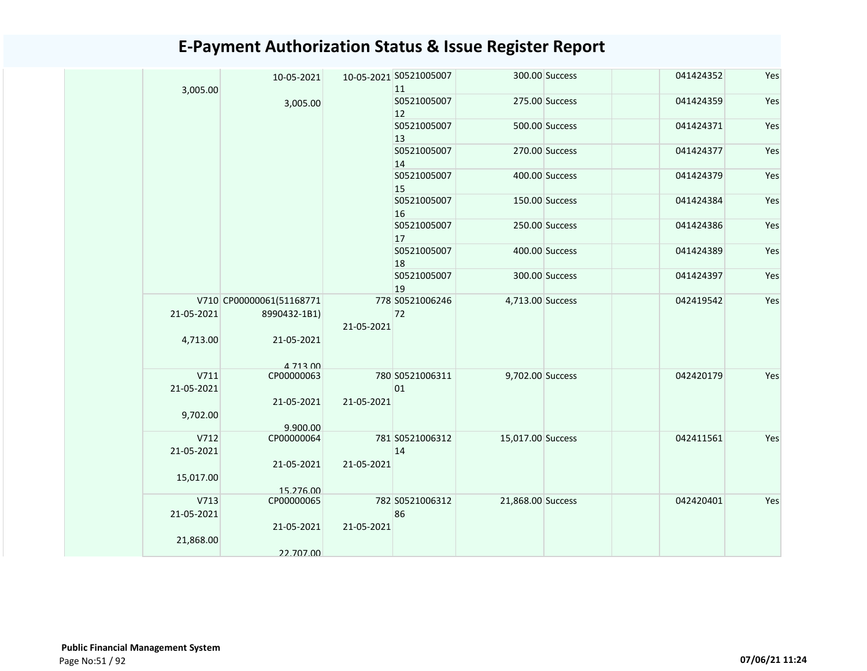| 3,005.00               | 10-05-2021                             |            | 10-05-2021 S0521005007<br>11 |                   | 300.00 Success | 041424352 | Yes |
|------------------------|----------------------------------------|------------|------------------------------|-------------------|----------------|-----------|-----|
|                        | 3,005.00                               |            | S0521005007<br>12            | 275.00 Success    |                | 041424359 | Yes |
|                        |                                        |            | S0521005007<br>$ 13\rangle$  |                   | 500.00 Success | 041424371 | Yes |
|                        |                                        |            | S0521005007<br>14            | 270.00 Success    |                | 041424377 | Yes |
|                        |                                        |            | S0521005007<br>15            | 400.00 Success    |                | 041424379 | Yes |
|                        |                                        |            | S0521005007<br>16            | 150.00 Success    |                | 041424384 | Yes |
|                        |                                        |            | S0521005007<br>17            | 250.00 Success    |                | 041424386 | Yes |
|                        |                                        |            | S0521005007<br>18            | 400.00 Success    |                | 041424389 | Yes |
|                        |                                        |            | S0521005007<br>19            |                   | 300.00 Success | 041424397 | Yes |
|                        | V710 CP00000061(51168771               |            | 778 S0521006246              | 4,713.00 Success  |                | 042419542 | Yes |
| 21-05-2021<br>4,713.00 | 8990432-1B1)<br>21-05-2021<br>4 713 00 | 21-05-2021 | 72                           |                   |                |           |     |
| V711                   | CP00000063                             |            | 780 S0521006311              | 9,702.00 Success  |                | 042420179 | Yes |
| 21-05-2021             | 21-05-2021                             | 21-05-2021 | 01                           |                   |                |           |     |
| 9,702.00               | 9.900.00                               |            |                              |                   |                |           |     |
| V712<br>21-05-2021     | CP00000064                             |            | 781 S0521006312<br>14        | 15,017.00 Success |                | 042411561 | Yes |
| 15,017.00              | 21-05-2021<br>15.276.00                | 21-05-2021 |                              |                   |                |           |     |
| V713                   | CP00000065                             |            | 782 S0521006312              | 21,868.00 Success |                | 042420401 | Yes |
| 21-05-2021             |                                        |            | 86                           |                   |                |           |     |
| 21,868.00              | 21-05-2021                             | 21-05-2021 |                              |                   |                |           |     |
|                        | 22.707.00                              |            |                              |                   |                |           |     |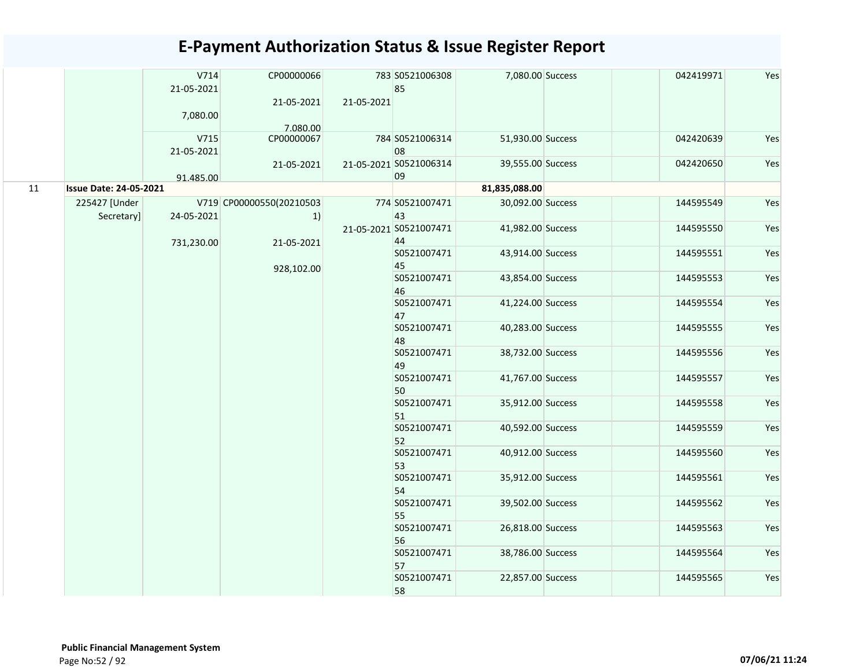|    |                               | V714<br>21-05-2021<br>7,080.00 | CP00000066<br>21-05-2021       | 21-05-2021 | 783 S0521006308<br>85        | 7,080.00 Success  | 042419971 | Yes |
|----|-------------------------------|--------------------------------|--------------------------------|------------|------------------------------|-------------------|-----------|-----|
|    |                               |                                | 7.080.00                       |            |                              |                   |           |     |
|    |                               | V715<br>21-05-2021             | CP00000067                     |            | 784 S0521006314<br>08        | 51,930.00 Success | 042420639 | Yes |
|    |                               | 91.485.00                      | 21-05-2021                     |            | 21-05-2021 S0521006314<br>09 | 39,555.00 Success | 042420650 | Yes |
| 11 | <b>Issue Date: 24-05-2021</b> |                                |                                |            |                              | 81,835,088.00     |           |     |
|    | 225427 [Under<br>Secretary]   | 24-05-2021                     | V719 CP00000550(20210503<br>1) |            | 774 S0521007471<br>43        | 30,092.00 Success | 144595549 | Yes |
|    |                               | 731,230.00                     | 21-05-2021                     |            | 21-05-2021 S0521007471<br>44 | 41,982.00 Success | 144595550 | Yes |
|    |                               |                                | 928,102.00                     |            | S0521007471<br>45            | 43,914.00 Success | 144595551 | Yes |
|    |                               |                                |                                |            | S0521007471<br>46            | 43,854.00 Success | 144595553 | Yes |
|    |                               |                                |                                |            | S0521007471<br>47            | 41,224.00 Success | 144595554 | Yes |
|    |                               |                                |                                |            | S0521007471<br>48            | 40,283.00 Success | 144595555 | Yes |
|    |                               |                                |                                |            | S0521007471<br>49            | 38,732.00 Success | 144595556 | Yes |
|    |                               |                                |                                |            | S0521007471<br>50            | 41,767.00 Success | 144595557 | Yes |
|    |                               |                                |                                |            | S0521007471<br>51            | 35,912.00 Success | 144595558 | Yes |
|    |                               |                                |                                |            | S0521007471<br>52            | 40,592.00 Success | 144595559 | Yes |
|    |                               |                                |                                |            | S0521007471<br>53            | 40,912.00 Success | 144595560 | Yes |
|    |                               |                                |                                |            | S0521007471<br>54            | 35,912.00 Success | 144595561 | Yes |
|    |                               |                                |                                |            | S0521007471<br>55            | 39,502.00 Success | 144595562 | Yes |
|    |                               |                                |                                |            | S0521007471<br>56            | 26,818.00 Success | 144595563 | Yes |
|    |                               |                                |                                |            | S0521007471<br>57            | 38,786.00 Success | 144595564 | Yes |
|    |                               |                                |                                |            | S0521007471<br>58            | 22,857.00 Success | 144595565 | Yes |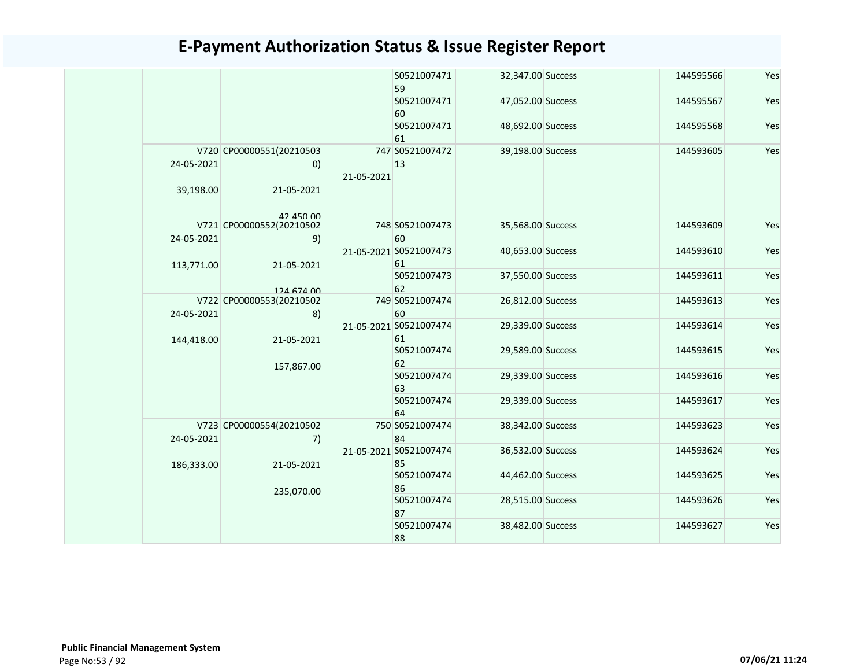|  |                         |                                                             |                   | S0521007471<br>59            | 32,347.00 Success | 144595566         | Yes       |
|--|-------------------------|-------------------------------------------------------------|-------------------|------------------------------|-------------------|-------------------|-----------|
|  |                         |                                                             |                   | S0521007471<br>60            | 47,052.00 Success | 144595567         | Yes       |
|  |                         |                                                             |                   | S0521007471<br>61            | 48,692.00 Success | 144595568         | Yes       |
|  | 24-05-2021<br>39,198.00 | V720 CP00000551(20210503<br>$\left( 0\right)$<br>21-05-2021 | 21-05-2021        | 747 S0521007472<br>13        | 39,198.00 Success | 144593605         | Yes       |
|  |                         | 42 450 00<br>V721 CP00000552(20210502                       |                   | 748 S0521007473              | 35,568.00 Success | 144593609         | Yes       |
|  | 24-05-2021              | 9)                                                          |                   | 60                           |                   |                   |           |
|  | 113,771.00              | 21-05-2021                                                  |                   | 21-05-2021 S0521007473<br>61 | 40,653.00 Success | 144593610         | Yes       |
|  |                         | 124 674 00                                                  |                   | S0521007473<br>62            | 37,550.00 Success | 144593611         | Yes       |
|  | 24-05-2021              | V722 CP00000553(20210502<br>8)                              |                   | 749 S0521007474<br>60        | 26,812.00 Success | 144593613         | Yes       |
|  | 144,418.00              | 21-05-2021                                                  | 157,867.00        | 21-05-2021 S0521007474<br>61 | 29,339.00 Success | 144593614         | Yes       |
|  |                         |                                                             |                   | S0521007474<br>62            | 29,589.00 Success | 144593615         | Yes       |
|  |                         |                                                             |                   | S0521007474<br>63            | 29,339.00 Success | 144593616         | Yes       |
|  |                         |                                                             |                   | S0521007474<br>64            | 29,339.00 Success | 144593617         | Yes       |
|  | 24-05-2021              | V723 CP00000554(20210502<br>7)                              |                   | 750 S0521007474<br>84        | 38,342.00 Success | 144593623         | Yes       |
|  | 186,333.00              | 21-05-2021                                                  |                   | 21-05-2021 S0521007474<br>85 | 36,532.00 Success | 144593624         | Yes       |
|  |                         | 235,070.00                                                  | S0521007474<br>86 | 44,462.00 Success            | 144593625         | Yes               |           |
|  |                         |                                                             | S0521007474<br>87 | 28,515.00 Success            | 144593626         | Yes               |           |
|  |                         |                                                             |                   |                              | S0521007474<br>88 | 38,482.00 Success | 144593627 |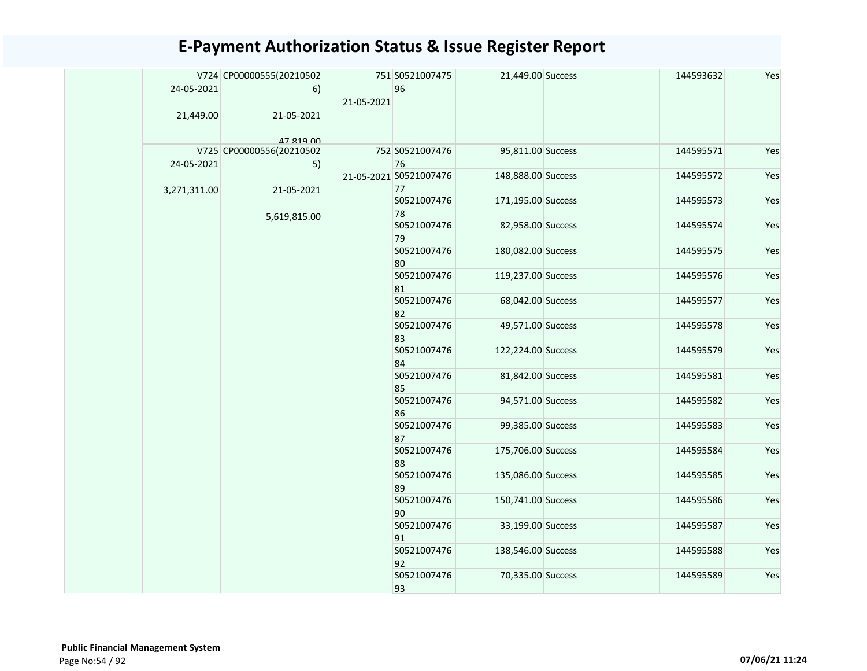|  |              | V724 CP00000555(20210502              |            | 751 S0521007475        | 21,449.00 Success  | 144593632 | Yes |
|--|--------------|---------------------------------------|------------|------------------------|--------------------|-----------|-----|
|  | 24-05-2021   | 6)                                    |            | 96                     |                    |           |     |
|  |              |                                       | 21-05-2021 |                        |                    |           |     |
|  | 21,449.00    | 21-05-2021                            |            |                        |                    |           |     |
|  |              |                                       |            |                        |                    |           |     |
|  |              | 47 819 00<br>V725 CP00000556(20210502 |            | 752 S0521007476        | 95,811.00 Success  | 144595571 | Yes |
|  | 24-05-2021   | 5)                                    |            | 76                     |                    |           |     |
|  |              |                                       |            | 21-05-2021 S0521007476 | 148,888.00 Success | 144595572 | Yes |
|  | 3,271,311.00 | 21-05-2021                            |            | 77                     |                    |           |     |
|  |              |                                       |            | S0521007476            | 171,195.00 Success | 144595573 | Yes |
|  |              | 5,619,815.00                          |            | 78                     |                    |           |     |
|  |              |                                       |            | S0521007476            | 82,958.00 Success  | 144595574 | Yes |
|  |              |                                       |            | 79                     |                    |           |     |
|  |              |                                       |            | S0521007476<br>80      | 180,082.00 Success | 144595575 | Yes |
|  |              |                                       |            | S0521007476            | 119,237.00 Success | 144595576 | Yes |
|  |              |                                       |            | 81                     |                    |           |     |
|  |              |                                       |            | S0521007476            | 68,042.00 Success  | 144595577 | Yes |
|  |              |                                       |            | 82                     |                    |           |     |
|  |              |                                       |            | S0521007476            | 49,571.00 Success  | 144595578 | Yes |
|  |              |                                       |            | 83<br>S0521007476      | 122,224.00 Success | 144595579 | Yes |
|  |              |                                       |            | 84                     |                    |           |     |
|  |              |                                       |            | S0521007476            | 81,842.00 Success  | 144595581 | Yes |
|  |              |                                       |            | 85                     |                    |           |     |
|  |              |                                       |            | S0521007476            | 94,571.00 Success  | 144595582 | Yes |
|  |              |                                       |            | 86                     |                    |           |     |
|  |              |                                       |            | S0521007476            | 99,385.00 Success  | 144595583 | Yes |
|  |              |                                       |            | 87                     |                    |           |     |
|  |              |                                       |            | S0521007476<br>88      | 175,706.00 Success | 144595584 | Yes |
|  |              |                                       |            | S0521007476            | 135,086.00 Success | 144595585 | Yes |
|  |              |                                       |            | 89                     |                    |           |     |
|  |              |                                       |            | S0521007476            | 150,741.00 Success | 144595586 | Yes |
|  |              |                                       |            | 90                     |                    |           |     |
|  |              |                                       |            | S0521007476            | 33,199.00 Success  | 144595587 | Yes |
|  |              |                                       |            | 91<br>S0521007476      | 138,546.00 Success | 144595588 | Yes |
|  |              |                                       |            | 92                     |                    |           |     |
|  |              |                                       |            | S0521007476            | 70,335.00 Success  | 144595589 | Yes |
|  |              |                                       |            | 93                     |                    |           |     |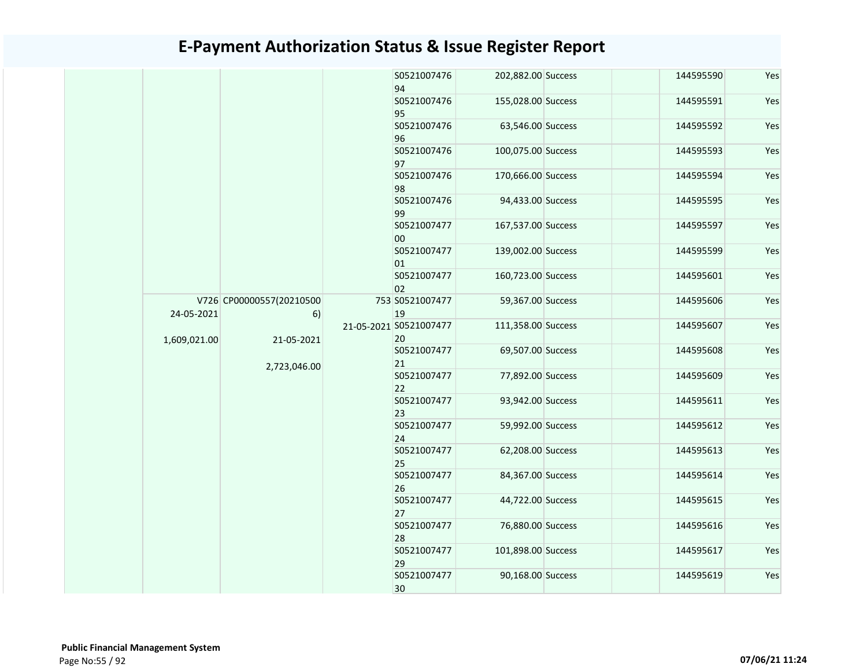|              |                                |  | S0521007476<br>94            | 202,882.00 Success | 144595590         | Yes               |           |     |  |  |  |  |  |  |                   |                   |           |                   |                   |           |     |  |  |  |  |  |  |  |  |                   |                   |           |     |
|--------------|--------------------------------|--|------------------------------|--------------------|-------------------|-------------------|-----------|-----|--|--|--|--|--|--|-------------------|-------------------|-----------|-------------------|-------------------|-----------|-----|--|--|--|--|--|--|--|--|-------------------|-------------------|-----------|-----|
|              |                                |  | S0521007476<br>95            | 155,028.00 Success | 144595591         | Yes               |           |     |  |  |  |  |  |  |                   |                   |           |                   |                   |           |     |  |  |  |  |  |  |  |  |                   |                   |           |     |
|              |                                |  | S0521007476<br>96            | 63,546.00 Success  | 144595592         | Yes               |           |     |  |  |  |  |  |  |                   |                   |           |                   |                   |           |     |  |  |  |  |  |  |  |  |                   |                   |           |     |
|              |                                |  | S0521007476<br>97            | 100,075.00 Success | 144595593         | Yes               |           |     |  |  |  |  |  |  |                   |                   |           |                   |                   |           |     |  |  |  |  |  |  |  |  |                   |                   |           |     |
|              |                                |  | S0521007476<br>98            | 170,666.00 Success | 144595594         | Yes               |           |     |  |  |  |  |  |  |                   |                   |           |                   |                   |           |     |  |  |  |  |  |  |  |  |                   |                   |           |     |
|              |                                |  | S0521007476<br>99            | 94,433.00 Success  | 144595595         | Yes               |           |     |  |  |  |  |  |  |                   |                   |           |                   |                   |           |     |  |  |  |  |  |  |  |  |                   |                   |           |     |
|              |                                |  | S0521007477<br>00            | 167,537.00 Success | 144595597         | Yes               |           |     |  |  |  |  |  |  |                   |                   |           |                   |                   |           |     |  |  |  |  |  |  |  |  |                   |                   |           |     |
|              |                                |  | S0521007477<br>01            | 139,002.00 Success | 144595599         | Yes               |           |     |  |  |  |  |  |  |                   |                   |           |                   |                   |           |     |  |  |  |  |  |  |  |  |                   |                   |           |     |
|              |                                |  | S0521007477<br>02            | 160,723.00 Success | 144595601         | Yes               |           |     |  |  |  |  |  |  |                   |                   |           |                   |                   |           |     |  |  |  |  |  |  |  |  |                   |                   |           |     |
| 24-05-2021   | V726 CP00000557(20210500<br>6) |  | 753 S0521007477<br>19        | 59,367.00 Success  | 144595606         | Yes               |           |     |  |  |  |  |  |  |                   |                   |           |                   |                   |           |     |  |  |  |  |  |  |  |  |                   |                   |           |     |
| 1,609,021.00 | 21-05-2021                     |  | 21-05-2021 S0521007477<br>20 | 111,358.00 Success | 144595607         | Yes               |           |     |  |  |  |  |  |  |                   |                   |           |                   |                   |           |     |  |  |  |  |  |  |  |  |                   |                   |           |     |
|              | 2,723,046.00                   |  | S0521007477<br>21            | 69,507.00 Success  | 144595608         | Yes               |           |     |  |  |  |  |  |  |                   |                   |           |                   |                   |           |     |  |  |  |  |  |  |  |  |                   |                   |           |     |
|              |                                |  | S0521007477<br>22            | 77,892.00 Success  | 144595609         | Yes               |           |     |  |  |  |  |  |  |                   |                   |           |                   |                   |           |     |  |  |  |  |  |  |  |  |                   |                   |           |     |
|              |                                |  | S0521007477<br>23            | 93,942.00 Success  | 144595611         | Yes               |           |     |  |  |  |  |  |  |                   |                   |           |                   |                   |           |     |  |  |  |  |  |  |  |  |                   |                   |           |     |
|              |                                |  | S0521007477<br>24            | 59,992.00 Success  | 144595612         | Yes               |           |     |  |  |  |  |  |  |                   |                   |           |                   |                   |           |     |  |  |  |  |  |  |  |  |                   |                   |           |     |
|              |                                |  | S0521007477<br>25            | 62,208.00 Success  | 144595613         | Yes               |           |     |  |  |  |  |  |  |                   |                   |           |                   |                   |           |     |  |  |  |  |  |  |  |  |                   |                   |           |     |
|              |                                |  |                              |                    |                   |                   |           |     |  |  |  |  |  |  | S0521007477<br>26 | 84,367.00 Success | 144595614 | Yes               |                   |           |     |  |  |  |  |  |  |  |  |                   |                   |           |     |
|              |                                |  |                              |                    |                   |                   |           |     |  |  |  |  |  |  |                   |                   |           | S0521007477<br>27 | 44,722.00 Success | 144595615 | Yes |  |  |  |  |  |  |  |  |                   |                   |           |     |
|              |                                |  |                              |                    |                   |                   |           |     |  |  |  |  |  |  |                   |                   |           |                   |                   |           |     |  |  |  |  |  |  |  |  | S0521007477<br>28 | 76,880.00 Success | 144595616 | Yes |
|              |                                |  |                              |                    |                   |                   |           |     |  |  |  |  |  |  |                   |                   |           |                   |                   |           |     |  |  |  |  |  |  |  |  |                   |                   |           |     |
|              |                                |  |                              |                    | S0521007477<br>30 | 90,168.00 Success | 144595619 | Yes |  |  |  |  |  |  |                   |                   |           |                   |                   |           |     |  |  |  |  |  |  |  |  |                   |                   |           |     |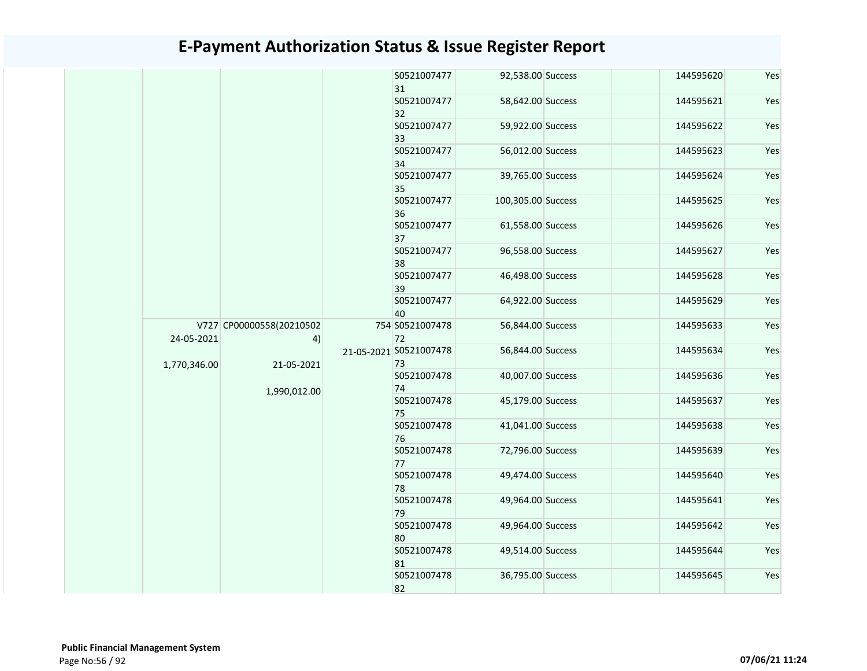|              |                                |  | S0521007477<br>31     | 92,538.00 Success            | 144595620         | Yes               |                   |           |     |  |  |  |  |  |  |  |                   |                   |           |     |                   |                   |           |     |  |  |  |  |  |  |  |  |  |  |  |                   |                   |           |     |
|--------------|--------------------------------|--|-----------------------|------------------------------|-------------------|-------------------|-------------------|-----------|-----|--|--|--|--|--|--|--|-------------------|-------------------|-----------|-----|-------------------|-------------------|-----------|-----|--|--|--|--|--|--|--|--|--|--|--|-------------------|-------------------|-----------|-----|
|              |                                |  |                       |                              |                   | S0521007477<br>32 | 58,642.00 Success | 144595621 | Yes |  |  |  |  |  |  |  |                   |                   |           |     |                   |                   |           |     |  |  |  |  |  |  |  |  |  |  |  |                   |                   |           |     |
|              |                                |  | S0521007477<br>33     | 59,922.00 Success            | 144595622         | Yes               |                   |           |     |  |  |  |  |  |  |  |                   |                   |           |     |                   |                   |           |     |  |  |  |  |  |  |  |  |  |  |  |                   |                   |           |     |
|              |                                |  | S0521007477<br>34     | 56,012.00 Success            | 144595623         | Yes               |                   |           |     |  |  |  |  |  |  |  |                   |                   |           |     |                   |                   |           |     |  |  |  |  |  |  |  |  |  |  |  |                   |                   |           |     |
|              |                                |  | S0521007477<br>35     | 39,765.00 Success            | 144595624         | Yes               |                   |           |     |  |  |  |  |  |  |  |                   |                   |           |     |                   |                   |           |     |  |  |  |  |  |  |  |  |  |  |  |                   |                   |           |     |
|              |                                |  | S0521007477<br>36     | 100,305.00 Success           | 144595625         | Yes               |                   |           |     |  |  |  |  |  |  |  |                   |                   |           |     |                   |                   |           |     |  |  |  |  |  |  |  |  |  |  |  |                   |                   |           |     |
|              |                                |  | S0521007477<br>37     | 61,558.00 Success            | 144595626         | Yes               |                   |           |     |  |  |  |  |  |  |  |                   |                   |           |     |                   |                   |           |     |  |  |  |  |  |  |  |  |  |  |  |                   |                   |           |     |
|              |                                |  |                       |                              |                   | S0521007477<br>38 | 96,558.00 Success | 144595627 | Yes |  |  |  |  |  |  |  |                   |                   |           |     |                   |                   |           |     |  |  |  |  |  |  |  |  |  |  |  |                   |                   |           |     |
|              |                                |  | S0521007477<br>39     | 46,498.00 Success            | 144595628         | Yes               |                   |           |     |  |  |  |  |  |  |  |                   |                   |           |     |                   |                   |           |     |  |  |  |  |  |  |  |  |  |  |  |                   |                   |           |     |
|              |                                |  | S0521007477<br>40     | 64,922.00 Success            | 144595629         | Yes               |                   |           |     |  |  |  |  |  |  |  |                   |                   |           |     |                   |                   |           |     |  |  |  |  |  |  |  |  |  |  |  |                   |                   |           |     |
| 24-05-2021   | V727 CP00000558(20210502<br>4) |  | 754 S0521007478<br>72 | 56,844.00 Success            | 144595633         | Yes               |                   |           |     |  |  |  |  |  |  |  |                   |                   |           |     |                   |                   |           |     |  |  |  |  |  |  |  |  |  |  |  |                   |                   |           |     |
| 1,770,346.00 | 21-05-2021                     |  |                       | 21-05-2021 S0521007478<br>73 | 56,844.00 Success | 144595634         | Yes               |           |     |  |  |  |  |  |  |  |                   |                   |           |     |                   |                   |           |     |  |  |  |  |  |  |  |  |  |  |  |                   |                   |           |     |
|              | 1,990,012.00                   |  |                       | S0521007478<br>74            | 40,007.00 Success | 144595636         | Yes               |           |     |  |  |  |  |  |  |  |                   |                   |           |     |                   |                   |           |     |  |  |  |  |  |  |  |  |  |  |  |                   |                   |           |     |
|              |                                |  |                       | S0521007478<br>75            | 45,179.00 Success | 144595637         | Yes               |           |     |  |  |  |  |  |  |  |                   |                   |           |     |                   |                   |           |     |  |  |  |  |  |  |  |  |  |  |  |                   |                   |           |     |
|              |                                |  |                       |                              |                   |                   |                   |           |     |  |  |  |  |  |  |  |                   |                   |           |     | S0521007478<br>76 | 41,041.00 Success | 144595638 | Yes |  |  |  |  |  |  |  |  |  |  |  |                   |                   |           |     |
|              |                                |  | S0521007478<br>77     | 72,796.00 Success            | 144595639         | Yes               |                   |           |     |  |  |  |  |  |  |  |                   |                   |           |     |                   |                   |           |     |  |  |  |  |  |  |  |  |  |  |  |                   |                   |           |     |
|              |                                |  |                       |                              |                   |                   |                   |           |     |  |  |  |  |  |  |  | S0521007478<br>78 | 49,474.00 Success | 144595640 | Yes |                   |                   |           |     |  |  |  |  |  |  |  |  |  |  |  |                   |                   |           |     |
|              |                                |  |                       |                              |                   |                   |                   |           |     |  |  |  |  |  |  |  |                   |                   |           |     |                   |                   |           |     |  |  |  |  |  |  |  |  |  |  |  | S0521007478<br>79 | 49,964.00 Success | 144595641 | Yes |
|              |                                |  |                       |                              |                   |                   |                   |           |     |  |  |  |  |  |  |  |                   |                   |           |     |                   |                   |           |     |  |  |  |  |  |  |  |  |  |  |  | S0521007478<br>80 | 49,964.00 Success | 144595642 | Yes |
|              |                                |  |                       |                              |                   |                   |                   |           |     |  |  |  |  |  |  |  |                   |                   |           |     |                   |                   |           |     |  |  |  |  |  |  |  |  |  |  |  |                   |                   |           |     |
|              |                                |  |                       | S0521007478<br>82            | 36,795.00 Success | 144595645         | Yes               |           |     |  |  |  |  |  |  |  |                   |                   |           |     |                   |                   |           |     |  |  |  |  |  |  |  |  |  |  |  |                   |                   |           |     |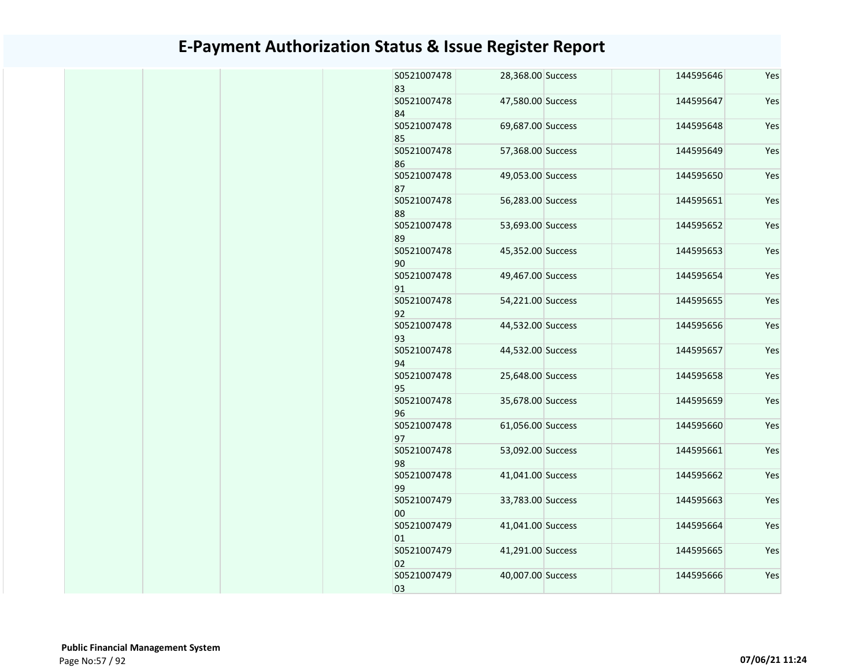| S0521007478<br>83 | 28,368.00 Success | 144595646 | Yes |
|-------------------|-------------------|-----------|-----|
| S0521007478<br>84 | 47,580.00 Success | 144595647 | Yes |
| S0521007478<br>85 | 69,687.00 Success | 144595648 | Yes |
| S0521007478<br>86 | 57,368.00 Success | 144595649 | Yes |
| S0521007478<br>87 | 49,053.00 Success | 144595650 | Yes |
| S0521007478<br>88 | 56,283.00 Success | 144595651 | Yes |
| S0521007478<br>89 | 53,693.00 Success | 144595652 | Yes |
| S0521007478<br>90 | 45,352.00 Success | 144595653 | Yes |
| S0521007478<br>91 | 49,467.00 Success | 144595654 | Yes |
| S0521007478<br>92 | 54,221.00 Success | 144595655 | Yes |
| S0521007478<br>93 | 44,532.00 Success | 144595656 | Yes |
| S0521007478<br>94 | 44,532.00 Success | 144595657 | Yes |
| S0521007478<br>95 | 25,648.00 Success | 144595658 | Yes |
| S0521007478<br>96 | 35,678.00 Success | 144595659 | Yes |
| S0521007478<br>97 | 61,056.00 Success | 144595660 | Yes |
| S0521007478<br>98 | 53,092.00 Success | 144595661 | Yes |
| S0521007478<br>99 | 41,041.00 Success | 144595662 | Yes |
| S0521007479<br>00 | 33,783.00 Success | 144595663 | Yes |
| S0521007479<br>01 | 41,041.00 Success | 144595664 | Yes |
| S0521007479<br>02 | 41,291.00 Success | 144595665 | Yes |
| S0521007479<br>03 | 40,007.00 Success | 144595666 | Yes |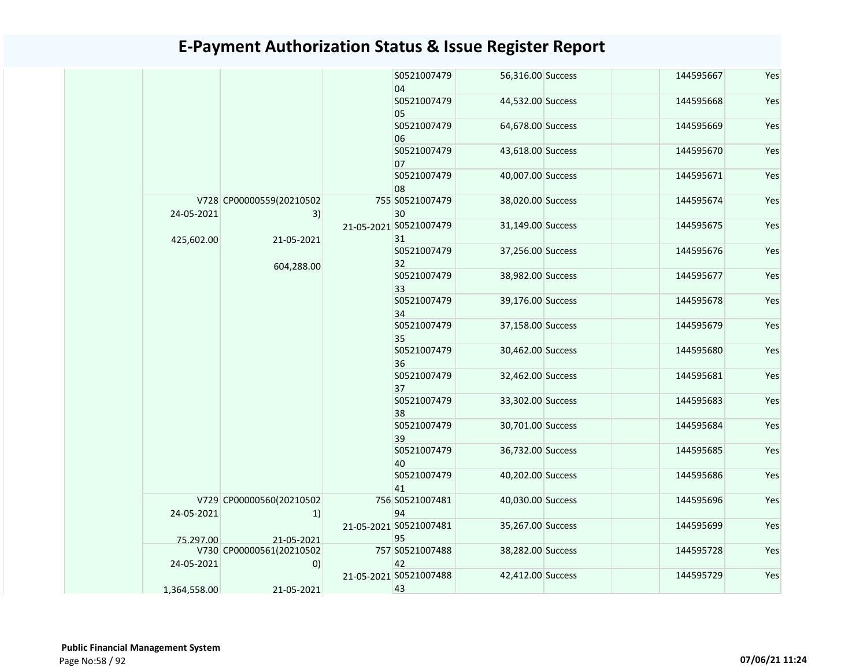|  |              |                                | S0521007479<br>04            | 56,316.00 Success | 144595667 | Yes |
|--|--------------|--------------------------------|------------------------------|-------------------|-----------|-----|
|  |              |                                | S0521007479<br>05            | 44,532.00 Success | 144595668 | Yes |
|  |              |                                | S0521007479<br>06            | 64,678.00 Success | 144595669 | Yes |
|  |              |                                | S0521007479<br>07            | 43,618.00 Success | 144595670 | Yes |
|  |              |                                | S0521007479<br>08            | 40,007.00 Success | 144595671 | Yes |
|  | 24-05-2021   | V728 CP00000559(20210502<br>3) | 755 S0521007479<br>30        | 38,020.00 Success | 144595674 | Yes |
|  | 425,602.00   | 21-05-2021                     | 21-05-2021 S0521007479<br>31 | 31,149.00 Success | 144595675 | Yes |
|  |              | 604,288.00                     | S0521007479<br>32            | 37,256.00 Success | 144595676 | Yes |
|  |              |                                | S0521007479<br>33            | 38,982.00 Success | 144595677 | Yes |
|  |              |                                | S0521007479<br>34            | 39,176.00 Success | 144595678 | Yes |
|  |              |                                | S0521007479<br>35            | 37,158.00 Success | 144595679 | Yes |
|  |              |                                | S0521007479<br>36            | 30,462.00 Success | 144595680 | Yes |
|  |              |                                | S0521007479<br>37            | 32,462.00 Success | 144595681 | Yes |
|  |              |                                | S0521007479<br>38            | 33,302.00 Success | 144595683 | Yes |
|  |              |                                | S0521007479<br>39            | 30,701.00 Success | 144595684 | Yes |
|  |              |                                | S0521007479<br>40            | 36,732.00 Success | 144595685 | Yes |
|  |              |                                | S0521007479<br>41            | 40,202.00 Success | 144595686 | Yes |
|  | 24-05-2021   | V729 CP00000560(20210502<br>1) | 756 S0521007481<br>94        | 40,030.00 Success | 144595696 | Yes |
|  | 75.297.00    | 21-05-2021                     | 21-05-2021 S0521007481<br>95 | 35,267.00 Success | 144595699 | Yes |
|  | 24-05-2021   | V730 CP00000561(20210502<br>0) | 757 S0521007488<br>42        | 38,282.00 Success | 144595728 | Yes |
|  | 1,364,558.00 | 21-05-2021                     | 21-05-2021 S0521007488<br>43 | 42,412.00 Success | 144595729 | Yes |
|  |              |                                |                              |                   |           |     |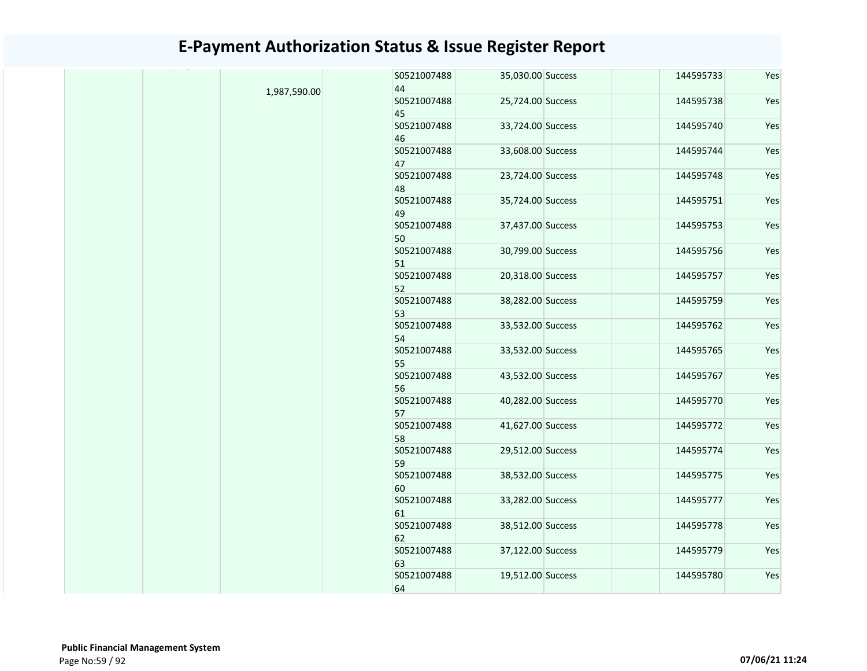|              | S0521007488       | 35,030.00 Success | 144595733 | Yes |
|--------------|-------------------|-------------------|-----------|-----|
| 1,987,590.00 | 44                |                   |           |     |
|              | S0521007488<br>45 | 25,724.00 Success | 144595738 | Yes |
|              | S0521007488       | 33,724.00 Success | 144595740 | Yes |
|              | 46                |                   |           |     |
|              | S0521007488<br>47 | 33,608.00 Success | 144595744 | Yes |
|              | S0521007488       | 23,724.00 Success | 144595748 | Yes |
|              | 48                |                   |           |     |
|              | S0521007488       | 35,724.00 Success | 144595751 | Yes |
|              | 49                |                   |           |     |
|              | S0521007488       | 37,437.00 Success | 144595753 | Yes |
|              | 50                |                   |           |     |
|              | S0521007488       | 30,799.00 Success | 144595756 | Yes |
|              | 51                |                   |           |     |
|              | S0521007488       | 20,318.00 Success | 144595757 | Yes |
|              | 52                |                   |           |     |
|              | S0521007488       | 38,282.00 Success | 144595759 | Yes |
|              | 53                |                   |           |     |
|              | S0521007488       | 33,532.00 Success | 144595762 | Yes |
|              | 54                |                   |           |     |
|              | S0521007488       | 33,532.00 Success | 144595765 | Yes |
|              | 55                |                   |           |     |
|              | S0521007488       | 43,532.00 Success | 144595767 | Yes |
|              | 56                |                   |           |     |
|              | S0521007488       | 40,282.00 Success | 144595770 | Yes |
|              |                   |                   |           |     |
|              | 57                |                   |           |     |
|              | S0521007488       | 41,627.00 Success | 144595772 | Yes |
|              | 58                |                   |           |     |
|              | S0521007488       | 29,512.00 Success | 144595774 | Yes |
|              | 59                |                   |           |     |
|              | S0521007488       | 38,532.00 Success | 144595775 | Yes |
|              | 60                |                   |           |     |
|              | S0521007488       | 33,282.00 Success | 144595777 | Yes |
|              | 61                |                   |           |     |
|              | S0521007488       | 38,512.00 Success | 144595778 | Yes |
|              | 62                |                   |           |     |
|              | S0521007488       | 37,122.00 Success | 144595779 | Yes |
|              | 63                |                   |           |     |
|              | S0521007488       | 19,512.00 Success | 144595780 | Yes |
|              | 64                |                   |           |     |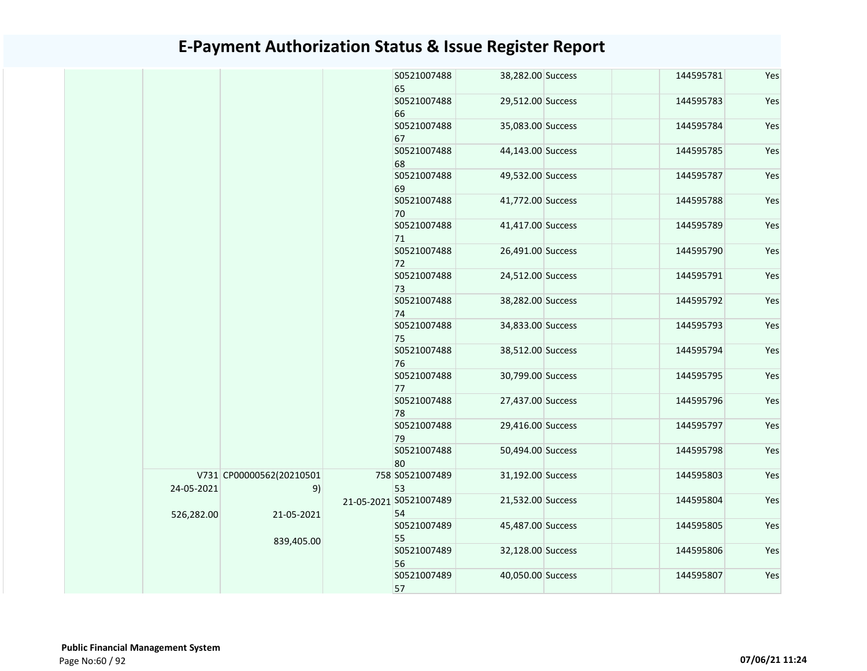|            |                          |  | S0521007488<br>65      | 38,282.00 Success | 144595781 | Yes |
|------------|--------------------------|--|------------------------|-------------------|-----------|-----|
|            |                          |  | S0521007488            | 29,512.00 Success | 144595783 | Yes |
|            |                          |  | 66                     |                   |           |     |
|            |                          |  | S0521007488            | 35,083.00 Success | 144595784 | Yes |
|            |                          |  | 67                     |                   |           |     |
|            |                          |  | S0521007488<br>68      | 44,143.00 Success | 144595785 | Yes |
|            |                          |  | S0521007488            | 49,532.00 Success | 144595787 | Yes |
|            |                          |  | 69                     |                   |           |     |
|            |                          |  | S0521007488            | 41,772.00 Success | 144595788 | Yes |
|            |                          |  | 70                     |                   |           |     |
|            |                          |  | S0521007488            | 41,417.00 Success | 144595789 | Yes |
|            |                          |  | 71                     |                   |           |     |
|            |                          |  | S0521007488            | 26,491.00 Success | 144595790 | Yes |
|            |                          |  | 72                     |                   |           |     |
|            |                          |  | S0521007488            | 24,512.00 Success | 144595791 | Yes |
|            |                          |  | 73                     |                   |           |     |
|            |                          |  | S0521007488            | 38,282.00 Success | 144595792 | Yes |
|            |                          |  | 74                     |                   |           |     |
|            |                          |  | S0521007488            | 34,833.00 Success | 144595793 | Yes |
|            |                          |  | 75                     |                   |           |     |
|            |                          |  | S0521007488            | 38,512.00 Success | 144595794 | Yes |
|            |                          |  | 76<br>S0521007488      | 30,799.00 Success | 144595795 | Yes |
|            |                          |  | 77                     |                   |           |     |
|            |                          |  | S0521007488            | 27,437.00 Success | 144595796 | Yes |
|            |                          |  | 78                     |                   |           |     |
|            |                          |  | S0521007488            | 29,416.00 Success | 144595797 | Yes |
|            |                          |  | 79                     |                   |           |     |
|            |                          |  | S0521007488            | 50,494.00 Success | 144595798 | Yes |
|            |                          |  | 80                     |                   |           |     |
|            | V731 CP00000562(20210501 |  | 758 S0521007489        | 31,192.00 Success | 144595803 | Yes |
| 24-05-2021 | 9)                       |  | 53                     |                   |           |     |
|            |                          |  | 21-05-2021 S0521007489 | 21,532.00 Success | 144595804 | Yes |
| 526,282.00 | 21-05-2021               |  | 54                     |                   |           |     |
|            |                          |  | S0521007489            | 45,487.00 Success | 144595805 | Yes |
|            | 839,405.00               |  | 55                     |                   |           |     |
|            |                          |  | S0521007489            | 32,128.00 Success | 144595806 | Yes |
|            |                          |  | 56                     |                   |           |     |
|            |                          |  | S0521007489            | 40,050.00 Success | 144595807 | Yes |
|            |                          |  | 57                     |                   |           |     |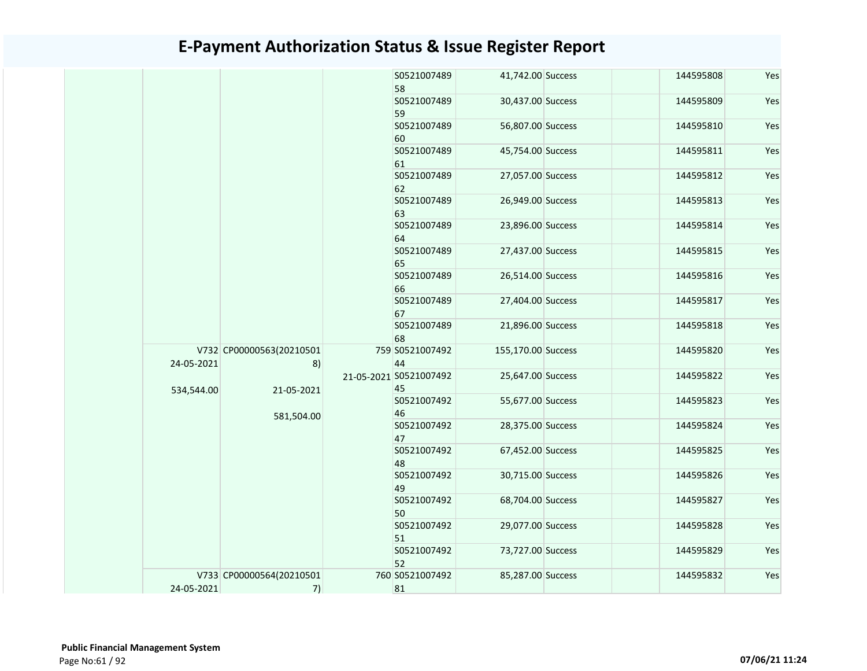|            |                                | S0521007489<br>58            | 41,742.00 Success  | 144595808 | Yes |
|------------|--------------------------------|------------------------------|--------------------|-----------|-----|
|            |                                | S0521007489<br>59            | 30,437.00 Success  | 144595809 | Yes |
|            |                                | S0521007489<br>60            | 56,807.00 Success  | 144595810 | Yes |
|            |                                | S0521007489<br>61            | 45,754.00 Success  | 144595811 | Yes |
|            |                                | S0521007489<br>62            | 27,057.00 Success  | 144595812 | Yes |
|            |                                | S0521007489<br>63            | 26,949.00 Success  | 144595813 | Yes |
|            |                                | S0521007489<br>64            | 23,896.00 Success  | 144595814 | Yes |
|            |                                | S0521007489<br>65            | 27,437.00 Success  | 144595815 | Yes |
|            |                                | S0521007489<br>66            | 26,514.00 Success  | 144595816 | Yes |
|            |                                | S0521007489<br>67            | 27,404.00 Success  | 144595817 | Yes |
|            |                                | S0521007489<br>68            | 21,896.00 Success  | 144595818 | Yes |
| 24-05-2021 | V732 CP00000563(20210501<br>8) | 759 S0521007492<br>44        | 155,170.00 Success | 144595820 | Yes |
| 534,544.00 | 21-05-2021                     | 21-05-2021 S0521007492<br>45 | 25,647.00 Success  | 144595822 | Yes |
|            | 581,504.00                     | S0521007492<br>46            | 55,677.00 Success  | 144595823 | Yes |
|            |                                | S0521007492<br>47            | 28,375.00 Success  | 144595824 | Yes |
|            |                                | S0521007492<br>48            | 67,452.00 Success  | 144595825 | Yes |
|            |                                | S0521007492<br>49            | 30,715.00 Success  | 144595826 | Yes |
|            |                                | S0521007492<br>50            | 68,704.00 Success  | 144595827 | Yes |
|            |                                | S0521007492<br>51            | 29,077.00 Success  | 144595828 | Yes |
|            |                                | S0521007492<br>52            | 73,727.00 Success  | 144595829 | Yes |
| 24-05-2021 | V733 CP00000564(20210501<br>7) | 760 S0521007492<br>81        | 85,287.00 Success  | 144595832 | Yes |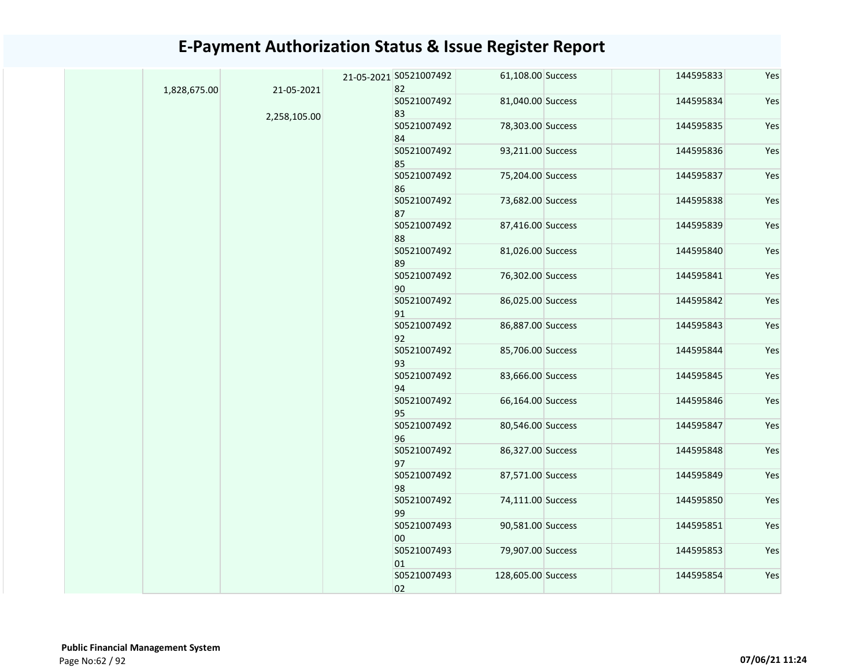|  |                                            |                   |                                                                                                      | 144595833                                                                                                                                                                                                                                                                                                                                                                                                                                              | Yes                    |
|--|--------------------------------------------|-------------------|------------------------------------------------------------------------------------------------------|--------------------------------------------------------------------------------------------------------------------------------------------------------------------------------------------------------------------------------------------------------------------------------------------------------------------------------------------------------------------------------------------------------------------------------------------------------|------------------------|
|  |                                            | S0521007492       |                                                                                                      | 144595834                                                                                                                                                                                                                                                                                                                                                                                                                                              | Yes                    |
|  |                                            | S0521007492       |                                                                                                      | 144595835                                                                                                                                                                                                                                                                                                                                                                                                                                              | Yes                    |
|  |                                            | S0521007492       |                                                                                                      |                                                                                                                                                                                                                                                                                                                                                                                                                                                        | Yes                    |
|  |                                            | S0521007492       |                                                                                                      | 144595837                                                                                                                                                                                                                                                                                                                                                                                                                                              | Yes                    |
|  |                                            | S0521007492       |                                                                                                      | 144595838                                                                                                                                                                                                                                                                                                                                                                                                                                              | Yes                    |
|  |                                            | S0521007492       |                                                                                                      | 144595839                                                                                                                                                                                                                                                                                                                                                                                                                                              | Yes                    |
|  |                                            | S0521007492       |                                                                                                      | 144595840                                                                                                                                                                                                                                                                                                                                                                                                                                              | Yes                    |
|  |                                            | S0521007492       |                                                                                                      | 144595841                                                                                                                                                                                                                                                                                                                                                                                                                                              | Yes                    |
|  |                                            | S0521007492       |                                                                                                      | 144595842                                                                                                                                                                                                                                                                                                                                                                                                                                              | Yes                    |
|  |                                            | S0521007492<br>92 |                                                                                                      | 144595843                                                                                                                                                                                                                                                                                                                                                                                                                                              | Yes                    |
|  |                                            | S0521007492       |                                                                                                      | 144595844                                                                                                                                                                                                                                                                                                                                                                                                                                              | Yes                    |
|  |                                            | S0521007492       |                                                                                                      | 144595845                                                                                                                                                                                                                                                                                                                                                                                                                                              | Yes                    |
|  |                                            | S0521007492       |                                                                                                      | 144595846                                                                                                                                                                                                                                                                                                                                                                                                                                              | Yes                    |
|  |                                            | S0521007492<br>96 |                                                                                                      | 144595847                                                                                                                                                                                                                                                                                                                                                                                                                                              | Yes                    |
|  |                                            | S0521007492<br>97 |                                                                                                      | 144595848                                                                                                                                                                                                                                                                                                                                                                                                                                              | Yes                    |
|  |                                            | S0521007492<br>98 |                                                                                                      | 144595849                                                                                                                                                                                                                                                                                                                                                                                                                                              | Yes                    |
|  |                                            | S0521007492<br>99 |                                                                                                      |                                                                                                                                                                                                                                                                                                                                                                                                                                                        | Yes                    |
|  |                                            | S0521007493<br>00 |                                                                                                      | 144595851                                                                                                                                                                                                                                                                                                                                                                                                                                              | Yes                    |
|  |                                            | S0521007493<br>01 |                                                                                                      | 144595853                                                                                                                                                                                                                                                                                                                                                                                                                                              | Yes                    |
|  |                                            | S0521007493<br>02 |                                                                                                      | 144595854                                                                                                                                                                                                                                                                                                                                                                                                                                              | Yes                    |
|  | 21-05-2021<br>1,828,675.00<br>2,258,105.00 |                   | 21-05-2021 S0521007492<br>82<br>83<br>84<br>85<br>86<br>87<br>88<br>89<br>90<br>91<br>93<br>94<br>95 | 61,108.00 Success<br>81,040.00 Success<br>78,303.00 Success<br>93,211.00 Success<br>75,204.00 Success<br>73,682.00 Success<br>87,416.00 Success<br>81,026.00 Success<br>76,302.00 Success<br>86,025.00 Success<br>86,887.00 Success<br>85,706.00 Success<br>83,666.00 Success<br>66,164.00 Success<br>80,546.00 Success<br>86,327.00 Success<br>87,571.00 Success<br>74,111.00 Success<br>90,581.00 Success<br>79,907.00 Success<br>128,605.00 Success | 144595836<br>144595850 |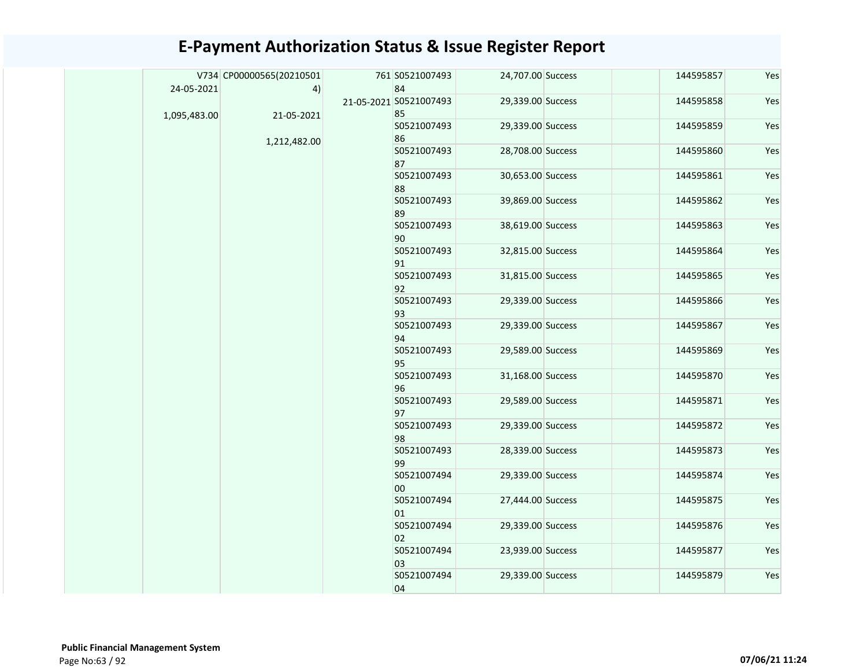|              | V734 CP00000565(20210501 | 761 S0521007493        | 24,707.00 Success | 144595857 | Yes |
|--------------|--------------------------|------------------------|-------------------|-----------|-----|
| 24-05-2021   | 4)                       | 84                     |                   |           |     |
|              |                          | 21-05-2021 S0521007493 | 29,339.00 Success | 144595858 | Yes |
| 1,095,483.00 | 21-05-2021               | 85<br>S0521007493      | 29,339.00 Success | 144595859 | Yes |
|              |                          | 86                     |                   |           |     |
|              | 1,212,482.00             | S0521007493            | 28,708.00 Success | 144595860 | Yes |
|              |                          | 87                     |                   |           |     |
|              |                          | S0521007493            | 30,653.00 Success | 144595861 | Yes |
|              |                          | 88                     |                   |           |     |
|              |                          | S0521007493            | 39,869.00 Success | 144595862 | Yes |
|              |                          | 89                     |                   |           |     |
|              |                          | S0521007493            | 38,619.00 Success | 144595863 | Yes |
|              |                          | 90                     |                   |           |     |
|              |                          | S0521007493            | 32,815.00 Success | 144595864 | Yes |
|              |                          | 91<br>S0521007493      | 31,815.00 Success | 144595865 | Yes |
|              |                          | 92                     |                   |           |     |
|              |                          | S0521007493            | 29,339.00 Success | 144595866 | Yes |
|              |                          | 93                     |                   |           |     |
|              |                          | S0521007493            | 29,339.00 Success | 144595867 | Yes |
|              |                          | 94                     |                   |           |     |
|              |                          | S0521007493            | 29,589.00 Success | 144595869 | Yes |
|              |                          | 95                     |                   |           |     |
|              |                          | S0521007493            | 31,168.00 Success | 144595870 | Yes |
|              |                          | 96                     |                   |           |     |
|              |                          | S0521007493            | 29,589.00 Success | 144595871 | Yes |
|              |                          | 97<br>S0521007493      | 29,339.00 Success | 144595872 | Yes |
|              |                          | 98                     |                   |           |     |
|              |                          | S0521007493            | 28,339.00 Success | 144595873 | Yes |
|              |                          | 99                     |                   |           |     |
|              |                          | S0521007494            | 29,339.00 Success | 144595874 | Yes |
|              |                          | 00                     |                   |           |     |
|              |                          | S0521007494            | 27,444.00 Success | 144595875 | Yes |
|              |                          | 01                     |                   |           |     |
|              |                          | S0521007494            | 29,339.00 Success | 144595876 | Yes |
|              |                          | 02                     |                   |           |     |
|              |                          | S0521007494            | 23,939.00 Success | 144595877 | Yes |
|              |                          | 03<br>S0521007494      | 29,339.00 Success | 144595879 | Yes |
|              |                          | 04                     |                   |           |     |
|              |                          |                        |                   |           |     |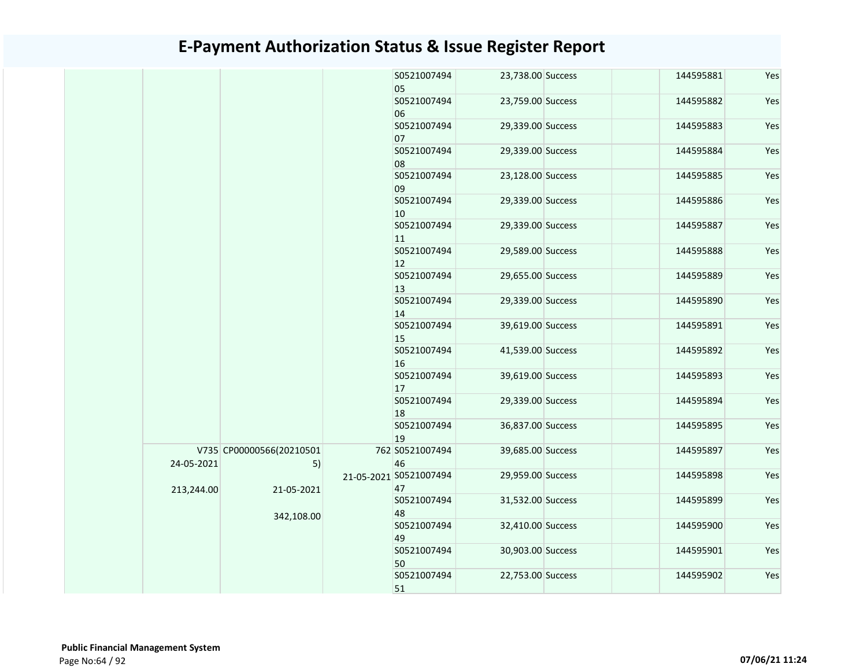|  |            |                                | S0521007494<br>05            | 23,738.00 Success | 144595881 | Yes |
|--|------------|--------------------------------|------------------------------|-------------------|-----------|-----|
|  |            |                                | S0521007494<br>06            | 23,759.00 Success | 144595882 | Yes |
|  |            |                                | S0521007494<br>07            | 29,339.00 Success | 144595883 | Yes |
|  |            |                                | S0521007494<br>08            | 29,339.00 Success | 144595884 | Yes |
|  |            |                                | S0521007494<br>09            | 23,128.00 Success | 144595885 | Yes |
|  |            |                                | S0521007494<br>10            | 29,339.00 Success | 144595886 | Yes |
|  |            |                                | S0521007494<br>11            | 29,339.00 Success | 144595887 | Yes |
|  |            |                                | S0521007494<br>12            | 29,589.00 Success | 144595888 | Yes |
|  |            |                                | S0521007494<br>13            | 29,655.00 Success | 144595889 | Yes |
|  |            |                                | S0521007494<br>14            | 29,339.00 Success | 144595890 | Yes |
|  |            |                                | S0521007494<br>15            | 39,619.00 Success | 144595891 | Yes |
|  |            |                                | S0521007494<br>16            | 41,539.00 Success | 144595892 | Yes |
|  |            |                                | S0521007494<br>17            | 39,619.00 Success | 144595893 | Yes |
|  |            |                                | S0521007494<br>18            | 29,339.00 Success | 144595894 | Yes |
|  |            |                                | S0521007494<br>19            | 36,837.00 Success | 144595895 | Yes |
|  | 24-05-2021 | V735 CP00000566(20210501<br>5) | 762 S0521007494<br>46        | 39,685.00 Success | 144595897 | Yes |
|  | 213,244.00 | 21-05-2021                     | 21-05-2021 S0521007494<br>47 | 29,959.00 Success | 144595898 | Yes |
|  |            | 342,108.00                     | S0521007494<br>48            | 31,532.00 Success | 144595899 | Yes |
|  |            |                                | S0521007494<br>49            | 32,410.00 Success | 144595900 | Yes |
|  |            |                                | S0521007494<br>50            | 30,903.00 Success | 144595901 | Yes |
|  |            |                                | S0521007494<br>51            | 22,753.00 Success | 144595902 | Yes |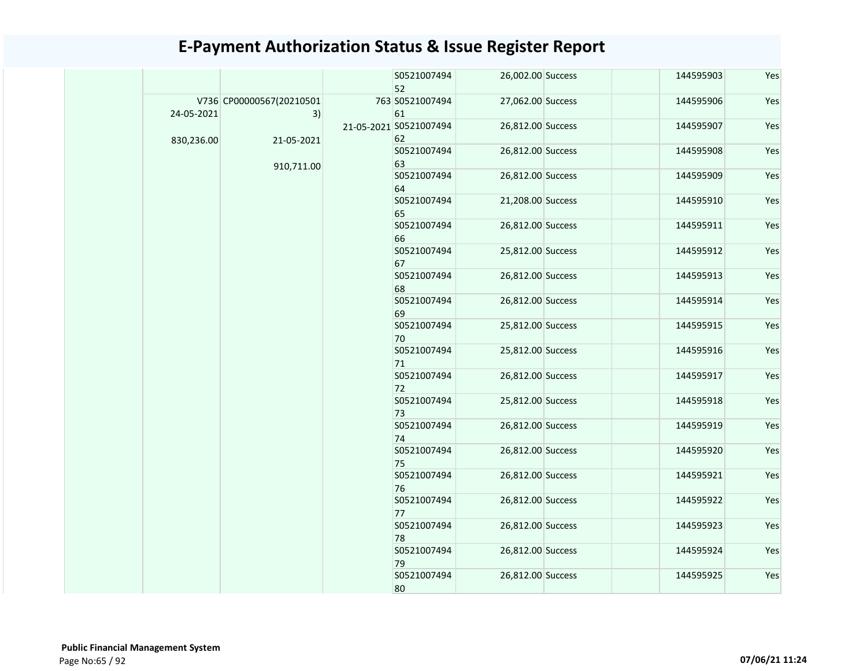|            |                                | S0521007494<br>52            | 26,002.00 Success | 144595903 |  |
|------------|--------------------------------|------------------------------|-------------------|-----------|--|
| 24-05-2021 | V736 CP00000567(20210501<br>3) | 763 S0521007494<br>61        | 27,062.00 Success | 144595906 |  |
| 830,236.00 | 21-05-2021                     | 21-05-2021 S0521007494<br>62 | 26,812.00 Success | 144595907 |  |
|            |                                | S0521007494<br>63            | 26,812.00 Success | 144595908 |  |
|            | 910,711.00                     | S0521007494<br>64            | 26,812.00 Success | 144595909 |  |
|            |                                | S0521007494<br>65            | 21,208.00 Success | 144595910 |  |
|            |                                | S0521007494<br>66            | 26,812.00 Success | 144595911 |  |
|            |                                | S0521007494<br>67            | 25,812.00 Success | 144595912 |  |
|            |                                | S0521007494<br>68            | 26,812.00 Success | 144595913 |  |
|            |                                | S0521007494<br>69            | 26,812.00 Success | 144595914 |  |
|            |                                | S0521007494<br>70            | 25,812.00 Success | 144595915 |  |
|            |                                | S0521007494<br>71            | 25,812.00 Success | 144595916 |  |
|            |                                | S0521007494<br>72            | 26,812.00 Success | 144595917 |  |
|            |                                | S0521007494<br>73            | 25,812.00 Success | 144595918 |  |
|            |                                | S0521007494<br>74            | 26,812.00 Success | 144595919 |  |
|            |                                | S0521007494<br>75            | 26,812.00 Success | 144595920 |  |
|            |                                | S0521007494<br>76            | 26,812.00 Success | 144595921 |  |
|            |                                | S0521007494<br>77            | 26,812.00 Success | 144595922 |  |
|            |                                | S0521007494<br>78            | 26,812.00 Success | 144595923 |  |
|            |                                | S0521007494<br>79            | 26,812.00 Success | 144595924 |  |
|            |                                | S0521007494<br>80            | 26,812.00 Success | 144595925 |  |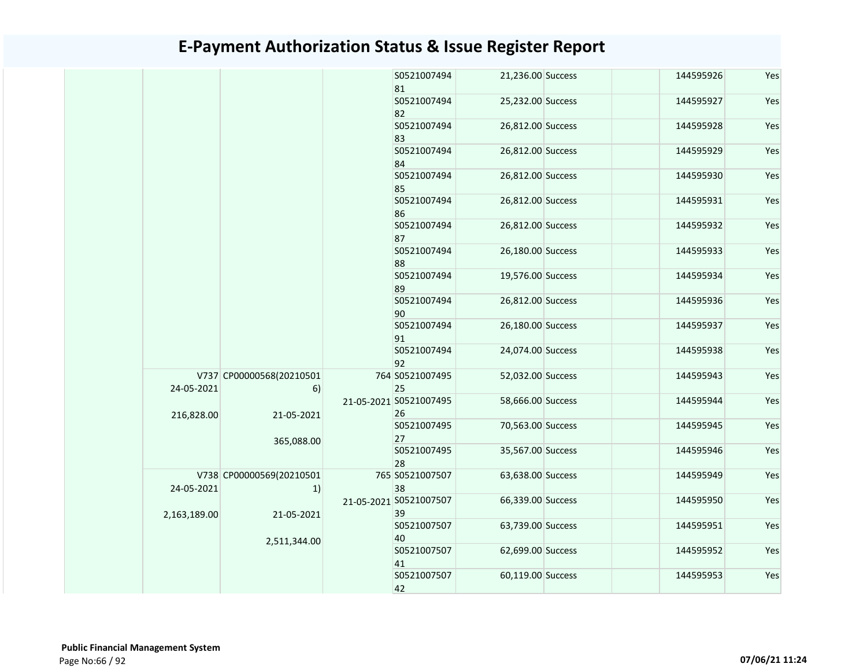|              |                                | S0521007494<br>81            | 21,236.00 Success | 144595926 | Yes |
|--------------|--------------------------------|------------------------------|-------------------|-----------|-----|
|              |                                | S0521007494<br>82            | 25,232.00 Success | 144595927 | Yes |
|              |                                | S0521007494<br>83            | 26,812.00 Success | 144595928 | Yes |
|              |                                | S0521007494<br>84            | 26,812.00 Success | 144595929 | Yes |
|              |                                | S0521007494<br>85            | 26,812.00 Success | 144595930 | Yes |
|              |                                | S0521007494<br>86            | 26,812.00 Success | 144595931 | Yes |
|              |                                | S0521007494<br>87            | 26,812.00 Success | 144595932 | Yes |
|              |                                | S0521007494<br>88            | 26,180.00 Success | 144595933 | Yes |
|              |                                | S0521007494<br>89            | 19,576.00 Success | 144595934 | Yes |
|              |                                | S0521007494<br>90            | 26,812.00 Success | 144595936 | Yes |
|              |                                | S0521007494<br>91            | 26,180.00 Success | 144595937 | Yes |
|              |                                | S0521007494<br>92            | 24,074.00 Success | 144595938 | Yes |
| 24-05-2021   | V737 CP00000568(20210501<br>6) | 764 S0521007495<br>25        | 52,032.00 Success | 144595943 | Yes |
| 216,828.00   | 21-05-2021                     | 21-05-2021 S0521007495<br>26 | 58,666.00 Success | 144595944 | Yes |
|              | 365,088.00                     | S0521007495<br>27            | 70,563.00 Success | 144595945 | Yes |
|              |                                | S0521007495<br>28            | 35,567.00 Success | 144595946 | Yes |
| 24-05-2021   | V738 CP00000569(20210501<br>1) | 765 S0521007507<br>38        | 63,638.00 Success | 144595949 | Yes |
| 2,163,189.00 | 21-05-2021                     | 21-05-2021 S0521007507<br>39 | 66,339.00 Success | 144595950 | Yes |
|              | 2,511,344.00                   | S0521007507<br>40            | 63,739.00 Success | 144595951 | Yes |
|              |                                | S0521007507<br>41            | 62,699.00 Success | 144595952 | Yes |
|              |                                | S0521007507<br>42            | 60,119.00 Success | 144595953 | Yes |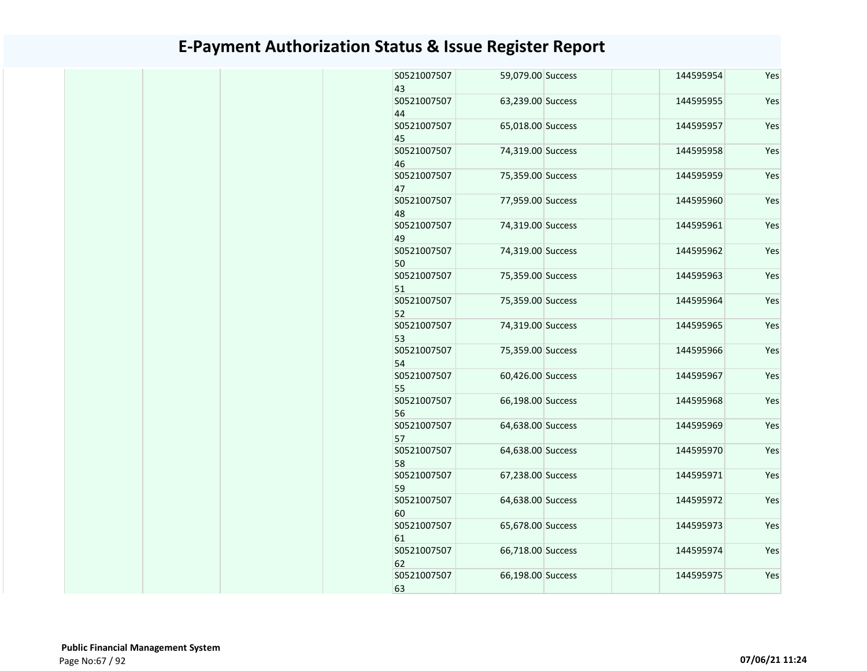| S0521007507<br>43 | 59,079.00 Success | 144595954 | Yes |
|-------------------|-------------------|-----------|-----|
| S0521007507<br>44 | 63,239.00 Success | 144595955 | Yes |
| S0521007507<br>45 | 65,018.00 Success | 144595957 | Yes |
| S0521007507<br>46 | 74,319.00 Success | 144595958 | Yes |
| S0521007507<br>47 | 75,359.00 Success | 144595959 | Yes |
| S0521007507<br>48 | 77,959.00 Success | 144595960 | Yes |
| S0521007507<br>49 | 74,319.00 Success | 144595961 | Yes |
| S0521007507<br>50 | 74,319.00 Success | 144595962 | Yes |
| S0521007507<br>51 | 75,359.00 Success | 144595963 | Yes |
| S0521007507<br>52 | 75,359.00 Success | 144595964 | Yes |
| S0521007507<br>53 | 74,319.00 Success | 144595965 | Yes |
| S0521007507<br>54 | 75,359.00 Success | 144595966 | Yes |
| S0521007507<br>55 | 60,426.00 Success | 144595967 | Yes |
| S0521007507<br>56 | 66,198.00 Success | 144595968 | Yes |
| S0521007507<br>57 | 64,638.00 Success | 144595969 | Yes |
| S0521007507<br>58 | 64,638.00 Success | 144595970 | Yes |
| S0521007507<br>59 | 67,238.00 Success | 144595971 | Yes |
| S0521007507<br>60 | 64,638.00 Success | 144595972 | Yes |
| S0521007507<br>61 | 65,678.00 Success | 144595973 | Yes |
| S0521007507<br>62 | 66,718.00 Success | 144595974 | Yes |
| S0521007507<br>63 | 66,198.00 Success | 144595975 | Yes |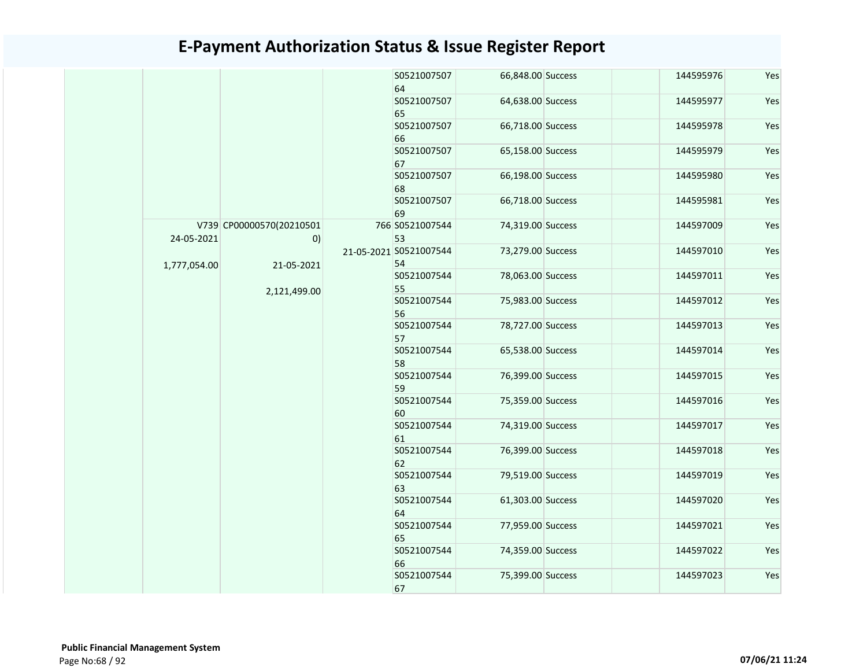|              |                                         |  | S0521007507<br>64            | 66,848.00 Success | 144595976 | Yes |  |                   |                   |           |     |
|--------------|-----------------------------------------|--|------------------------------|-------------------|-----------|-----|--|-------------------|-------------------|-----------|-----|
|              |                                         |  | S0521007507<br>65            | 64,638.00 Success | 144595977 | Yes |  |                   |                   |           |     |
|              |                                         |  | S0521007507<br>66            | 66,718.00 Success | 144595978 | Yes |  |                   |                   |           |     |
|              |                                         |  | S0521007507<br>67            | 65,158.00 Success | 144595979 | Yes |  |                   |                   |           |     |
|              |                                         |  | S0521007507<br>68            | 66,198.00 Success | 144595980 | Yes |  |                   |                   |           |     |
|              |                                         |  | S0521007507<br>69            | 66,718.00 Success | 144595981 | Yes |  |                   |                   |           |     |
| 24-05-2021   | V739 CP00000570(20210501<br>$ 0\rangle$ |  | 766 S0521007544<br>53        | 74,319.00 Success | 144597009 | Yes |  |                   |                   |           |     |
| 1,777,054.00 | 21-05-2021                              |  | 21-05-2021 S0521007544<br>54 | 73,279.00 Success | 144597010 | Yes |  |                   |                   |           |     |
|              | 2,121,499.00                            |  | S0521007544<br>55            | 78,063.00 Success | 144597011 | Yes |  |                   |                   |           |     |
|              |                                         |  | S0521007544<br>56            | 75,983.00 Success | 144597012 | Yes |  |                   |                   |           |     |
|              |                                         |  | S0521007544<br>57            | 78,727.00 Success | 144597013 | Yes |  |                   |                   |           |     |
|              |                                         |  | S0521007544<br>58            | 65,538.00 Success | 144597014 | Yes |  |                   |                   |           |     |
|              |                                         |  | S0521007544<br>59            | 76,399.00 Success | 144597015 | Yes |  |                   |                   |           |     |
|              |                                         |  | S0521007544<br>60            | 75,359.00 Success | 144597016 | Yes |  |                   |                   |           |     |
|              |                                         |  | S0521007544<br>61            | 74,319.00 Success | 144597017 | Yes |  |                   |                   |           |     |
|              |                                         |  | S0521007544<br>62            | 76,399.00 Success | 144597018 | Yes |  |                   |                   |           |     |
|              |                                         |  | S0521007544<br>63            | 79,519.00 Success | 144597019 | Yes |  |                   |                   |           |     |
|              |                                         |  | S0521007544<br>64            | 61,303.00 Success | 144597020 | Yes |  |                   |                   |           |     |
|              |                                         |  | S0521007544<br>65            | 77,959.00 Success | 144597021 | Yes |  |                   |                   |           |     |
|              |                                         |  |                              |                   |           |     |  | S0521007544<br>66 | 74,359.00 Success | 144597022 | Yes |
|              |                                         |  | S0521007544<br>67            | 75,399.00 Success | 144597023 | Yes |  |                   |                   |           |     |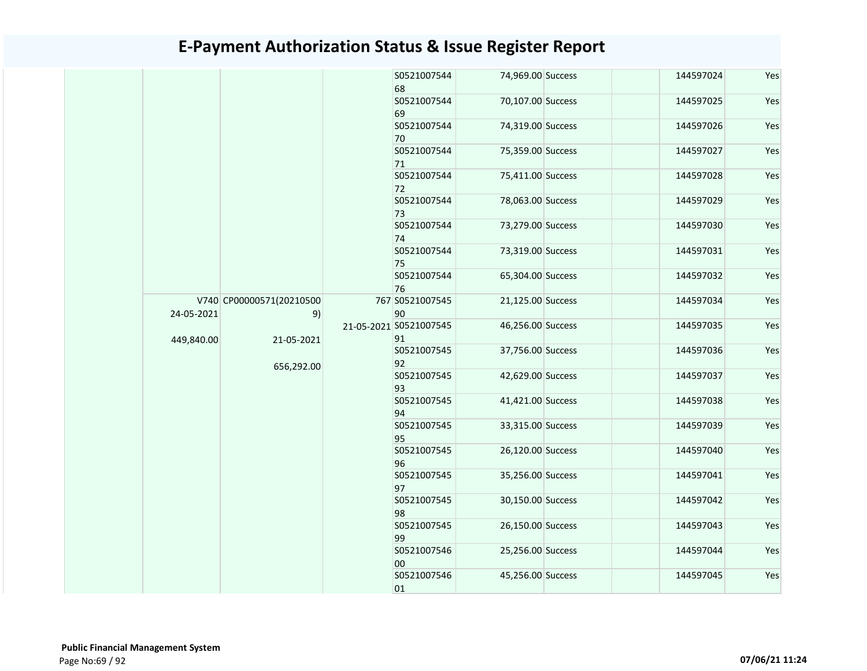|                          | S0521007544                                                |                                        | 144597024                                                                                                                                                                                                                                                                                                                                                                                                   | Yes |
|--------------------------|------------------------------------------------------------|----------------------------------------|-------------------------------------------------------------------------------------------------------------------------------------------------------------------------------------------------------------------------------------------------------------------------------------------------------------------------------------------------------------------------------------------------------------|-----|
|                          | S0521007544<br>69                                          |                                        | 144597025                                                                                                                                                                                                                                                                                                                                                                                                   | Yes |
|                          | S0521007544<br>70                                          |                                        | 144597026                                                                                                                                                                                                                                                                                                                                                                                                   | Yes |
|                          | S0521007544<br>71                                          |                                        | 144597027                                                                                                                                                                                                                                                                                                                                                                                                   | Yes |
|                          | S0521007544                                                |                                        | 144597028                                                                                                                                                                                                                                                                                                                                                                                                   | Yes |
|                          | S0521007544                                                |                                        | 144597029                                                                                                                                                                                                                                                                                                                                                                                                   | Yes |
|                          | S0521007544<br>74                                          |                                        | 144597030                                                                                                                                                                                                                                                                                                                                                                                                   | Yes |
|                          | S0521007544<br>75                                          |                                        | 144597031                                                                                                                                                                                                                                                                                                                                                                                                   | Yes |
|                          | S0521007544<br>76                                          |                                        | 144597032                                                                                                                                                                                                                                                                                                                                                                                                   | Yes |
|                          | 767 S0521007545<br>90                                      |                                        | 144597034                                                                                                                                                                                                                                                                                                                                                                                                   | Yes |
|                          | 21-05-2021 S0521007545                                     |                                        | 144597035                                                                                                                                                                                                                                                                                                                                                                                                   | Yes |
|                          | S0521007545                                                |                                        | 144597036                                                                                                                                                                                                                                                                                                                                                                                                   | Yes |
|                          | S0521007545                                                |                                        | 144597037                                                                                                                                                                                                                                                                                                                                                                                                   | Yes |
|                          | S0521007545<br>94                                          |                                        | 144597038                                                                                                                                                                                                                                                                                                                                                                                                   | Yes |
|                          | S0521007545<br>95                                          |                                        | 144597039                                                                                                                                                                                                                                                                                                                                                                                                   | Yes |
|                          | S0521007545                                                |                                        | 144597040                                                                                                                                                                                                                                                                                                                                                                                                   | Yes |
|                          | S0521007545<br>97                                          |                                        | 144597041                                                                                                                                                                                                                                                                                                                                                                                                   | Yes |
|                          | S0521007545<br>98                                          |                                        | 144597042                                                                                                                                                                                                                                                                                                                                                                                                   | Yes |
|                          | S0521007545<br>99                                          |                                        | 144597043                                                                                                                                                                                                                                                                                                                                                                                                   | Yes |
|                          | S0521007546                                                | 25,256.00 Success                      | 144597044                                                                                                                                                                                                                                                                                                                                                                                                   | Yes |
|                          | 00                                                         |                                        |                                                                                                                                                                                                                                                                                                                                                                                                             |     |
| 24-05-2021<br>449,840.00 | V740 CP00000571(20210500<br>9)<br>21-05-2021<br>656,292.00 | 68<br>72<br>73<br>91<br>92<br>93<br>96 | 74,969.00 Success<br>70,107.00 Success<br>74,319.00 Success<br>75,359.00 Success<br>75,411.00 Success<br>78,063.00 Success<br>73,279.00 Success<br>73,319.00 Success<br>65,304.00 Success<br>21,125.00 Success<br>46,256.00 Success<br>37,756.00 Success<br>42,629.00 Success<br>41,421.00 Success<br>33,315.00 Success<br>26,120.00 Success<br>35,256.00 Success<br>30,150.00 Success<br>26,150.00 Success |     |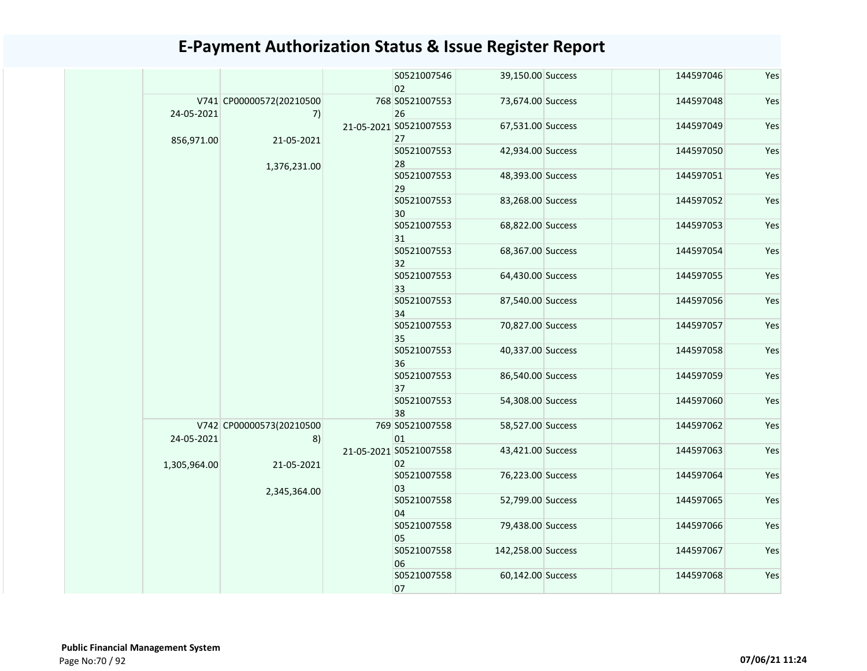|              |                                |  | S0521007546<br>02            | 39,150.00 Success  | 144597046         | Yes               |                   |           |     |  |  |  |  |  |  |  |  |  |  |  |  |  |  |  |  |                   |
|--------------|--------------------------------|--|------------------------------|--------------------|-------------------|-------------------|-------------------|-----------|-----|--|--|--|--|--|--|--|--|--|--|--|--|--|--|--|--|-------------------|
| 24-05-2021   | V741 CP00000572(20210500<br>7) |  | 768 S0521007553<br>26        | 73,674.00 Success  | 144597048         | Yes               |                   |           |     |  |  |  |  |  |  |  |  |  |  |  |  |  |  |  |  |                   |
| 856,971.00   | 21-05-2021                     |  | 21-05-2021 S0521007553<br>27 | 67,531.00 Success  | 144597049         | Yes               |                   |           |     |  |  |  |  |  |  |  |  |  |  |  |  |  |  |  |  |                   |
|              |                                |  | S0521007553<br>28            | 42,934.00 Success  | 144597050         | Yes               |                   |           |     |  |  |  |  |  |  |  |  |  |  |  |  |  |  |  |  |                   |
|              | 1,376,231.00                   |  | S0521007553<br>29            | 48,393.00 Success  | 144597051         | Yes               |                   |           |     |  |  |  |  |  |  |  |  |  |  |  |  |  |  |  |  |                   |
|              |                                |  | S0521007553<br>30            | 83,268.00 Success  | 144597052         | Yes               |                   |           |     |  |  |  |  |  |  |  |  |  |  |  |  |  |  |  |  |                   |
|              |                                |  | S0521007553<br>31            | 68,822.00 Success  | 144597053         | Yes               |                   |           |     |  |  |  |  |  |  |  |  |  |  |  |  |  |  |  |  |                   |
|              |                                |  | S0521007553<br>32            | 68,367.00 Success  | 144597054         | Yes               |                   |           |     |  |  |  |  |  |  |  |  |  |  |  |  |  |  |  |  |                   |
|              |                                |  | S0521007553<br>33            | 64,430.00 Success  | 144597055         | Yes               |                   |           |     |  |  |  |  |  |  |  |  |  |  |  |  |  |  |  |  |                   |
|              |                                |  |                              |                    |                   | S0521007553<br>34 | 87,540.00 Success | 144597056 | Yes |  |  |  |  |  |  |  |  |  |  |  |  |  |  |  |  |                   |
|              |                                |  |                              | S0521007553<br>35  | 70,827.00 Success | 144597057         | Yes               |           |     |  |  |  |  |  |  |  |  |  |  |  |  |  |  |  |  |                   |
|              |                                |  |                              |                    | S0521007553<br>36 | 40,337.00 Success | 144597058         | Yes       |     |  |  |  |  |  |  |  |  |  |  |  |  |  |  |  |  |                   |
|              |                                |  | S0521007553<br>37            | 86,540.00 Success  | 144597059         | Yes               |                   |           |     |  |  |  |  |  |  |  |  |  |  |  |  |  |  |  |  |                   |
|              |                                |  | S0521007553<br>38            | 54,308.00 Success  | 144597060         | Yes               |                   |           |     |  |  |  |  |  |  |  |  |  |  |  |  |  |  |  |  |                   |
| 24-05-2021   | V742 CP00000573(20210500<br>8) |  | 769 S0521007558<br>01        | 58,527.00 Success  | 144597062         | Yes               |                   |           |     |  |  |  |  |  |  |  |  |  |  |  |  |  |  |  |  |                   |
| 1,305,964.00 | 21-05-2021                     |  | 21-05-2021 S0521007558<br>02 | 43,421.00 Success  | 144597063         | Yes               |                   |           |     |  |  |  |  |  |  |  |  |  |  |  |  |  |  |  |  |                   |
|              | 2,345,364.00                   |  |                              | S0521007558<br>03  | 76,223.00 Success | 144597064         | Yes               |           |     |  |  |  |  |  |  |  |  |  |  |  |  |  |  |  |  |                   |
|              |                                |  |                              | S0521007558<br>04  | 52,799.00 Success | 144597065         | Yes               |           |     |  |  |  |  |  |  |  |  |  |  |  |  |  |  |  |  |                   |
|              |                                |  |                              |                    |                   |                   |                   |           |     |  |  |  |  |  |  |  |  |  |  |  |  |  |  |  |  | S0521007558<br>05 |
|              |                                |  | S0521007558<br>06            | 142,258.00 Success | 144597067         | Yes               |                   |           |     |  |  |  |  |  |  |  |  |  |  |  |  |  |  |  |  |                   |
|              |                                |  | S0521007558<br>07            | 60,142.00 Success  | 144597068         | Yes               |                   |           |     |  |  |  |  |  |  |  |  |  |  |  |  |  |  |  |  |                   |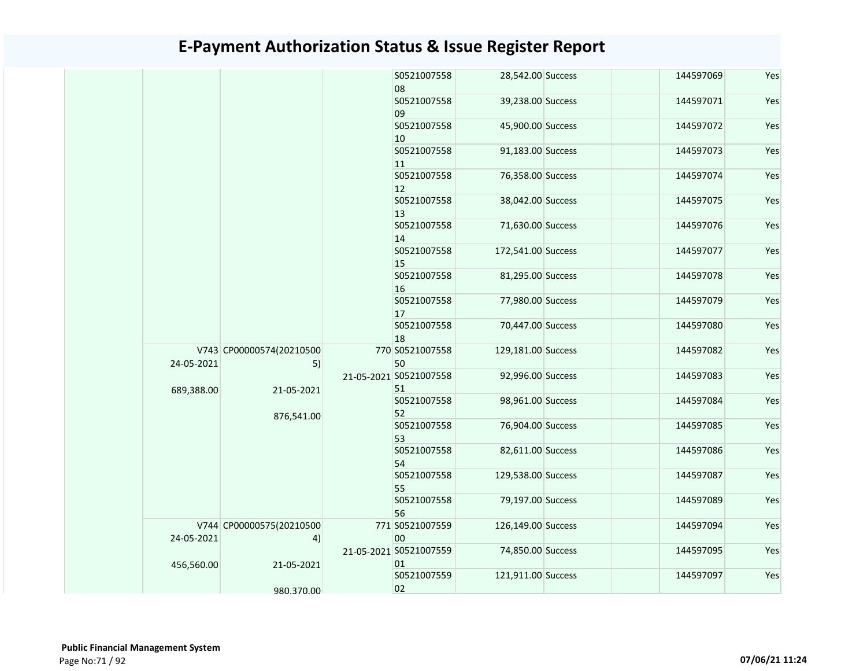|            |                                |  | S0521007558                  | 28,542.00 Success  | 144597069 | Yes |  |                              |                   |           |     |
|------------|--------------------------------|--|------------------------------|--------------------|-----------|-----|--|------------------------------|-------------------|-----------|-----|
|            |                                |  | 08                           |                    |           |     |  |                              |                   |           |     |
|            |                                |  | S0521007558<br>09            | 39,238.00 Success  | 144597071 | Yes |  |                              |                   |           |     |
|            |                                |  | S0521007558<br>10            | 45,900.00 Success  | 144597072 | Yes |  |                              |                   |           |     |
|            |                                |  | S0521007558<br>11            | 91,183.00 Success  | 144597073 | Yes |  |                              |                   |           |     |
|            |                                |  | S0521007558<br>12            | 76,358.00 Success  | 144597074 | Yes |  |                              |                   |           |     |
|            |                                |  | S0521007558<br>13            | 38,042.00 Success  | 144597075 | Yes |  |                              |                   |           |     |
|            |                                |  | S0521007558<br>14            | 71,630.00 Success  | 144597076 | Yes |  |                              |                   |           |     |
|            |                                |  | S0521007558<br>15            | 172,541.00 Success | 144597077 | Yes |  |                              |                   |           |     |
|            |                                |  | S0521007558<br>16            | 81,295.00 Success  | 144597078 | Yes |  |                              |                   |           |     |
|            |                                |  | S0521007558<br>17            | 77,980.00 Success  | 144597079 | Yes |  |                              |                   |           |     |
|            |                                |  | S0521007558<br>18            | 70,447.00 Success  | 144597080 | Yes |  |                              |                   |           |     |
| 24-05-2021 | V743 CP00000574(20210500<br>5) |  | 770 S0521007558<br>50        | 129,181.00 Success | 144597082 | Yes |  |                              |                   |           |     |
| 689,388.00 | 21-05-2021                     |  | 21-05-2021 S0521007558<br>51 | 92,996.00 Success  | 144597083 | Yes |  |                              |                   |           |     |
|            | 876,541.00                     |  | S0521007558<br>52            | 98,961.00 Success  | 144597084 | Yes |  |                              |                   |           |     |
|            |                                |  |                              |                    |           |     |  | S0521007558<br>53            | 76,904.00 Success | 144597085 | Yes |
|            |                                |  | S0521007558<br>54            | 82,611.00 Success  | 144597086 | Yes |  |                              |                   |           |     |
|            |                                |  | S0521007558<br>55            | 129,538.00 Success | 144597087 | Yes |  |                              |                   |           |     |
|            |                                |  | S0521007558<br>56            | 79,197.00 Success  | 144597089 | Yes |  |                              |                   |           |     |
| 24-05-2021 | V744 CP00000575(20210500<br>4) |  | 771 S0521007559<br>00        | 126,149.00 Success | 144597094 | Yes |  |                              |                   |           |     |
| 456,560.00 | 21-05-2021                     |  |                              |                    |           |     |  | 21-05-2021 S0521007559<br>01 | 74,850.00 Success | 144597095 | Yes |
|            | 980.370.00                     |  | S0521007559<br>02            | 121,911.00 Success | 144597097 | Yes |  |                              |                   |           |     |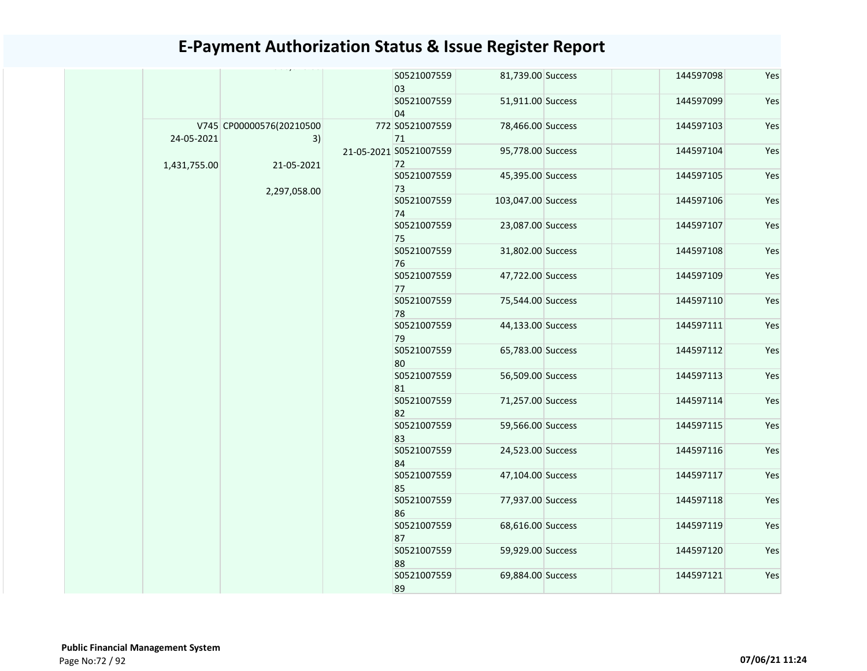|              |                                | S0521007559<br>03            | 81,739.00 Success  | 144597098 | Yes |
|--------------|--------------------------------|------------------------------|--------------------|-----------|-----|
|              |                                | S0521007559<br>04            | 51,911.00 Success  | 144597099 | Yes |
| 24-05-2021   | V745 CP00000576(20210500<br>3) | 772 S0521007559<br>71        | 78,466.00 Success  | 144597103 | Yes |
| 1,431,755.00 | 21-05-2021                     | 21-05-2021 S0521007559<br>72 | 95,778.00 Success  | 144597104 | Yes |
|              | 2,297,058.00                   | S0521007559<br>73            | 45,395.00 Success  | 144597105 | Yes |
|              |                                | S0521007559<br>74            | 103,047.00 Success | 144597106 | Yes |
|              |                                | S0521007559<br>75            | 23,087.00 Success  | 144597107 | Yes |
|              |                                | S0521007559<br>76            | 31,802.00 Success  | 144597108 | Yes |
|              |                                | S0521007559<br>77            | 47,722.00 Success  | 144597109 | Yes |
|              |                                | S0521007559<br>78            | 75,544.00 Success  | 144597110 | Yes |
|              |                                | S0521007559<br>79            | 44,133.00 Success  | 144597111 | Yes |
|              |                                | S0521007559<br>80            | 65,783.00 Success  | 144597112 | Yes |
|              |                                | S0521007559<br>81            | 56,509.00 Success  | 144597113 | Yes |
|              |                                | S0521007559<br>82            | 71,257.00 Success  | 144597114 | Yes |
|              |                                | S0521007559<br>83            | 59,566.00 Success  | 144597115 | Yes |
|              |                                | S0521007559<br>84            | 24,523.00 Success  | 144597116 | Yes |
|              |                                | S0521007559<br>85            | 47,104.00 Success  | 144597117 | Yes |
|              |                                | S0521007559<br>86            | 77,937.00 Success  | 144597118 | Yes |
|              |                                | S0521007559<br>87            | 68,616.00 Success  | 144597119 | Yes |
|              |                                | S0521007559<br>88            | 59,929.00 Success  | 144597120 | Yes |
|              |                                | S0521007559<br>89            | 69,884.00 Success  | 144597121 | Yes |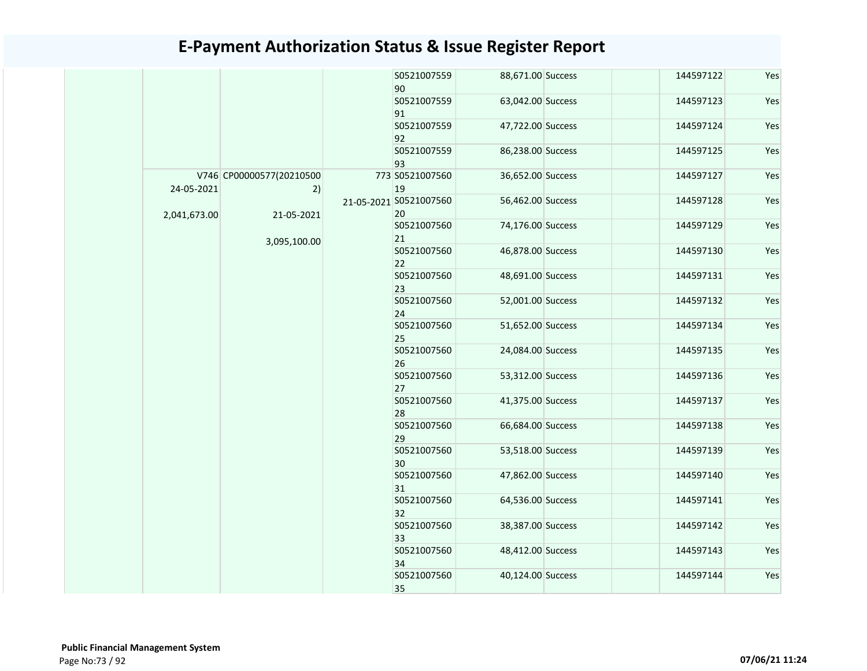|  |              |                                |                   | S0521007559<br>90            | 88,671.00 Success | 144597122 | Yes |
|--|--------------|--------------------------------|-------------------|------------------------------|-------------------|-----------|-----|
|  |              |                                |                   | S0521007559<br>91            | 63,042.00 Success | 144597123 | Yes |
|  |              |                                |                   | S0521007559<br>92            | 47,722.00 Success | 144597124 | Yes |
|  |              |                                |                   | S0521007559<br>93            | 86,238.00 Success | 144597125 | Yes |
|  | 24-05-2021   | V746 CP00000577(20210500<br>2) |                   | 773 S0521007560<br>19        | 36,652.00 Success | 144597127 | Yes |
|  | 2,041,673.00 | 21-05-2021                     |                   | 21-05-2021 S0521007560<br>20 | 56,462.00 Success | 144597128 | Yes |
|  |              | 3,095,100.00                   |                   | S0521007560<br>21            | 74,176.00 Success | 144597129 | Yes |
|  |              |                                |                   | S0521007560<br>22            | 46,878.00 Success | 144597130 | Yes |
|  |              |                                | S0521007560<br>23 | 48,691.00 Success            | 144597131         | Yes       |     |
|  |              |                                | S0521007560<br>24 | 52,001.00 Success            | 144597132         | Yes       |     |
|  |              |                                |                   | S0521007560<br>25            | 51,652.00 Success | 144597134 | Yes |
|  |              |                                |                   | S0521007560<br>26            | 24,084.00 Success | 144597135 | Yes |
|  |              |                                | S0521007560<br>27 | 53,312.00 Success            | 144597136         | Yes       |     |
|  |              |                                |                   | S0521007560<br>28            | 41,375.00 Success | 144597137 | Yes |
|  |              |                                |                   | S0521007560<br>29            | 66,684.00 Success | 144597138 | Yes |
|  |              |                                |                   | S0521007560<br>30            | 53,518.00 Success | 144597139 | Yes |
|  |              |                                |                   | S0521007560<br>31            | 47,862.00 Success | 144597140 | Yes |
|  |              |                                |                   | S0521007560<br>32            | 64,536.00 Success | 144597141 | Yes |
|  |              |                                |                   | S0521007560<br>33            | 38,387.00 Success | 144597142 | Yes |
|  |              |                                |                   | S0521007560<br>34            | 48,412.00 Success | 144597143 | Yes |
|  |              |                                |                   | S0521007560<br>35            | 40,124.00 Success | 144597144 | Yes |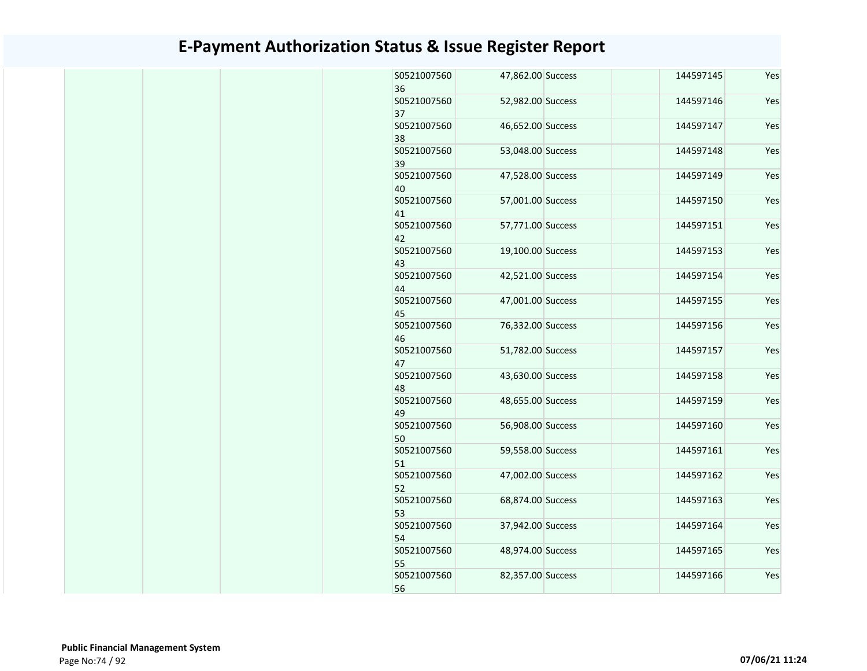| S0521007560<br>36 | 47,862.00 Success | 144597145 | Yes |
|-------------------|-------------------|-----------|-----|
| S0521007560<br>37 | 52,982.00 Success | 144597146 | Yes |
| S0521007560<br>38 | 46,652.00 Success | 144597147 | Yes |
| S0521007560<br>39 | 53,048.00 Success | 144597148 | Yes |
| S0521007560<br>40 | 47,528.00 Success | 144597149 | Yes |
| S0521007560<br>41 | 57,001.00 Success | 144597150 | Yes |
| S0521007560<br>42 | 57,771.00 Success | 144597151 | Yes |
| S0521007560<br>43 | 19,100.00 Success | 144597153 | Yes |
| S0521007560<br>44 | 42,521.00 Success | 144597154 | Yes |
| S0521007560<br>45 | 47,001.00 Success | 144597155 | Yes |
| S0521007560<br>46 | 76,332.00 Success | 144597156 | Yes |
| S0521007560<br>47 | 51,782.00 Success | 144597157 | Yes |
| S0521007560<br>48 | 43,630.00 Success | 144597158 | Yes |
| S0521007560<br>49 | 48,655.00 Success | 144597159 | Yes |
| S0521007560<br>50 | 56,908.00 Success | 144597160 | Yes |
| S0521007560<br>51 | 59,558.00 Success | 144597161 | Yes |
| S0521007560<br>52 | 47,002.00 Success | 144597162 | Yes |
| S0521007560<br>53 | 68,874.00 Success | 144597163 | Yes |
| S0521007560<br>54 | 37,942.00 Success | 144597164 | Yes |
| S0521007560<br>55 | 48,974.00 Success | 144597165 | Yes |
| S0521007560<br>56 | 82,357.00 Success | 144597166 | Yes |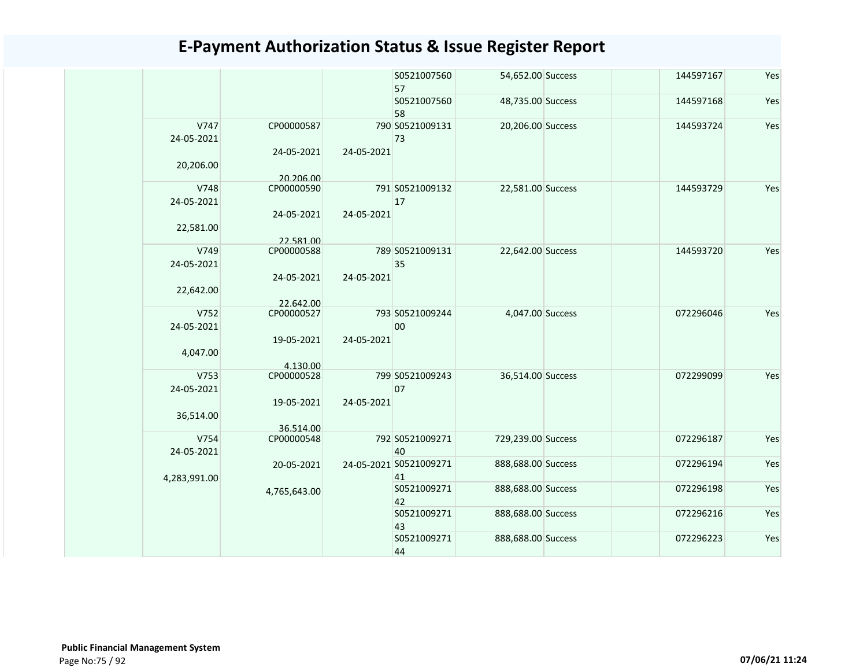|              |                         |            | S0521007560<br>57      | 54,652.00 Success  | 144597167 | Yes |
|--------------|-------------------------|------------|------------------------|--------------------|-----------|-----|
|              |                         |            | S0521007560<br>58      | 48,735.00 Success  | 144597168 | Yes |
| V747         | CP00000587              |            | 790 S0521009131        | 20,206.00 Success  | 144593724 | Yes |
| 24-05-2021   |                         |            | 73                     |                    |           |     |
|              | 24-05-2021              | 24-05-2021 |                        |                    |           |     |
| 20,206.00    |                         |            |                        |                    |           |     |
|              | 20.206.00               |            |                        |                    |           |     |
| V748         | CP00000590              |            | 791 S0521009132        | 22,581.00 Success  | 144593729 | Yes |
| 24-05-2021   |                         |            | 17                     |                    |           |     |
|              | 24-05-2021              | 24-05-2021 |                        |                    |           |     |
| 22,581.00    |                         |            |                        |                    |           |     |
| V749         | 22.581.00<br>CP00000588 |            | 789 S0521009131        | 22,642.00 Success  | 144593720 | Yes |
| 24-05-2021   |                         |            | 35                     |                    |           |     |
|              | 24-05-2021              | 24-05-2021 |                        |                    |           |     |
| 22,642.00    |                         |            |                        |                    |           |     |
|              | 22.642.00               |            |                        |                    |           |     |
| V752         | CP00000527              |            | 793 S0521009244        | 4,047.00 Success   | 072296046 | Yes |
| 24-05-2021   |                         |            | 00                     |                    |           |     |
|              | 19-05-2021              | 24-05-2021 |                        |                    |           |     |
| 4,047.00     |                         |            |                        |                    |           |     |
|              | 4.130.00                |            |                        |                    |           |     |
| V753         | CP00000528              |            | 799 S0521009243        | 36,514.00 Success  | 072299099 | Yes |
| 24-05-2021   |                         |            | 07                     |                    |           |     |
|              | 19-05-2021              | 24-05-2021 |                        |                    |           |     |
| 36,514.00    |                         |            |                        |                    |           |     |
| V754         | 36.514.00<br>CP00000548 |            | 792 S0521009271        | 729,239.00 Success | 072296187 | Yes |
| 24-05-2021   |                         |            | 40                     |                    |           |     |
|              | 20-05-2021              |            | 24-05-2021 S0521009271 | 888,688.00 Success | 072296194 | Yes |
| 4,283,991.00 |                         |            | 41                     |                    |           |     |
|              | 4,765,643.00            |            | S0521009271            | 888,688.00 Success | 072296198 | Yes |
|              |                         |            | 42                     |                    |           |     |
|              |                         |            | S0521009271            | 888,688.00 Success | 072296216 | Yes |
|              |                         |            | 43                     |                    |           |     |
|              |                         |            | S0521009271            | 888,688.00 Success | 072296223 | Yes |
|              |                         |            | 44                     |                    |           |     |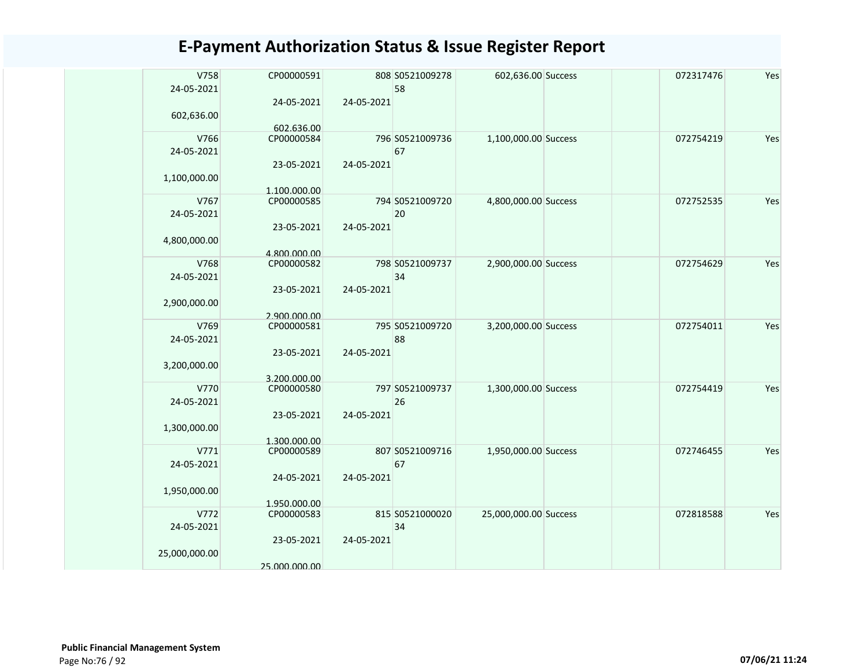| V758<br>24-05-2021 | CP00000591               |            | 808 S0521009278<br>58 | 602,636.00 Success    | 072317476 | Yes |
|--------------------|--------------------------|------------|-----------------------|-----------------------|-----------|-----|
|                    | 24-05-2021               | 24-05-2021 |                       |                       |           |     |
| 602,636.00         |                          |            |                       |                       |           |     |
| V766               | 602.636.00<br>CP00000584 |            | 796 S0521009736       | 1,100,000.00 Success  | 072754219 | Yes |
| 24-05-2021         |                          |            | 67                    |                       |           |     |
|                    | 23-05-2021               | 24-05-2021 |                       |                       |           |     |
| 1,100,000.00       |                          |            |                       |                       |           |     |
|                    | 1.100.000.00             |            |                       |                       |           |     |
| V767               | CP00000585               |            | 794 S0521009720       | 4,800,000.00 Success  | 072752535 | Yes |
| 24-05-2021         |                          |            | 20                    |                       |           |     |
|                    | 23-05-2021               | 24-05-2021 |                       |                       |           |     |
| 4,800,000.00       |                          |            |                       |                       |           |     |
|                    | 4.800.000.00             |            |                       |                       |           |     |
| V768               | CP00000582               |            | 798 S0521009737       | 2,900,000.00 Success  | 072754629 | Yes |
| 24-05-2021         |                          |            | 34                    |                       |           |     |
|                    | 23-05-2021               | 24-05-2021 |                       |                       |           |     |
| 2,900,000.00       | 2.900.000.00             |            |                       |                       |           |     |
| V769               | CP00000581               |            | 795 S0521009720       | 3,200,000.00 Success  | 072754011 | Yes |
| 24-05-2021         |                          |            | 88                    |                       |           |     |
|                    | 23-05-2021               | 24-05-2021 |                       |                       |           |     |
| 3,200,000.00       |                          |            |                       |                       |           |     |
|                    | 3.200.000.00             |            |                       |                       |           |     |
| V770               | CP00000580               |            | 797 S0521009737       | 1,300,000.00 Success  | 072754419 | Yes |
| 24-05-2021         |                          |            | 26                    |                       |           |     |
|                    | 23-05-2021               | 24-05-2021 |                       |                       |           |     |
| 1,300,000.00       | 1.300.000.00             |            |                       |                       |           |     |
| V771               | CP00000589               |            | 807 S0521009716       | 1,950,000.00 Success  | 072746455 | Yes |
| 24-05-2021         |                          |            | 67                    |                       |           |     |
|                    | 24-05-2021               | 24-05-2021 |                       |                       |           |     |
| 1,950,000.00       |                          |            |                       |                       |           |     |
|                    | 1.950.000.00             |            |                       |                       |           |     |
| V772               | CP00000583               |            | 815 S0521000020       | 25,000,000.00 Success | 072818588 | Yes |
| 24-05-2021         |                          |            | 34                    |                       |           |     |
|                    | 23-05-2021               | 24-05-2021 |                       |                       |           |     |
| 25,000,000.00      | 25.000.000.00            |            |                       |                       |           |     |
|                    |                          |            |                       |                       |           |     |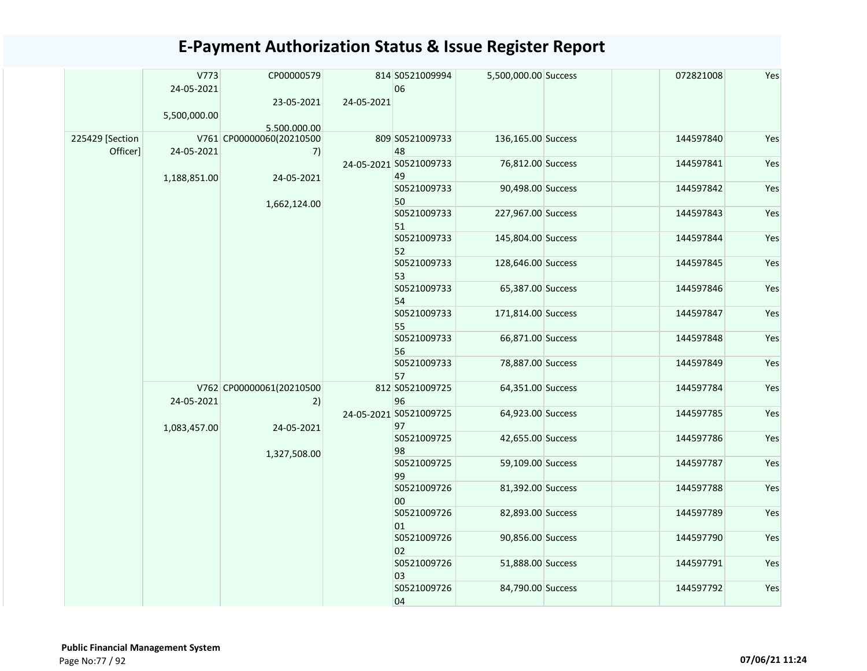|                             | V773<br>24-05-2021 | CP00000579                     |            | 814 S0521009994<br>06        | 5,500,000.00 Success | 072821008 | Yes |  |  |  |  |  |  |  |  |                   |                   |           |     |
|-----------------------------|--------------------|--------------------------------|------------|------------------------------|----------------------|-----------|-----|--|--|--|--|--|--|--|--|-------------------|-------------------|-----------|-----|
|                             | 5,500,000.00       | 23-05-2021                     | 24-05-2021 |                              |                      |           |     |  |  |  |  |  |  |  |  |                   |                   |           |     |
|                             |                    | 5.500.000.00                   |            |                              |                      |           |     |  |  |  |  |  |  |  |  |                   |                   |           |     |
| 225429 [Section<br>Officer] | 24-05-2021         | V761 CP00000060(20210500<br>7) |            | 809 S0521009733<br>48        | 136,165.00 Success   | 144597840 | Yes |  |  |  |  |  |  |  |  |                   |                   |           |     |
|                             | 1,188,851.00       | 24-05-2021                     |            | 24-05-2021 S0521009733<br>49 | 76,812.00 Success    | 144597841 | Yes |  |  |  |  |  |  |  |  |                   |                   |           |     |
|                             |                    |                                |            | S0521009733<br>50            | 90,498.00 Success    | 144597842 | Yes |  |  |  |  |  |  |  |  |                   |                   |           |     |
|                             |                    | 1,662,124.00                   |            | S0521009733<br>51            | 227,967.00 Success   | 144597843 | Yes |  |  |  |  |  |  |  |  |                   |                   |           |     |
|                             |                    |                                |            | S0521009733<br>52            | 145,804.00 Success   | 144597844 | Yes |  |  |  |  |  |  |  |  |                   |                   |           |     |
|                             |                    |                                |            | S0521009733<br>53            | 128,646.00 Success   | 144597845 | Yes |  |  |  |  |  |  |  |  |                   |                   |           |     |
|                             |                    |                                |            | S0521009733<br>54            | 65,387.00 Success    | 144597846 | Yes |  |  |  |  |  |  |  |  |                   |                   |           |     |
|                             |                    |                                |            | S0521009733<br>55            | 171,814.00 Success   | 144597847 | Yes |  |  |  |  |  |  |  |  |                   |                   |           |     |
|                             |                    |                                |            | S0521009733<br>56            | 66,871.00 Success    | 144597848 | Yes |  |  |  |  |  |  |  |  |                   |                   |           |     |
|                             |                    |                                |            |                              |                      |           |     |  |  |  |  |  |  |  |  | S0521009733<br>57 | 78,887.00 Success | 144597849 | Yes |
|                             | 24-05-2021         | V762 CP00000061(20210500<br>2) |            | 812 S0521009725<br>96        | 64,351.00 Success    | 144597784 | Yes |  |  |  |  |  |  |  |  |                   |                   |           |     |
|                             | 1,083,457.00       | 24-05-2021                     |            | 24-05-2021 S0521009725<br>97 | 64,923.00 Success    | 144597785 | Yes |  |  |  |  |  |  |  |  |                   |                   |           |     |
|                             |                    | 1,327,508.00                   |            | S0521009725<br>98            | 42,655.00 Success    | 144597786 | Yes |  |  |  |  |  |  |  |  |                   |                   |           |     |
|                             |                    |                                |            | S0521009725<br>99            | 59,109.00 Success    | 144597787 | Yes |  |  |  |  |  |  |  |  |                   |                   |           |     |
|                             |                    |                                |            | S0521009726<br>00            | 81,392.00 Success    | 144597788 | Yes |  |  |  |  |  |  |  |  |                   |                   |           |     |
|                             |                    |                                |            | S0521009726<br>01            | 82,893.00 Success    | 144597789 | Yes |  |  |  |  |  |  |  |  |                   |                   |           |     |
|                             |                    |                                |            | S0521009726<br>02            | 90,856.00 Success    | 144597790 | Yes |  |  |  |  |  |  |  |  |                   |                   |           |     |
|                             |                    |                                |            | S0521009726<br>03            | 51,888.00 Success    | 144597791 | Yes |  |  |  |  |  |  |  |  |                   |                   |           |     |
|                             |                    |                                |            | S0521009726<br>04            | 84,790.00 Success    | 144597792 | Yes |  |  |  |  |  |  |  |  |                   |                   |           |     |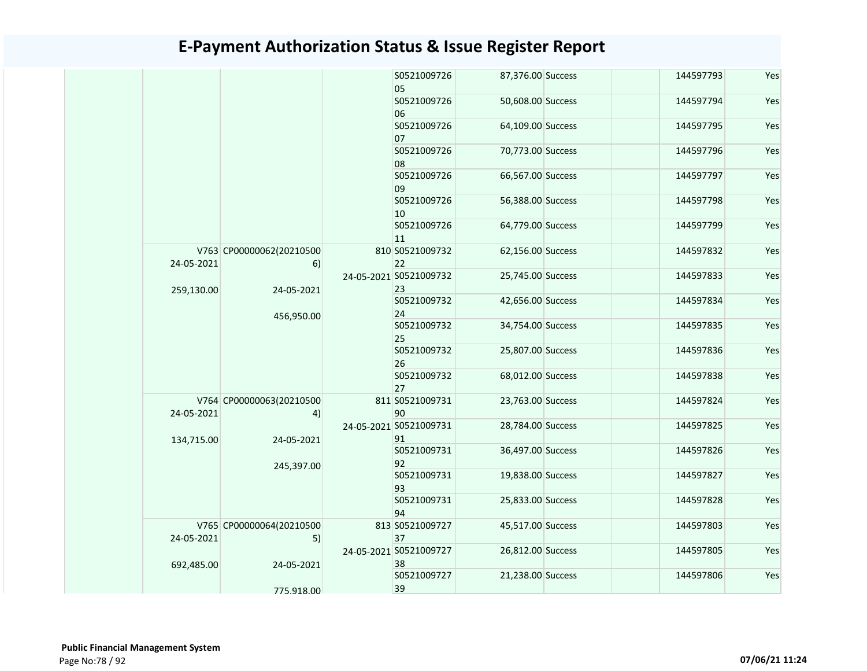|  |                                        |                                |                              | S0521009726<br>05            | 87,376.00 Success | 144597793 | Yes |
|--|----------------------------------------|--------------------------------|------------------------------|------------------------------|-------------------|-----------|-----|
|  |                                        |                                |                              | S0521009726<br>06            | 50,608.00 Success | 144597794 | Yes |
|  |                                        |                                |                              | S0521009726<br>07            | 64,109.00 Success | 144597795 | Yes |
|  |                                        |                                |                              | S0521009726<br>08            | 70,773.00 Success | 144597796 | Yes |
|  |                                        |                                |                              | S0521009726<br>09            | 66,567.00 Success | 144597797 | Yes |
|  |                                        |                                |                              | S0521009726<br>10            | 56,388.00 Success | 144597798 | Yes |
|  |                                        |                                |                              | S0521009726<br>11            | 64,779.00 Success | 144597799 | Yes |
|  | 24-05-2021                             | V763 CP00000062(20210500<br>6) | 24-05-2021 S0521009732       | 810 S0521009732<br>22        | 62,156.00 Success | 144597832 | Yes |
|  | 24-05-2021<br>259,130.00<br>456,950.00 |                                | 23                           | 25,745.00 Success            | 144597833         | Yes       |     |
|  |                                        |                                | S0521009732<br>24            | 42,656.00 Success            | 144597834         | Yes       |     |
|  |                                        |                                | S0521009732<br>25            | 34,754.00 Success            | 144597835         | Yes       |     |
|  |                                        |                                | S0521009732<br>26            | 25,807.00 Success            | 144597836         | Yes       |     |
|  |                                        |                                |                              | S0521009732<br>27            | 68,012.00 Success | 144597838 | Yes |
|  | 24-05-2021                             | V764 CP00000063(20210500<br>4) |                              | 811 S0521009731<br>90        | 23,763.00 Success | 144597824 | Yes |
|  | 134,715.00                             | 24-05-2021                     |                              | 24-05-2021 S0521009731<br>91 | 28,784.00 Success | 144597825 | Yes |
|  |                                        | 245,397.00                     |                              | S0521009731<br>92            | 36,497.00 Success | 144597826 | Yes |
|  |                                        |                                |                              | S0521009731<br>93            | 19,838.00 Success | 144597827 | Yes |
|  |                                        |                                |                              | S0521009731<br>94            | 25,833.00 Success | 144597828 | Yes |
|  | 24-05-2021                             | V765 CP00000064(20210500<br>5) |                              | 813 S0521009727<br>37        | 45,517.00 Success | 144597803 | Yes |
|  | 692,485.00<br>24-05-2021               |                                | 24-05-2021 S0521009727<br>38 | 26,812.00 Success            | 144597805         | Yes       |     |
|  |                                        | 775.918.00                     |                              | S0521009727<br>39            | 21,238.00 Success | 144597806 | Yes |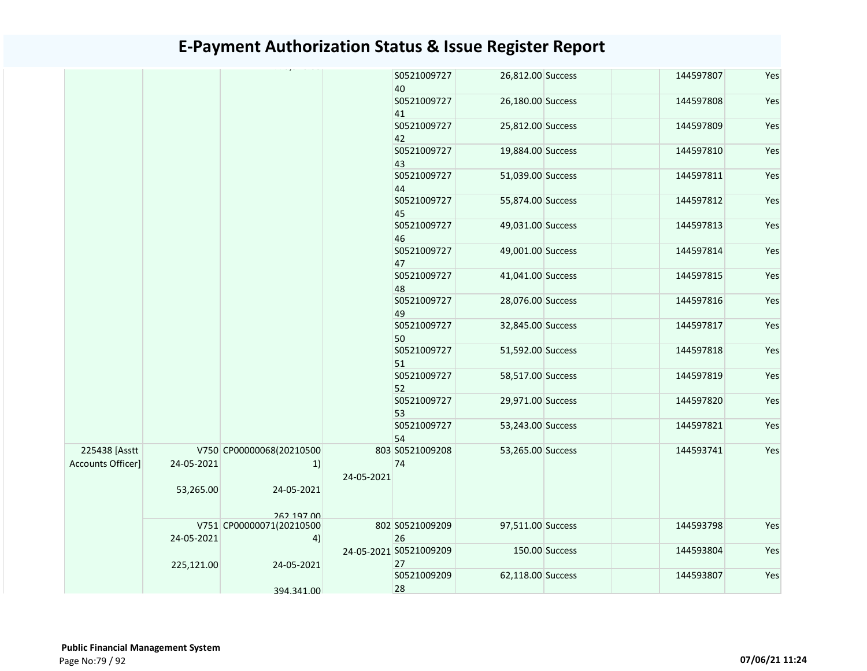|                   |            |                          |            | S0521009727<br>40      | 26,812.00 Success |                | 144597807 | Yes |
|-------------------|------------|--------------------------|------------|------------------------|-------------------|----------------|-----------|-----|
|                   |            |                          |            | S0521009727            | 26,180.00 Success |                | 144597808 | Yes |
|                   |            |                          |            | 41                     |                   |                |           |     |
|                   |            |                          |            | S0521009727            | 25,812.00 Success |                | 144597809 | Yes |
|                   |            |                          |            | 42                     |                   |                |           |     |
|                   |            |                          |            | S0521009727            | 19,884.00 Success |                | 144597810 | Yes |
|                   |            |                          |            | 43                     |                   |                |           |     |
|                   |            |                          |            | S0521009727            | 51,039.00 Success |                | 144597811 | Yes |
|                   |            |                          |            | 44<br>S0521009727      | 55,874.00 Success |                | 144597812 | Yes |
|                   |            |                          |            | 45                     |                   |                |           |     |
|                   |            |                          |            | S0521009727            | 49,031.00 Success |                | 144597813 | Yes |
|                   |            |                          |            | 46                     |                   |                |           |     |
|                   |            |                          |            | S0521009727            | 49,001.00 Success |                | 144597814 | Yes |
|                   |            |                          |            | 47                     |                   |                |           |     |
|                   |            |                          |            | S0521009727            | 41,041.00 Success |                | 144597815 | Yes |
|                   |            |                          |            | 48                     |                   |                |           |     |
|                   |            |                          |            | S0521009727            | 28,076.00 Success |                | 144597816 | Yes |
|                   |            |                          |            | 49                     |                   |                |           |     |
|                   |            |                          |            | S0521009727            | 32,845.00 Success |                | 144597817 | Yes |
|                   |            |                          |            | 50                     |                   |                |           |     |
|                   |            |                          |            | S0521009727            | 51,592.00 Success |                | 144597818 | Yes |
|                   |            |                          |            | 51                     |                   |                |           |     |
|                   |            |                          |            | S0521009727            | 58,517.00 Success |                | 144597819 | Yes |
|                   |            |                          |            | 52<br>S0521009727      | 29,971.00 Success |                | 144597820 | Yes |
|                   |            |                          |            | 53                     |                   |                |           |     |
|                   |            |                          |            | S0521009727            | 53,243.00 Success |                | 144597821 | Yes |
|                   |            |                          |            | 54                     |                   |                |           |     |
| 225438 [Asstt     |            | V750 CP00000068(20210500 |            | 803 S0521009208        | 53,265.00 Success |                | 144593741 | Yes |
| Accounts Officer] | 24-05-2021 | 1)                       |            | 74                     |                   |                |           |     |
|                   |            |                          | 24-05-2021 |                        |                   |                |           |     |
|                   | 53,265.00  | 24-05-2021               |            |                        |                   |                |           |     |
|                   |            |                          |            |                        |                   |                |           |     |
|                   |            | 262 197 00               |            |                        |                   |                |           |     |
|                   |            | V751 CP00000071(20210500 |            | 802 S0521009209        | 97,511.00 Success |                | 144593798 | Yes |
|                   | 24-05-2021 | 4)                       |            | 26                     |                   |                |           |     |
|                   |            |                          |            | 24-05-2021 S0521009209 |                   | 150.00 Success | 144593804 | Yes |
|                   | 225,121.00 | 24-05-2021               |            | 27                     |                   |                |           |     |
|                   |            |                          |            | S0521009209            | 62,118.00 Success |                | 144593807 | Yes |
|                   |            | 394.341.00               |            | 28                     |                   |                |           |     |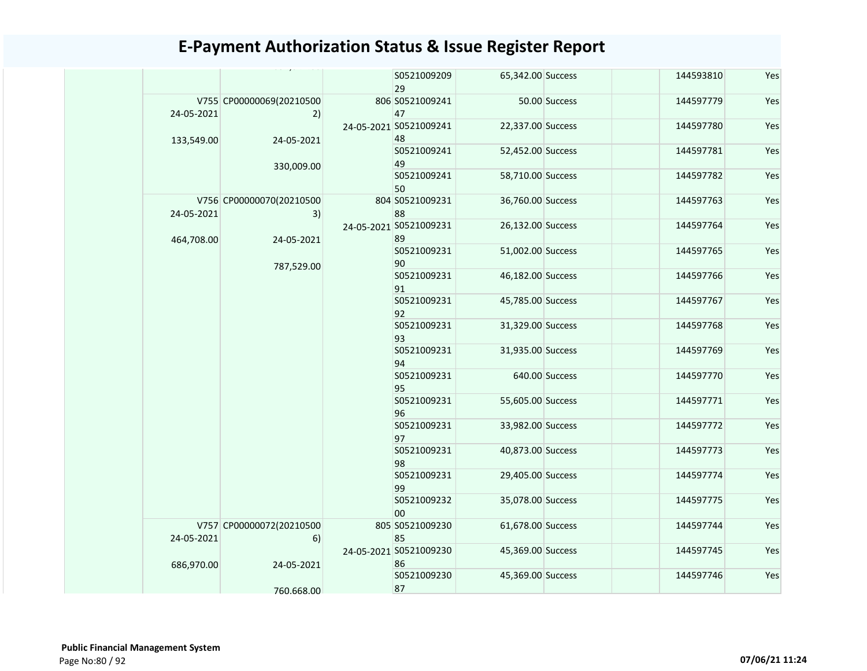|  |            |                                | S0521009209<br>29            | 65,342.00 Success |               | 144593810 | Yes |
|--|------------|--------------------------------|------------------------------|-------------------|---------------|-----------|-----|
|  | 24-05-2021 | V755 CP00000069(20210500<br>2) | 806 S0521009241<br>47        |                   | 50.00 Success | 144597779 | Yes |
|  | 133,549.00 | 24-05-2021                     | 24-05-2021 S0521009241<br>48 | 22,337.00 Success |               | 144597780 | Yes |
|  |            | 330,009.00                     | S0521009241<br>49            | 52,452.00 Success |               | 144597781 | Yes |
|  |            |                                | S0521009241<br>50            | 58,710.00 Success |               | 144597782 | Yes |
|  | 24-05-2021 | V756 CP00000070(20210500<br>3) | 804 S0521009231<br>88        | 36,760.00 Success |               | 144597763 | Yes |
|  | 464,708.00 | 24-05-2021                     | 24-05-2021 S0521009231<br>89 | 26,132.00 Success |               | 144597764 | Yes |
|  | 787,529.00 | S0521009231<br>90              | 51,002.00 Success            |                   | 144597765     | Yes       |     |
|  |            |                                | S0521009231<br>91            | 46,182.00 Success |               | 144597766 | Yes |
|  |            | S0521009231<br>92              | 45,785.00 Success            |                   | 144597767     | Yes       |     |
|  |            |                                | S0521009231<br>93            | 31,329.00 Success |               | 144597768 | Yes |
|  |            |                                | S0521009231<br>94            | 31,935.00 Success |               | 144597769 | Yes |
|  |            | S0521009231<br>95              |                              | 640.00 Success    | 144597770     | Yes       |     |
|  |            |                                | S0521009231<br>96            | 55,605.00 Success |               | 144597771 | Yes |
|  |            |                                | S0521009231<br>97            | 33,982.00 Success |               | 144597772 | Yes |
|  |            |                                | S0521009231<br>98            | 40,873.00 Success |               | 144597773 | Yes |
|  |            |                                | S0521009231<br>99            | 29,405.00 Success |               | 144597774 | Yes |
|  |            |                                | S0521009232<br>00            | 35,078.00 Success |               | 144597775 | Yes |
|  | 24-05-2021 | V757 CP00000072(20210500<br>6) | 805 S0521009230<br>85        | 61,678.00 Success |               | 144597744 | Yes |
|  |            | 686,970.00<br>24-05-2021       | 24-05-2021 S0521009230<br>86 | 45,369.00 Success |               | 144597745 | Yes |
|  |            | 760.668.00                     | S0521009230<br>87            | 45,369.00 Success |               | 144597746 | Yes |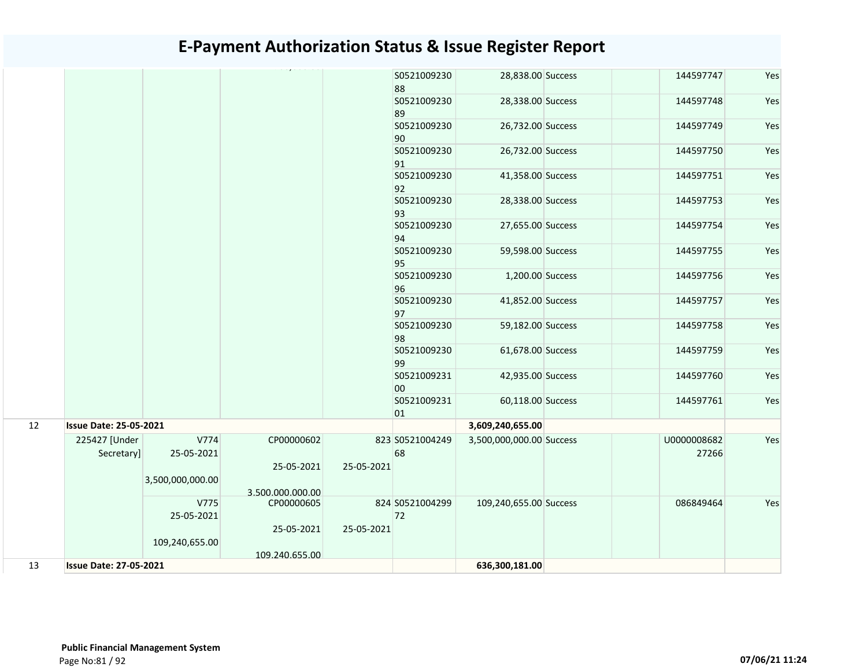|    |                               |                    |                          |            | S0521009230<br>88     | 28,838.00 Success        | 144597747            | Yes |
|----|-------------------------------|--------------------|--------------------------|------------|-----------------------|--------------------------|----------------------|-----|
|    |                               |                    |                          |            | S0521009230<br>89     | 28,338.00 Success        | 144597748            | Yes |
|    |                               |                    |                          |            | S0521009230<br>90     | 26,732.00 Success        | 144597749            | Yes |
|    |                               |                    |                          |            | S0521009230<br>91     | 26,732.00 Success        | 144597750            | Yes |
|    |                               |                    |                          |            | S0521009230<br>92     | 41,358.00 Success        | 144597751            | Yes |
|    |                               |                    |                          |            | S0521009230<br>93     | 28,338.00 Success        | 144597753            | Yes |
|    |                               |                    |                          |            | S0521009230<br>94     | 27,655.00 Success        | 144597754            | Yes |
|    |                               |                    |                          |            | S0521009230<br>95     | 59,598.00 Success        | 144597755            | Yes |
|    |                               |                    |                          |            | S0521009230<br>96     | 1,200.00 Success         | 144597756            | Yes |
|    |                               |                    |                          |            | S0521009230<br>97     | 41,852.00 Success        | 144597757            | Yes |
|    |                               |                    |                          |            | S0521009230<br>98     | 59,182.00 Success        | 144597758            | Yes |
|    |                               |                    |                          |            | S0521009230<br>99     | 61,678.00 Success        | 144597759            | Yes |
|    |                               |                    |                          |            | S0521009231<br>00     | 42,935.00 Success        | 144597760            | Yes |
|    |                               |                    |                          |            | S0521009231<br>01     | 60,118.00 Success        | 144597761            | Yes |
| 12 | <b>Issue Date: 25-05-2021</b> |                    |                          |            |                       | 3,609,240,655.00         |                      |     |
|    | 225427 [Under<br>Secretary]   | V774<br>25-05-2021 | CP00000602<br>25-05-2021 | 25-05-2021 | 823 S0521004249<br>68 | 3,500,000,000.00 Success | U0000008682<br>27266 | Yes |
|    |                               | 3,500,000,000.00   | 3.500.000.000.00         |            |                       |                          |                      |     |
|    |                               | V775               | CP00000605               |            | 824 S0521004299       | 109,240,655.00 Success   | 086849464            | Yes |
|    |                               | 25-05-2021         |                          |            | 72                    |                          |                      |     |
|    |                               |                    | 25-05-2021               | 25-05-2021 |                       |                          |                      |     |
|    |                               | 109,240,655.00     |                          |            |                       |                          |                      |     |
|    |                               |                    | 109.240.655.00           |            |                       |                          |                      |     |
| 13 | <b>Issue Date: 27-05-2021</b> |                    |                          |            |                       | 636,300,181.00           |                      |     |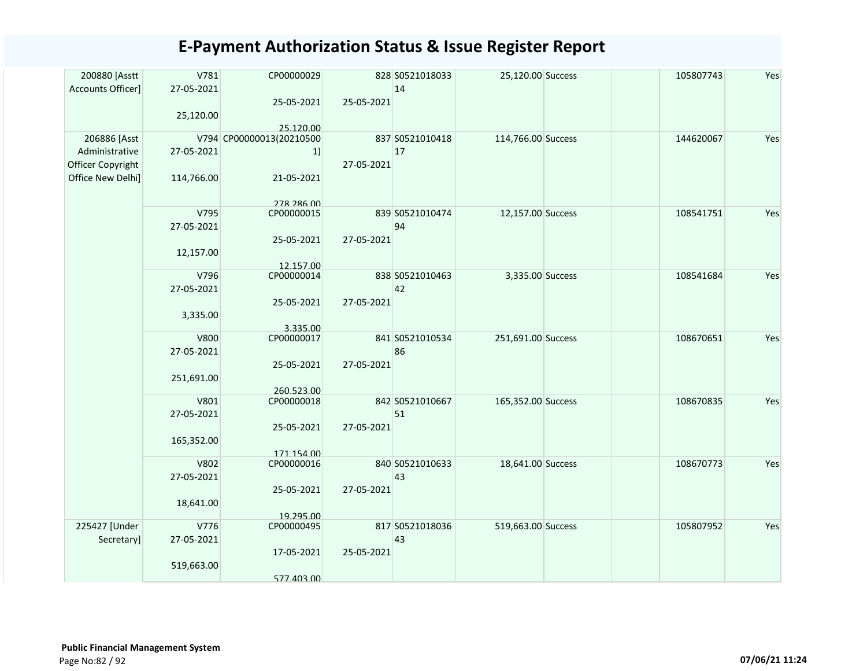| 200880 [Asstt     | V781        | CP00000029                            |            | 828 S0521018033 | 25,120.00 Success  | 105807743 | Yes |
|-------------------|-------------|---------------------------------------|------------|-----------------|--------------------|-----------|-----|
| Accounts Officer] | 27-05-2021  |                                       |            | 14              |                    |           |     |
|                   |             | 25-05-2021                            | 25-05-2021 |                 |                    |           |     |
|                   | 25,120.00   |                                       |            |                 |                    |           |     |
| 206886 [Asst      |             | 25.120.00<br>V794 CP00000013(20210500 |            | 837 S0521010418 | 114,766.00 Success | 144620067 | Yes |
| Administrative    | 27-05-2021  | 1)                                    |            | 17              |                    |           |     |
| Officer Copyright |             |                                       | 27-05-2021 |                 |                    |           |     |
| Office New Delhi] | 114,766.00  | 21-05-2021                            |            |                 |                    |           |     |
|                   |             |                                       |            |                 |                    |           |     |
|                   |             | 278 286 00                            |            |                 |                    |           |     |
|                   | V795        | CP00000015                            |            | 839 S0521010474 | 12,157.00 Success  | 108541751 | Yes |
|                   | 27-05-2021  |                                       |            | 94              |                    |           |     |
|                   |             | 25-05-2021                            | 27-05-2021 |                 |                    |           |     |
|                   | 12,157.00   |                                       |            |                 |                    |           |     |
|                   | V796        | 12.157.00<br>CP00000014               |            | 838 S0521010463 | 3,335.00 Success   | 108541684 | Yes |
|                   | 27-05-2021  |                                       |            | 42              |                    |           |     |
|                   |             | 25-05-2021                            | 27-05-2021 |                 |                    |           |     |
|                   | 3,335.00    |                                       |            |                 |                    |           |     |
|                   |             | 3.335.00                              |            |                 |                    |           |     |
|                   | <b>V800</b> | CP00000017                            |            | 841 S0521010534 | 251,691.00 Success | 108670651 | Yes |
|                   | 27-05-2021  |                                       |            | 86              |                    |           |     |
|                   |             | 25-05-2021                            | 27-05-2021 |                 |                    |           |     |
|                   | 251,691.00  |                                       |            |                 |                    |           |     |
|                   | V801        | 260.523.00<br>CP00000018              |            | 842 S0521010667 | 165,352.00 Success | 108670835 | Yes |
|                   | 27-05-2021  |                                       |            | 51              |                    |           |     |
|                   |             | 25-05-2021                            | 27-05-2021 |                 |                    |           |     |
|                   | 165,352.00  |                                       |            |                 |                    |           |     |
|                   |             | 171.154.00                            |            |                 |                    |           |     |
|                   | V802        | CP00000016                            |            | 840 S0521010633 | 18,641.00 Success  | 108670773 | Yes |
|                   | 27-05-2021  |                                       |            | 43              |                    |           |     |
|                   |             | 25-05-2021                            | 27-05-2021 |                 |                    |           |     |
|                   | 18,641.00   |                                       |            |                 |                    |           |     |
| 225427 [Under     | V776        | 19.295.00<br>CP00000495               |            | 817 S0521018036 | 519,663.00 Success | 105807952 | Yes |
| Secretary]        | 27-05-2021  |                                       |            | 43              |                    |           |     |
|                   |             | 17-05-2021                            | 25-05-2021 |                 |                    |           |     |
|                   | 519,663.00  |                                       |            |                 |                    |           |     |
|                   |             | 577.403.00                            |            |                 |                    |           |     |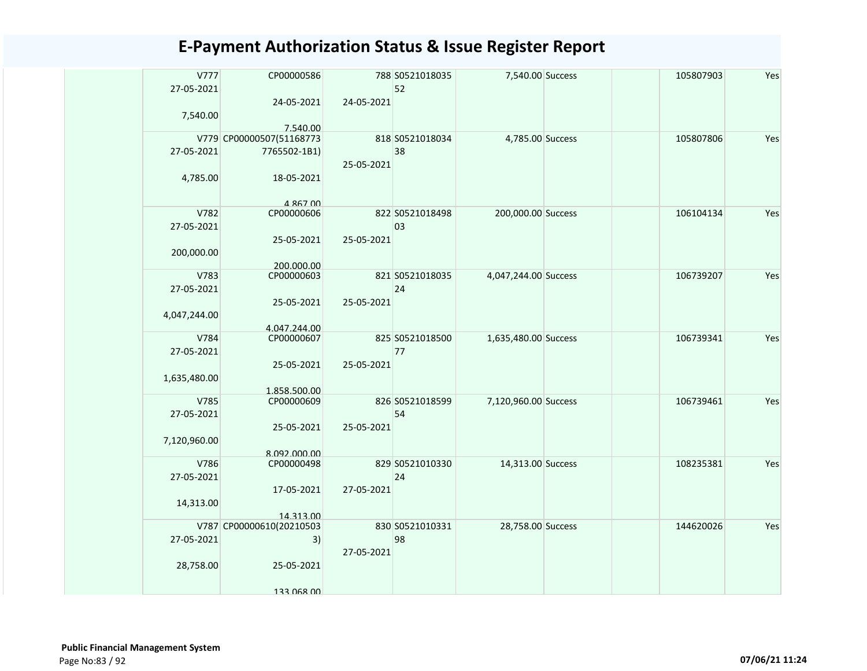| V777         | CP00000586                           |            | 788 S0521018035 | 7,540.00 Success     | 105807903 | Yes |
|--------------|--------------------------------------|------------|-----------------|----------------------|-----------|-----|
| 27-05-2021   |                                      |            | 52              |                      |           |     |
|              | 24-05-2021                           | 24-05-2021 |                 |                      |           |     |
| 7,540.00     |                                      |            |                 |                      |           |     |
|              | 7.540.00<br>V779 CP00000507(51168773 |            | 818 S0521018034 | 4,785.00 Success     | 105807806 | Yes |
| 27-05-2021   | 7765502-1B1)                         |            | 38              |                      |           |     |
|              |                                      | 25-05-2021 |                 |                      |           |     |
|              | 18-05-2021                           |            |                 |                      |           |     |
| 4,785.00     |                                      |            |                 |                      |           |     |
|              | 4 867 00                             |            |                 |                      |           |     |
| V782         | CP00000606                           |            | 822 S0521018498 | 200,000.00 Success   | 106104134 | Yes |
| 27-05-2021   |                                      |            | 03              |                      |           |     |
|              | 25-05-2021                           | 25-05-2021 |                 |                      |           |     |
| 200,000.00   |                                      |            |                 |                      |           |     |
|              | 200.000.00                           |            |                 |                      |           |     |
| V783         | CP00000603                           |            | 821 S0521018035 | 4,047,244.00 Success | 106739207 | Yes |
| 27-05-2021   |                                      |            | 24              |                      |           |     |
|              | 25-05-2021                           | 25-05-2021 |                 |                      |           |     |
| 4,047,244.00 |                                      |            |                 |                      |           |     |
| V784         | 4.047.244.00<br>CP00000607           |            | 825 S0521018500 | 1,635,480.00 Success | 106739341 | Yes |
| 27-05-2021   |                                      |            | 77              |                      |           |     |
|              | 25-05-2021                           | 25-05-2021 |                 |                      |           |     |
| 1,635,480.00 |                                      |            |                 |                      |           |     |
|              | 1.858.500.00                         |            |                 |                      |           |     |
| V785         | CP00000609                           |            | 826 S0521018599 | 7,120,960.00 Success | 106739461 | Yes |
| 27-05-2021   |                                      |            | 54              |                      |           |     |
|              | 25-05-2021                           | 25-05-2021 |                 |                      |           |     |
| 7,120,960.00 |                                      |            |                 |                      |           |     |
| V786         | 8.092.000.00<br>CP00000498           |            | 829 S0521010330 | 14,313.00 Success    | 108235381 | Yes |
| 27-05-2021   |                                      |            | 24              |                      |           |     |
|              | 17-05-2021                           | 27-05-2021 |                 |                      |           |     |
| 14,313.00    |                                      |            |                 |                      |           |     |
|              | 14.313.00                            |            |                 |                      |           |     |
|              | V787 CP00000610(20210503             |            | 830 S0521010331 | 28,758.00 Success    | 144620026 | Yes |
| 27-05-2021   | 3)                                   |            | 98              |                      |           |     |
|              |                                      | 27-05-2021 |                 |                      |           |     |
| 28,758.00    | 25-05-2021                           |            |                 |                      |           |     |
|              |                                      |            |                 |                      |           |     |
|              | 133 068 00                           |            |                 |                      |           |     |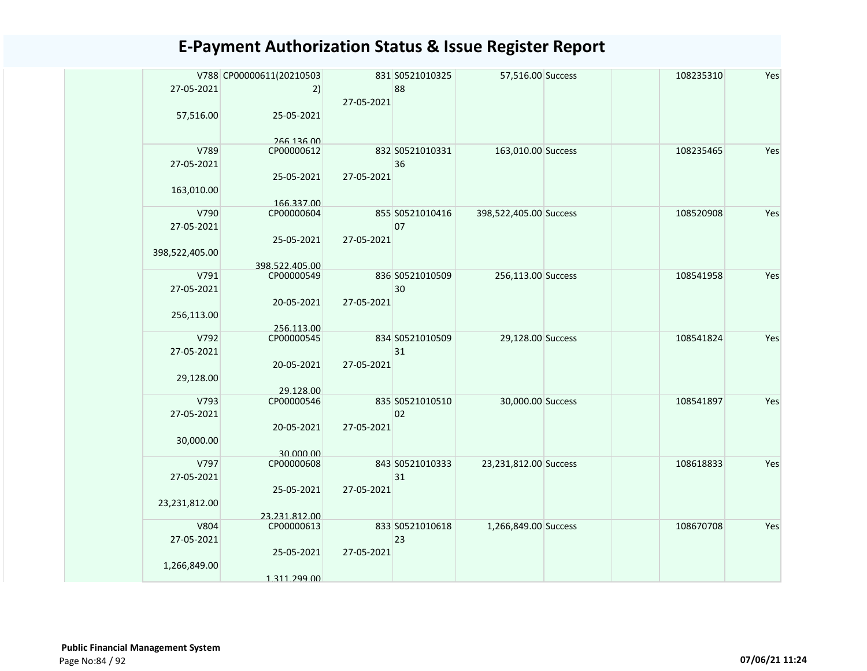|                | V788 CP00000611(20210503    |            | 831 S0521010325       | 57,516.00 Success      | 108235310 | Yes |
|----------------|-----------------------------|------------|-----------------------|------------------------|-----------|-----|
| 27-05-2021     | 2)                          |            | 88                    |                        |           |     |
|                |                             | 27-05-2021 |                       |                        |           |     |
| 57,516.00      | 25-05-2021                  |            |                       |                        |           |     |
|                |                             |            |                       |                        |           |     |
|                | 266 136 00                  |            |                       |                        |           |     |
| V789           | CP00000612                  |            | 832 S0521010331       | 163,010.00 Success     | 108235465 | Yes |
| 27-05-2021     |                             | 27-05-2021 | 36                    |                        |           |     |
|                | 25-05-2021                  |            |                       |                        |           |     |
| 163,010.00     | 166.337.00                  |            |                       |                        |           |     |
| V790           | CP00000604                  |            | 855 S0521010416       | 398,522,405.00 Success | 108520908 | Yes |
| 27-05-2021     |                             |            | 07                    |                        |           |     |
|                | 25-05-2021                  | 27-05-2021 |                       |                        |           |     |
| 398,522,405.00 |                             |            |                       |                        |           |     |
|                | 398.522.405.00              |            |                       |                        |           |     |
| V791           | CP00000549                  |            | 836 S0521010509       | 256,113.00 Success     | 108541958 | Yes |
| 27-05-2021     |                             |            | 30                    |                        |           |     |
|                | 20-05-2021                  | 27-05-2021 |                       |                        |           |     |
| 256,113.00     |                             |            |                       |                        |           |     |
| V792           | 256.113.00                  |            |                       |                        |           |     |
| 27-05-2021     | CP00000545                  |            | 834 S0521010509<br>31 | 29,128.00 Success      | 108541824 | Yes |
|                | 20-05-2021                  | 27-05-2021 |                       |                        |           |     |
| 29,128.00      |                             |            |                       |                        |           |     |
|                | 29.128.00                   |            |                       |                        |           |     |
| V793           | CP00000546                  |            | 835 S0521010510       | 30,000.00 Success      | 108541897 | Yes |
| 27-05-2021     |                             |            | 02                    |                        |           |     |
|                | 20-05-2021                  | 27-05-2021 |                       |                        |           |     |
| 30,000.00      |                             |            |                       |                        |           |     |
|                | 30.000.00                   |            |                       |                        |           |     |
| V797           | CP00000608                  |            | 843 S0521010333       | 23,231,812.00 Success  | 108618833 | Yes |
| 27-05-2021     |                             |            | 31                    |                        |           |     |
|                | 25-05-2021                  | 27-05-2021 |                       |                        |           |     |
| 23,231,812.00  |                             |            |                       |                        |           |     |
| V804           | 23.231.812.00<br>CP00000613 |            | 833 S0521010618       | 1,266,849.00 Success   | 108670708 | Yes |
| 27-05-2021     |                             |            | 23                    |                        |           |     |
|                | 25-05-2021                  | 27-05-2021 |                       |                        |           |     |
| 1,266,849.00   |                             |            |                       |                        |           |     |
|                | 1.311.299.00                |            |                       |                        |           |     |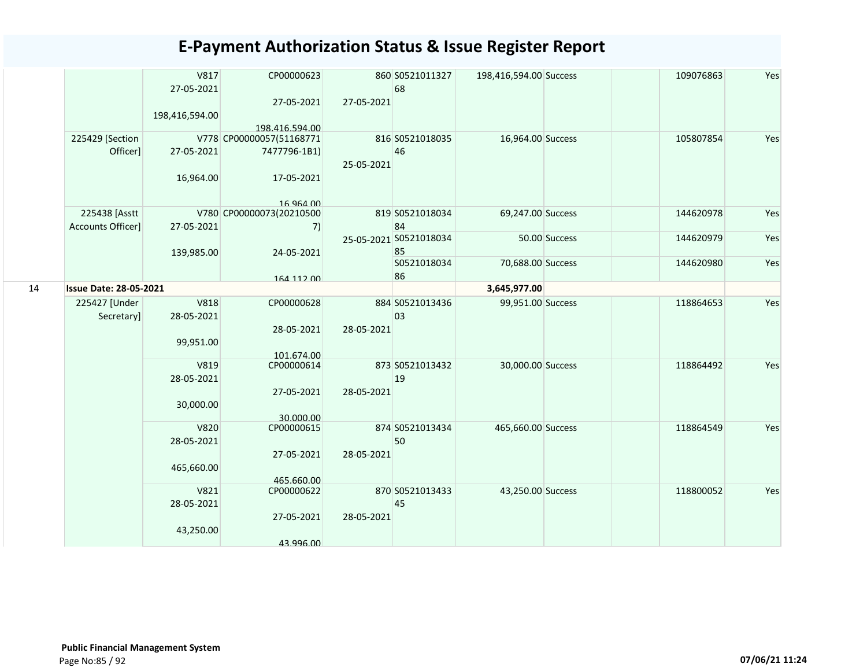|    |                                    | V817<br>27-05-2021<br>198,416,594.00    | CP00000623<br>27-05-2021<br>198.416.594.00                          | 27-05-2021 | 860 S0521011327<br>68        | 198,416,594.00 Success |               | 109076863 | Yes |
|----|------------------------------------|-----------------------------------------|---------------------------------------------------------------------|------------|------------------------------|------------------------|---------------|-----------|-----|
|    | 225429 [Section<br>Officer]        | 27-05-2021<br>16,964.00                 | V778 CP00000057(51168771<br>7477796-1B1)<br>17-05-2021<br>16 964 00 | 25-05-2021 | 816 S0521018035<br>46        | 16,964.00 Success      |               | 105807854 | Yes |
|    | 225438 [Asstt<br>Accounts Officer] | 27-05-2021                              | V780 CP00000073(20210500<br>7)                                      |            | 819 S0521018034<br>84        | 69,247.00 Success      |               | 144620978 | Yes |
|    |                                    | 139,985.00                              | 24-05-2021                                                          |            | 25-05-2021 S0521018034<br>85 |                        | 50.00 Success | 144620979 | Yes |
|    |                                    |                                         | 164 112 00                                                          |            | S0521018034<br>86            | 70,688.00 Success      |               | 144620980 | Yes |
| 14 | <b>Issue Date: 28-05-2021</b>      |                                         |                                                                     |            |                              | 3,645,977.00           |               |           |     |
|    | 225427 [Under<br>Secretary]        | <b>V818</b><br>28-05-2021<br>99,951.00  | CP00000628<br>28-05-2021<br>101.674.00                              | 28-05-2021 | 884 S0521013436<br>03        | 99,951.00 Success      |               | 118864653 | Yes |
|    |                                    | V819<br>28-05-2021<br>30,000.00         | CP00000614<br>27-05-2021<br>30.000.00                               | 28-05-2021 | 873 S0521013432<br>19        | 30,000.00 Success      |               | 118864492 | Yes |
|    |                                    | <b>V820</b><br>28-05-2021<br>465,660.00 | CP00000615<br>27-05-2021<br>465.660.00                              | 28-05-2021 | 874 S0521013434<br>50        | 465,660.00 Success     |               | 118864549 | Yes |
|    |                                    | V821<br>28-05-2021<br>43,250.00         | CP00000622<br>27-05-2021<br>43.996.00                               | 28-05-2021 | 870 S0521013433<br>45        | 43,250.00 Success      |               | 118800052 | Yes |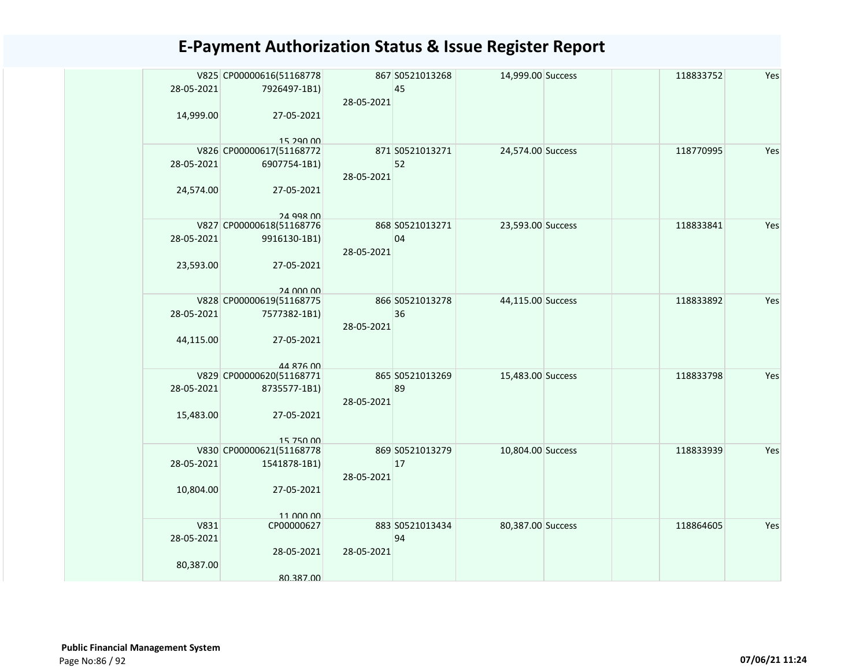| 28-05-2021 | V825 CP00000616(51168778<br>7926497-1B1) | 28-05-2021 | 867 S0521013268<br>45 | 14,999.00 Success | 118833752 | Yes |
|------------|------------------------------------------|------------|-----------------------|-------------------|-----------|-----|
| 14,999.00  | 27-05-2021<br>15 290 00                  |            |                       |                   |           |     |
|            | V826 CP00000617(51168772                 |            | 871 S0521013271       | 24,574.00 Success | 118770995 | Yes |
| 28-05-2021 | 6907754-1B1)                             | 28-05-2021 | 52                    |                   |           |     |
| 24,574.00  | 27-05-2021                               |            |                       |                   |           |     |
|            | 24 998 00                                |            |                       |                   |           |     |
|            | V827 CP00000618(51168776                 |            | 868 S0521013271       | 23,593.00 Success | 118833841 | Yes |
| 28-05-2021 | 9916130-1B1)                             |            | 04                    |                   |           |     |
|            |                                          | 28-05-2021 |                       |                   |           |     |
| 23,593.00  | 27-05-2021                               |            |                       |                   |           |     |
|            |                                          |            |                       |                   |           |     |
|            | 24 000 00<br>V828 CP00000619(51168775    |            | 866 S0521013278       | 44,115.00 Success | 118833892 | Yes |
| 28-05-2021 | 7577382-1B1)                             |            | 36                    |                   |           |     |
|            |                                          | 28-05-2021 |                       |                   |           |     |
| 44,115.00  | 27-05-2021                               |            |                       |                   |           |     |
|            |                                          |            |                       |                   |           |     |
|            | 44 876 00                                |            |                       |                   |           |     |
|            | V829 CP00000620(51168771                 |            | 865 S0521013269       | 15,483.00 Success | 118833798 | Yes |
| 28-05-2021 | 8735577-1B1)                             |            | 89                    |                   |           |     |
|            |                                          | 28-05-2021 |                       |                   |           |     |
| 15,483.00  | 27-05-2021                               |            |                       |                   |           |     |
|            |                                          |            |                       |                   |           |     |
|            | 15 750 00                                |            |                       |                   |           |     |
|            | V830 CP00000621(51168778                 |            | 869 S0521013279       | 10,804.00 Success | 118833939 | Yes |
| 28-05-2021 | 1541878-1B1)                             |            | 17                    |                   |           |     |
|            |                                          | 28-05-2021 |                       |                   |           |     |
| 10,804.00  | 27-05-2021                               |            |                       |                   |           |     |
|            |                                          |            |                       |                   |           |     |
|            | 11 000 00                                |            |                       |                   |           |     |
| V831       | CP00000627                               |            | 883 S0521013434       | 80,387.00 Success | 118864605 | Yes |
| 28-05-2021 |                                          |            | 94                    |                   |           |     |
|            | 28-05-2021                               | 28-05-2021 |                       |                   |           |     |
| 80,387.00  |                                          |            |                       |                   |           |     |
|            | 80.387.00                                |            |                       |                   |           |     |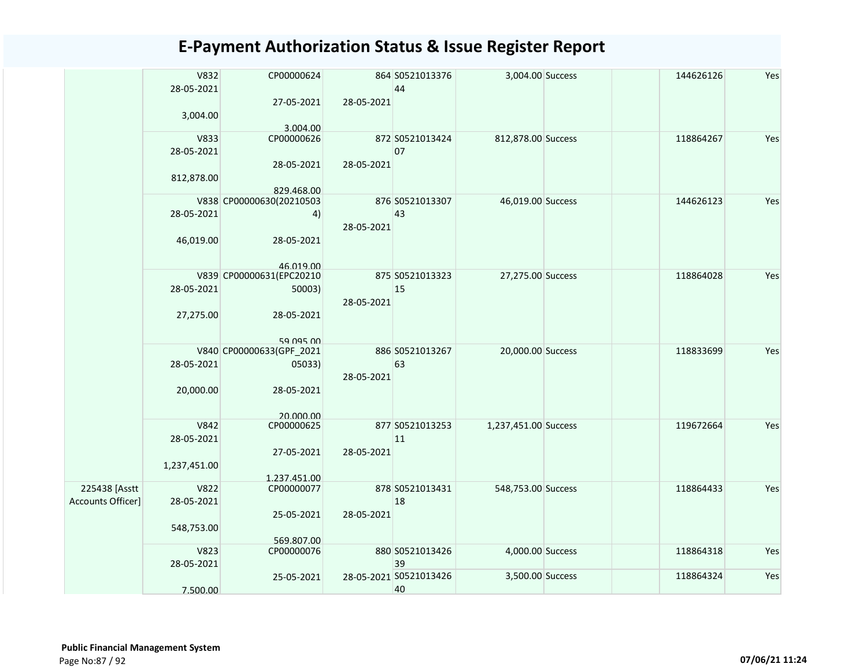|                   | V832         | CP00000624               |            | 864 S0521013376        | 3,004.00 Success     | 144626126 | Yes |
|-------------------|--------------|--------------------------|------------|------------------------|----------------------|-----------|-----|
|                   | 28-05-2021   |                          |            | 44                     |                      |           |     |
|                   |              | 27-05-2021               | 28-05-2021 |                        |                      |           |     |
|                   | 3,004.00     |                          |            |                        |                      |           |     |
|                   |              | 3.004.00                 |            |                        |                      |           |     |
|                   | V833         | CP00000626               |            | 872 S0521013424        | 812,878.00 Success   | 118864267 | Yes |
|                   | 28-05-2021   |                          |            | 07                     |                      |           |     |
|                   |              |                          |            |                        |                      |           |     |
|                   |              | 28-05-2021               | 28-05-2021 |                        |                      |           |     |
|                   | 812,878.00   |                          |            |                        |                      |           |     |
|                   |              | 829.468.00               |            |                        |                      |           |     |
|                   |              | V838 CP00000630(20210503 |            | 876 S0521013307        | 46,019.00 Success    | 144626123 | Yes |
|                   | 28-05-2021   | 4)                       |            | 43                     |                      |           |     |
|                   |              |                          | 28-05-2021 |                        |                      |           |     |
|                   | 46,019.00    | 28-05-2021               |            |                        |                      |           |     |
|                   |              |                          |            |                        |                      |           |     |
|                   |              | 46 019 00                |            |                        |                      |           |     |
|                   |              | V839 CP00000631(EPC20210 |            | 875 S0521013323        | 27,275.00 Success    | 118864028 | Yes |
|                   | 28-05-2021   | 50003)                   |            | 15                     |                      |           |     |
|                   |              |                          | 28-05-2021 |                        |                      |           |     |
|                   |              |                          |            |                        |                      |           |     |
|                   | 27,275.00    | 28-05-2021               |            |                        |                      |           |     |
|                   |              |                          |            |                        |                      |           |     |
|                   |              | 59 095 00                |            |                        |                      |           |     |
|                   |              | V840 CP00000633(GPF_2021 |            | 886 S0521013267        | 20,000.00 Success    | 118833699 | Yes |
|                   | 28-05-2021   | 05033)                   |            | 63                     |                      |           |     |
|                   |              |                          | 28-05-2021 |                        |                      |           |     |
|                   | 20,000.00    | 28-05-2021               |            |                        |                      |           |     |
|                   |              |                          |            |                        |                      |           |     |
|                   |              | 20,000,00                |            |                        |                      |           |     |
|                   | V842         | CP00000625               |            | 877 S0521013253        | 1,237,451.00 Success | 119672664 | Yes |
|                   | 28-05-2021   |                          |            | 11                     |                      |           |     |
|                   |              | 27-05-2021               | 28-05-2021 |                        |                      |           |     |
|                   | 1,237,451.00 |                          |            |                        |                      |           |     |
|                   |              | 1.237.451.00             |            |                        |                      |           |     |
| 225438 [Asstt     | V822         | CP00000077               |            | 878 S0521013431        | 548,753.00 Success   | 118864433 | Yes |
|                   |              |                          |            | 18                     |                      |           |     |
| Accounts Officer] | 28-05-2021   |                          |            |                        |                      |           |     |
|                   |              | 25-05-2021               | 28-05-2021 |                        |                      |           |     |
|                   | 548,753.00   |                          |            |                        |                      |           |     |
|                   |              | 569.807.00               |            |                        |                      |           |     |
|                   | V823         | CP00000076               |            | 880 S0521013426        | 4,000.00 Success     | 118864318 | Yes |
|                   | 28-05-2021   |                          |            | 39                     |                      |           |     |
|                   |              | 25-05-2021               |            | 28-05-2021 S0521013426 | 3,500.00 Success     | 118864324 | Yes |
|                   | 7.500.00     |                          |            | 40                     |                      |           |     |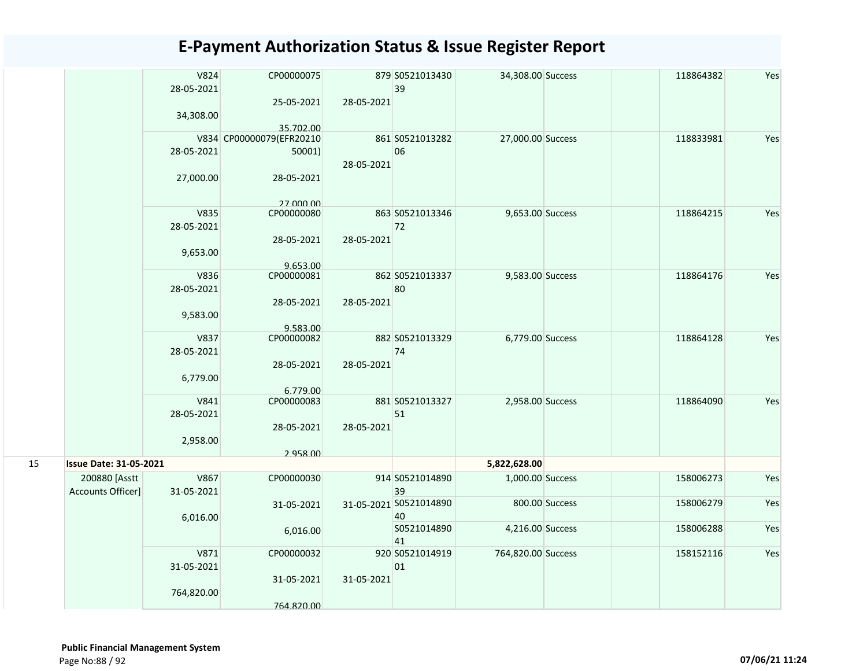|    |                               | V824<br>28-05-2021<br>34,308.00 | CP00000075<br>25-05-2021 | 28-05-2021 | 879 S0521013430<br>39        | 34,308.00 Success  |                | 118864382 | Yes |
|----|-------------------------------|---------------------------------|--------------------------|------------|------------------------------|--------------------|----------------|-----------|-----|
|    |                               |                                 | 35.702.00                |            |                              |                    |                |           |     |
|    |                               |                                 | V834 CP00000079(EFR20210 |            | 861 S0521013282              | 27,000.00 Success  |                | 118833981 | Yes |
|    |                               | 28-05-2021                      | 50001)                   | 28-05-2021 | 06                           |                    |                |           |     |
|    |                               | 27,000.00                       | 28-05-2021               |            |                              |                    |                |           |     |
|    |                               |                                 | 27 000 00                |            |                              |                    |                |           |     |
|    |                               | V835<br>28-05-2021              | CP00000080               |            | 863 S0521013346<br>72        | 9,653.00 Success   |                | 118864215 | Yes |
|    |                               | 9,653.00                        | 28-05-2021               | 28-05-2021 |                              |                    |                |           |     |
|    |                               | V836                            | 9.653.00                 |            | 862 S0521013337              |                    |                |           | Yes |
|    |                               | 28-05-2021                      | CP00000081               |            | 80                           | 9,583.00 Success   |                | 118864176 |     |
|    |                               |                                 | 28-05-2021               | 28-05-2021 |                              |                    |                |           |     |
|    |                               | 9,583.00                        | 9.583.00                 |            |                              |                    |                |           |     |
|    |                               | V837                            | CP00000082               |            | 882 S0521013329              | 6,779.00 Success   |                | 118864128 | Yes |
|    |                               | 28-05-2021                      | 28-05-2021               | 28-05-2021 | 74                           |                    |                |           |     |
|    |                               | 6,779.00                        |                          |            |                              |                    |                |           |     |
|    |                               |                                 | 6.779.00                 |            |                              |                    |                |           |     |
|    |                               | V841                            | CP00000083               |            | 881 S0521013327              | 2,958.00 Success   |                | 118864090 | Yes |
|    |                               | 28-05-2021                      |                          |            | 51                           |                    |                |           |     |
|    |                               |                                 | 28-05-2021               | 28-05-2021 |                              |                    |                |           |     |
|    |                               | 2,958.00                        | 2.958.00                 |            |                              |                    |                |           |     |
| 15 | <b>Issue Date: 31-05-2021</b> |                                 |                          |            |                              | 5,822,628.00       |                |           |     |
|    | 200880 [Asstt                 | V867                            | CP00000030               |            | 914 S0521014890              | 1,000.00 Success   |                | 158006273 | Yes |
|    | Accounts Officer]             | 31-05-2021                      |                          |            | 39                           |                    |                |           |     |
|    |                               |                                 | 31-05-2021               |            | 31-05-2021 S0521014890<br>40 |                    | 800.00 Success | 158006279 | Yes |
|    |                               | 6,016.00                        | 6,016.00                 |            | S0521014890                  | 4,216.00 Success   |                | 158006288 | Yes |
|    |                               |                                 |                          |            | 41                           |                    |                |           |     |
|    |                               | V871<br>31-05-2021              | CP00000032               |            | 920 S0521014919<br>01        | 764,820.00 Success |                | 158152116 | Yes |
|    |                               | 764,820.00                      | 31-05-2021               | 31-05-2021 |                              |                    |                |           |     |
|    |                               |                                 | 764.820.00               |            |                              |                    |                |           |     |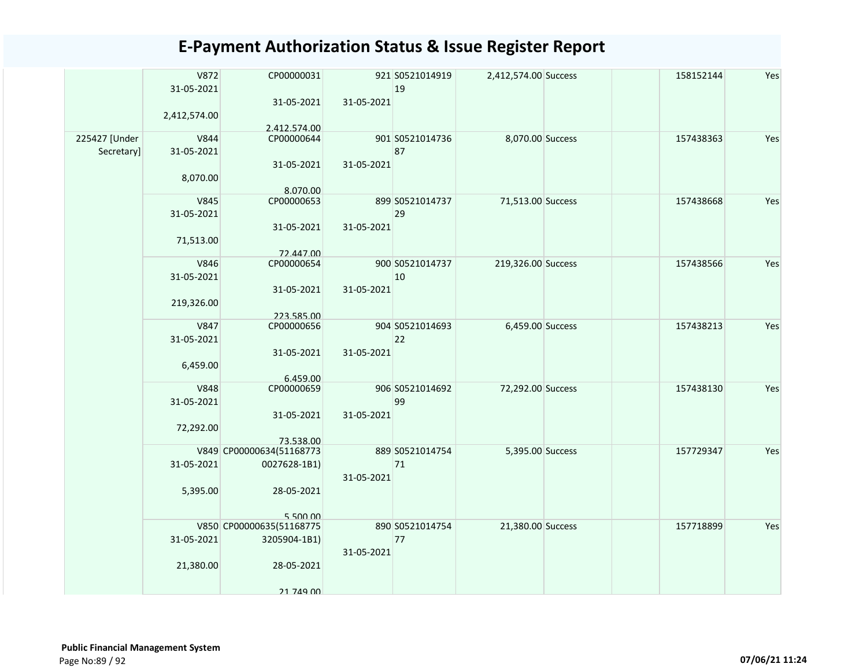|               | V872         | CP00000031               |            | 921 S0521014919 | 2,412,574.00 Success | 158152144 | Yes |
|---------------|--------------|--------------------------|------------|-----------------|----------------------|-----------|-----|
|               | 31-05-2021   |                          |            | 19              |                      |           |     |
|               |              | 31-05-2021               | 31-05-2021 |                 |                      |           |     |
|               | 2,412,574.00 |                          |            |                 |                      |           |     |
|               |              | 2.412.574.00             |            |                 |                      |           |     |
| 225427 [Under | V844         | CP00000644               |            | 901 S0521014736 | 8,070.00 Success     | 157438363 | Yes |
| Secretary]    | 31-05-2021   |                          |            | 87              |                      |           |     |
|               |              | 31-05-2021               | 31-05-2021 |                 |                      |           |     |
|               | 8,070.00     |                          |            |                 |                      |           |     |
|               | V845         | 8.070.00<br>CP00000653   |            | 899 S0521014737 | 71,513.00 Success    | 157438668 | Yes |
|               | 31-05-2021   |                          |            | 29              |                      |           |     |
|               |              | 31-05-2021               | 31-05-2021 |                 |                      |           |     |
|               | 71,513.00    |                          |            |                 |                      |           |     |
|               |              | 72.447.00                |            |                 |                      |           |     |
|               | V846         | CP00000654               |            | 900 S0521014737 | 219,326.00 Success   | 157438566 | Yes |
|               | 31-05-2021   |                          |            | 10              |                      |           |     |
|               |              | 31-05-2021               | 31-05-2021 |                 |                      |           |     |
|               | 219,326.00   |                          |            |                 |                      |           |     |
|               |              | 223.585.00               |            |                 |                      |           |     |
|               | V847         | CP00000656               |            | 904 S0521014693 | 6,459.00 Success     | 157438213 | Yes |
|               | 31-05-2021   |                          |            | 22              |                      |           |     |
|               |              | 31-05-2021               | 31-05-2021 |                 |                      |           |     |
|               | 6,459.00     |                          |            |                 |                      |           |     |
|               | <b>V848</b>  | 6.459.00<br>CP00000659   |            | 906 S0521014692 |                      | 157438130 | Yes |
|               |              |                          |            | 99              | 72,292.00 Success    |           |     |
|               | 31-05-2021   | 31-05-2021               | 31-05-2021 |                 |                      |           |     |
|               | 72,292.00    |                          |            |                 |                      |           |     |
|               |              | 73.538.00                |            |                 |                      |           |     |
|               |              | V849 CP00000634(51168773 |            | 889 S0521014754 | 5,395.00 Success     | 157729347 | Yes |
|               | 31-05-2021   | 0027628-1B1)             |            | 71              |                      |           |     |
|               |              |                          | 31-05-2021 |                 |                      |           |     |
|               | 5,395.00     | 28-05-2021               |            |                 |                      |           |     |
|               |              |                          |            |                 |                      |           |     |
|               |              | 550000                   |            |                 |                      |           |     |
|               |              | V850 CP00000635(51168775 |            | 890 S0521014754 | 21,380.00 Success    | 157718899 | Yes |
|               | 31-05-2021   | 3205904-1B1)             |            | 77              |                      |           |     |
|               |              |                          | 31-05-2021 |                 |                      |           |     |
|               | 21,380.00    | 28-05-2021               |            |                 |                      |           |     |
|               |              |                          |            |                 |                      |           |     |
|               |              | 21 749 00                |            |                 |                      |           |     |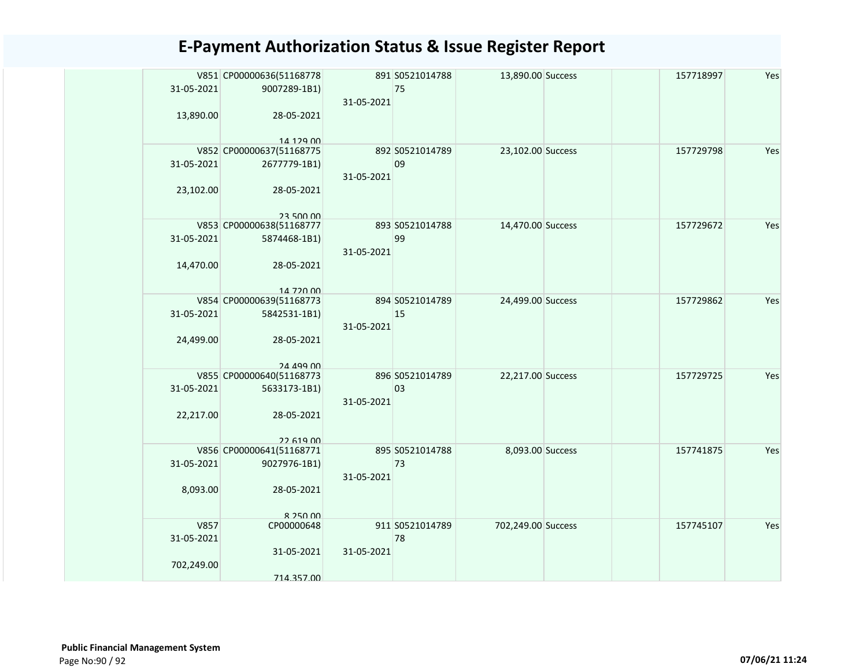| 31-05-2021 | V851 CP00000636(51168778<br>9007289-1B1) | 31-05-2021 | 891 S0521014788<br>75 | 13,890.00 Success  | 157718997 | Yes |
|------------|------------------------------------------|------------|-----------------------|--------------------|-----------|-----|
| 13,890.00  | 28-05-2021<br>14 129 00                  |            |                       |                    |           |     |
|            | V852 CP00000637(51168775                 |            | 892 S0521014789       | 23,102.00 Success  | 157729798 | Yes |
| 31-05-2021 | 2677779-1B1)                             | 31-05-2021 | 09                    |                    |           |     |
| 23,102.00  | 28-05-2021                               |            |                       |                    |           |     |
|            | 23,500,00                                |            |                       |                    |           |     |
|            | V853 CP00000638(51168777                 |            | 893 S0521014788       | 14,470.00 Success  | 157729672 | Yes |
| 31-05-2021 | 5874468-1B1)                             | 31-05-2021 | 99                    |                    |           |     |
| 14,470.00  | 28-05-2021                               |            |                       |                    |           |     |
|            | 14 720 00                                |            |                       |                    |           |     |
|            | V854 CP00000639(51168773                 |            | 894 S0521014789       | 24,499.00 Success  | 157729862 | Yes |
| 31-05-2021 | 5842531-1B1)                             | 31-05-2021 | 15                    |                    |           |     |
| 24,499.00  | 28-05-2021                               |            |                       |                    |           |     |
|            | 24 499 00                                |            |                       |                    |           |     |
|            | V855 CP00000640(51168773                 |            | 896 S0521014789       | 22,217.00 Success  | 157729725 | Yes |
| 31-05-2021 | 5633173-1B1)                             | 31-05-2021 | 03                    |                    |           |     |
| 22,217.00  | 28-05-2021                               |            |                       |                    |           |     |
|            | 22 619 00                                |            |                       |                    |           |     |
|            | V856 CP00000641(51168771                 |            | 895 S0521014788       | 8,093.00 Success   | 157741875 | Yes |
| 31-05-2021 | 9027976-1B1)                             | 31-05-2021 | 73                    |                    |           |     |
| 8,093.00   | 28-05-2021                               |            |                       |                    |           |     |
|            |                                          |            |                       |                    |           |     |
| V857       | $R$ 250 00<br>CP00000648                 |            | 911 S0521014789       | 702,249.00 Success | 157745107 | Yes |
| 31-05-2021 |                                          |            | 78                    |                    |           |     |
| 702,249.00 | 31-05-2021                               | 31-05-2021 |                       |                    |           |     |
|            | 714.357.00                               |            |                       |                    |           |     |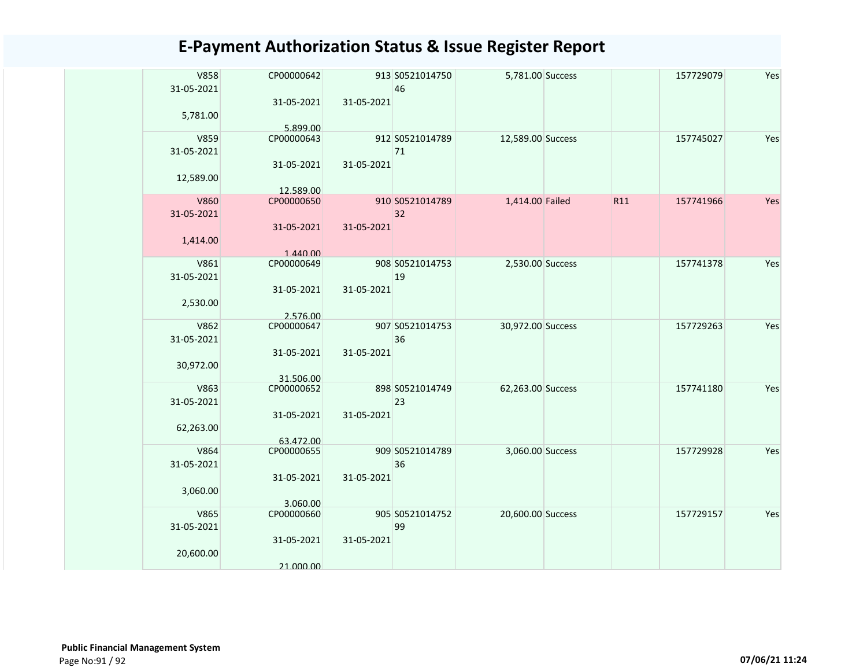| <b>V858</b><br>31-05-2021 | CP00000642             |            | 913 S0521014750<br>46 | 5,781.00 Success  |     | 157729079 | Yes |
|---------------------------|------------------------|------------|-----------------------|-------------------|-----|-----------|-----|
| 5,781.00                  | 31-05-2021             | 31-05-2021 |                       |                   |     |           |     |
|                           | 5.899.00               |            |                       |                   |     |           |     |
| V859<br>31-05-2021        | CP00000643             |            | 912 S0521014789<br>71 | 12,589.00 Success |     | 157745027 | Yes |
| 12,589.00                 | 31-05-2021             | 31-05-2021 |                       |                   |     |           |     |
|                           | 12.589.00              |            |                       |                   |     |           |     |
| V860<br>31-05-2021        | CP00000650             |            | 910 S0521014789<br>32 | 1,414.00 Failed   | R11 | 157741966 | Yes |
|                           | 31-05-2021             | 31-05-2021 |                       |                   |     |           |     |
| 1,414.00                  |                        |            |                       |                   |     |           |     |
| V861                      | 1.440.00<br>CP00000649 |            | 908 S0521014753       | 2,530.00 Success  |     | 157741378 | Yes |
| 31-05-2021                |                        |            | 19                    |                   |     |           |     |
|                           | 31-05-2021             | 31-05-2021 |                       |                   |     |           |     |
| 2,530.00                  |                        |            |                       |                   |     |           |     |
|                           | 2.576.00               |            |                       |                   |     |           |     |
| V862                      | CP00000647             |            | 907 S0521014753       | 30,972.00 Success |     | 157729263 | Yes |
| 31-05-2021                |                        |            | 36                    |                   |     |           |     |
|                           | 31-05-2021             | 31-05-2021 |                       |                   |     |           |     |
| 30,972.00                 | 31.506.00              |            |                       |                   |     |           |     |
| V863                      | CP00000652             |            | 898 S0521014749       | 62,263.00 Success |     | 157741180 | Yes |
| 31-05-2021                |                        |            | 23                    |                   |     |           |     |
|                           | 31-05-2021             | 31-05-2021 |                       |                   |     |           |     |
| 62,263.00                 |                        |            |                       |                   |     |           |     |
|                           | 63.472.00              |            |                       |                   |     |           |     |
| V864                      | CP00000655             |            | 909 S0521014789       | 3,060.00 Success  |     | 157729928 | Yes |
| 31-05-2021                | 31-05-2021             | 31-05-2021 | 36                    |                   |     |           |     |
| 3,060.00                  |                        |            |                       |                   |     |           |     |
|                           | 3.060.00               |            |                       |                   |     |           |     |
| V865                      | CP00000660             |            | 905 S0521014752       | 20,600.00 Success |     | 157729157 | Yes |
| 31-05-2021                |                        |            | 99                    |                   |     |           |     |
|                           | 31-05-2021             | 31-05-2021 |                       |                   |     |           |     |
| 20,600.00                 |                        |            |                       |                   |     |           |     |
|                           | 21.000.00              |            |                       |                   |     |           |     |